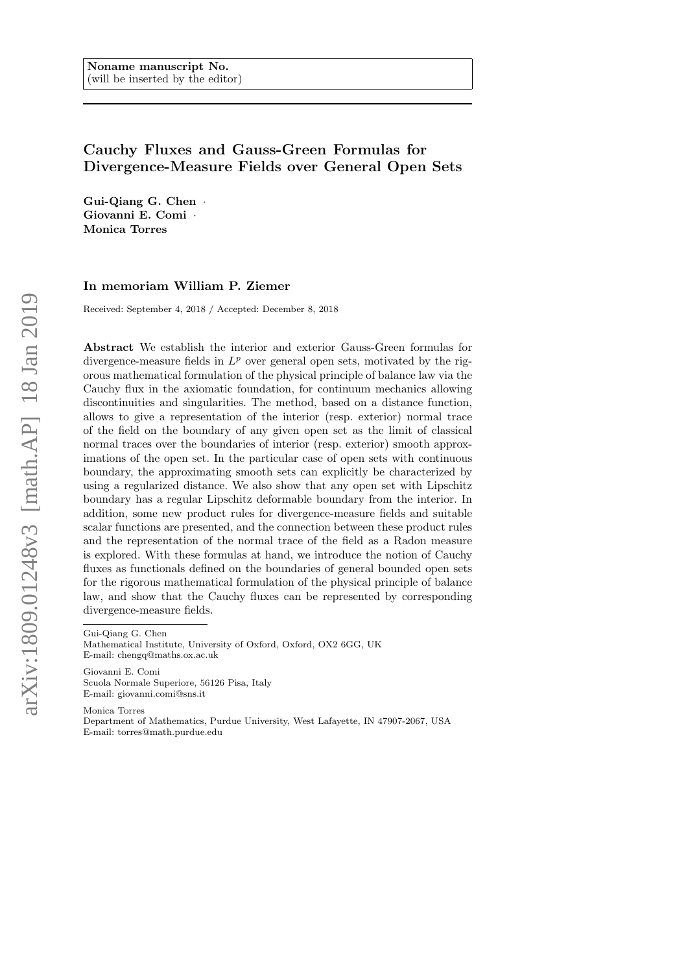# Cauchy Fluxes and Gauss-Green Formulas for Divergence-Measure Fields over General Open Sets

Gui-Qiang G. Chen · Giovanni E. Comi ¨ Monica Torres

## In memoriam William P. Ziemer

Received: September 4, 2018 / Accepted: December 8, 2018

Abstract We establish the interior and exterior Gauss-Green formulas for divergence-measure fields in  $L^p$  over general open sets, motivated by the rigorous mathematical formulation of the physical principle of balance law via the Cauchy flux in the axiomatic foundation, for continuum mechanics allowing discontinuities and singularities. The method, based on a distance function, allows to give a representation of the interior (resp. exterior) normal trace of the field on the boundary of any given open set as the limit of classical normal traces over the boundaries of interior (resp. exterior) smooth approximations of the open set. In the particular case of open sets with continuous boundary, the approximating smooth sets can explicitly be characterized by using a regularized distance. We also show that any open set with Lipschitz boundary has a regular Lipschitz deformable boundary from the interior. In addition, some new product rules for divergence-measure fields and suitable scalar functions are presented, and the connection between these product rules and the representation of the normal trace of the field as a Radon measure is explored. With these formulas at hand, we introduce the notion of Cauchy fluxes as functionals defined on the boundaries of general bounded open sets for the rigorous mathematical formulation of the physical principle of balance law, and show that the Cauchy fluxes can be represented by corresponding divergence-measure fields.

Gui-Qiang G. Chen

Giovanni E. Comi Scuola Normale Superiore, 56126 Pisa, Italy E-mail: giovanni.comi@sns.it

Monica Torres Department of Mathematics, Purdue University, West Lafayette, IN 47907-2067, USA E-mail: torres@math.purdue.edu

Mathematical Institute, University of Oxford, Oxford, OX2 6GG, UK E-mail: chengq@maths.ox.ac.uk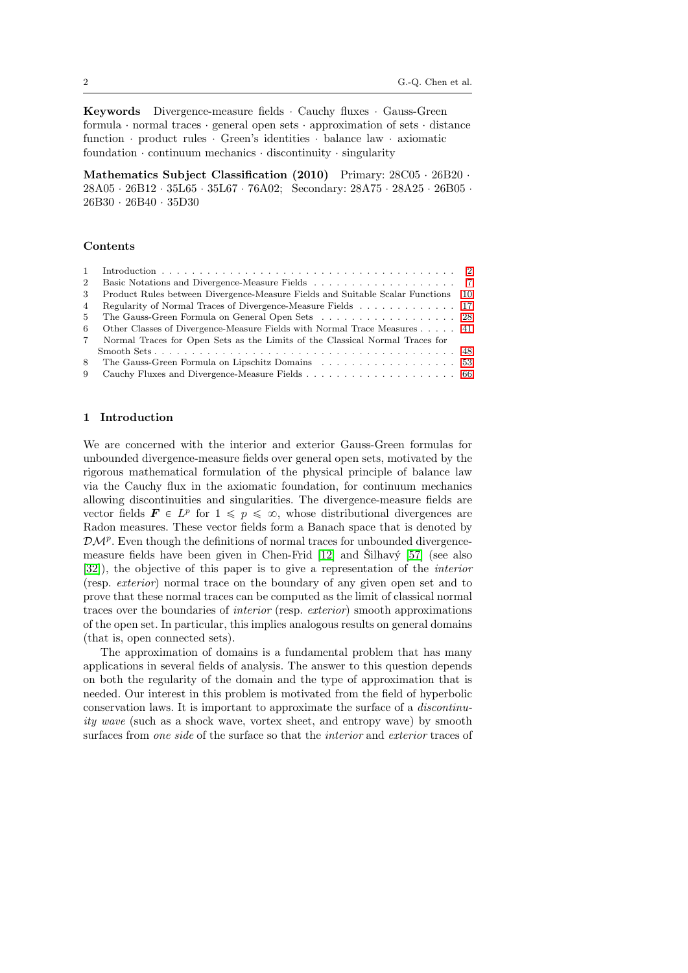**Keywords** Divergence-measure fields  $\cdot$  Cauchy fluxes  $\cdot$  Gauss-Green formula  $\cdot$  normal traces  $\cdot$  general open sets  $\cdot$  approximation of sets  $\cdot$  distance function  $\cdot$  product rules  $\cdot$  Green's identities  $\cdot$  balance law  $\cdot$  axiomatic foundation  $\cdot$  continuum mechanics  $\cdot$  discontinuity  $\cdot$  singularity

Mathematics Subject Classification  $(2010)$  Primary:  $28C05 \cdot 26B20$ .  $28A05 \cdot 26B12 \cdot 35L65 \cdot 35L67 \cdot 76A02$ ; Secondary:  $28A75 \cdot 28A25 \cdot 26B05$ . 26B30 ¨ 26B40 ¨ 35D30

## Contents

| 2           |                                                                               |      |
|-------------|-------------------------------------------------------------------------------|------|
| 3           | Product Rules between Divergence-Measure Fields and Suitable Scalar Functions | - 10 |
| 4           | Regularity of Normal Traces of Divergence-Measure Fields 17                   |      |
| 5           | The Gauss-Green Formula on General Open Sets 28                               |      |
| 6           | Other Classes of Divergence-Measure Fields with Normal Trace Measures 41      |      |
| $7^{\circ}$ | Normal Traces for Open Sets as the Limits of the Classical Normal Traces for  |      |
|             |                                                                               |      |
| 8           |                                                                               |      |
| 9           |                                                                               |      |

## <span id="page-1-0"></span>1 Introduction

We are concerned with the interior and exterior Gauss-Green formulas for unbounded divergence-measure fields over general open sets, motivated by the rigorous mathematical formulation of the physical principle of balance law via the Cauchy flux in the axiomatic foundation, for continuum mechanics allowing discontinuities and singularities. The divergence-measure fields are vector fields  $\mathbf{F} \in L^p$  for  $1 \leqslant p \leqslant \infty$ , whose distributional divergences are Radon measures. These vector fields form a Banach space that is denoted by  $\mathcal{DM}^p$ . Even though the definitions of normal traces for unbounded divergencemeasure fields have been given in Chen-Frid  $[12]$  and  $\text{Šilhavy } [57]$  $\text{Šilhavy } [57]$  (see also [\[32\]](#page-78-0)), the objective of this paper is to give a representation of the interior (resp. exterior) normal trace on the boundary of any given open set and to prove that these normal traces can be computed as the limit of classical normal traces over the boundaries of interior (resp. exterior) smooth approximations of the open set. In particular, this implies analogous results on general domains (that is, open connected sets).

The approximation of domains is a fundamental problem that has many applications in several fields of analysis. The answer to this question depends on both the regularity of the domain and the type of approximation that is needed. Our interest in this problem is motivated from the field of hyperbolic conservation laws. It is important to approximate the surface of a discontinuity wave (such as a shock wave, vortex sheet, and entropy wave) by smooth surfaces from one side of the surface so that the interior and exterior traces of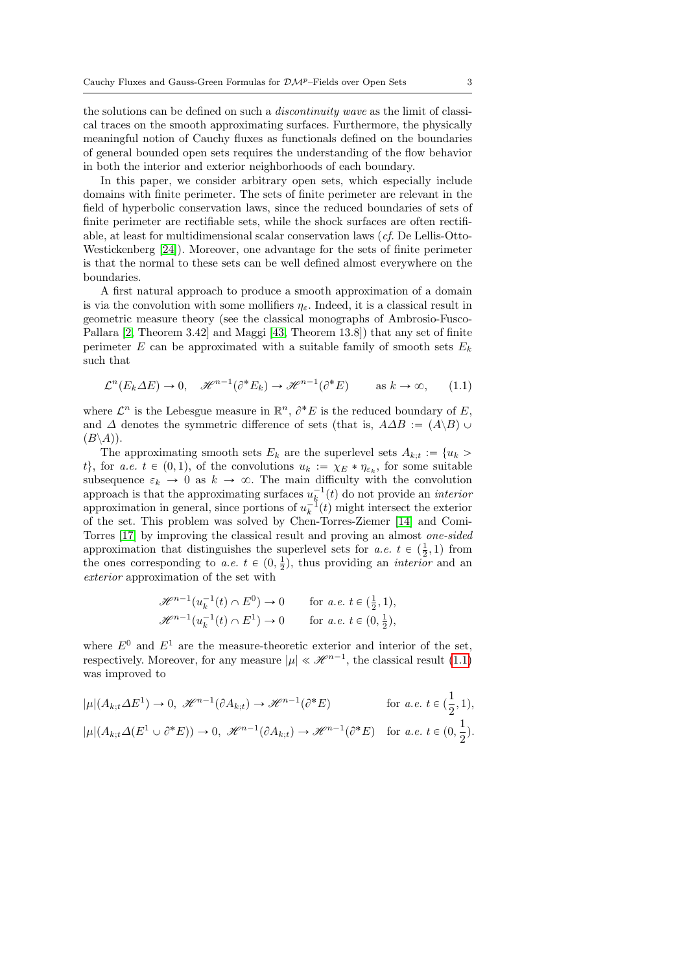the solutions can be defined on such a discontinuity wave as the limit of classical traces on the smooth approximating surfaces. Furthermore, the physically meaningful notion of Cauchy fluxes as functionals defined on the boundaries of general bounded open sets requires the understanding of the flow behavior in both the interior and exterior neighborhoods of each boundary.

In this paper, we consider arbitrary open sets, which especially include domains with finite perimeter. The sets of finite perimeter are relevant in the field of hyperbolic conservation laws, since the reduced boundaries of sets of finite perimeter are rectifiable sets, while the shock surfaces are often rectifiable, at least for multidimensional scalar conservation laws (cf. De Lellis-Otto-Westickenberg [\[24\]](#page-77-1)). Moreover, one advantage for the sets of finite perimeter is that the normal to these sets can be well defined almost everywhere on the boundaries.

A first natural approach to produce a smooth approximation of a domain is via the convolution with some mollifiers  $\eta_{\varepsilon}$ . Indeed, it is a classical result in geometric measure theory (see the classical monographs of Ambrosio-Fusco-Pallara [\[2,](#page-76-0) Theorem 3.42] and Maggi [\[43,](#page-78-1) Theorem 13.8]) that any set of finite perimeter E can be approximated with a suitable family of smooth sets  $E_k$ such that

<span id="page-2-0"></span>
$$
\mathcal{L}^n(E_k \Delta E) \to 0, \quad \mathcal{H}^{n-1}(\partial^* E_k) \to \mathcal{H}^{n-1}(\partial^* E) \qquad \text{as } k \to \infty,
$$
 (1.1)

where  $\mathcal{L}^n$  is the Lebesgue measure in  $\mathbb{R}^n$ ,  $\partial^* E$  is the reduced boundary of E, and  $\Delta$  denotes the symmetric difference of sets (that is,  $A\Delta B := (A\backslash B) \cup$  $(B\backslash A)).$ 

The approximating smooth sets  $E_k$  are the superlevel sets  $A_{k,t} := \{u_k >$ t, for a.e.  $t \in (0, 1)$ , of the convolutions  $u_k := \chi_E * \eta_{\varepsilon_k}$ , for some suitable subsequence  $\varepsilon_k \to 0$  as  $k \to \infty$ . The main difficulty with the convolution approach is that the approximating surfaces  $u_k^{-1}(t)$  do not provide an *interior* approximation in general, since portions of  $u_k^{-1}(t)$  might intersect the exterior of the set. This problem was solved by Chen-Torres-Ziemer [\[14\]](#page-77-2) and Comi-Torres [\[17\]](#page-77-3) by improving the classical result and proving an almost one-sided approximation that distinguishes the superlevel sets for  $a.e. t \in (\frac{1}{2}, 1)$  from the ones corresponding to a.e.  $t \in (0, \frac{1}{2})$ , thus providing an *interior* and an exterior approximation of the set with

$$
\mathscr{H}^{n-1}(u_k^{-1}(t) \cap E^0) \to 0 \quad \text{for a.e. } t \in (\frac{1}{2}, 1),
$$
  

$$
\mathscr{H}^{n-1}(u_k^{-1}(t) \cap E^1) \to 0 \quad \text{for a.e. } t \in (0, \frac{1}{2}),
$$

where  $E^0$  and  $E^1$  are the measure-theoretic exterior and interior of the set, respectively. Moreover, for any measure  $|\mu| \ll \mathcal{H}^{n-1}$ , the classical result [\(1.1\)](#page-2-0) was improved to

$$
|\mu|(A_{k;t}\Delta E^1) \to 0, \ \mathscr{H}^{n-1}(\partial A_{k;t}) \to \mathscr{H}^{n-1}(\partial^* E) \qquad \text{for a.e. } t \in (\frac{1}{2}, 1),
$$
  

$$
|\mu|(A_{k;t}\Delta(E^1 \cup \partial^* E)) \to 0, \ \mathscr{H}^{n-1}(\partial A_{k;t}) \to \mathscr{H}^{n-1}(\partial^* E) \qquad \text{for a.e. } t \in (0, \frac{1}{2}).
$$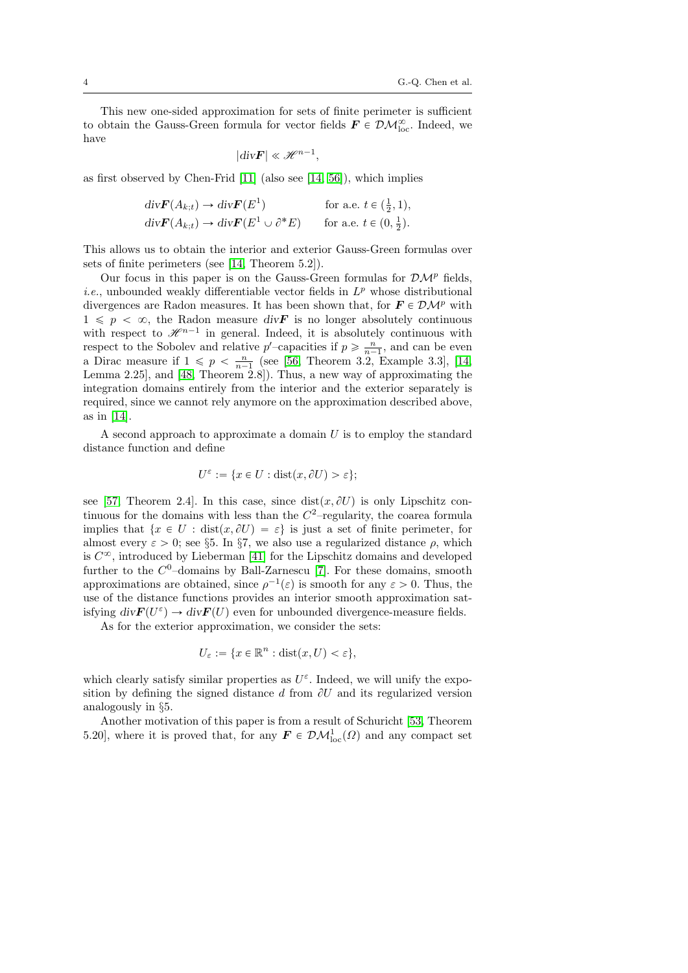This new one-sided approximation for sets of finite perimeter is sufficient to obtain the Gauss-Green formula for vector fields  $\mathbf{F} \in \mathcal{DM}_{\text{loc}}^{\infty}$ . Indeed, we have

$$
|\mathrm{div}\boldsymbol{F}| \ll \mathscr{H}^{n-1}
$$

,

as first observed by Chen-Frid [\[11\]](#page-76-1) (also see [\[14,](#page-77-2) [56\]](#page-79-1)), which implies

$$
\begin{aligned}\n\text{div}\mathbf{F}(A_{k;t}) &\to \text{div}\mathbf{F}(E^1) & \text{for a.e. } t \in \left(\frac{1}{2}, 1\right), \\
\text{div}\mathbf{F}(A_{k;t}) &\to \text{div}\mathbf{F}(E^1 \cup \partial^* E) & \text{for a.e. } t \in \left(0, \frac{1}{2}\right).\n\end{aligned}
$$

This allows us to obtain the interior and exterior Gauss-Green formulas over sets of finite perimeters (see [\[14,](#page-77-2) Theorem 5.2]).

Our focus in this paper is on the Gauss-Green formulas for  $\mathcal{DM}^p$  fields, *i.e.*, unbounded weakly differentiable vector fields in  $L^p$  whose distributional divergences are Radon measures. It has been shown that, for  $\mathbf{F} \in \mathcal{DM}^p$  with  $1 \leqslant p \leq \infty$ , the Radon measure div F is no longer absolutely continuous with respect to  $\mathscr{H}^{n-1}$  in general. Indeed, it is absolutely continuous with respect to the Sobolev and relative  $p'$ -capacities if  $p \geqslant \frac{n}{n-1}$ , and can be even a Dirac measure if  $1 \leqslant p < \frac{n}{n-1}$  (see [\[56,](#page-79-1) Theorem 3.2, Example 3.3], [\[14,](#page-77-2) Lemma 2.25], and [\[48,](#page-79-2) Theorem 2.8]). Thus, a new way of approximating the integration domains entirely from the interior and the exterior separately is required, since we cannot rely anymore on the approximation described above, as in [\[14\]](#page-77-2).

A second approach to approximate a domain  $U$  is to employ the standard distance function and define

$$
U^{\varepsilon} := \{ x \in U : \text{dist}(x, \partial U) > \varepsilon \};
$$

see [\[57,](#page-79-0) Theorem 2.4]. In this case, since  $dist(x, \partial U)$  is only Lipschitz continuous for the domains with less than the  $C^2$ -regularity, the coarea formula implies that  $\{x \in U : dist(x, \partial U) = \varepsilon\}$  is just a set of finite perimeter, for almost every  $\varepsilon > 0$ ; see §5. In §7, we also use a regularized distance  $\rho$ , which is  $C^{\infty}$ , introduced by Lieberman [\[41\]](#page-78-2) for the Lipschitz domains and developed further to the  $C^0$ -domains by Ball-Zarnescu [\[7\]](#page-76-2). For these domains, smooth approximations are obtained, since  $\rho^{-1}(\varepsilon)$  is smooth for any  $\varepsilon > 0$ . Thus, the use of the distance functions provides an interior smooth approximation satisfying  $div \mathbf{F}(U^{\varepsilon}) \to div \mathbf{F}(U)$  even for unbounded divergence-measure fields.

As for the exterior approximation, we consider the sets:

$$
U_{\varepsilon} := \{ x \in \mathbb{R}^n : \text{dist}(x, U) < \varepsilon \},
$$

which clearly satisfy similar properties as  $U^{\varepsilon}$ . Indeed, we will unify the exposition by defining the signed distance d from  $\partial U$  and its regularized version analogously in §5.

Another motivation of this paper is from a result of Schuricht [\[53,](#page-79-3) Theorem 5.20], where it is proved that, for any  $\mathbf{F} \in \mathcal{DM}^1_{\text{loc}}(\Omega)$  and any compact set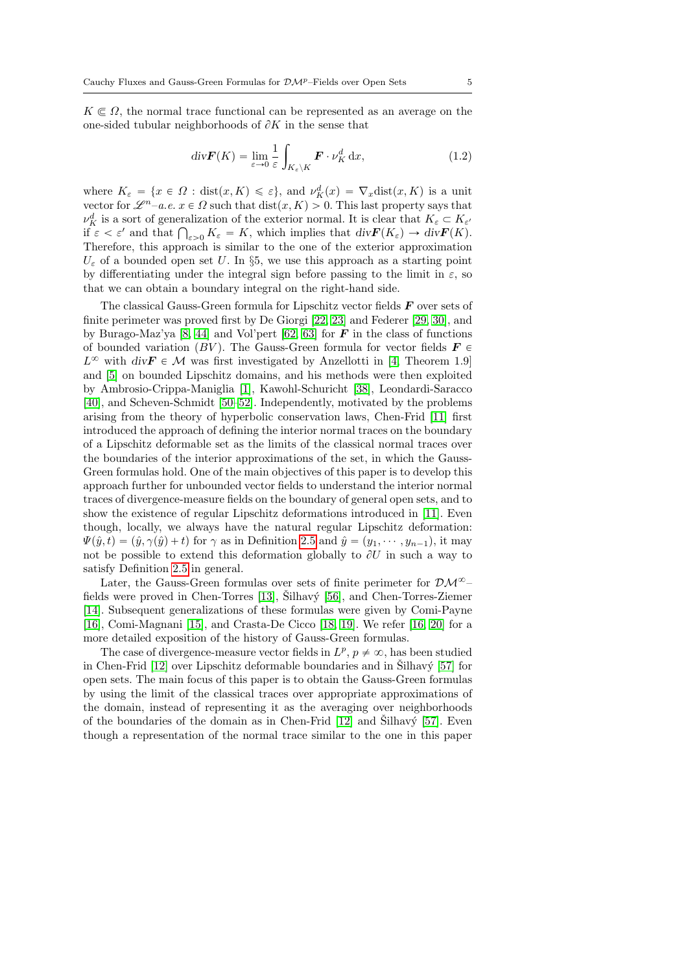$K \in \Omega$ , the normal trace functional can be represented as an average on the one-sided tubular neighborhoods of  $\partial K$  in the sense that

<span id="page-4-0"></span>
$$
\operatorname{div} \boldsymbol{F}(K) = \lim_{\varepsilon \to 0} \frac{1}{\varepsilon} \int_{K_{\varepsilon} \backslash K} \boldsymbol{F} \cdot \nu_K^d \, \mathrm{d}x,\tag{1.2}
$$

where  $K_{\varepsilon} = \{x \in \Omega : \text{dist}(x, K) \leqslant \varepsilon\}$ , and  $\nu^d_K(x) = \nabla_x \text{dist}(x, K)$  is a unit vector for  $\mathscr{L}^{n}$ –a.e.  $x \in \Omega$  such that  $dist(x, K) > 0$ . This last property says that  $\nu_K^d$  is a sort of generalization of the exterior normal. It is clear that  $K_{\varepsilon} \subset K_{\varepsilon'}$  $\nu_K^{\alpha}$  is a sort of generalization of the exterior normal. It is clear that  $K_{\varepsilon} \subset K_{\varepsilon'}$ <br>if  $\varepsilon < \varepsilon'$  and that  $\bigcap_{\varepsilon > 0} K_{\varepsilon} = K$ , which implies that  $div \mathbf{F}(K_{\varepsilon}) \to div \mathbf{F}(K)$ . Therefore, this approach is similar to the one of the exterior approximation  $U_{\varepsilon}$  of a bounded open set U. In §5, we use this approach as a starting point by differentiating under the integral sign before passing to the limit in  $\varepsilon$ , so that we can obtain a boundary integral on the right-hand side.

The classical Gauss-Green formula for Lipschitz vector fields  $\bm{F}$  over sets of finite perimeter was proved first by De Giorgi [\[22,](#page-77-4) [23\]](#page-77-5) and Federer [\[29,](#page-78-3) [30\]](#page-78-4), and by Burago-Maz'ya [\[8,](#page-76-3) [44\]](#page-78-5) and Vol'pert [\[62,](#page-80-0) [63\]](#page-80-1) for  $\bm{F}$  in the class of functions of bounded variation (BV). The Gauss-Green formula for vector fields  $\mathbf{F} \in$  $L^{\infty}$  with  $\text{div}\mathbf{F} \in \mathcal{M}$  was first investigated by Anzellotti in [\[4,](#page-76-4) Theorem 1.9] and [\[5\]](#page-76-5) on bounded Lipschitz domains, and his methods were then exploited by Ambrosio-Crippa-Maniglia [\[1\]](#page-76-6), Kawohl-Schuricht [\[38\]](#page-78-6), Leondardi-Saracco [\[40\]](#page-78-7), and Scheven-Schmidt [\[50–](#page-79-4)[52\]](#page-79-5). Independently, motivated by the problems arising from the theory of hyperbolic conservation laws, Chen-Frid [\[11\]](#page-76-1) first introduced the approach of defining the interior normal traces on the boundary of a Lipschitz deformable set as the limits of the classical normal traces over the boundaries of the interior approximations of the set, in which the Gauss-Green formulas hold. One of the main objectives of this paper is to develop this approach further for unbounded vector fields to understand the interior normal traces of divergence-measure fields on the boundary of general open sets, and to show the existence of regular Lipschitz deformations introduced in [\[11\]](#page-76-1). Even though, locally, we always have the natural regular Lipschitz deformation:  $\Psi(\hat{y}, t) = (\hat{y}, \gamma(\hat{y}) + t)$  for  $\gamma$  as in Definition [2.5](#page-8-0) and  $\hat{y} = (y_1, \dots, y_{n-1})$ , it may not be possible to extend this deformation globally to  $\partial U$  in such a way to satisfy Definition [2.5](#page-8-0) in general.

Later, the Gauss-Green formulas over sets of finite perimeter for  $\mathcal{DM}^{\infty}$ fields were proved in Chen-Torres  $[13]$ , Silhavý  $[56]$ , and Chen-Torres-Ziemer [\[14\]](#page-77-2). Subsequent generalizations of these formulas were given by Comi-Payne [\[16\]](#page-77-7), Comi-Magnani [\[15\]](#page-77-8), and Crasta-De Cicco [\[18,](#page-77-9) [19\]](#page-77-10). We refer [\[16,](#page-77-7) [20\]](#page-77-11) for a more detailed exposition of the history of Gauss-Green formulas.

The case of divergence-measure vector fields in  $L^p$ ,  $p \neq \infty$ , has been studied in Chen-Frid  $[12]$  over Lipschitz deformable boundaries and in Šilhavý  $[57]$  for open sets. The main focus of this paper is to obtain the Gauss-Green formulas by using the limit of the classical traces over appropriate approximations of the domain, instead of representing it as the averaging over neighborhoods of the boundaries of the domain as in Chen-Frid  $[12]$  and Silhavý [\[57\]](#page-79-0). Even though a representation of the normal trace similar to the one in this paper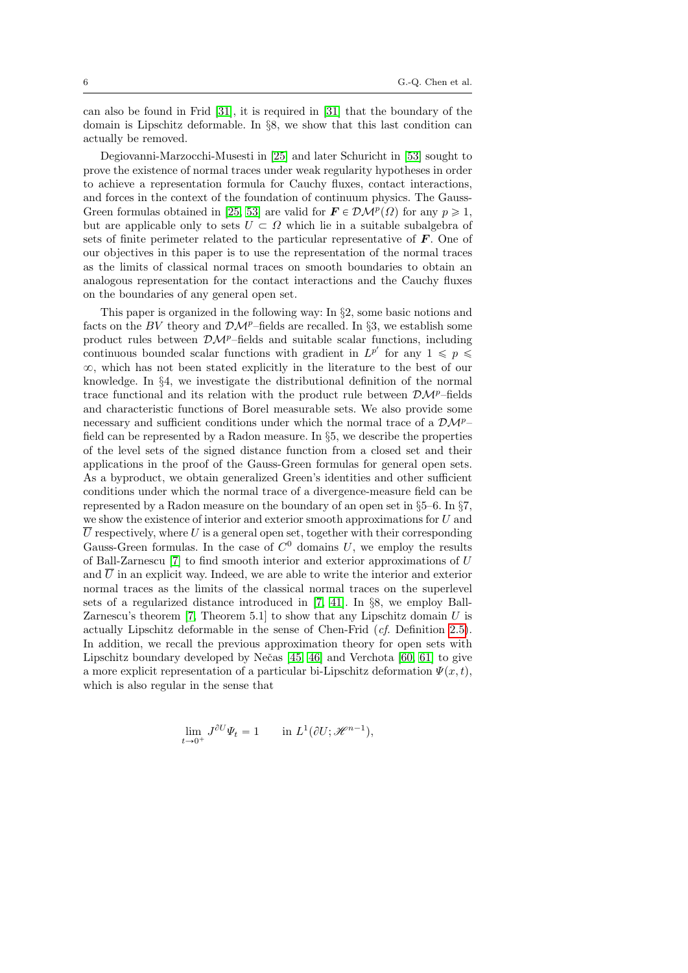can also be found in Frid [\[31\]](#page-78-8), it is required in [\[31\]](#page-78-8) that the boundary of the domain is Lipschitz deformable. In §8, we show that this last condition can actually be removed.

Degiovanni-Marzocchi-Musesti in [\[25\]](#page-77-12) and later Schuricht in [\[53\]](#page-79-3) sought to prove the existence of normal traces under weak regularity hypotheses in order to achieve a representation formula for Cauchy fluxes, contact interactions, and forces in the context of the foundation of continuum physics. The Gauss-Green formulas obtained in [\[25,](#page-77-12) [53\]](#page-79-3) are valid for  $\mathbf{F} \in \mathcal{DM}^p(\Omega)$  for any  $p \geq 1$ , but are applicable only to sets  $U \subset \Omega$  which lie in a suitable subalgebra of sets of finite perimeter related to the particular representative of  $\bm{F}$ . One of our objectives in this paper is to use the representation of the normal traces as the limits of classical normal traces on smooth boundaries to obtain an analogous representation for the contact interactions and the Cauchy fluxes on the boundaries of any general open set.

This paper is organized in the following way: In §2, some basic notions and facts on the BV theory and  $\mathcal{DM}^p$ –fields are recalled. In §3, we establish some product rules between  $\mathcal{D}\mathcal{M}^p$ –fields and suitable scalar functions, including continuous bounded scalar functions with gradient in  $L^{p'}$  for any  $1 \leqslant p \leqslant$  $\infty$ , which has not been stated explicitly in the literature to the best of our knowledge. In §4, we investigate the distributional definition of the normal trace functional and its relation with the product rule between  $\mathcal{DM}^p$ –fields and characteristic functions of Borel measurable sets. We also provide some necessary and sufficient conditions under which the normal trace of a  $\mathcal{DM}^{p-}$ field can be represented by a Radon measure. In §5, we describe the properties of the level sets of the signed distance function from a closed set and their applications in the proof of the Gauss-Green formulas for general open sets. As a byproduct, we obtain generalized Green's identities and other sufficient conditions under which the normal trace of a divergence-measure field can be represented by a Radon measure on the boundary of an open set in §5–6. In §7, we show the existence of interior and exterior smooth approximations for U and  $\overline{U}$  respectively, where U is a general open set, together with their corresponding Gauss-Green formulas. In the case of  $C^0$  domains U, we employ the results of Ball-Zarnescu [\[7\]](#page-76-2) to find smooth interior and exterior approximations of U and  $\overline{U}$  in an explicit way. Indeed, we are able to write the interior and exterior normal traces as the limits of the classical normal traces on the superlevel sets of a regularized distance introduced in [\[7,](#page-76-2) [41\]](#page-78-2). In §8, we employ Ball-Zarnescu's theorem  $[7,$  Theorem 5.1] to show that any Lipschitz domain  $U$  is actually Lipschitz deformable in the sense of Chen-Frid (cf. Definition [2.5\)](#page-8-0). In addition, we recall the previous approximation theory for open sets with Lipschitz boundary developed by Nečas  $[45, 46]$  $[45, 46]$  and Verchota  $[60, 61]$  $[60, 61]$  to give a more explicit representation of a particular bi-Lipschitz deformation  $\Psi(x, t)$ , which is also regular in the sense that

$$
\lim_{t \to 0^+} J^{\partial U} \Psi_t = 1 \quad \text{in } L^1(\partial U; \mathcal{H}^{n-1}),
$$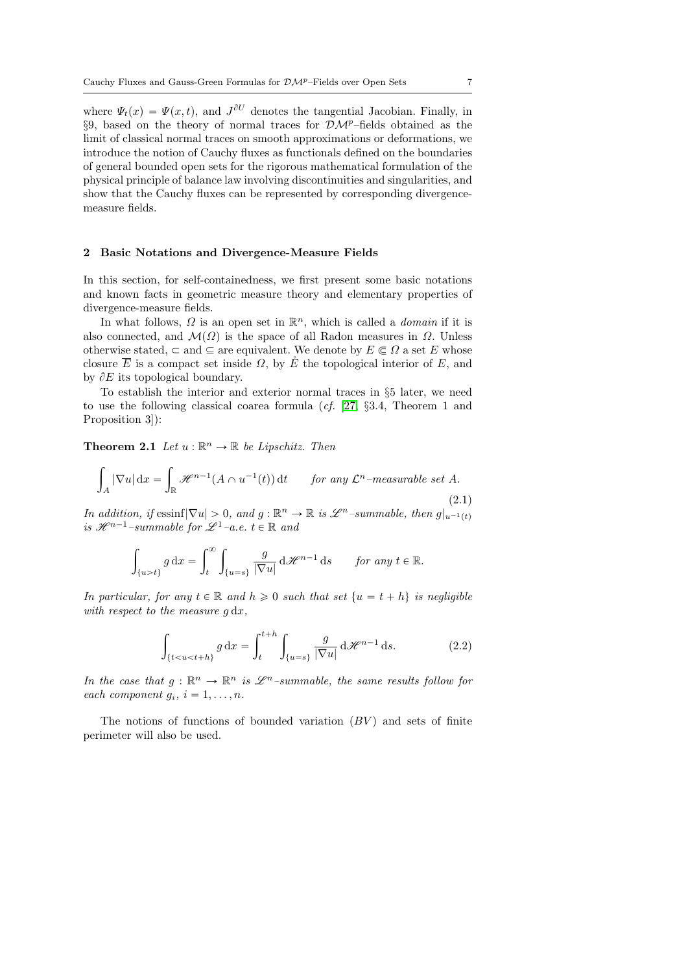where  $\Psi_t(x) = \Psi(x, t)$ , and  $J^{\partial U}$  denotes the tangential Jacobian. Finally, in §9, based on the theory of normal traces for  $\mathcal{DM}^p$ –fields obtained as the limit of classical normal traces on smooth approximations or deformations, we introduce the notion of Cauchy fluxes as functionals defined on the boundaries of general bounded open sets for the rigorous mathematical formulation of the physical principle of balance law involving discontinuities and singularities, and show that the Cauchy fluxes can be represented by corresponding divergencemeasure fields.

#### <span id="page-6-0"></span>2 Basic Notations and Divergence-Measure Fields

In this section, for self-containedness, we first present some basic notations and known facts in geometric measure theory and elementary properties of divergence-measure fields.

In what follows,  $\Omega$  is an open set in  $\mathbb{R}^n$ , which is called a *domain* if it is also connected, and  $\mathcal{M}(\Omega)$  is the space of all Radon measures in  $\Omega$ . Unless otherwise stated,  $\subset$  and  $\subset$  are equivalent. We denote by  $E \subset \Omega$  a set E whose closure  $\overline{E}$  is a compact set inside  $\Omega$ , by  $\mathring{E}$  the topological interior of E, and by  $\partial E$  its topological boundary.

To establish the interior and exterior normal traces in §5 later, we need to use the following classical coarea formula (cf. [\[27,](#page-77-13) §3.4, Theorem 1 and Proposition 3]):

**Theorem 2.1** Let  $u : \mathbb{R}^n \to \mathbb{R}$  be Lipschitz. Then

<span id="page-6-2"></span>
$$
\int_{A} |\nabla u| dx = \int_{\mathbb{R}} \mathcal{H}^{n-1}(A \cap u^{-1}(t)) dt \quad \text{for any } \mathcal{L}^n \text{-measurable set } A.
$$
\n(2.1)

In addition, if essinf $|\nabla u| > 0$ , and  $g : \mathbb{R}^n \to \mathbb{R}$  is  $\mathscr{L}^n$ -summable, then  $g|_{u^{-1}(t)}$ is  $\mathscr{H}^{n-1}$ -summable for  $\mathscr{L}^1$ -a.e.  $t \in \mathbb{R}$  and

$$
\int_{\{u>t\}} g\, \mathrm{d} x = \int_t^\infty \int_{\{u=s\}} \frac{g}{|\nabla u|} \, \mathrm{d} \mathscr{H}^{n-1} \, \mathrm{d} s \qquad \textit{for any } t \in \mathbb{R}.
$$

In particular, for any  $t \in \mathbb{R}$  and  $h \geq 0$  such that set  $\{u = t + h\}$  is negligible with respect to the measure  $q dx$ ,

<span id="page-6-1"></span>
$$
\int_{\{t (2.2)
$$

In the case that  $g: \mathbb{R}^n \to \mathbb{R}^n$  is  $\mathscr{L}^n$ -summable, the same results follow for each component  $g_i$ ,  $i = 1, \ldots, n$ .

The notions of functions of bounded variation  $(BV)$  and sets of finite perimeter will also be used.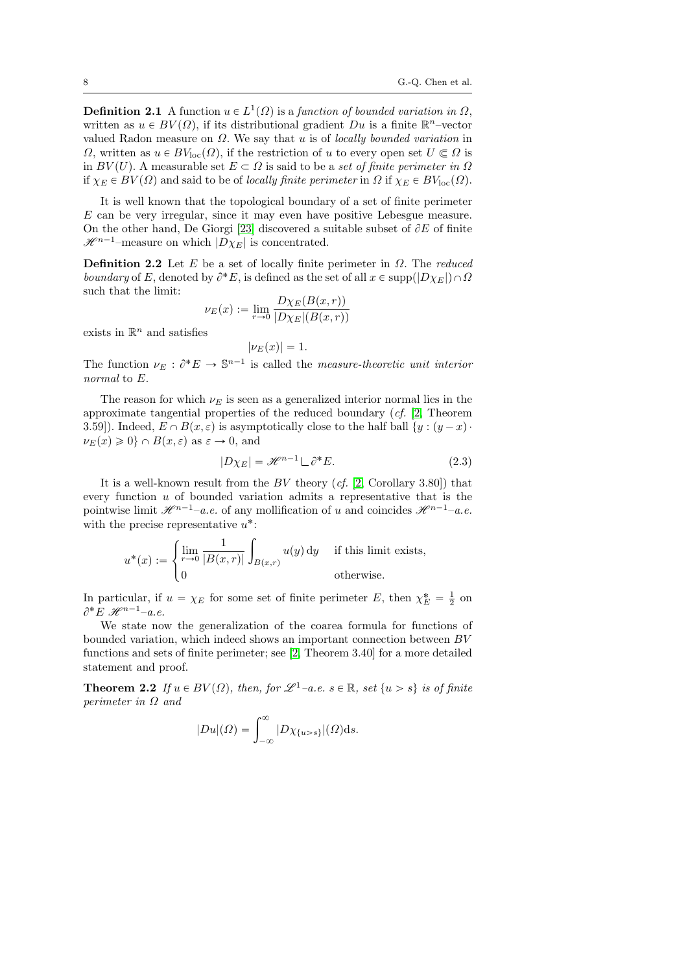**Definition 2.1** A function  $u \in L^1(\Omega)$  is a function of bounded variation in  $\Omega$ , written as  $u \in BV(\Omega)$ , if its distributional gradient  $Du$  is a finite  $\mathbb{R}^n$ -vector valued Radon measure on  $\Omega$ . We say that u is of *locally bounded variation* in  $\Omega$ , written as  $u \in BV_{loc}(\Omega)$ , if the restriction of u to every open set  $U \subset \Omega$  is in  $BV(U)$ . A measurable set  $E \subset \Omega$  is said to be a set of finite perimeter in  $\Omega$ if  $\chi_E \in BV(\Omega)$  and said to be of locally finite perimeter in  $\Omega$  if  $\chi_E \in BV_{loc}(\Omega)$ .

It is well known that the topological boundary of a set of finite perimeter E can be very irregular, since it may even have positive Lebesgue measure. On the other hand, De Giorgi [\[23\]](#page-77-5) discovered a suitable subset of  $\partial E$  of finite  $\mathscr{H}^{n-1}$ –measure on which  $|D\chi_E|$  is concentrated.

**Definition 2.2** Let E be a set of locally finite perimeter in  $\Omega$ . The reduced boundary of E, denoted by  $\partial^* E$ , is defined as the set of all  $x \in \text{supp}(|D \chi_E|) \cap \Omega$ such that the limit:

$$
\nu_E(x) := \lim_{r \to 0} \frac{D\chi_E(B(x, r))}{|D\chi_E|(B(x, r))}
$$

exists in  $\mathbb{R}^n$  and satisfies

$$
|\nu_E(x)|=1.
$$

The function  $\nu_E : \partial^* E \to \mathbb{S}^{n-1}$  is called the *measure-theoretic unit interior* normal to E.

The reason for which  $\nu_E$  is seen as a generalized interior normal lies in the approximate tangential properties of the reduced boundary (cf. [\[2,](#page-76-0) Theorem 3.59]). Indeed,  $E \cap B(x, \varepsilon)$  is asymptotically close to the half ball  $\{y : (y - x) \}$  $\nu_E(x) \geq 0$   $\cap B(x, \varepsilon)$  as  $\varepsilon \to 0$ , and

$$
|D\chi_E| = \mathcal{H}^{n-1} \sqcup \partial^* E.
$$
 (2.3)

It is a well-known result from the  $BV$  theory  $(cf. [2, Corollary 3.80])$  $(cf. [2, Corollary 3.80])$  $(cf. [2, Corollary 3.80])$  that every function  $u$  of bounded variation admits a representative that is the pointwise limit  $\mathscr{H}^{n-1}$ –a.e. of any mollification of u and coincides  $\mathscr{H}^{n-1}$ –a.e. with the precise representative  $u^*$ :  $\ddot{\phantom{a}}$ 

$$
u^*(x) := \begin{cases} \lim_{r \to 0} \frac{1}{|B(x,r)|} \int_{B(x,r)} u(y) \, dy & \text{if this limit exists,} \\ 0 & \text{otherwise.} \end{cases}
$$

In particular, if  $u = \chi_E$  for some set of finite perimeter E, then  $\chi_E^* = \frac{1}{2}$  on  $\partial^* E \mathcal{H}^{n-1}$ -a.e.

We state now the generalization of the coarea formula for functions of bounded variation, which indeed shows an important connection between BV functions and sets of finite perimeter; see [\[2,](#page-76-0) Theorem 3.40] for a more detailed statement and proof.

<span id="page-7-0"></span>**Theorem 2.2** If  $u \in BV(\Omega)$ , then, for  $\mathcal{L}^1$ –a.e.  $s \in \mathbb{R}$ , set  $\{u > s\}$  is of finite perimeter in  $\Omega$  and

$$
|Du|(\Omega) = \int_{-\infty}^{\infty} |D\chi_{\{u>s\}}|(\Omega) ds.
$$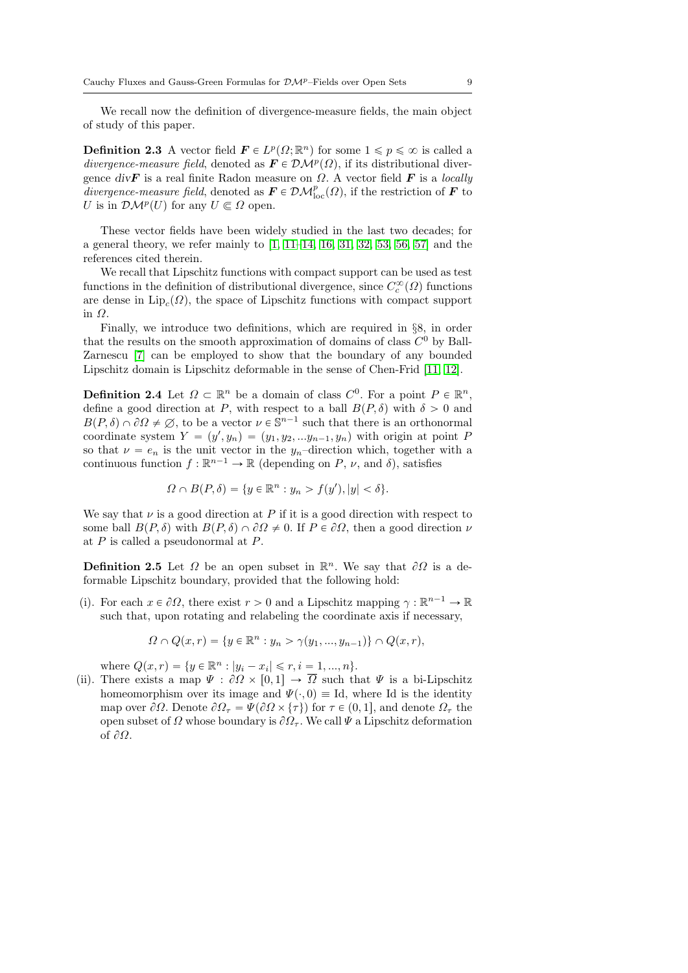We recall now the definition of divergence-measure fields, the main object of study of this paper.

**Definition 2.3** A vector field  $\mathbf{F} \in L^p(\Omega; \mathbb{R}^n)$  for some  $1 \leq p \leq \infty$  is called a divergence-measure field, denoted as  $\mathbf{F} \in \mathcal{DM}^p(\Omega)$ , if its distributional divergence divF is a real finite Radon measure on  $\Omega$ . A vector field F is a locally divergence-measure field, denoted as  $\mathbf{F} \in \mathcal{DM}^p_{\text{loc}}(\Omega)$ , if the restriction of  $\mathbf{F}$  to U is in  $\mathcal{DM}^p(U)$  for any  $U \subseteq \Omega$  open.

These vector fields have been widely studied in the last two decades; for a general theory, we refer mainly to [\[1,](#page-76-6) [11](#page-76-1)[–14,](#page-77-2) [16,](#page-77-7) [31,](#page-78-8) [32,](#page-78-0) [53,](#page-79-3) [56,](#page-79-1) [57\]](#page-79-0) and the references cited therein.

We recall that Lipschitz functions with compact support can be used as test functions in the definition of distributional divergence, since  $C_c^{\infty}(\Omega)$  functions are dense in  $\text{Lip}_c(\Omega)$ , the space of Lipschitz functions with compact support in Ω.

Finally, we introduce two definitions, which are required in §8, in order that the results on the smooth approximation of domains of class  $C^0$  by Ball-Zarnescu [\[7\]](#page-76-2) can be employed to show that the boundary of any bounded Lipschitz domain is Lipschitz deformable in the sense of Chen-Frid [\[11,](#page-76-1) [12\]](#page-77-0).

**Definition 2.4** Let  $\Omega \subset \mathbb{R}^n$  be a domain of class  $C^0$ . For a point  $P \in \mathbb{R}^n$ , define a good direction at P, with respect to a ball  $B(P, \delta)$  with  $\delta > 0$  and  $B(P, \delta) \cap \partial\Omega \neq \emptyset$ , to be a vector  $\nu \in \mathbb{S}^{n-1}$  such that there is an orthonormal coordinate system  $Y = (y', y_n) = (y_1, y_2, ... y_{n-1}, y_n)$  with origin at point P so that  $\nu = e_n$  is the unit vector in the  $y_n$ -direction which, together with a continuous function  $f : \mathbb{R}^{n-1} \to \mathbb{R}$  (depending on P,  $\nu$ , and  $\delta$ ), satisfies

$$
\Omega \cap B(P,\delta) = \{ y \in \mathbb{R}^n : y_n > f(y'), |y| < \delta \}.
$$

We say that  $\nu$  is a good direction at P if it is a good direction with respect to some ball  $B(P, \delta)$  with  $B(P, \delta) \cap \partial \Omega \neq 0$ . If  $P \in \partial \Omega$ , then a good direction  $\nu$ at  $P$  is called a pseudonormal at  $P$ .

<span id="page-8-0"></span>**Definition 2.5** Let  $\Omega$  be an open subset in  $\mathbb{R}^n$ . We say that  $\partial\Omega$  is a deformable Lipschitz boundary, provided that the following hold:

(i). For each  $x \in \partial \Omega$ , there exist  $r > 0$  and a Lipschitz mapping  $\gamma : \mathbb{R}^{n-1} \to \mathbb{R}$ such that, upon rotating and relabeling the coordinate axis if necessary,

$$
\Omega \cap Q(x,r) = \{ y \in \mathbb{R}^n : y_n > \gamma(y_1, ..., y_{n-1}) \} \cap Q(x,r),
$$

where  $Q(x, r) = \{y \in \mathbb{R}^n : |y_i - x_i| \leq r, i = 1, ..., n\}.$ 

(ii). There exists a map  $\Psi : \partial \Omega \times [0, 1] \to \overline{\Omega}$  such that  $\Psi$  is a bi-Lipschitz homeomorphism over its image and  $\Psi(\cdot, 0) \equiv \text{Id}$ , where Id is the identity map over  $\partial\Omega$ . Denote  $\partial\Omega_{\tau} = \Psi(\partial\Omega \times {\tau})$  for  $\tau \in (0, 1]$ , and denote  $\Omega_{\tau}$  the open subset of  $\Omega$  whose boundary is  $\partial\Omega_{\tau}$ . We call  $\Psi$  a Lipschitz deformation of  $\partial\Omega$ .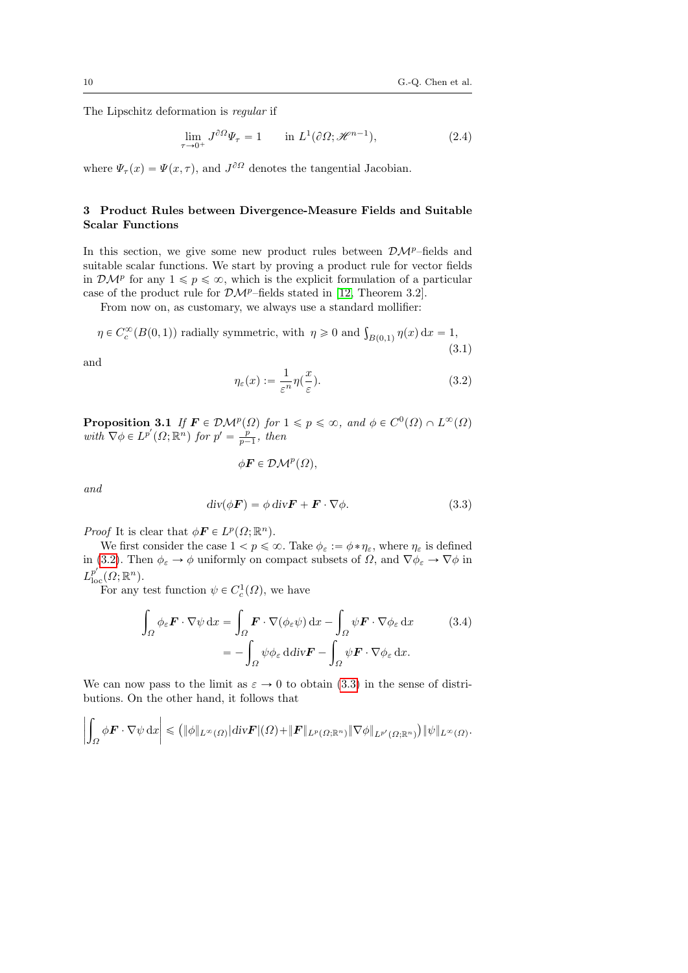The Lipschitz deformation is regular if

$$
\lim_{\tau \to 0^+} J^{\partial \Omega} \Psi_{\tau} = 1 \qquad \text{in } L^1(\partial \Omega; \mathcal{H}^{n-1}), \tag{2.4}
$$

where  $\Psi_{\tau}(x) = \Psi(x, \tau)$ , and  $J^{\partial \Omega}$  denotes the tangential Jacobian.

# <span id="page-9-0"></span>3 Product Rules between Divergence-Measure Fields and Suitable Scalar Functions

In this section, we give some new product rules between  $\mathcal{DM}^p$ –fields and suitable scalar functions. We start by proving a product rule for vector fields in  $\mathcal{DM}^p$  for any  $1 \leq p \leq \infty$ , which is the explicit formulation of a particular case of the product rule for  $\mathcal{DM}^p$ –fields stated in [\[12,](#page-77-0) Theorem 3.2].

From now on, as customary, we always use a standard mollifier:

<span id="page-9-4"></span> $\eta \in C_c^{\infty}(B(0, 1))$  radially symmetric, with  $\eta \geq 0$  and  $\int_{B(0, 1)} \eta(x) dx = 1$ , (3.1)

and

<span id="page-9-1"></span>
$$
\eta_{\varepsilon}(x) := \frac{1}{\varepsilon^n} \eta(\frac{x}{\varepsilon}).\tag{3.2}
$$

<span id="page-9-3"></span>**Proposition 3.1** If  $\mathbf{F} \in \mathcal{DM}^p(\Omega)$  for  $1 \leq p \leq \infty$ , and  $\phi \in C^0(\Omega) \cap L^{\infty}(\Omega)$ with  $\nabla \phi \in L^{p'}(\Omega; \mathbb{R}^n)$  for  $p' = \frac{p}{p-1}$ , then

$$
\phi \mathbf{F} \in \mathcal{DM}^p(\Omega),
$$

and

<span id="page-9-2"></span>
$$
\operatorname{div}(\phi \mathbf{F}) = \phi \operatorname{div} \mathbf{F} + \mathbf{F} \cdot \nabla \phi. \tag{3.3}
$$

*Proof* It is clear that  $\phi \mathbf{F} \in L^p(\Omega; \mathbb{R}^n)$ .

We first consider the case  $1 < p \le \infty$ . Take  $\phi_{\varepsilon} := \phi * \eta_{\varepsilon}$ , where  $\eta_{\varepsilon}$  is defined in [\(3.2\)](#page-9-1). Then  $\phi_{\varepsilon} \to \phi$  uniformly on compact subsets of  $\Omega$ , and  $\nabla \phi_{\varepsilon} \to \nabla \phi$  in  $L^{p'}_{\text{loc}}(\Omega;\mathbb{R}^n)$ .

For any test function  $\psi \in C_c^1(\Omega)$ , we have

$$
\int_{\Omega} \phi_{\varepsilon} \mathbf{F} \cdot \nabla \psi \, dx = \int_{\Omega} \mathbf{F} \cdot \nabla (\phi_{\varepsilon} \psi) \, dx - \int_{\Omega} \psi \mathbf{F} \cdot \nabla \phi_{\varepsilon} \, dx \qquad (3.4)
$$
\n
$$
= - \int_{\Omega} \psi \phi_{\varepsilon} \, d\mathrm{div} \mathbf{F} - \int_{\Omega} \psi \mathbf{F} \cdot \nabla \phi_{\varepsilon} \, dx.
$$

We can now pass to the limit as  $\varepsilon \to 0$  to obtain [\(3.3\)](#page-9-2) in the sense of distributions. On the other hand, it follows that

$$
\left|\int_{\Omega} \phi \boldsymbol{F} \cdot \nabla \psi \,dx\right| \leqslant \left(\|\phi\|_{L^{\infty}(\Omega)} |div \boldsymbol{F}|(\Omega) + \|\boldsymbol{F}\|_{L^{p}(\Omega; \mathbb{R}^{n})} \|\nabla \phi\|_{L^{p'}(\Omega; \mathbb{R}^{n})}\right) \|\psi\|_{L^{\infty}(\Omega)}.
$$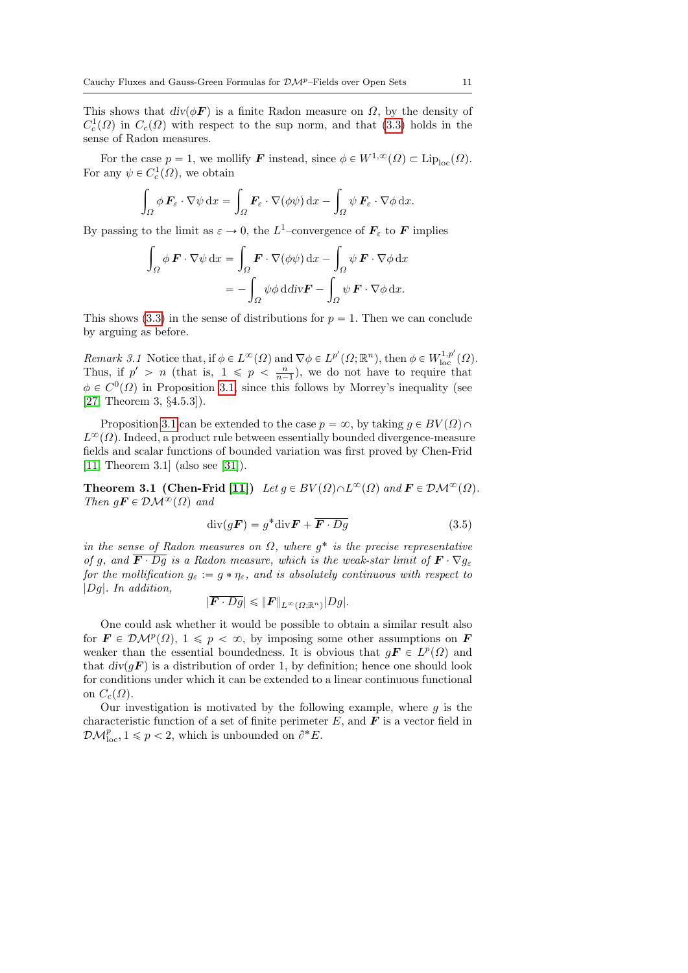This shows that  $div(\phi \vec{F})$  is a finite Radon measure on  $\Omega$ , by the density of  $C_c^1(\Omega)$  in  $C_c(\Omega)$  with respect to the sup norm, and that [\(3.3\)](#page-9-2) holds in the sense of Radon measures.

For the case  $p = 1$ , we mollify **F** instead, since  $\phi \in W^{1,\infty}(\Omega) \subset \text{Lip}_{\text{loc}}(\Omega)$ . For any  $\psi \in C_c^1(\Omega)$ , we obtain

$$
\int_{\Omega} \phi \, \boldsymbol{F}_{\varepsilon} \cdot \nabla \psi \, dx = \int_{\Omega} \boldsymbol{F}_{\varepsilon} \cdot \nabla (\phi \psi) \, dx - \int_{\Omega} \psi \, \boldsymbol{F}_{\varepsilon} \cdot \nabla \phi \, dx.
$$

By passing to the limit as  $\varepsilon \to 0$ , the  $L^1$ -convergence of  $\mathbf{F}_{\varepsilon}$  to  $\mathbf{F}$  implies

$$
\int_{\Omega} \phi \mathbf{F} \cdot \nabla \psi \, dx = \int_{\Omega} \mathbf{F} \cdot \nabla (\phi \psi) \, dx - \int_{\Omega} \psi \mathbf{F} \cdot \nabla \phi \, dx
$$
\n
$$
= - \int_{\Omega} \psi \phi \, d\text{div} \mathbf{F} - \int_{\Omega} \psi \mathbf{F} \cdot \nabla \phi \, dx.
$$

This shows [\(3.3\)](#page-9-2) in the sense of distributions for  $p = 1$ . Then we can conclude by arguing as before.

Remark 3.1 Notice that, if  $\phi \in L^{\infty}(\Omega)$  and  $\nabla \phi \in L^{p'}(\Omega; \mathbb{R}^n)$ , then  $\phi \in W^{1,p'}_{loc}(\Omega)$ . Thus, if  $p' > n$  (that is,  $1 \leqslant p \leqslant \frac{n}{n-1}$ ), we do not have to require that  $\phi \in C^{0}(\Omega)$  in Proposition [3.1,](#page-9-3) since this follows by Morrey's inequality (see [\[27,](#page-77-13) Theorem 3, §4.5.3]).

Proposition [3.1](#page-9-3) can be extended to the case  $p = \infty$ , by taking  $q \in BV(\Omega) \cap$  $L^{\infty}(\Omega)$ . Indeed, a product rule between essentially bounded divergence-measure fields and scalar functions of bounded variation was first proved by Chen-Frid [\[11,](#page-76-1) Theorem 3.1] (also see [\[31\]](#page-78-8)).

<span id="page-10-1"></span>**Theorem 3.1 (Chen-Frid [\[11\]](#page-76-1))** Let  $g \in BV(\Omega) \cap L^{\infty}(\Omega)$  and  $\mathbf{F} \in \mathcal{DM}^{\infty}(\Omega)$ . Then  $q\mathbf{F} \in \mathcal{DM}^{\infty}(\Omega)$  and

$$
\operatorname{div}(g\boldsymbol{F}) = g^* \operatorname{div} \boldsymbol{F} + \overline{\boldsymbol{F} \cdot Dg} \tag{3.5}
$$

in the sense of Radon measures on  $\Omega$ , where  $g^*$  is the precise representative of q, and  $\overline{F \cdot Dq}$  is a Radon measure, which is the weak-star limit of  $\overline{F \cdot \nabla q_{\varepsilon}}$ for the mollification  $g_{\varepsilon} := g * \eta_{\varepsilon}$ , and is absolutely continuous with respect to |Dg|. In addition,

$$
|\overline{\boldsymbol{F}\cdot Dg}|\leqslant \|\boldsymbol{F}\|_{L^{\infty}(\Omega;\mathbb{R}^n)}|Dg|.
$$

One could ask whether it would be possible to obtain a similar result also for  $\mathbf{F} \in \mathcal{DM}^p(\Omega)$ ,  $1 \leq p < \infty$ , by imposing some other assumptions on  $\mathbf{F}$ weaker than the essential boundedness. It is obvious that  $g\mathbf{F} \in L^p(\Omega)$  and that  $div(qF)$  is a distribution of order 1, by definition; hence one should look for conditions under which it can be extended to a linear continuous functional on  $C_c(\Omega)$ .

<span id="page-10-0"></span>Our investigation is motivated by the following example, where  $g$  is the characteristic function of a set of finite perimeter  $E$ , and  $\boldsymbol{F}$  is a vector field in  $\mathcal{DM}_{\text{loc}}^p, 1 \leq p < 2$ , which is unbounded on  $\partial^* E$ .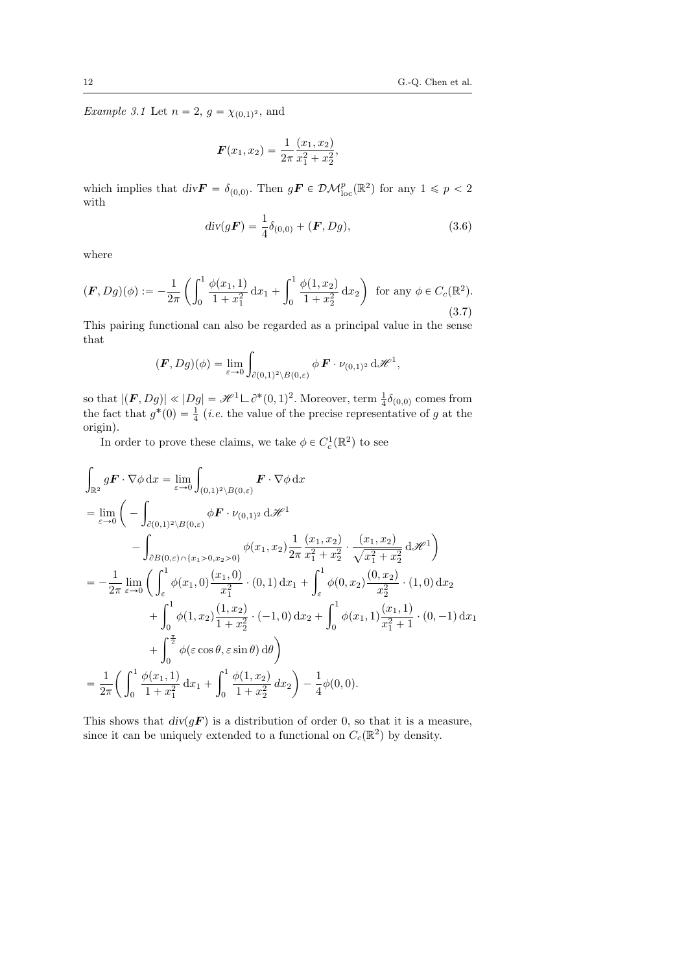*Example 3.1* Let  $n = 2$ ,  $g = \chi_{(0,1)^2}$ , and

$$
\boldsymbol{F}(x_1, x_2) = \frac{1}{2\pi} \frac{(x_1, x_2)}{x_1^2 + x_2^2},
$$

which implies that  $\text{div}\mathbf{F} = \delta_{(0,0)}$ . Then  $g\mathbf{F} \in \mathcal{DM}_{\text{loc}}^p(\mathbb{R}^2)$  for any  $1 \leq p < 2$ with

<span id="page-11-0"></span>
$$
div(g\mathbf{F}) = \frac{1}{4}\delta_{(0,0)} + (\mathbf{F}, Dg), \tag{3.6}
$$

where

<span id="page-11-1"></span>
$$
(\mathbf{F}, Dg)(\phi) := -\frac{1}{2\pi} \left( \int_0^1 \frac{\phi(x_1, 1)}{1 + x_1^2} dx_1 + \int_0^1 \frac{\phi(1, x_2)}{1 + x_2^2} dx_2 \right) \text{ for any } \phi \in C_c(\mathbb{R}^2). \tag{3.7}
$$

This pairing functional can also be regarded as a principal value in the sense that

$$
(\boldsymbol{F}, Dg)(\phi) = \lim_{\varepsilon \to 0} \int_{\partial(0,1)^2 \setminus B(0,\varepsilon)} \phi \, \boldsymbol{F} \cdot \nu_{(0,1)^2} \, d\mathscr{H}^1,
$$

so that  $|(\mathbf{F}, Dg)| \ll |Dg| = \mathcal{H}^1 \sqcup \partial^*(0, 1)^2$ . Moreover, term  $\frac{1}{4}\delta_{(0,0)}$  comes from the fact that  $g^*(0) = \frac{1}{4}$  (*i.e.* the value of the precise representative of g at the origin).

In order to prove these claims, we take  $\phi \in C^1_c(\mathbb{R}^2)$  to see

$$
\int_{\mathbb{R}^2} g \mathbf{F} \cdot \nabla \phi \, dx = \lim_{\varepsilon \to 0} \int_{(0,1)^2 \setminus B(0,\varepsilon)} \mathbf{F} \cdot \nabla \phi \, dx
$$
\n
$$
= \lim_{\varepsilon \to 0} \left( - \int_{\partial(0,1)^2 \setminus B(0,\varepsilon)} \phi \mathbf{F} \cdot \nu_{(0,1)^2} \, d\mathcal{H}^1 - \int_{\partial B(0,\varepsilon) \cap \{x_1 > 0, x_2 > 0\}} \phi(x_1, x_2) \frac{1}{2\pi} \frac{(x_1, x_2)}{x_1^2 + x_2^2} \cdot \frac{(x_1, x_2)}{\sqrt{x_1^2 + x_2^2}} \, d\mathcal{H}^1 \right)
$$
\n
$$
= -\frac{1}{2\pi} \lim_{\varepsilon \to 0} \left( \int_{\varepsilon}^1 \phi(x_1, 0) \frac{(x_1, 0)}{x_1^2} \cdot (0, 1) \, dx_1 + \int_{\varepsilon}^1 \phi(0, x_2) \frac{(0, x_2)}{x_2^2} \cdot (1, 0) \, dx_2 + \int_{0}^1 \phi(1, x_2) \frac{(1, x_2)}{1 + x_2^2} \cdot (-1, 0) \, dx_2 + \int_{0}^1 \phi(x_1, 1) \frac{(x_1, 1)}{x_1^2 + 1} \cdot (0, -1) \, dx_1 + \int_{0}^{\frac{\pi}{2}} \phi(\varepsilon \cos \theta, \varepsilon \sin \theta) \, d\theta \right)
$$
\n
$$
= \frac{1}{2\pi} \left( \int_{0}^1 \frac{\phi(x_1, 1)}{1 + x_1^2} \, dx_1 + \int_{0}^1 \frac{\phi(1, x_2)}{1 + x_2^2} \, dx_2 \right) - \frac{1}{4} \phi(0, 0).
$$

This shows that  $div(gF)$  is a distribution of order 0, so that it is a measure, since it can be uniquely extended to a functional on  $C_c(\mathbb{R}^2)$  by density.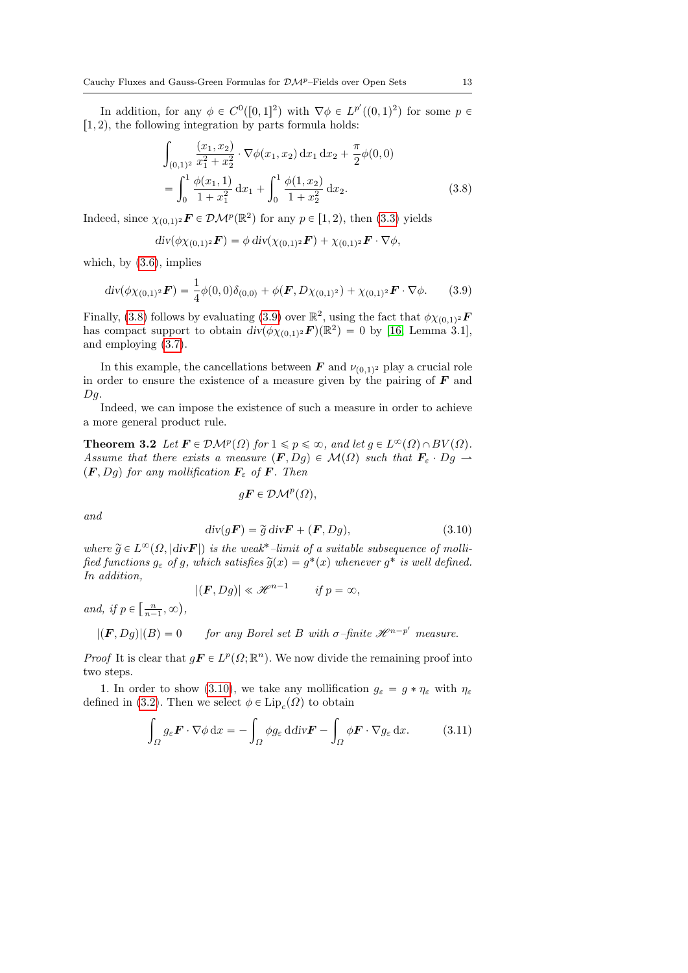In addition, for any  $\phi \in C^0([0,1]^2)$  with  $\nabla \phi \in L^{p'}((0,1)^2)$  for some  $p \in$  $[1, 2)$ , the following integration by parts formula holds:

<span id="page-12-0"></span>
$$
\int_{(0,1)^2} \frac{(x_1, x_2)}{x_1^2 + x_2^2} \cdot \nabla \phi(x_1, x_2) dx_1 dx_2 + \frac{\pi}{2} \phi(0, 0)
$$
  
= 
$$
\int_0^1 \frac{\phi(x_1, 1)}{1 + x_1^2} dx_1 + \int_0^1 \frac{\phi(1, x_2)}{1 + x_2^2} dx_2.
$$
 (3.8)

Indeed, since  $\chi_{(0,1)^2}$ **F**  $\in \mathcal{DM}^p(\mathbb{R}^2)$  for any  $p \in [1, 2)$ , then [\(3.3\)](#page-9-2) yields

$$
\mathrm{div}(\phi\chi_{(0,1)^2}\boldsymbol{F})=\phi\,\mathrm{div}(\chi_{(0,1)^2}\boldsymbol{F})+\chi_{(0,1)^2}\boldsymbol{F}\cdot\nabla\phi,
$$

which, by  $(3.6)$ , implies

<span id="page-12-1"></span>
$$
\operatorname{div}(\phi \chi_{(0,1)^2} \mathbf{F}) = \frac{1}{4} \phi(0,0) \delta_{(0,0)} + \phi(\mathbf{F}, D\chi_{(0,1)^2}) + \chi_{(0,1)^2} \mathbf{F} \cdot \nabla \phi. \tag{3.9}
$$

Finally, [\(3.8\)](#page-12-0) follows by evaluating [\(3.9\)](#page-12-1) over  $\mathbb{R}^2$ , using the fact that  $\phi \chi_{(0,1)^2}$ **F** has compact support to obtain  $div(\phi \chi_{(0,1)^2} \mathbf{F})(\mathbb{R}^2) = 0$  by [\[16,](#page-77-7) Lemma 3.1], and employing [\(3.7\)](#page-11-1).

In this example, the cancellations between  $\boldsymbol{F}$  and  $\nu_{(0,1)^2}$  play a crucial role in order to ensure the existence of a measure given by the pairing of  $\boldsymbol{F}$  and  $Dg$ .

Indeed, we can impose the existence of such a measure in order to achieve a more general product rule.

<span id="page-12-4"></span>**Theorem 3.2** Let  $\mathbf{F} \in \mathcal{DM}^p(\Omega)$  for  $1 \leq p \leq \infty$ , and let  $g \in L^{\infty}(\Omega) \cap BV(\Omega)$ . Assume that there exists a measure  $(F, Dg) \in \mathcal{M}(\Omega)$  such that  $\mathbf{F}_{\varepsilon} \cdot Dg$   $\rightarrow$  $(\mathbf{F}, Dg)$  for any mollification  $\mathbf{F}_{\varepsilon}$  of  $\mathbf{F}$ . Then

$$
g\boldsymbol{F} \in \mathcal{DM}^p(\Omega),
$$

and

<span id="page-12-2"></span>
$$
\operatorname{div}(g\mathbf{F}) = \tilde{g} \operatorname{div} \mathbf{F} + (\mathbf{F}, Dg), \tag{3.10}
$$

where  $\widetilde{g} \in L^{\infty}(\Omega, |div \mathbf{F}|)$  is the weak<sup>\*</sup>-limit of a suitable subsequence of mollified functions  $g_{\varepsilon}$  of g, which satisfies  $\widetilde{g}(x) = g^*(x)$  whenever  $g^*$  is well defined. In addition,

$$
|(\boldsymbol{F}, Dg)| \ll \mathscr{H}^{n-1} \qquad \text{if } p = \infty,
$$

and, if  $p \in$  $\left[\frac{n}{n-1}, \infty\right]$ ,

$$
|(\mathbf{F}, Dg)|(B) = 0 \tfor any Borel set B with  $\sigma$ -finite  $\mathcal{H}^{n-p'}$  measure.
$$

*Proof* It is clear that  $g\mathbf{F} \in L^p(\Omega; \mathbb{R}^n)$ . We now divide the remaining proof into two steps.

1. In order to show [\(3.10\)](#page-12-2), we take any mollification  $g_{\varepsilon} = g * \eta_{\varepsilon}$  with  $\eta_{\varepsilon}$ defined in [\(3.2\)](#page-9-1). Then we select  $\phi \in \text{Lip}_{c}(\Omega)$  to obtain

<span id="page-12-3"></span>
$$
\int_{\Omega} g_{\varepsilon} \boldsymbol{F} \cdot \nabla \phi \, dx = - \int_{\Omega} \phi g_{\varepsilon} \, d \mathrm{div} \boldsymbol{F} - \int_{\Omega} \phi \boldsymbol{F} \cdot \nabla g_{\varepsilon} \, dx. \tag{3.11}
$$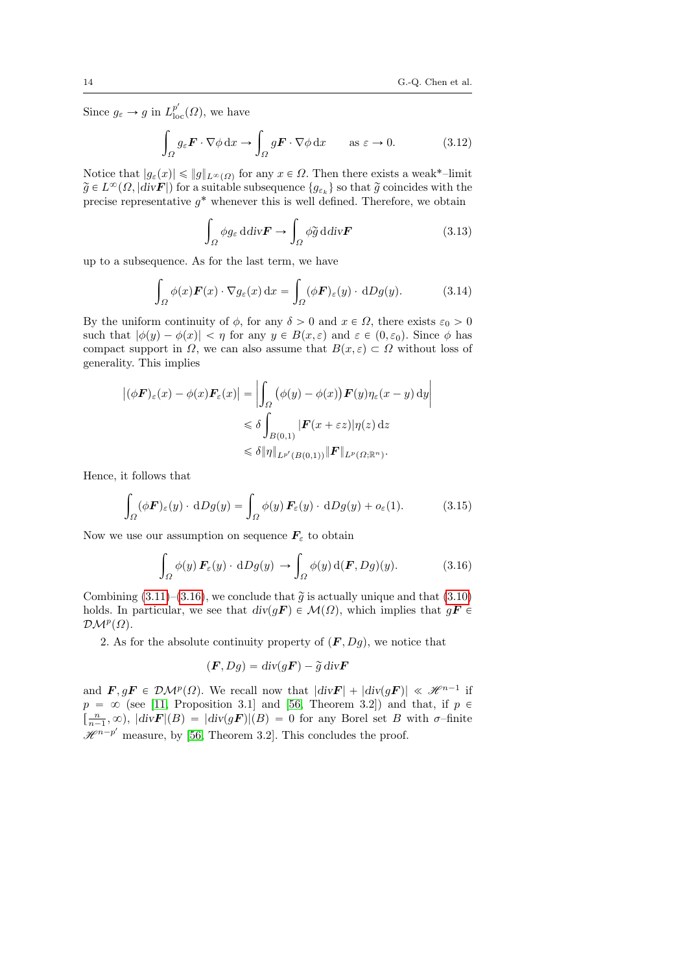Since  $g_{\varepsilon} \to g$  in  $L_{\text{loc}}^{p'}(\Omega)$ , we have

$$
\int_{\Omega} g_{\varepsilon} \mathbf{F} \cdot \nabla \phi \, \mathrm{d}x \to \int_{\Omega} g \mathbf{F} \cdot \nabla \phi \, \mathrm{d}x \qquad \text{as } \varepsilon \to 0. \tag{3.12}
$$

Notice that  $|g_{\varepsilon}(x)| \leqslant \|g\|_{L^{\infty}(\Omega)}$  for any  $x \in \Omega$ . Then there exists a weak<sup>\*</sup>-limit  $\widetilde{g} \in L^{\infty}(\Omega, |div \mathbf{F}|)$  for a suitable subsequence  $\{g_{\varepsilon_k}\}\)$  so that  $\widetilde{g}$  coincides with the precise representative  $g^*$  whenever this is well defined. Therefore, we obtain

$$
\int_{\Omega} \phi g_{\varepsilon} \, \mathrm{d} \mathrm{d} \mathrm{iv} \mathbf{F} \to \int_{\Omega} \phi \widetilde{g} \, \mathrm{d} \mathrm{d} \mathrm{iv} \mathbf{F} \tag{3.13}
$$

up to a subsequence. As for the last term, we have

$$
\int_{\Omega} \phi(x) \mathbf{F}(x) \cdot \nabla g_{\varepsilon}(x) dx = \int_{\Omega} (\phi \mathbf{F})_{\varepsilon}(y) \cdot dDg(y).
$$
 (3.14)

By the uniform continuity of  $\phi$ , for any  $\delta > 0$  and  $x \in \Omega$ , there exists  $\varepsilon_0 > 0$ such that  $|\phi(y) - \phi(x)| < \eta$  for any  $y \in B(x, \varepsilon)$  and  $\varepsilon \in (0, \varepsilon_0)$ . Since  $\phi$  has compact support in  $\Omega$ , we can also assume that  $B(x, \varepsilon) \subset \Omega$  without loss of generality. This implies

$$
\left| (\phi \mathbf{F})_{\varepsilon}(x) - \phi(x) \mathbf{F}_{\varepsilon}(x) \right| = \left| \int_{\Omega} (\phi(y) - \phi(x)) \mathbf{F}(y) \eta_{\varepsilon}(x - y) dy \right|
$$
  

$$
\leq \delta \int_{B(0,1)} |\mathbf{F}(x + \varepsilon z)| \eta(z) dz
$$
  

$$
\leq \delta \|\eta\|_{L^{p'}(B(0,1))} \|\mathbf{F}\|_{L^{p}(\Omega; \mathbb{R}^n)}.
$$

Hence, it follows that

$$
\int_{\Omega} (\phi \mathbf{F})_{\varepsilon}(y) \cdot dDg(y) = \int_{\Omega} \phi(y) \mathbf{F}_{\varepsilon}(y) \cdot dDg(y) + o_{\varepsilon}(1).
$$
 (3.15)

Now we use our assumption on sequence  $F_{\varepsilon}$  to obtain

<span id="page-13-0"></span>
$$
\int_{\Omega} \phi(y) \mathbf{F}_{\varepsilon}(y) \cdot dDg(y) \to \int_{\Omega} \phi(y) d(\mathbf{F}, Dg)(y).
$$
 (3.16)

Combining  $(3.11)$ – $(3.16)$ , we conclude that  $\tilde{g}$  is actually unique and that  $(3.10)$ holds. In particular, we see that  $div(gF) \in \mathcal{M}(\Omega)$ , which implies that  $gF \in$  $\mathcal{DM}^p(\Omega)$ .

2. As for the absolute continuity property of  $(F, Dg)$ , we notice that

$$
(\boldsymbol{F}, Dg) = \operatorname{div}(g\boldsymbol{F}) - \widetilde{g} \operatorname{div} \boldsymbol{F}
$$

and  $\mathbf{F}, g\mathbf{F} \in \mathcal{DM}^p(\Omega)$ . We recall now that  $|div\mathbf{F}| + |div(g\mathbf{F})| \ll \mathcal{H}^{n-1}$  if  $p = \infty$  (see [\[11,](#page-76-1) Proposition 3.1] and [\[56,](#page-79-1) Theorem 3.2]) and that, if  $p \in$  $\left[\frac{n}{n-1},\infty\right), \, |div\mathbf{F}|(B) = |div(g\mathbf{F})|(B) = 0$  for any Borel set B with  $\sigma$ -finite  $\mathscr{H}^{n-p'}$  measure, by [\[56,](#page-79-1) Theorem 3.2]. This concludes the proof.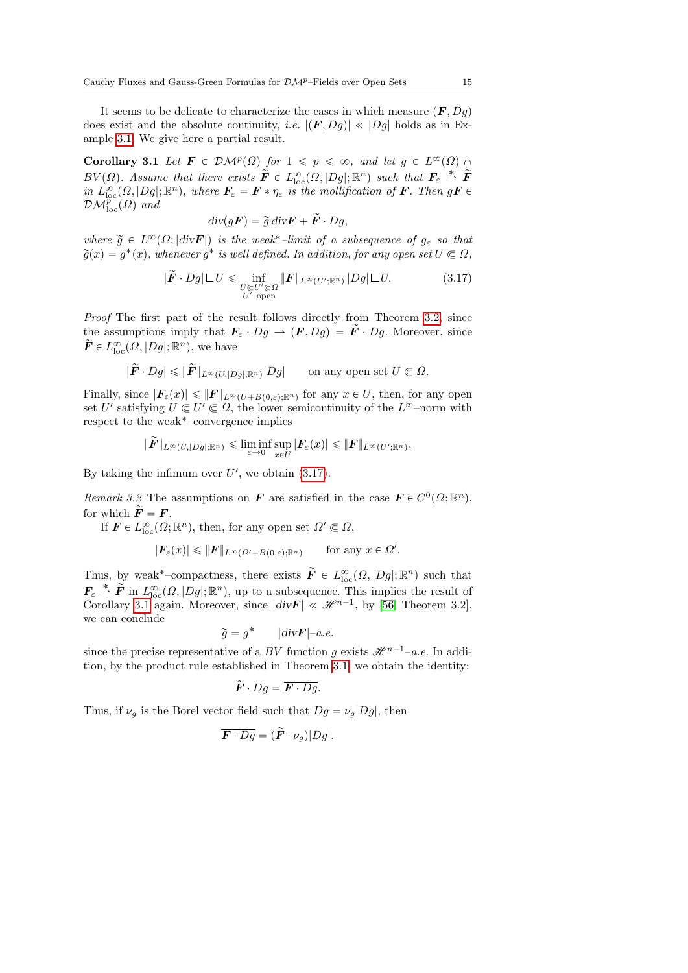It seems to be delicate to characterize the cases in which measure  $(F, Dg)$ does exist and the absolute continuity, *i.e.*  $|(\mathbf{F}, Dg)| \ll |Dg|$  holds as in Example [3.1.](#page-10-0) We give here a partial result.

<span id="page-14-1"></span>Corollary 3.1 Let  $\mathbf{F} \in \mathcal{DM}^p(\Omega)$  for  $1 \leq p \leq \infty$ , and let  $g \in L^{\infty}(\Omega)$  $BV(\Omega)$ . Assume that there exists  $\tilde{\vec{F}} \in L^{\infty}_{loc}(\Omega, |Dg|; \mathbb{R}^n)$  such that  $\vec{F}_{\varepsilon} \stackrel{*}{\rightharpoonup} \tilde{\vec{F}}$ in  $L^{\infty}_{\text{loc}}(\Omega, |Dg|; \mathbb{R}^n)$ , where  $\mathbf{F}_{\varepsilon} = \mathbf{F} * \eta_{\varepsilon}$  is the mollification of  $\mathbf{F}$ . Then  $g\mathbf{F} \in$  $\mathcal{DM}^p_{\text{loc}}(\Omega)$  and

$$
\operatorname{div}(g\boldsymbol{F}) = \widetilde{g} \operatorname{div} \boldsymbol{F} + \widetilde{\boldsymbol{F}} \cdot Dg,
$$

where  $\tilde{g} \in L^{\infty}(\Omega; |div \mathbf{F}|)$  is the weak<sup>\*</sup>-limit of a subsequence of  $g_{\varepsilon}$  so that  $\widetilde{g}(x) = g^*(x)$ , whenever  $g^*$  is well defined. In addition, for any open set  $U \Subset \Omega$ ,

<span id="page-14-0"></span>
$$
|\tilde{F} \cdot Dg| \sqcup U \le \inf_{\substack{U \in U' \subseteq \Omega \\ U' \text{ open}}} \|F\|_{L^{\infty}(U';\mathbb{R}^n)} |Dg| \sqcup U. \tag{3.17}
$$

Proof The first part of the result follows directly from Theorem [3.2,](#page-12-4) since the assumptions imply that  $\mathbf{F}_{\varepsilon} \cdot Dg \to (\mathbf{F}, Dg) = \tilde{\mathbf{F}} \cdot Dg$ . Moreover, since  $\widetilde{\mathbf{F}} \in L^{\infty}_{\text{loc}}(\Omega, |Dg|; \mathbb{R}^n)$ , we have

$$
|\widetilde{F} \cdot Dg| \leqslant ||\widetilde{F}||_{L^{\infty}(U,|Dg|; \mathbb{R}^n)}|Dg| \quad \text{on any open set } U \subset \Omega.
$$

Finally, since  $|F_{\varepsilon}(x)| \leqslant ||F||_{L^{\infty}(U+B(0,\varepsilon);\mathbb{R}^n)}$  for any  $x \in U$ , then, for any open set U' satisfying  $U \subset U' \subset \Omega$ , the lower semicontinuity of the  $L^{\infty}$ -norm with respect to the weak˚–convergence implies

$$
\|\widetilde{\pmb{F}}\|_{L^{\infty}(U,|Dg|;\mathbb{R}^n)} \leq \liminf_{\varepsilon \to 0} \sup_{x \in U} |\pmb{F}_{\varepsilon}(x)| \leqslant \|\pmb{F}\|_{L^{\infty}(U';\mathbb{R}^n)}.
$$

By taking the infimum over  $U'$ , we obtain  $(3.17)$ .

Remark 3.2 The assumptions on **F** are satisfied in the case  $\mathbf{F} \in C^0(\Omega; \mathbb{R}^n)$ , for which  $\widetilde{F} = F$ .

If  $\mathbf{F} \in L^{\infty}_{\text{loc}}(\Omega; \mathbb{R}^n)$ , then, for any open set  $\Omega' \subset \Omega$ ,

$$
|\mathbf{F}_{\varepsilon}(x)| \leqslant \|\mathbf{F}\|_{L^{\infty}(\Omega'+B(0,\varepsilon);\mathbb{R}^n)} \quad \text{for any } x \in \Omega'.
$$

Thus, by weak<sup>\*</sup>-compactness, there exists  $\tilde{F} \in L^{\infty}_{loc}(\Omega, |Dg|; \mathbb{R}^n)$  such that  $\mathbf{F}_{\varepsilon} \stackrel{*}{\rightharpoonup} \widetilde{\mathbf{F}}$  in  $L^{\infty}_{\text{loc}}(\Omega, |Dg|; \mathbb{R}^n)$ , up to a subsequence. This implies the result of Corollary [3.1](#page-14-1) again. Moreover, since  $|div \mathbf{F}| \ll \mathcal{H}^{n-1}$ , by [\[56,](#page-79-1) Theorem 3.2], we can conclude

$$
\widetilde{g} = g^* \qquad |div\mathbf{F}| - a.e.
$$

since the precise representative of a BV function g exists  $\mathcal{H}^{n-1}-a.e.$  In addition, by the product rule established in Theorem [3.1,](#page-10-1) we obtain the identity:

$$
\widetilde{F} \cdot Dg = \overline{F \cdot Dg}.
$$

Thus, if  $\nu_g$  is the Borel vector field such that  $Dg = \nu_g |Dg|$ , then

$$
\overline{\boldsymbol{F} \cdot Dg} = (\tilde{\boldsymbol{F}} \cdot \nu_g)|Dg|.
$$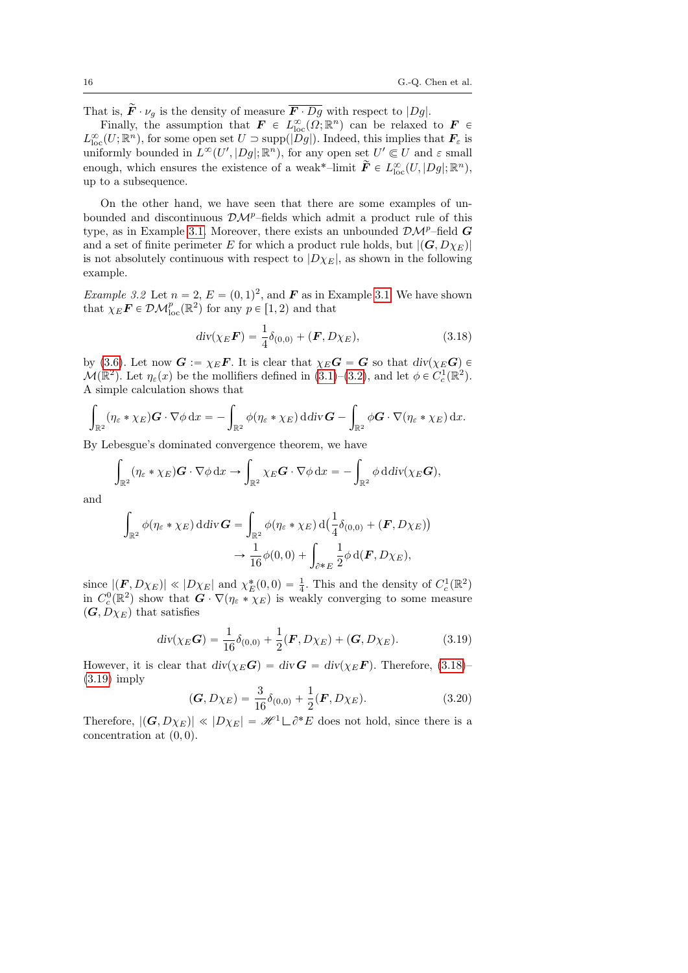That is,  $\widetilde{F} \cdot \nu_q$  is the density of measure  $\overline{F \cdot Dg}$  with respect to  $|Dg|$ .

Finally, the assumption that  $\mathbf{F} \in L^{\infty}_{loc}(\Omega;\mathbb{R}^n)$  can be relaxed to  $\mathbf{F} \in$  $L^{\infty}_{loc}(U;\mathbb{R}^n)$ , for some open set  $U \supset \text{supp}(|\widetilde{D}g|)$ . Indeed, this implies that  $\mathbf{F}_{\varepsilon}$  is uniformly bounded in  $L^{\infty}(U', |Dg|; \mathbb{R}^n)$ , for any open set  $U' \subset U$  and  $\varepsilon$  small enough, which ensures the existence of a weak\*-limit  $\tilde{F} \in L^{\infty}_{loc}(U, |Dg|; \mathbb{R}^n)$ , up to a subsequence.

On the other hand, we have seen that there are some examples of unbounded and discontinuous  $\mathcal{DM}^p$ –fields which admit a product rule of this type, as in Example [3.1.](#page-10-0) Moreover, there exists an unbounded  $\mathcal{DM}^p$ –field G and a set of finite perimeter E for which a product rule holds, but  $|(\mathbf{G}, D\chi_E)|$ is not absolutely continuous with respect to  $|D\chi_E|$ , as shown in the following example.

*Example 3.2* Let  $n = 2$ ,  $E = (0, 1)^2$ , and **F** as in Example [3.1.](#page-10-0) We have shown that  $\chi_E \mathbf{F} \in \mathcal{DM}_{\text{loc}}^p(\mathbb{R}^2)$  for any  $p \in [1, 2)$  and that

<span id="page-15-0"></span>
$$
div(\chi_E \mathbf{F}) = \frac{1}{4}\delta_{(0,0)} + (\mathbf{F}, D\chi_E),
$$
\n(3.18)

by [\(3.6\)](#page-11-0). Let now  $G := \chi_E \mathbf{F}$ . It is clear that  $\chi_E \mathbf{G} = \mathbf{G}$  so that  $div(\chi_E \mathbf{G}) \in$  $\mathcal{M}(\mathbb{R}^2)$ . Let  $\eta_{\varepsilon}(x)$  be the mollifiers defined in [\(3.1\)](#page-9-4)–[\(3.2\)](#page-9-1), and let  $\phi \in C_c^1(\mathbb{R}^2)$ . A simple calculation shows that

$$
\int_{\mathbb{R}^2} (\eta_{\varepsilon} * \chi_E) \mathbf{G} \cdot \nabla \phi \, dx = - \int_{\mathbb{R}^2} \phi (\eta_{\varepsilon} * \chi_E) \, d \mathrm{div} \mathbf{G} - \int_{\mathbb{R}^2} \phi \mathbf{G} \cdot \nabla (\eta_{\varepsilon} * \chi_E) \, dx.
$$

By Lebesgue's dominated convergence theorem, we have ż

$$
\int_{\mathbb{R}^2} (\eta_{\varepsilon} * \chi_E) \mathbf{G} \cdot \nabla \phi \, dx \to \int_{\mathbb{R}^2} \chi_E \mathbf{G} \cdot \nabla \phi \, dx = - \int_{\mathbb{R}^2} \phi \, \mathrm{d} \mathrm{div}(\chi_E \mathbf{G}),
$$

and

$$
\int_{\mathbb{R}^2} \phi(\eta_{\varepsilon} * \chi_E) \, \mathrm{d} \mathrm{div} \, \mathbf{G} = \int_{\mathbb{R}^2} \phi(\eta_{\varepsilon} * \chi_E) \, \mathrm{d} \big( \frac{1}{4} \delta_{(0,0)} + (\mathbf{F}, D\chi_E) \big) \n\to \frac{1}{16} \phi(0,0) + \int_{\partial^* E} \frac{1}{2} \phi \, \mathrm{d} (\mathbf{F}, D\chi_E),
$$

since  $|(\mathbf{F}, D\chi_E)| \ll |D\chi_E|$  and  $\chi_E^*(0,0) = \frac{1}{4}$ . This and the density of  $C_c^1(\mathbb{R}^2)$ in  $C_c^0(\mathbb{R}^2)$  show that  $G \cdot \nabla(\eta_{\varepsilon} * \chi_E)$  is weakly converging to some measure  $(G, D\chi_E)$  that satisfies

<span id="page-15-1"></span>
$$
div(\chi_E \mathbf{G}) = \frac{1}{16} \delta_{(0,0)} + \frac{1}{2} (\mathbf{F}, D\chi_E) + (\mathbf{G}, D\chi_E). \tag{3.19}
$$

However, it is clear that  $div(\chi_E \mathbf{G}) = div \mathbf{G} = div(\chi_E \mathbf{F})$ . Therefore, [\(3.18\)](#page-15-0)– [\(3.19\)](#page-15-1) imply

$$
(\mathbf{G}, D\chi_E) = \frac{3}{16}\delta_{(0,0)} + \frac{1}{2}(\mathbf{F}, D\chi_E). \tag{3.20}
$$

Therefore,  $|(\mathbf{G}, D\chi_E)| \ll |D\chi_E| = \mathcal{H}^1 \Box \partial^* E$  does not hold, since there is a concentration at  $(0, 0)$ .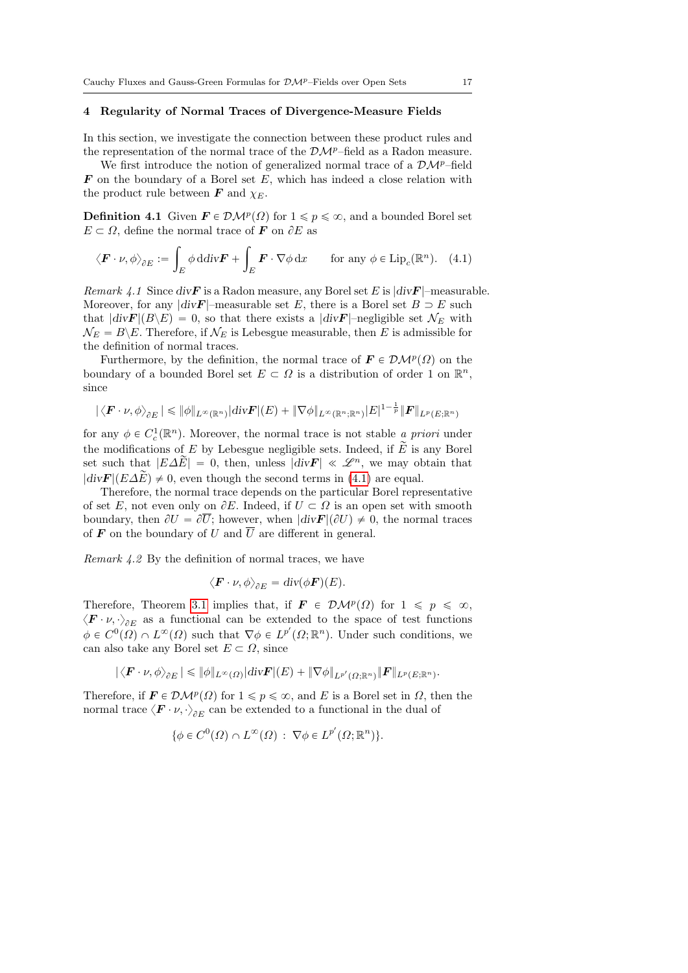#### <span id="page-16-0"></span>4 Regularity of Normal Traces of Divergence-Measure Fields

In this section, we investigate the connection between these product rules and the representation of the normal trace of the  $\mathcal{DM}^p$ –field as a Radon measure.

We first introduce the notion of generalized normal trace of a  $\mathcal{DM}^p$ –field  $\boldsymbol{F}$  on the boundary of a Borel set E, which has indeed a close relation with the product rule between  $\boldsymbol{F}$  and  $\chi_E$ .

**Definition 4.1** Given  $\mathbf{F} \in \mathcal{DM}^p(\Omega)$  for  $1 \leq p \leq \infty$ , and a bounded Borel set  $E \subset \Omega$ , define the normal trace of **F** on  $\partial E$  as

<span id="page-16-1"></span>
$$
\langle \boldsymbol{F} \cdot \boldsymbol{\nu}, \phi \rangle_{\partial E} := \int_{E} \phi \, \mathrm{d} \mathrm{d} \mathrm{d} \mathrm{v} \boldsymbol{F} + \int_{E} \boldsymbol{F} \cdot \nabla \phi \, \mathrm{d} x \qquad \text{for any } \phi \in \text{Lip}_{c}(\mathbb{R}^{n}). \tag{4.1}
$$

Remark 4.1 Since div $\mathbf{F}$  is a Radon measure, any Borel set E is  $\left|\text{div}\mathbf{F}\right|$ -measurable. Moreover, for any  $|div \mathbf{F}|$ -measurable set E, there is a Borel set  $B \supset E$  such that  $|div\mathbf{F}|(B\backslash E) = 0$ , so that there exists a  $|div\mathbf{F}|$ –negligible set  $\mathcal{N}_E$  with  $\mathcal{N}_E = B \backslash E$ . Therefore, if  $\mathcal{N}_E$  is Lebesgue measurable, then E is admissible for the definition of normal traces.

Furthermore, by the definition, the normal trace of  $\mathbf{F} \in \mathcal{DM}^p(\Omega)$  on the boundary of a bounded Borel set  $E \subset \Omega$  is a distribution of order 1 on  $\mathbb{R}^n$ , since

$$
|\langle \boldsymbol{F}\cdot \nu,\phi\rangle_{\partial E}|\leqslant \|\phi\|_{L^\infty(\mathbb{R}^n)}|\text{div} \boldsymbol{F}|(E)+\|\nabla \phi\|_{L^\infty(\mathbb{R}^n;\mathbb{R}^n)}|E|^{1-\frac{1}{p}}\|\boldsymbol{F}\|_{L^p(E;\mathbb{R}^n)}
$$

for any  $\phi \in C_c^1(\mathbb{R}^n)$ . Moreover, the normal trace is not stable a priori under the modifications of E by Lebesgue negligible sets. Indeed, if  $\widetilde{E}$  is any Borel set such that  $|E\Delta E|=0$ , then, unless  $|div\mathbf{F}| \ll \mathscr{L}^n$ , we may obtain that  $|div\mathbf{F}|(E\Delta\widetilde{E})\neq 0$ , even though the second terms in [\(4.1\)](#page-16-1) are equal.

Therefore, the normal trace depends on the particular Borel representative of set E, not even only on  $\partial E$ . Indeed, if  $U \subset \Omega$  is an open set with smooth boundary, then  $\partial U = \partial \overline{U}$ ; however, when  $|div\mathbf{F}|(\partial U) \neq 0$ , the normal traces of **F** on the boundary of U and  $\overline{U}$  are different in general.

Remark 4.2 By the definition of normal traces, we have

$$
\langle \boldsymbol{F} \cdot \boldsymbol{\nu}, \phi \rangle_{\partial E} = \operatorname{div}(\phi \boldsymbol{F})(E).
$$

Therefore, Theorem [3.1](#page-9-3) implies that, if  $\mathbf{F} \in \mathcal{DM}^p(\Omega)$  for  $1 \leq p \leq \infty$ ,  $\langle \mathbf{F} \cdot \nu, \cdot \rangle_{\partial E}$  as a functional can be extended to the space of test functions  $\phi \in C^0(\Omega) \cap L^{\infty}(\Omega)$  such that  $\nabla \phi \in L^{p'}(\Omega; \mathbb{R}^n)$ . Under such conditions, we can also take any Borel set  $E \subset \Omega$ , since

$$
|\langle \boldsymbol{F}\cdot \nu, \phi \rangle_{\partial E}| \leqslant \|\phi\|_{L^{\infty}(\Omega)} |\text{div}\boldsymbol{F}|(E) + \|\nabla \phi\|_{L^{p'}(\Omega;\mathbb{R}^n)} \|\boldsymbol{F}\|_{L^p(E;\mathbb{R}^n)}.
$$

<span id="page-16-2"></span>Therefore, if  $\mathbf{F} \in \mathcal{DM}^p(\Omega)$  for  $1 \leqslant p \leqslant \infty$ , and E is a Borel set in  $\Omega$ , then the normal trace  $\langle \boldsymbol{F} \cdot \boldsymbol{\nu}, \cdot \rangle_{\partial E}$  can be extended to a functional in the dual of

$$
\{\phi \in C^0(\Omega) \cap L^{\infty}(\Omega) : \nabla \phi \in L^{p'}(\Omega; \mathbb{R}^n)\}.
$$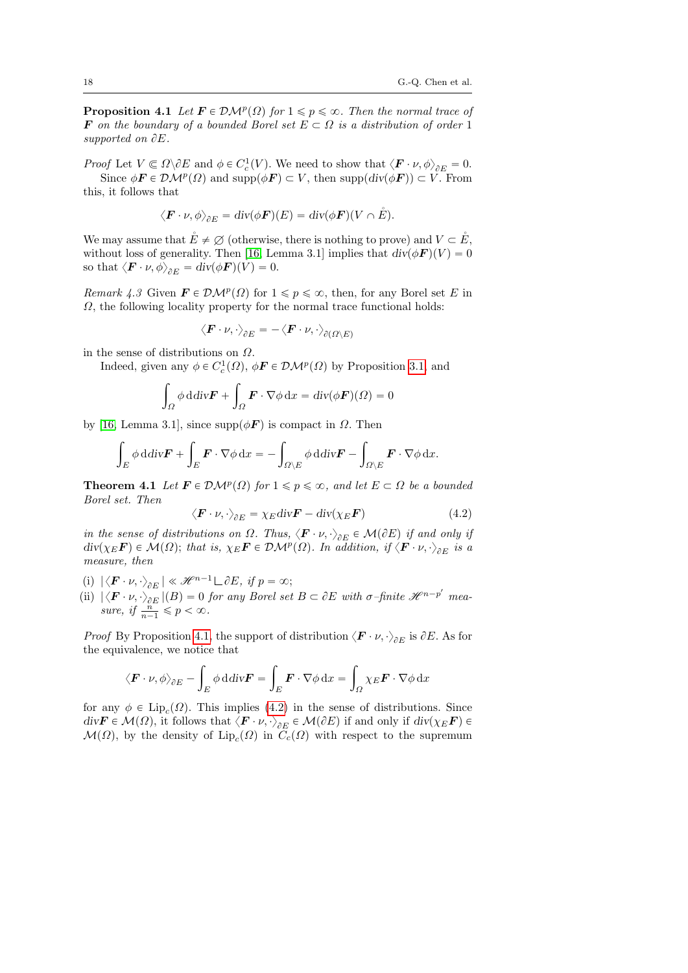**Proposition 4.1** Let  $\mathbf{F} \in \mathcal{DM}^p(\Omega)$  for  $1 \leq p \leq \infty$ . Then the normal trace of F on the boundary of a bounded Borel set  $E \subset \Omega$  is a distribution of order 1 supported on  $\partial E$ .

Proof Let  $V \subseteq \Omega \backslash \partial E$  and  $\phi \in C_c^1(V)$ . We need to show that  $\langle \mathbf{F} \cdot \nu, \phi \rangle_{\partial E} = 0$ . Since  $\phi \mathbf{F} \in \mathcal{DM}^p(\Omega)$  and supp $(\phi \mathbf{F}) \subset V$ , then supp $\left(\text{div}(\phi \mathbf{F})\right) \subset V$ . From

this, it follows that

$$
\langle \boldsymbol{F} \cdot \boldsymbol{\nu}, \phi \rangle_{\partial E} = \operatorname{div}(\phi \boldsymbol{F})(E) = \operatorname{div}(\phi \boldsymbol{F})(V \cap \mathring{E}).
$$

We may assume that  $\mathring{E} \neq \emptyset$  (otherwise, there is nothing to prove) and  $V \subset \mathring{E}$ , without loss of generality. Then [\[16,](#page-77-7) Lemma 3.1] implies that  $div(\phi \vec{F})(V) = 0$ so that  $\langle \boldsymbol{F} \cdot \boldsymbol{\nu}, \phi \rangle_{\partial E} = \text{div}(\phi \boldsymbol{F})(V) = 0.$ 

*Remark 4.3* Given  $\mathbf{F} \in \mathcal{DM}^p(\Omega)$  for  $1 \leq p \leq \infty$ , then, for any Borel set E in  $\Omega$ , the following locality property for the normal trace functional holds:

$$
\big\langle \boldsymbol{F}\cdot \nu, \cdot\big\rangle_{\partial E} = -\big\langle \boldsymbol{F}\cdot \nu, \cdot\big\rangle_{\partial(\varOmega\setminus E)}
$$

in the sense of distributions on  $\Omega$ .

Indeed, given any  $\phi \in C_c^1(\Omega)$ ,  $\phi \mathbf{F} \in \mathcal{DM}^p(\Omega)$  by Proposition [3.1,](#page-9-3) and z z został z został z został z został z został z został z został z został z został z został z został z został<br>Został z został z został z został z został z został z został z został z został z został z został z został z zo

$$
\int_{\Omega} \phi \, \mathrm{d} \, \mathrm{div} \mathbf{F} + \int_{\Omega} \mathbf{F} \cdot \nabla \phi \, \mathrm{d} x = \mathrm{div} (\phi \mathbf{F}) (\Omega) = 0
$$

by [\[16,](#page-77-7) Lemma 3.1], since supp $(\phi \vec{F})$  is compact in  $\Omega$ . Then

$$
\int_{E} \phi \, \mathrm{d} \mathrm{div} \mathbf{F} + \int_{E} \mathbf{F} \cdot \nabla \phi \, \mathrm{d}x = -\int_{\Omega \setminus E} \phi \, \mathrm{d} \mathrm{div} \mathbf{F} - \int_{\Omega \setminus E} \mathbf{F} \cdot \nabla \phi \, \mathrm{d}x.
$$

<span id="page-17-1"></span>**Theorem 4.1** Let  $\mathbf{F} \in \mathcal{DM}^p(\Omega)$  for  $1 \leq p \leq \infty$ , and let  $E \subset \Omega$  be a bounded Borel set. Then

<span id="page-17-0"></span>
$$
\langle \boldsymbol{F} \cdot \boldsymbol{\nu}, \cdot \rangle_{\partial E} = \chi_E \operatorname{div} \boldsymbol{F} - \operatorname{div} (\chi_E \boldsymbol{F}) \tag{4.2}
$$

in the sense of distributions on  $\Omega$ . Thus,  $\langle \mathbf{F} \cdot \nu, \cdot \rangle_{\partial E} \in \mathcal{M}(\partial E)$  if and only if  $div(\chi_E \boldsymbol{F}) \in \mathcal{M}(\Omega)$ ; that is,  $\chi_E \boldsymbol{F} \in \mathcal{DM}^p(\Omega)$ . In addition, if  $\langle \boldsymbol{F} \cdot \boldsymbol{\nu}, \cdot \rangle_{\partial E}$  is a measure, then

- (i)  $|\langle \boldsymbol{F} \cdot \boldsymbol{\nu}, \cdot \rangle_{\partial E}| \ll \mathcal{H}^{n-1} \square \partial E$ , if  $p = \infty$ ;
- (ii)  $|\langle \mathbf{F} \cdot \nu, \cdot \rangle_{\partial E} |(B) = 0$  for any Borel set  $B \subset \partial E$  with  $\sigma$ -finite  $\mathcal{H}^{n-p'}$  measure, if  $\frac{n}{n-1} \leqslant p < \infty$ .

*Proof* By Proposition [4.1,](#page-16-2) the support of distribution  $\langle \mathbf{F} \cdot \nu, \cdot \rangle_{\partial E}$  is  $\partial E$ . As for the equivalence, we notice that

$$
\langle \boldsymbol{F} \cdot \boldsymbol{\nu}, \phi \rangle_{\partial E} - \int_{E} \phi \, \mathrm{d} \mathrm{div} \boldsymbol{F} = \int_{E} \boldsymbol{F} \cdot \nabla \phi \, \mathrm{d} x = \int_{\Omega} \chi_{E} \boldsymbol{F} \cdot \nabla \phi \, \mathrm{d} x
$$

for any  $\phi \in \text{Lip}_c(\Omega)$ . This implies [\(4.2\)](#page-17-0) in the sense of distributions. Since  $\text{div}\mathbf{F} \in \mathcal{M}(\Omega)$ , it follows that  $\langle \mathbf{F} \cdot \nu, \cdot \rangle_{\partial E} \in \mathcal{M}(\partial E)$  if and only if  $\text{div}(\chi_E \mathbf{F}) \in$  $\mathcal{M}(\Omega)$ , by the density of  $\text{Lip}_c(\Omega)$  in  $C_c(\Omega)$  with respect to the supremum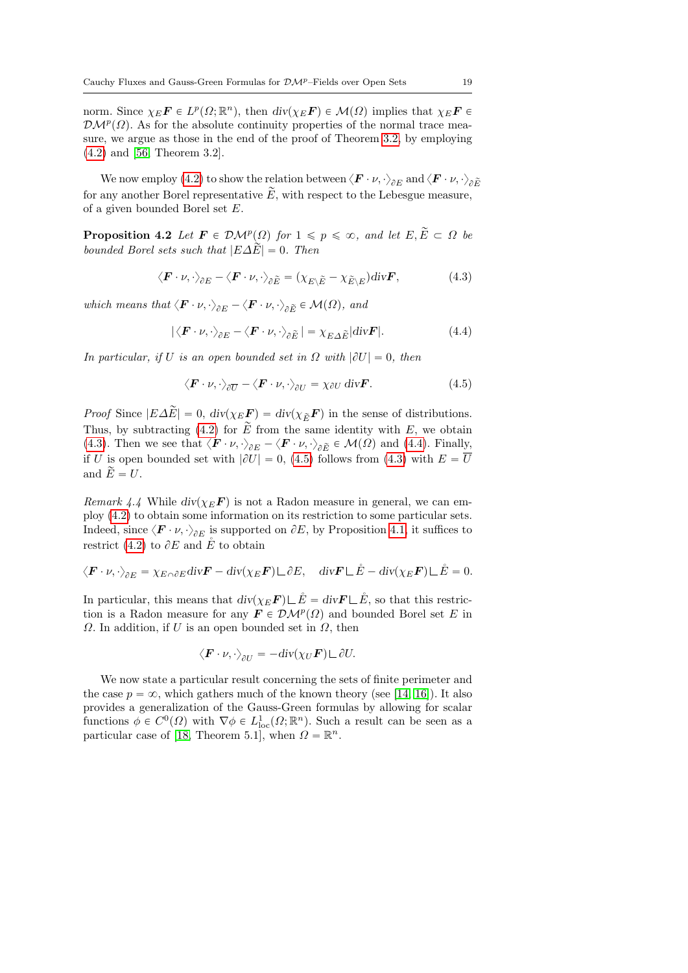norm. Since  $\chi_E \mathbf{F} \in L^p(\Omega; \mathbb{R}^n)$ , then  $\text{div}(\chi_E \mathbf{F}) \in \mathcal{M}(\Omega)$  implies that  $\chi_E \mathbf{F} \in$  $\mathcal{DM}^p(\Omega)$ . As for the absolute continuity properties of the normal trace measure, we argue as those in the end of the proof of Theorem [3.2,](#page-12-4) by employing [\(4.2\)](#page-17-0) and [\[56,](#page-79-1) Theorem 3.2].

We now employ [\(4.2\)](#page-17-0) to show the relation between  $\langle \bm{F} \cdot \nu, \cdot \rangle_{\partial E}$  and  $\langle \bm{F} \cdot \nu, \cdot \rangle_{\partial \widetilde{E}}$ for any another Borel representative  $\widetilde{E}$ , with respect to the Lebesgue measure, of a given bounded Borel set E.

**Proposition 4.2** Let  $\mathbf{F} \in \mathcal{DM}^p(\Omega)$  for  $1 \leq p \leq \infty$ , and let  $E, \widetilde{E} \subset \Omega$  be bounded Borel sets such that  $|E\Delta E|=0$ . Then

<span id="page-18-0"></span>
$$
\langle \boldsymbol{F} \cdot \boldsymbol{\nu}, \cdot \rangle_{\partial E} - \langle \boldsymbol{F} \cdot \boldsymbol{\nu}, \cdot \rangle_{\partial \widetilde{E}} = (\chi_{E \setminus \widetilde{E}} - \chi_{\widetilde{E} \setminus E}) \operatorname{div} \boldsymbol{F},\tag{4.3}
$$

which means that  $\langle \mathbf{F} \cdot \nu, \cdot \rangle_{\partial E} - \langle \mathbf{F} \cdot \nu, \cdot \rangle_{\partial \widetilde{E}} \in \mathcal{M}(\Omega)$ , and

<span id="page-18-1"></span>
$$
|\langle \boldsymbol{F} \cdot \boldsymbol{\nu}, \cdot \rangle_{\partial E} - \langle \boldsymbol{F} \cdot \boldsymbol{\nu}, \cdot \rangle_{\partial E}| = \chi_{E \Delta \tilde{E}} |div \boldsymbol{F}|.
$$
 (4.4)

In particular, if U is an open bounded set in  $\Omega$  with  $|\partial U| = 0$ , then

<span id="page-18-2"></span>
$$
\langle \boldsymbol{F} \cdot \boldsymbol{\nu}, \cdot \rangle_{\partial \overline{U}} - \langle \boldsymbol{F} \cdot \boldsymbol{\nu}, \cdot \rangle_{\partial U} = \chi_{\partial U} \operatorname{div} \boldsymbol{F}.
$$
 (4.5)

*Proof* Since  $|E\Delta E|=0$ ,  $div(\chi_E \mathbf{F})=div(\chi_{\widetilde{E}}\mathbf{F})$  in the sense of distributions. Thus, by subtracting [\(4.2\)](#page-17-0) for  $\widetilde{E}$  from the same identity with E, we obtain [\(4.3\)](#page-18-0). Then we see that  $\langle \mathbf{F} \cdot \nu, \cdot \rangle_{\partial E} - \langle \mathbf{F} \cdot \nu, \cdot \rangle_{\partial \widetilde{E}} \in \mathcal{M}(\Omega)$  and [\(4.4\)](#page-18-1). Finally, if U is open bounded set with  $|\partial U| = 0$ , [\(4.5\)](#page-18-2) follows from [\(4.3\)](#page-18-0) with  $E = \overline{U}$ and  $\widetilde{E} = U$ .

*Remark 4.4* While  $div(\chi_E \mathbf{F})$  is not a Radon measure in general, we can employ [\(4.2\)](#page-17-0) to obtain some information on its restriction to some particular sets. Indeed, since  $\langle \mathbf{F} \cdot \nu, \cdot \rangle_{\partial E}$  is supported on  $\partial E$ , by Proposition [4.1,](#page-16-2) it suffices to restrict [\(4.2\)](#page-17-0) to  $\partial E$  and  $\mathring{E}$  to obtain

$$
\langle \boldsymbol{F} \cdot \nu, \cdot \rangle_{\partial E} = \chi_{E \cap \partial E} \text{div} \boldsymbol{F} - \text{div}(\chi_E \boldsymbol{F}) \sqcup \partial E, \quad \text{div} \boldsymbol{F} \sqcup \mathring{E} - \text{div}(\chi_E \boldsymbol{F}) \sqcup \mathring{E} = 0.
$$

In particular, this means that  $div(\chi_E \mathbf{F}) \sqcup \check{E} = div \mathbf{F} \sqcup \check{E}$ , so that this restriction is a Radon measure for any  $\mathbf{F} \in \mathcal{DM}^p(\Omega)$  and bounded Borel set E in  $\Omega$ . In addition, if U is an open bounded set in  $\Omega$ , then

$$
\langle \boldsymbol{F} \cdot \boldsymbol{\nu}, \cdot \rangle_{\partial U} = -\mathrm{div}(\chi_U \boldsymbol{F}) \, \Box \, \partial U.
$$

We now state a particular result concerning the sets of finite perimeter and the case  $p = \infty$ , which gathers much of the known theory (see [\[14,](#page-77-2) [16\]](#page-77-7)). It also provides a generalization of the Gauss-Green formulas by allowing for scalar functions  $\phi \in C^0(\Omega)$  with  $\nabla \phi \in L^1_{loc}(\Omega; \mathbb{R}^n)$ . Such a result can be seen as a particular case of [\[18,](#page-77-9) Theorem 5.1], when  $\Omega = \mathbb{R}^n$ .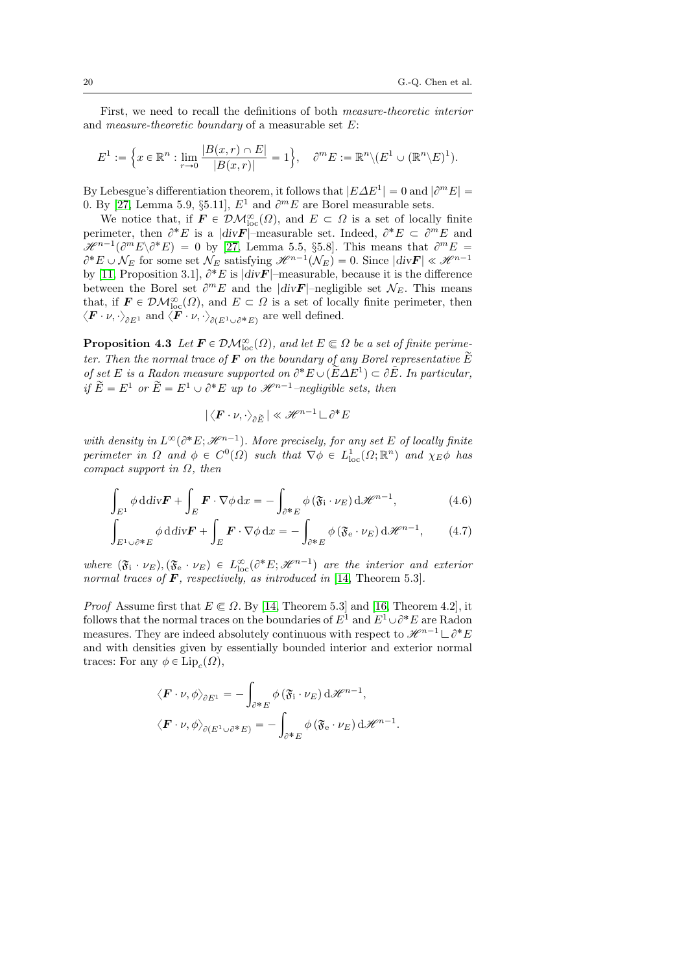First, we need to recall the definitions of both measure-theoretic interior and *measure-theoretic boundary* of a measurable set  $E$ :

$$
E^1 := \left\{ x \in \mathbb{R}^n : \lim_{r \to 0} \frac{|B(x, r) \cap E|}{|B(x, r)|} = 1 \right\}, \quad \partial^m E := \mathbb{R}^n \setminus (E^1 \cup (\mathbb{R}^n \setminus E)^1).
$$

By Lebesgue's differentiation theorem, it follows that  $|E\Delta E^1| = 0$  and  $|\partial^m E| =$ 0. By [\[27,](#page-77-13) Lemma 5.9, §5.11],  $E^1$  and  $\partial^m E$  are Borel measurable sets.

We notice that, if  $\mathbf{F} \in \mathcal{DM}^{\infty}_{loc}(\Omega)$ , and  $E \subset \Omega$  is a set of locally finite perimeter, then  $\partial^* E$  is a  $|div F|$ -measurable set. Indeed,  $\partial^* E \subset \partial^m E$  and  $\mathscr{H}^{n-1}(\partial^m E \backslash \partial^* E) = 0$  by [\[27,](#page-77-13) Lemma 5.5, §5.8]. This means that  $\partial^m E =$  $\partial^* E \cup \mathcal{N}_E$  for some set  $\mathcal{N}_E$  satisfying  $\mathcal{H}^{n-1}(\mathcal{N}_E) = 0$ . Since  $|div \mathbf{F}| \ll \mathcal{H}^{n-1}$ by [\[11,](#page-76-1) Proposition 3.1],  $\partial^* E$  is  $|div F|$ -measurable, because it is the difference between the Borel set  $\partial^m E$  and the  $|div \mathbf{F}|$ -negligible set  $\mathcal{N}_E$ . This means that, if  $\mathbf{F} \in \mathcal{DM}_{loc}^{\infty}(\Omega)$ , and  $E \subset \Omega$  is a set of locally finite perimeter, then  $\langle F \cdot \nu, \cdot \rangle_{\partial E^1}$  and  $\langle F \cdot \nu, \cdot \rangle_{\partial (E^1 \cup \partial^* E)}$  are well defined.

<span id="page-19-2"></span>**Proposition 4.3** Let  $\mathbf{F} \in \mathcal{DM}_{loc}^{\infty}(\Omega)$ , and let  $E \subseteq \Omega$  be a set of finite perimeter. Then the normal trace of **F** on the boundary of any Borel representative  $\widetilde{E}$ of set E is a Radon measure supported on  $\partial^* E \cup (\tilde{E}\Delta E^1) \subset \partial \tilde{E}$ . In particular, if  $\widetilde{E} = E^1$  or  $\widetilde{E} = E^1 \cup \partial^* E$  up to  $\mathcal{H}^{n-1}$ –negligible sets, then

<span id="page-19-1"></span><span id="page-19-0"></span>
$$
|\langle \boldsymbol{F} \cdot \boldsymbol{\nu}, \cdot \rangle_{\partial \widetilde{E}}| \ll \mathscr{H}^{n-1} \, \Box \, \partial^* E
$$

with density in  $L^{\infty}(\partial^*E; \mathcal{H}^{n-1})$ . More precisely, for any set E of locally finite perimeter in  $\Omega$  and  $\phi \in C^0(\Omega)$  such that  $\nabla \phi \in L^1_{loc}(\Omega; \mathbb{R}^n)$  and  $\chi_E \phi$  has compact support in  $\Omega$ , then

$$
\int_{E^1} \phi \, \mathrm{d} \mathrm{div} \mathbf{F} + \int_E \mathbf{F} \cdot \nabla \phi \, \mathrm{d} x = -\int_{\partial^* E} \phi \left( \mathfrak{F}_i \cdot \nu_E \right) \mathrm{d} \mathscr{H}^{n-1},\tag{4.6}
$$

$$
\int_{E^1 \cup \partial^* E} J_E \phi \, \mathrm{d} \mathrm{div} \mathbf{F} + \int_E \mathbf{F} \cdot \nabla \phi \, \mathrm{d} x = - \int_{\partial^* E} \phi \left( \mathfrak{F}_e \cdot \nu_E \right) \mathrm{d} \mathcal{H}^{n-1}, \qquad (4.7)
$$

where  $(\mathfrak{F}_i \cdot \nu_E), (\mathfrak{F}_e \cdot \nu_E) \in L^{\infty}_{loc}(\partial^* E; \mathcal{H}^{n-1})$  are the interior and exterior normal traces of  $\bm{F}$ , respectively, as introduced in [\[14,](#page-77-2) Theorem 5.3].

*Proof* Assume first that  $E \in \Omega$ . By [\[14,](#page-77-2) Theorem 5.3] and [\[16,](#page-77-7) Theorem 4.2], it follows that the normal traces on the boundaries of  $E^1$  and  $E^1 \cup \partial^* E$  are Radon measures. They are indeed absolutely continuous with respect to  $\mathscr{H}^{n-1} \mathcal{L} \partial^* E$ and with densities given by essentially bounded interior and exterior normal traces: For any  $\phi \in \text{Lip}_c(\Omega)$ ,

$$
\langle \mathbf{F} \cdot \nu, \phi \rangle_{\partial E^1} = -\int_{\partial^* E} \phi (\mathfrak{F}_i \cdot \nu_E) \, d\mathscr{H}^{n-1},
$$
  

$$
\langle \mathbf{F} \cdot \nu, \phi \rangle_{\partial (E^1 \cup \partial^* E)} = -\int_{\partial^* E} \phi (\mathfrak{F}_e \cdot \nu_E) \, d\mathscr{H}^{n-1}.
$$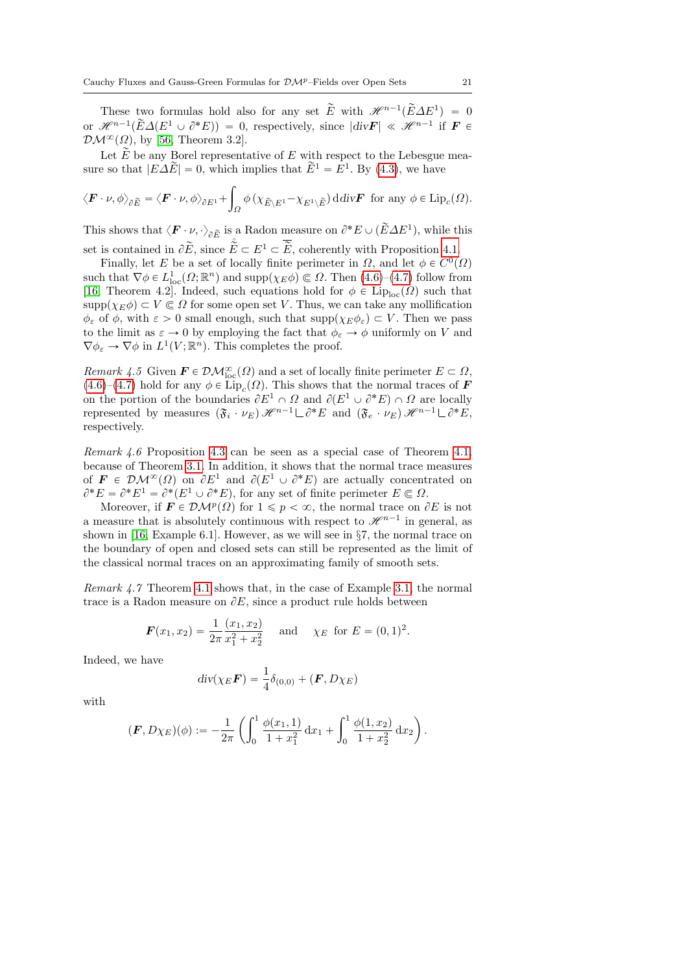These two formulas hold also for any set  $\tilde{E}$  with  $\mathscr{H}^{n-1}(\tilde{E}\Delta E^1) = 0$ or  $\mathscr{H}^{n-1}(\widetilde{E}\Delta(E^1\cup\partial^*E))=0$ , respectively, since  $|div\mathbf{F}| \ll \mathscr{H}^{n-1}$  if  $\mathbf{F} \in$  $\mathcal{DM}^{\infty}(\Omega)$ , by [\[56,](#page-79-1) Theorem 3.2].

Let  $\widetilde{E}$  be any Borel representative of E with respect to the Lebesgue measure so that  $|E\Delta E| = 0$ , which implies that  $E^1 = E^1$ . By [\(4.3\)](#page-18-0), we have

$$
\langle \boldsymbol{F} \cdot \boldsymbol{\nu}, \phi \rangle_{\partial \widetilde{E}} = \langle \boldsymbol{F} \cdot \boldsymbol{\nu}, \phi \rangle_{\partial E^1} + \int_{\Omega} \phi \left( \chi_{\widetilde{E} \setminus E^1} - \chi_{E^1 \setminus \widetilde{E}} \right) \mathrm{d} \mathrm{d} \mathrm{d} \mathrm{v} \boldsymbol{F} \text{ for any } \phi \in \mathrm{Lip}_c(\Omega).
$$

This shows that  $\langle \mathbf{F} \cdot \nu, \cdot \rangle_{\partial \tilde{E}}$  is a Radon measure on  $\partial^* E \cup (\tilde{E} \Delta E^1)$ , while this set is contained in  $\partial \tilde{E}$ , since  $\mathring{\tilde{E}} \subset E^1 \subset \overline{\tilde{E}}$ , coherently with Proposition [4.1.](#page-16-2)

Finally, let E be a set of locally finite perimeter in  $\Omega$ , and let  $\phi \in C^0(\Omega)$ such that  $\nabla \phi \in L^1_{loc}(\Omega; \mathbb{R}^n)$  and  $\text{supp}(\chi_E \phi) \subseteq \Omega$ . Then  $(4.6)-(4.7)$  $(4.6)-(4.7)$  $(4.6)-(4.7)$  follow from [\[16,](#page-77-7) Theorem 4.2]. Indeed, such equations hold for  $\phi \in \text{Lip}_{loc}(\Omega)$  such that  $\text{supp}(\chi_E \phi) \subset V \subset \Omega$  for some open set V. Thus, we can take any mollification  $\phi_{\varepsilon}$  of  $\phi$ , with  $\varepsilon > 0$  small enough, such that  $\text{supp}(\chi_E \phi_{\varepsilon}) \subset V$ . Then we pass to the limit as  $\varepsilon \to 0$  by employing the fact that  $\phi_{\varepsilon} \to \phi$  uniformly on V and  $\nabla \phi_{\varepsilon} \to \nabla \phi$  in  $L^1(V; \mathbb{R}^n)$ . This completes the proof.

Remark 4.5 Given  $\mathbf{F} \in \mathcal{DM}^{\infty}_{loc}(\Omega)$  and a set of locally finite perimeter  $E \subset \Omega$ ,  $(4.6)$ – $(4.7)$  hold for any  $\phi \in \text{Lip}_{c}(\Omega)$ . This shows that the normal traces of **F** on the portion of the boundaries  $\partial E^1 \cap \Omega$  and  $\partial (E^1 \cup \partial^* E) \cap \Omega$  are locally represented by measures  $(\mathfrak{F}_i \cdot \nu_E) \mathcal{H}^{n-1} \Box \partial^* E$  and  $(\mathfrak{F}_e \cdot \nu_E) \mathcal{H}^{n-1} \Box \partial^* E$ , respectively.

Remark 4.6 Proposition [4.3](#page-19-2) can be seen as a special case of Theorem [4.1,](#page-17-1) because of Theorem [3.1.](#page-10-1) In addition, it shows that the normal trace measures of  $\mathbf{F} \in \mathcal{DM}^{\infty}(\Omega)$  on  $\partial E^1$  and  $\partial (E^1 \cup \partial^* E)$  are actually concentrated on  $\partial^* E = \partial^* E^1 = \partial^* (E^1 \cup \partial^* E)$ , for any set of finite perimeter  $E \subset \Omega$ .

Moreover, if  $\mathbf{F} \in \mathcal{DM}^p(\Omega)$  for  $1 \leq p < \infty$ , the normal trace on  $\partial E$  is not a measure that is absolutely continuous with respect to  $\mathscr{H}^{n-1}$  in general, as shown in [\[16,](#page-77-7) Example 6.1]. However, as we will see in §7, the normal trace on the boundary of open and closed sets can still be represented as the limit of the classical normal traces on an approximating family of smooth sets.

Remark 4.7 Theorem [4.1](#page-17-1) shows that, in the case of Example [3.1,](#page-10-0) the normal trace is a Radon measure on  $\partial E$ , since a product rule holds between

$$
\boldsymbol{F}(x_1, x_2) = \frac{1}{2\pi} \frac{(x_1, x_2)}{x_1^2 + x_2^2} \quad \text{and} \quad \chi_E \text{ for } E = (0, 1)^2.
$$

Indeed, we have

$$
\operatorname{div}(\chi_E \boldsymbol{F}) = \frac{1}{4} \delta_{(0,0)} + (\boldsymbol{F}, D\chi_E)
$$

with

$$
(\boldsymbol{F}, D\chi_E)(\phi) := -\frac{1}{2\pi} \left( \int_0^1 \frac{\phi(x_1, 1)}{1 + x_1^2} \, \mathrm{d}x_1 + \int_0^1 \frac{\phi(1, x_2)}{1 + x_2^2} \, \mathrm{d}x_2 \right).
$$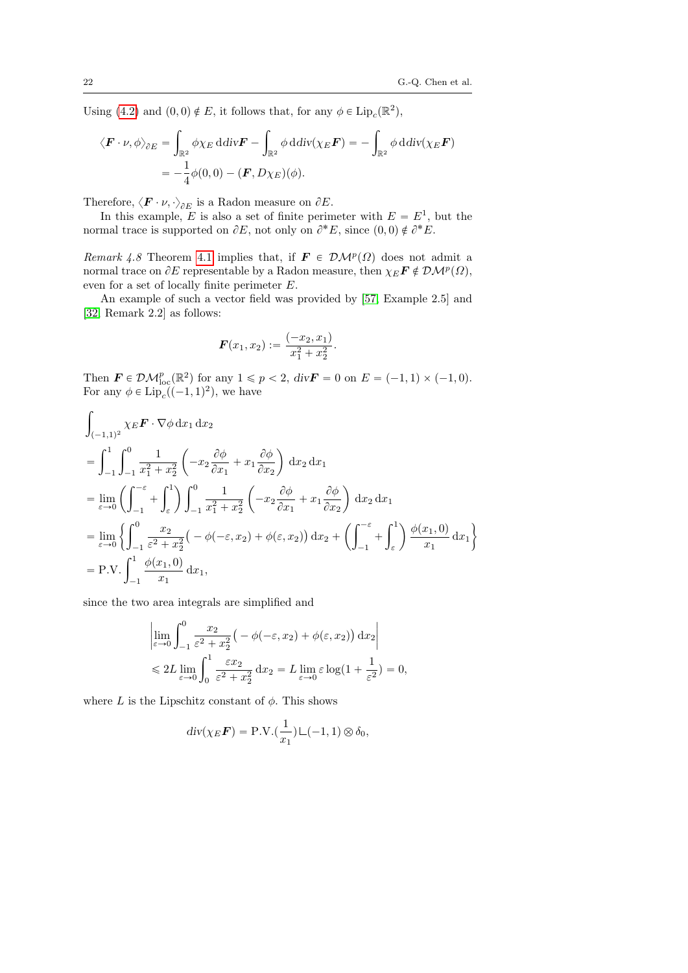Using [\(4.2\)](#page-17-0) and  $(0,0) \notin E$ , it follows that, for any  $\phi \in \text{Lip}_c(\mathbb{R}^2)$ ,

$$
\langle \boldsymbol{F} \cdot \boldsymbol{\nu}, \phi \rangle_{\partial E} = \int_{\mathbb{R}^2} \phi \chi_E \, \mathrm{d} \mathrm{div} \boldsymbol{F} - \int_{\mathbb{R}^2} \phi \, \mathrm{d} \mathrm{div} (\chi_E \boldsymbol{F}) = - \int_{\mathbb{R}^2} \phi \, \mathrm{d} \mathrm{div} (\chi_E \boldsymbol{F})
$$

$$
= -\frac{1}{4} \phi(0,0) - (\boldsymbol{F}, D\chi_E)(\phi).
$$

Therefore,  $\langle \boldsymbol{F} \cdot \nu, \cdot \rangle_{\partial E}$  is a Radon measure on  $\partial E$ .

In this example, E is also a set of finite perimeter with  $E = E<sup>1</sup>$ , but the normal trace is supported on  $\partial E$ , not only on  $\partial^* E$ , since  $(0,0) \notin \partial^* E$ .

<span id="page-21-0"></span>Remark 4.8 Theorem [4.1](#page-17-1) implies that, if  $\mathbf{F} \in \mathcal{DM}^p(\Omega)$  does not admit a normal trace on  $\partial E$  representable by a Radon measure, then  $\chi_E \mathbf{F} \notin \mathcal{DM}^p(\Omega)$ , even for a set of locally finite perimeter E.

An example of such a vector field was provided by [\[57,](#page-79-0) Example 2.5] and [\[32,](#page-78-0) Remark 2.2] as follows:

$$
\boldsymbol{F}(x_1,x_2):=\frac{(-x_2,x_1)}{x_1^2+x_2^2}.
$$

Then  $\mathbf{F} \in \mathcal{DM}_{loc}^p(\mathbb{R}^2)$  for any  $1 \leq p < 2$ ,  $div \mathbf{F} = 0$  on  $E = (-1, 1) \times (-1, 0)$ . For any  $\phi \in \text{Lip}_c((-1, 1)^2)$ , we have

$$
\int_{(-1,1)^2} \chi_E \mathbf{F} \cdot \nabla \phi \, dx_1 \, dx_2
$$
\n
$$
= \int_{-1}^1 \int_{-1}^0 \frac{1}{x_1^2 + x_2^2} \left( -x_2 \frac{\partial \phi}{\partial x_1} + x_1 \frac{\partial \phi}{\partial x_2} \right) dx_2 \, dx_1
$$
\n
$$
= \lim_{\varepsilon \to 0} \left( \int_{-1}^{-\varepsilon} + \int_{\varepsilon}^1 \right) \int_{-1}^0 \frac{1}{x_1^2 + x_2^2} \left( -x_2 \frac{\partial \phi}{\partial x_1} + x_1 \frac{\partial \phi}{\partial x_2} \right) dx_2 \, dx_1
$$
\n
$$
= \lim_{\varepsilon \to 0} \left\{ \int_{-1}^0 \frac{x_2}{\varepsilon^2 + x_2^2} \left( -\phi(-\varepsilon, x_2) + \phi(\varepsilon, x_2) \right) dx_2 + \left( \int_{-1}^{-\varepsilon} + \int_{\varepsilon}^1 \right) \frac{\phi(x_1, 0)}{x_1} \, dx_1 \right\}
$$
\n
$$
= \text{P.V.} \int_{-1}^1 \frac{\phi(x_1, 0)}{x_1} \, dx_1,
$$

since the two area integrals are simplified and

$$
\left| \lim_{\varepsilon \to 0} \int_{-1}^{0} \frac{x_2}{\varepsilon^2 + x_2^2} \left( -\phi(-\varepsilon, x_2) + \phi(\varepsilon, x_2) \right) dx_2 \right|
$$
  
\$\leqslant 2L \lim\_{\varepsilon \to 0} \int\_{0}^{1} \frac{\varepsilon x\_2}{\varepsilon^2 + x\_2^2} dx\_2 = L \lim\_{\varepsilon \to 0} \varepsilon \log(1 + \frac{1}{\varepsilon^2}) = 0,

where L is the Lipschitz constant of  $\phi$ . This shows

$$
div(\chi_E \boldsymbol{F}) = P.V.(\frac{1}{x_1}) \sqcup (-1, 1) \otimes \delta_0,
$$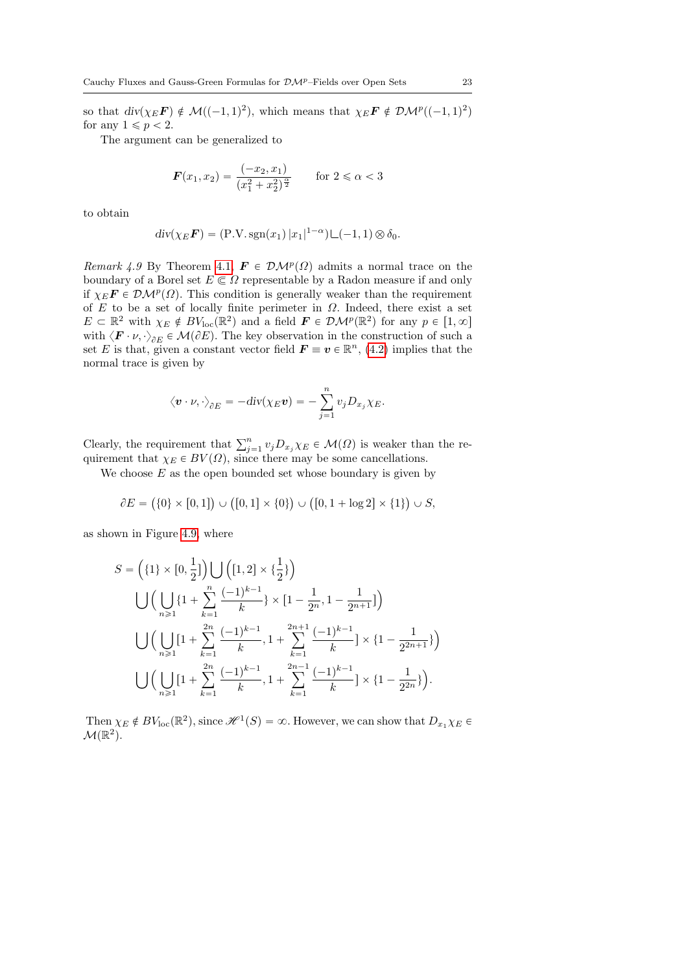so that  $div(\chi_E \mathbf{F}) \notin \mathcal{M}((-1, 1)^2)$ , which means that  $\chi_E \mathbf{F} \notin \mathcal{DM}^p((-1, 1)^2)$ for any  $1 \leqslant p < 2$ .

The argument can be generalized to

$$
\boldsymbol{F}(x_1, x_2) = \frac{(-x_2, x_1)}{(x_1^2 + x_2^2)^{\frac{\alpha}{2}}} \quad \text{for } 2 \le \alpha < 3
$$

to obtain

$$
div(\chi_E \mathbf{F}) = (\text{P.V. sgn}(x_1) |x_1|^{1-\alpha}) \sqcup (-1, 1) \otimes \delta_0.
$$

<span id="page-22-0"></span>Remark 4.9 By Theorem [4.1,](#page-17-1)  $\mathbf{F} \in \mathcal{DM}^p(\Omega)$  admits a normal trace on the boundary of a Borel set  $E \subseteq \Omega$  representable by a Radon measure if and only if  $\chi_E \mathbf{F} \in \mathcal{DM}^p(\Omega)$ . This condition is generally weaker than the requirement of E to be a set of locally finite perimeter in  $\Omega$ . Indeed, there exist a set  $E \subset \mathbb{R}^2$  with  $\chi_E \notin BV_{\text{loc}}(\mathbb{R}^2)$  and a field  $\mathbf{F} \in \mathcal{DM}^p(\mathbb{R}^2)$  for any  $p \in [1, \infty]$ with  $\langle \mathbf{F} \cdot \nu, \cdot \rangle_{\partial E} \in \mathcal{M}(\partial E)$ . The key observation in the construction of such a set E is that, given a constant vector field  $\mathbf{F} \equiv \mathbf{v} \in \mathbb{R}^n$ , [\(4.2\)](#page-17-0) implies that the normal trace is given by

$$
\left\langle {\bm v} \cdot {\nu}, \cdot \right\rangle_{{\partial} E} = -\text{div}(\chi_E {\bm v}) = -\sum_{j=1}^n v_j D_{x_j} \chi_E.
$$

Clearly, the requirement that  $\sum_{j=1}^{n} v_j D_{x_j} \chi_E \in \mathcal{M}(\Omega)$  is weaker than the requirement that  $\chi_E \in BV(\Omega)$ , since there may be some cancellations.

We choose  $E$  as the open bounded set whose boundary is given by

$$
\partial E = (\{0\} \times [0,1]) \cup ([0,1] \times \{0\}) \cup ([0,1 + \log 2] \times \{1\}) \cup S,
$$

as shown in Figure [4.9,](#page-22-0) where

$$
S = \left(\{1\} \times [0, \frac{1}{2}]\right) \bigcup \left([1, 2] \times \{\frac{1}{2}\}\right)
$$
  

$$
\bigcup \left(\bigcup_{n \geq 1} \{1 + \sum_{k=1}^{n} \frac{(-1)^{k-1}}{k}\} \times [1 - \frac{1}{2^n}, 1 - \frac{1}{2^{n+1}}]\right)
$$
  

$$
\bigcup \left(\bigcup_{n \geq 1} [1 + \sum_{k=1}^{2n} \frac{(-1)^{k-1}}{k}, 1 + \sum_{k=1}^{2n+1} \frac{(-1)^{k-1}}{k}\right) \times \{1 - \frac{1}{2^{2n+1}}\}\right)
$$
  

$$
\bigcup \left(\bigcup_{n \geq 1} [1 + \sum_{k=1}^{2n} \frac{(-1)^{k-1}}{k}, 1 + \sum_{k=1}^{2n-1} \frac{(-1)^{k-1}}{k}\right) \times \{1 - \frac{1}{2^{2n}}\}\right).
$$

Then  $\chi_E \notin BV_{loc}(\mathbb{R}^2)$ , since  $\mathcal{H}^1(S) = \infty$ . However, we can show that  $D_{x_1} \chi_E \in$  $\mathcal{M}(\mathbb{R}^2)$ .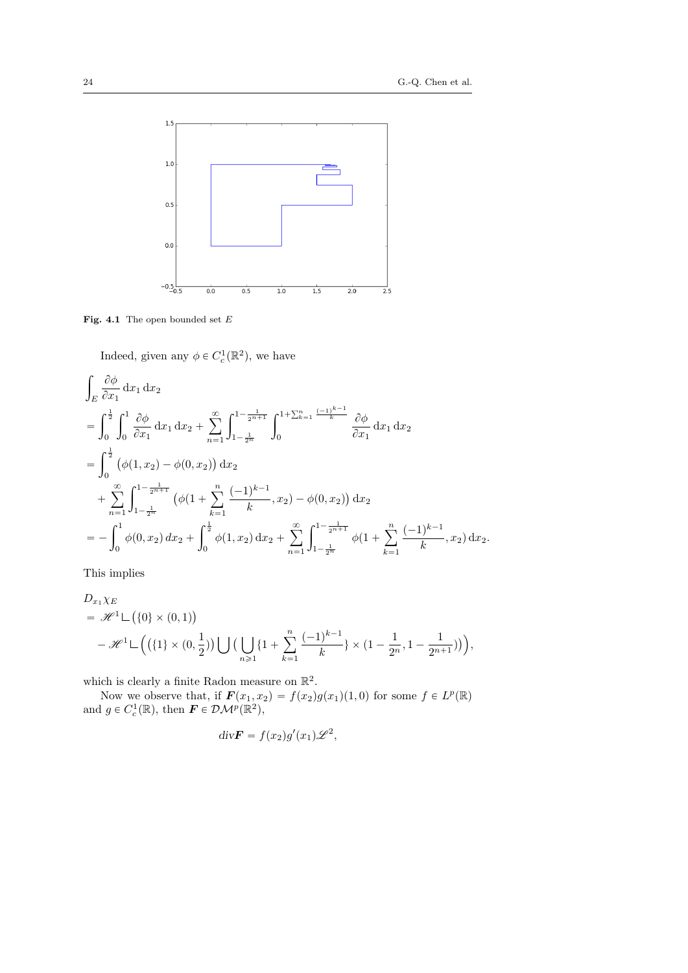

Fig. 4.1 The open bounded set  $\cal E$ 

Indeed, given any  $\phi \in C_c^1(\mathbb{R}^2)$ , we have

$$
\int_{E} \frac{\partial \phi}{\partial x_{1}} dx_{1} dx_{2} \n= \int_{0}^{\frac{1}{2}} \int_{0}^{1} \frac{\partial \phi}{\partial x_{1}} dx_{1} dx_{2} + \sum_{n=1}^{\infty} \int_{1-\frac{1}{2^{n}}}^{1-\frac{1}{2^{n+1}}} \int_{0}^{1+\sum_{k=1}^{n} \frac{(-1)^{k-1}}{k}} \frac{\partial \phi}{\partial x_{1}} dx_{1} dx_{2} \n= \int_{0}^{\frac{1}{2}} (\phi(1, x_{2}) - \phi(0, x_{2})) dx_{2} \n+ \sum_{n=1}^{\infty} \int_{1-\frac{1}{2^{n}}}^{1-\frac{1}{2^{n+1}}} (\phi(1 + \sum_{k=1}^{n} \frac{(-1)^{k-1}}{k}, x_{2}) - \phi(0, x_{2})) dx_{2} \n= - \int_{0}^{1} \phi(0, x_{2}) dx_{2} + \int_{0}^{\frac{1}{2}} \phi(1, x_{2}) dx_{2} + \sum_{n=1}^{\infty} \int_{1-\frac{1}{2^{n}}}^{1-\frac{1}{2^{n+1}}} \phi(1 + \sum_{k=1}^{n} \frac{(-1)^{k-1}}{k}, x_{2}) dx_{2}.
$$

This implies

$$
D_{x_1}\chi_E
$$
  
=  $\mathscr{H}^1 \sqcup (\{0\} \times (0,1))$   
 $- \mathscr{H}^1 \sqcup ((\{1\} \times (0,\frac{1}{2})) \bigcup (\bigcup_{n\geq 1} \{1+\sum_{k=1}^n \frac{(-1)^{k-1}}{k}\} \times (1-\frac{1}{2^n},1-\frac{1}{2^{n+1}})) \Big),$ 

which is clearly a finite Radon measure on  $\mathbb{R}^2$ .

Now we observe that, if  $\mathbf{F}(x_1, x_2) = f(x_2)g(x_1)(1, 0)$  for some  $f \in L^p(\mathbb{R})$ and  $g \in C_c^1(\mathbb{R})$ , then  $\mathbf{F} \in \mathcal{DM}^p(\mathbb{R}^2)$ ,

$$
div\boldsymbol{F} = f(x_2)g'(x_1)\mathscr{L}^2,
$$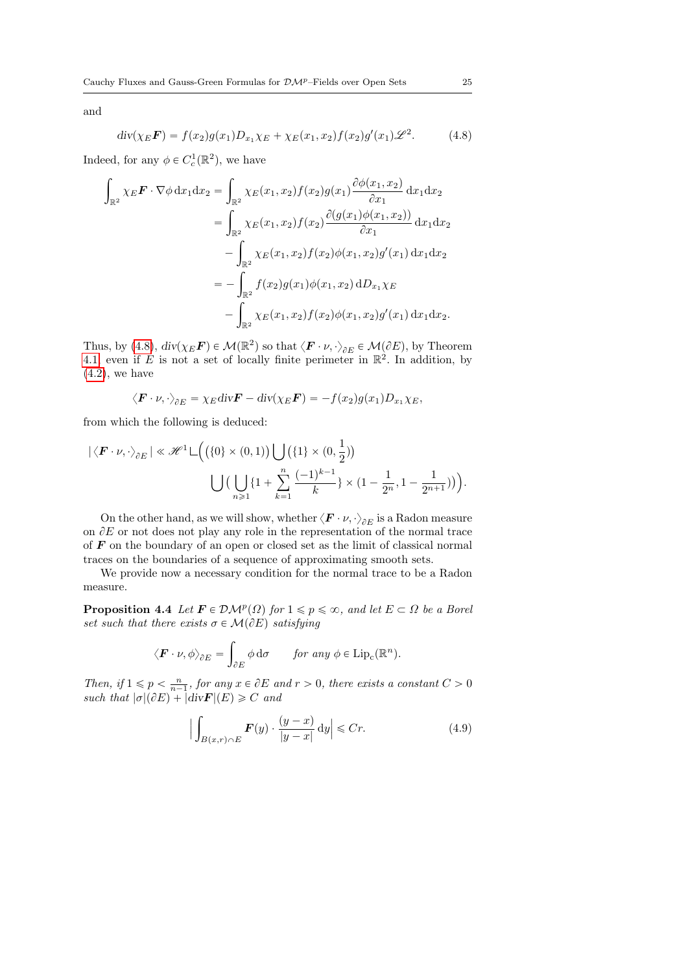and

<span id="page-24-0"></span>
$$
div(\chi_E \mathbf{F}) = f(x_2)g(x_1)D_{x_1}\chi_E + \chi_E(x_1, x_2)f(x_2)g'(x_1)\mathscr{L}^2.
$$
 (4.8)

Indeed, for any  $\phi \in C_c^1(\mathbb{R}^2)$ , we have

$$
\int_{\mathbb{R}^2} \chi_E \mathbf{F} \cdot \nabla \phi \, dx_1 dx_2 = \int_{\mathbb{R}^2} \chi_E(x_1, x_2) f(x_2) g(x_1) \frac{\partial \phi(x_1, x_2)}{\partial x_1} dx_1 dx_2 \n= \int_{\mathbb{R}^2} \chi_E(x_1, x_2) f(x_2) \frac{\partial (g(x_1) \phi(x_1, x_2))}{\partial x_1} dx_1 dx_2 \n- \int_{\mathbb{R}^2} \chi_E(x_1, x_2) f(x_2) \phi(x_1, x_2) g'(x_1) dx_1 dx_2 \n= - \int_{\mathbb{R}^2} f(x_2) g(x_1) \phi(x_1, x_2) dD_{x_1} \chi_E \n- \int_{\mathbb{R}^2} \chi_E(x_1, x_2) f(x_2) \phi(x_1, x_2) g'(x_1) dx_1 dx_2.
$$

Thus, by [\(4.8\)](#page-24-0),  $div(\chi_E \mathbf{F}) \in \mathcal{M}(\mathbb{R}^2)$  so that  $\langle \mathbf{F} \cdot \nu, \cdot \rangle_{\partial E} \in \mathcal{M}(\partial E)$ , by Theorem [4.1,](#page-17-1) even if E is not a set of locally finite perimeter in  $\mathbb{R}^2$ . In addition, by  $(4.2)$ , we have

$$
\langle \boldsymbol{F} \cdot \boldsymbol{\nu}, \cdot \rangle_{\partial E} = \chi_E \operatorname{div} \boldsymbol{F} - \operatorname{div} (\chi_E \boldsymbol{F}) = -f(x_2) g(x_1) D_{x_1} \chi_E,
$$

from which the following is deduced:

$$
|\langle \mathbf{F} \cdot \nu, \cdot \rangle_{\partial E}| \ll \mathcal{H}^{1} \sqcup \Big( \big( \{0\} \times (0,1) \big) \bigcup \big( \{1\} \times (0,\frac{1}{2}) \big) \\ \qquad \qquad \bigcup \big( \bigcup_{n \geq 1} \{1 + \sum_{k=1}^{n} \frac{(-1)^{k-1}}{k} \} \times (1 - \frac{1}{2^{n}}, 1 - \frac{1}{2^{n+1}}) \big) \Big).
$$

On the other hand, as we will show, whether  $\langle \boldsymbol{F}\cdot\boldsymbol{\nu}, \cdot \rangle_{\partial E}$  is a Radon measure on  $\partial E$  or not does not play any role in the representation of the normal trace of  $\bf{F}$  on the boundary of an open or closed set as the limit of classical normal traces on the boundaries of a sequence of approximating smooth sets.

<span id="page-24-2"></span>We provide now a necessary condition for the normal trace to be a Radon measure.

**Proposition 4.4** Let  $\mathbf{F} \in \mathcal{DM}^p(\Omega)$  for  $1 \leq p \leq \infty$ , and let  $E \subset \Omega$  be a Borel set such that there exists  $\sigma \in \mathcal{M}(\partial E)$  satisfying

$$
\langle \boldsymbol{F} \cdot \boldsymbol{\nu}, \phi \rangle_{\partial E} = \int_{\partial E} \phi \, \mathrm{d}\sigma \qquad \text{for any } \phi \in \text{Lip}_{c}(\mathbb{R}^{n}).
$$

Then, if  $1 \leq p \leq \frac{n}{n-1}$ , for any  $x \in \partial E$  and  $r > 0$ , there exists a constant  $C > 0$ such that  $|\sigma|(\partial E) + |\text{div} \mathbf{F}|(E) \geq C$  and

<span id="page-24-1"></span>
$$
\Big|\int_{B(x,r)\cap E} \boldsymbol{F}(y) \cdot \frac{(y-x)}{|y-x|} \, \mathrm{d}y\Big| \leq C r. \tag{4.9}
$$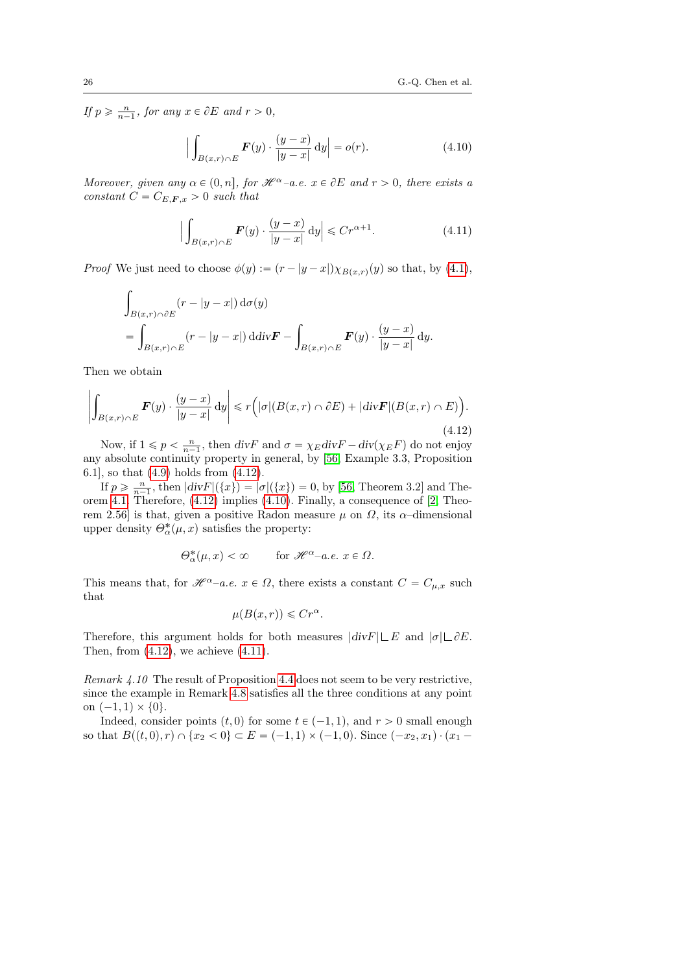If  $p \geqslant \frac{n}{n-1}$ , for any  $x \in \partial E$  and  $r > 0$ ,

<span id="page-25-1"></span>
$$
\left| \int_{B(x,r)\cap E} \boldsymbol{F}(y) \cdot \frac{(y-x)}{|y-x|} dy \right| = o(r). \tag{4.10}
$$

Moreover, given any  $\alpha \in (0, n]$ , for  $\mathcal{H}^{\alpha}$ -a.e.  $x \in \partial E$  and  $r > 0$ , there exists a constant  $C = C_{E,F,x} > 0$  such that

<span id="page-25-2"></span>
$$
\Big|\int_{B(x,r)\cap E} \boldsymbol{F}(y) \cdot \frac{(y-x)}{|y-x|} \, \mathrm{d}y\Big| \leq C r^{\alpha+1}.\tag{4.11}
$$

*Proof* We just need to choose  $\phi(y) := (r - |y - x|)\chi_{B(x,r)}(y)$  so that, by [\(4.1\)](#page-16-1),

$$
\int_{B(x,r)\cap \partial E} (r - |y - x|) d\sigma(y)
$$
\n
$$
= \int_{B(x,r)\cap E} (r - |y - x|) d\mathrm{div} \mathbf{F} - \int_{B(x,r)\cap E} \mathbf{F}(y) \cdot \frac{(y - x)}{|y - x|} dy.
$$

Then we obtain

<span id="page-25-0"></span>
$$
\left| \int_{B(x,r)\cap E} \boldsymbol{F}(y) \cdot \frac{(y-x)}{|y-x|} \, \mathrm{d}y \right| \le r \Big( |\sigma| (B(x,r) \cap \partial E) + |\mathrm{div} \boldsymbol{F}| (B(x,r) \cap E) \Big). \tag{4.12}
$$

Now, if  $1 \leq p < \frac{n}{n-1}$ , then  $divF$  and  $\sigma = \chi_E divF - div(\chi_E F)$  do not enjoy any absolute continuity property in general, by [\[56,](#page-79-1) Example 3.3, Proposition 6.1], so that [\(4.9\)](#page-24-1) holds from [\(4.12\)](#page-25-0).

If  $p \ge \frac{n}{n-1}$ , then  $|div F|(\lbrace x \rbrace) = |\sigma|(\lbrace x \rbrace) = 0$ , by [\[56,](#page-79-1) Theorem 3.2] and Theorem [4.1.](#page-17-1) Therefore, [\(4.12\)](#page-25-0) implies [\(4.10\)](#page-25-1). Finally, a consequence of [\[2,](#page-76-0) Theorem 2.56] is that, given a positive Radon measure  $\mu$  on  $\Omega$ , its  $\alpha$ -dimensional upper density  $\Theta_{\alpha}^{*}(\mu, x)$  satisfies the property:

$$
\Theta_{\alpha}^*(\mu, x) < \infty \qquad \text{for } \mathcal{H}^{\alpha}-a.e. \ x \in \Omega.
$$

This means that, for  $\mathscr{H}^{\alpha}$ –a.e.  $x \in \Omega$ , there exists a constant  $C = C_{\mu,x}$  such that

$$
\mu(B(x,r)) \leqslant Cr^{\alpha}.
$$

Therefore, this argument holds for both measures  $|div F| \subseteq E$  and  $|\sigma| \subseteq \partial E$ . Then, from  $(4.12)$ , we achieve  $(4.11)$ .

Remark 4.10 The result of Proposition [4.4](#page-24-2) does not seem to be very restrictive, since the example in Remark [4.8](#page-21-0) satisfies all the three conditions at any point on  $(-1, 1) \times \{0\}.$ 

Indeed, consider points  $(t, 0)$  for some  $t \in (-1, 1)$ , and  $r > 0$  small enough so that  $B((t, 0), r) \cap \{x_2 < 0\} \subset E = (-1, 1) \times (-1, 0)$ . Since  $(-x_2, x_1) \cdot (x_1 -$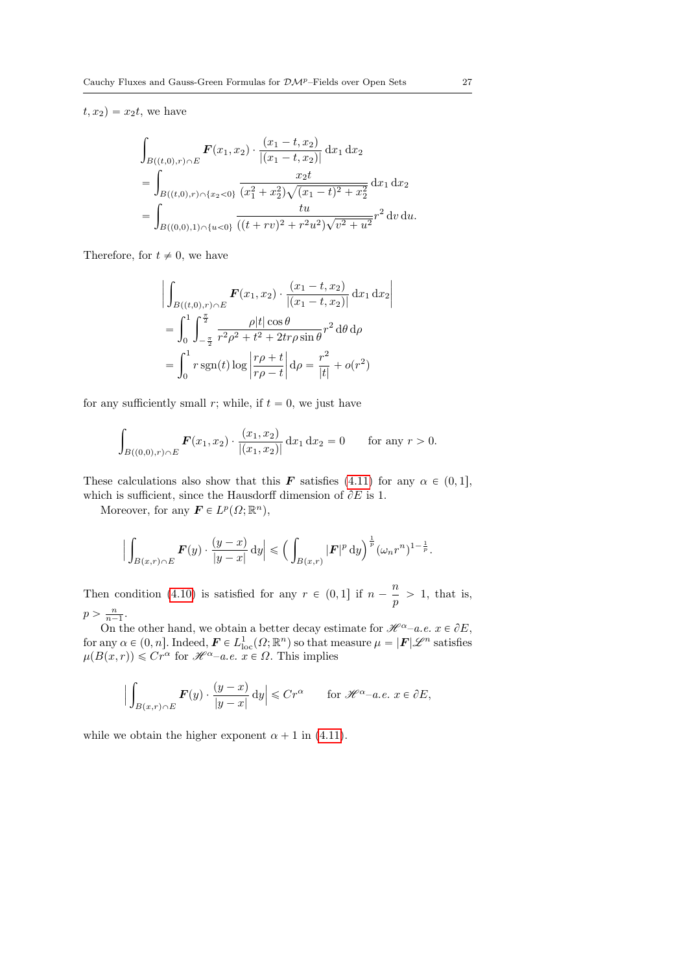$t, x_2$  =  $x_2t$ , we have

$$
\int_{B((t,0),r)\cap E} \mathbf{F}(x_1, x_2) \cdot \frac{(x_1 - t, x_2)}{|(x_1 - t, x_2)|} dx_1 dx_2
$$
\n
$$
= \int_{B((t,0),r)\cap\{x_2 < 0\}} \frac{x_2 t}{(x_1^2 + x_2^2)\sqrt{(x_1 - t)^2 + x_2^2}} dx_1 dx_2
$$
\n
$$
= \int_{B((0,0),1)\cap\{u < 0\}} \frac{tu}{((t+rv)^2 + r^2u^2)\sqrt{v^2 + u^2}} r^2 dv du.
$$

Therefore, for  $t \neq 0$ , we have

$$
\left| \int_{B((t,0),r) \cap E} \mathbf{F}(x_1, x_2) \cdot \frac{(x_1 - t, x_2)}{|(x_1 - t, x_2)|} dx_1 dx_2 \right|
$$
  
= 
$$
\int_0^1 \int_{-\frac{\pi}{2}}^{\frac{\pi}{2}} \frac{\rho |t| \cos \theta}{r^2 \rho^2 + t^2 + 2tr\rho \sin \theta} r^2 d\theta d\rho
$$
  
= 
$$
\int_0^1 r \operatorname{sgn}(t) \log \left| \frac{r\rho + t}{r\rho - t} \right| d\rho = \frac{r^2}{|t|} + o(r^2)
$$

for any sufficiently small r; while, if  $t = 0$ , we just have

$$
\int_{B((0,0),r)\cap E} \boldsymbol{F}(x_1,x_2) \cdot \frac{(x_1,x_2)}{|(x_1,x_2)|} \, \mathrm{d}x_1 \, \mathrm{d}x_2 = 0 \qquad \text{for any } r > 0.
$$

These calculations also show that this **F** satisfies [\(4.11\)](#page-25-2) for any  $\alpha \in (0, 1]$ , which is sufficient, since the Hausdorff dimension of  $\partial E$  is 1.

Moreover, for any  $\mathbf{F} \in L^p(\Omega; \mathbb{R}^n)$ ,

$$
\Big|\int_{B(x,r)\cap E} \boldsymbol{F}(y)\cdot \frac{(y-x)}{|y-x|}\,\mathrm{d} y\Big|\leqslant \Big(\int_{B(x,r)} |\boldsymbol{F}|^p\,\mathrm{d} y\Big)^{\frac{1}{p}} (\omega_n r^n)^{1-\frac{1}{p}}.
$$

Then condition [\(4.10\)](#page-25-1) is satisfied for any  $r \in (0, 1]$  if  $n - \frac{n}{n}$  $\frac{n}{p} > 1$ , that is,  $p > \frac{n}{n-1}.$ 

On the other hand, we obtain a better decay estimate for  $\mathscr{H}^{\alpha}$ –a.e.  $x \in \partial E$ , for any  $\alpha \in (0, n]$ . Indeed,  $\mathbf{F} \in L^1_{loc}(\Omega; \mathbb{R}^n)$  so that measure  $\mu = |\mathbf{F}| \mathscr{L}^n$  satisfies  $\mu(B(x,r)) \leq C r^{\alpha}$  for  $\mathcal{H}^{\alpha}$ –a.e.  $x \in \Omega$ . This implies

$$
\Big|\int_{B(x,r)\cap E} \boldsymbol{F}(y) \cdot \frac{(y-x)}{|y-x|} \, \mathrm{d}y\Big| \leq C r^{\alpha} \qquad \text{for } \mathscr{H}^{\alpha}-a.e. \ x \in \partial E,
$$

while we obtain the higher exponent  $\alpha + 1$  in [\(4.11\)](#page-25-2).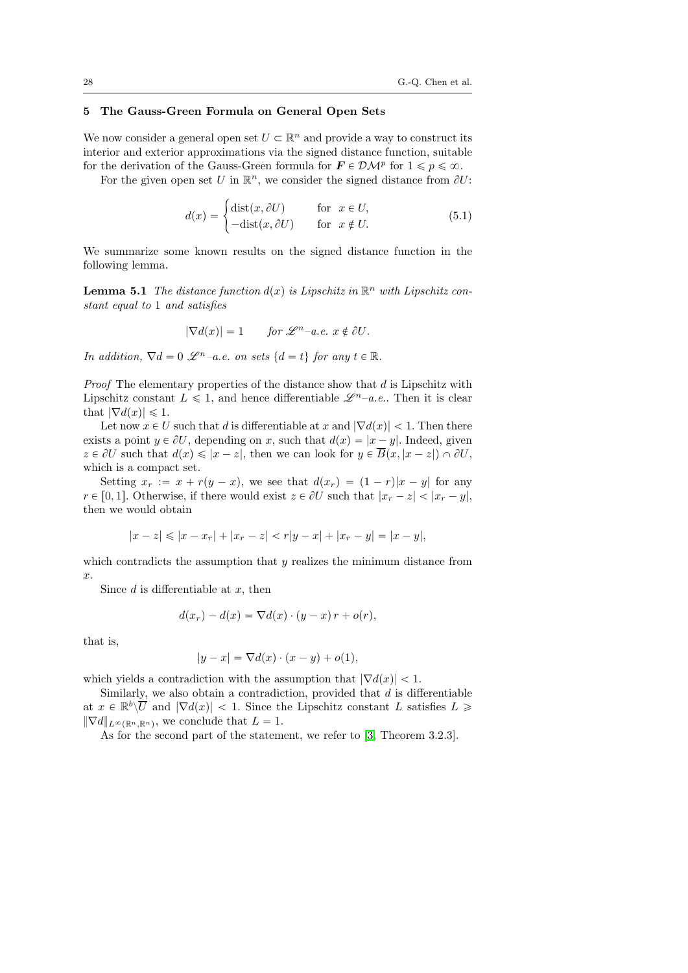# <span id="page-27-0"></span>5 The Gauss-Green Formula on General Open Sets

We now consider a general open set  $U \subset \mathbb{R}^n$  and provide a way to construct its interior and exterior approximations via the signed distance function, suitable for the derivation of the Gauss-Green formula for  $\mathbf{F} \in \mathcal{DM}^p$  for  $1 \leqslant p \leqslant \infty$ .

For the given open set U in  $\mathbb{R}^n$ , we consider the signed distance from  $\partial U$ :

$$
d(x) = \begin{cases} \text{dist}(x, \partial U) & \text{for } x \in U, \\ -\text{dist}(x, \partial U) & \text{for } x \notin U. \end{cases}
$$
(5.1)

We summarize some known results on the signed distance function in the following lemma.

<span id="page-27-1"></span>**Lemma 5.1** The distance function  $d(x)$  is Lipschitz in  $\mathbb{R}^n$  with Lipschitz constant equal to 1 and satisfies

$$
|\nabla d(x)| = 1 \quad \text{for } \mathscr{L}^{n} - a.e. \ x \notin \partial U.
$$

In addition,  $\nabla d = 0 \mathcal{L}^{n}$  -a.e. on sets  $\{d = t\}$  for any  $t \in \mathbb{R}$ .

**Proof** The elementary properties of the distance show that  $d$  is Lipschitz with Lipschitz constant  $L \leq 1$ , and hence differentiable  $\mathscr{L}^{n}$ –a.e.. Then it is clear that  $|\nabla d(x)| \leq 1$ .

Let now  $x \in U$  such that d is differentiable at x and  $|\nabla d(x)| < 1$ . Then there exists a point  $y \in \partial U$ , depending on x, such that  $d(x) = |x - y|$ . Indeed, given  $z \in \partial U$  such that  $d(x) \leq |x - z|$ , then we can look for  $y \in \overline{B}(x, |x - z|) \cap \partial U$ , which is a compact set.

Setting  $x_r := x + r(y - x)$ , we see that  $d(x_r) = (1 - r)|x - y|$  for any  $r \in [0, 1]$ . Otherwise, if there would exist  $z \in \partial U$  such that  $|x_r - z| < |x_r - y|$ , then we would obtain

$$
|x - z| \le |x - x_r| + |x_r - z| < r|y - x| + |x_r - y| = |x - y|,
$$

which contradicts the assumption that  $y$  realizes the minimum distance from x.

Since  $d$  is differentiable at  $x$ , then

$$
d(x_r) - d(x) = \nabla d(x) \cdot (y - x) r + o(r),
$$

that is,

$$
|y - x| = \nabla d(x) \cdot (x - y) + o(1),
$$

which yields a contradiction with the assumption that  $|\nabla d(x)| < 1$ .

Similarly, we also obtain a contradiction, provided that  $d$  is differentiable at  $x \in \mathbb{R}^b \setminus \overline{U}$  and  $|\nabla d(x)| < 1$ . Since the Lipschitz constant L satisfies  $L \geq$  $\|\nabla d\|_{L^{\infty}(\mathbb{R}^n, \mathbb{R}^n)}$ , we conclude that  $L = 1$ .

As for the second part of the statement, we refer to [\[3,](#page-76-7) Theorem 3.2.3].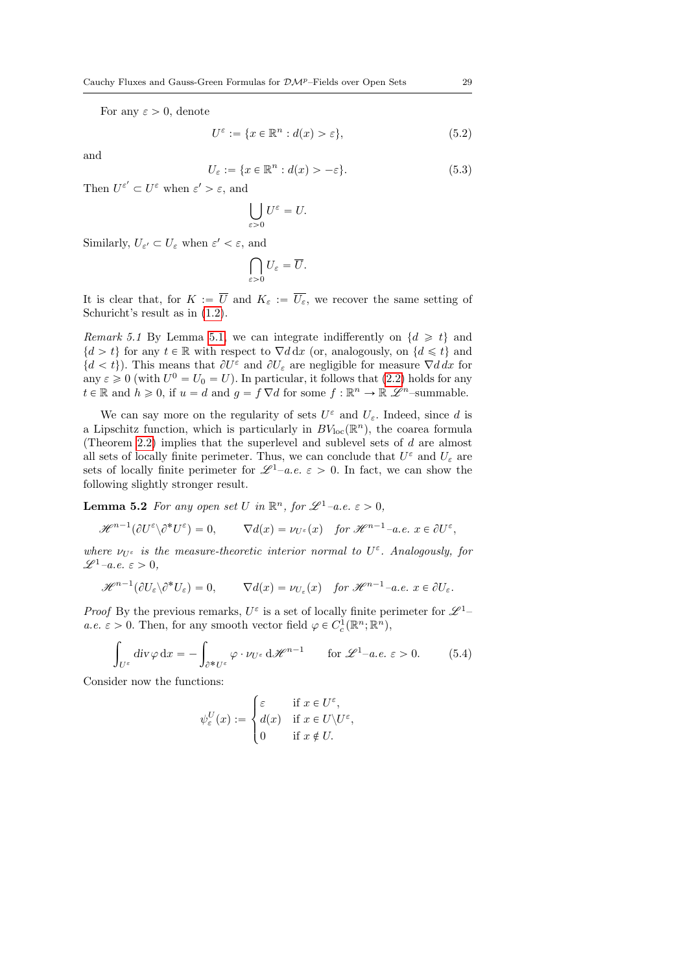For any  $\varepsilon > 0$ , denote

$$
U^{\varepsilon} := \{ x \in \mathbb{R}^n : d(x) > \varepsilon \},\tag{5.2}
$$

and

$$
U_{\varepsilon} := \{ x \in \mathbb{R}^n : d(x) > -\varepsilon \}. \tag{5.3}
$$

Then  $U^{\varepsilon'} \subset U^{\varepsilon}$  when  $\varepsilon' > \varepsilon$ , and

$$
\bigcup_{\varepsilon>0}U^\varepsilon=U.
$$

Similarly,  $U_{\varepsilon'} \subset U_{\varepsilon}$  when  $\varepsilon' < \varepsilon$ , and

$$
\bigcap_{\varepsilon>0}U_{\varepsilon}=\overline{U}.
$$

It is clear that, for  $K := \overline{U}$  and  $K_{\varepsilon} := \overline{U_{\varepsilon}}$ , we recover the same setting of Schuricht's result as in [\(1.2\)](#page-4-0).

<span id="page-28-0"></span>Remark 5.1 By Lemma [5.1,](#page-27-1) we can integrate indifferently on  $\{d \geq t\}$  and  $\{d > t\}$  for any  $t \in \mathbb{R}$  with respect to  $\nabla d \, dx$  (or, analogously, on  $\{d \leq t\}$  and  $\{d < t\}$ ). This means that  $\partial U^{\varepsilon}$  and  $\partial U_{\varepsilon}$  are negligible for measure  $\nabla d dx$  for any  $\varepsilon \geq 0$  (with  $U^0 = U_0 = U$ ). In particular, it follows that [\(2.2\)](#page-6-1) holds for any  $t \in \mathbb{R}$  and  $h \geq 0$ , if  $u = d$  and  $g = f \nabla d$  for some  $f : \mathbb{R}^n \to \mathbb{R}$   $\mathscr{L}^n$ -summable.

We can say more on the regularity of sets  $U^{\varepsilon}$  and  $U_{\varepsilon}$ . Indeed, since d is a Lipschitz function, which is particularly in  $BV_{loc}(\mathbb{R}^n)$ , the coarea formula (Theorem [2.2\)](#page-7-0) implies that the superlevel and sublevel sets of d are almost all sets of locally finite perimeter. Thus, we can conclude that  $U^{\varepsilon}$  and  $U_{\varepsilon}$  are sets of locally finite perimeter for  $\mathscr{L}^1$ –a.e.  $\varepsilon > 0$ . In fact, we can show the following slightly stronger result.

<span id="page-28-2"></span>**Lemma 5.2** For any open set U in  $\mathbb{R}^n$ , for  $\mathscr{L}^1$ -a.e.  $\varepsilon > 0$ ,

$$
\mathscr{H}^{n-1}(\partial U^{\varepsilon} \setminus \partial^* U^{\varepsilon}) = 0, \qquad \nabla d(x) = \nu_{U^{\varepsilon}}(x) \quad \text{for } \mathscr{H}^{n-1} - a.e. \ x \in \partial U^{\varepsilon},
$$

where  $\nu_{U^{\varepsilon}}$  is the measure-theoretic interior normal to  $U^{\varepsilon}$ . Analogously, for  $\mathscr{L}^1$ –a.e.  $\varepsilon > 0$ .

$$
\mathscr{H}^{n-1}(\partial U_{\varepsilon})\partial^*U_{\varepsilon})=0,\qquad \nabla d(x)=\nu_{U_{\varepsilon}}(x)\quad\text{for }\mathscr{H}^{n-1}-a.e.\ x\in \partial U_{\varepsilon}.
$$

*Proof* By the previous remarks,  $U^{\varepsilon}$  is a set of locally finite perimeter for  $\mathscr{L}^1$ *a.e.*  $\varepsilon > 0$ . Then, for any smooth vector field  $\varphi \in C_c^1(\mathbb{R}^n; \mathbb{R}^n)$ ,

<span id="page-28-1"></span>
$$
\int_{U^{\varepsilon}} \operatorname{div} \varphi \, dx = - \int_{\partial^* U^{\varepsilon}} \varphi \cdot \nu_{U^{\varepsilon}} \, d\mathscr{H}^{n-1} \qquad \text{for } \mathscr{L}^1 - a.e. \varepsilon > 0. \tag{5.4}
$$

Consider now the functions:

$$
\psi_{\varepsilon}^{U}(x) := \begin{cases} \varepsilon & \text{if } x \in U^{\varepsilon}, \\ d(x) & \text{if } x \in U \setminus U^{\varepsilon}, \\ 0 & \text{if } x \notin U. \end{cases}
$$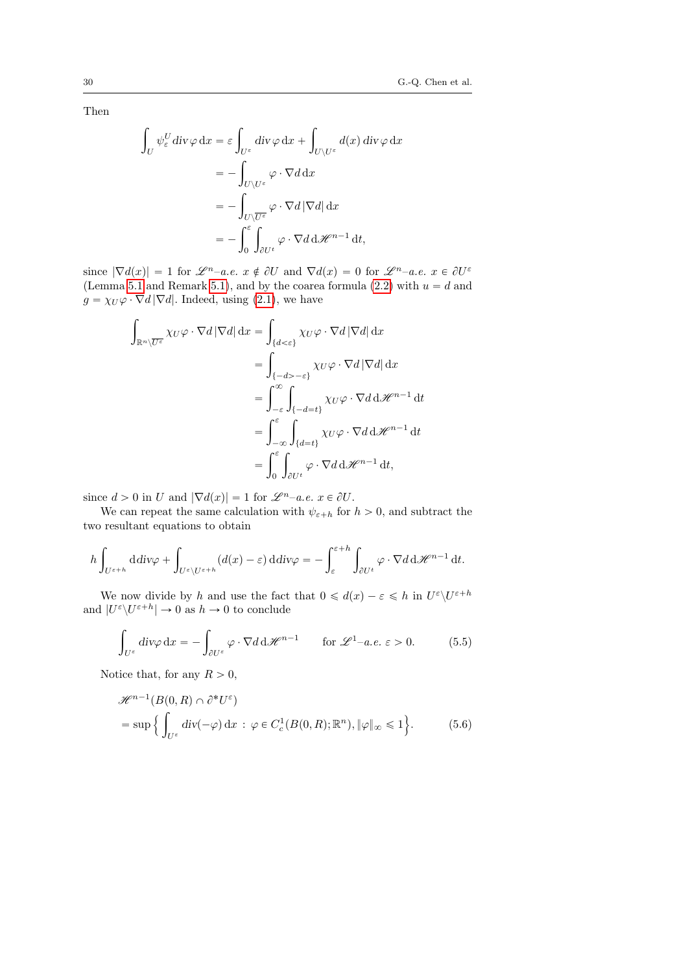Then

$$
\int_{U} \psi_{\varepsilon}^{U} \operatorname{div} \varphi \, dx = \varepsilon \int_{U^{\varepsilon}} \operatorname{div} \varphi \, dx + \int_{U \setminus U^{\varepsilon}} d(x) \operatorname{div} \varphi \, dx
$$
\n
$$
= - \int_{U \setminus U^{\varepsilon}} \varphi \cdot \nabla d \, dx
$$
\n
$$
= - \int_{U \setminus \overline{U^{\varepsilon}}} \varphi \cdot \nabla d |\nabla d| \, dx
$$
\n
$$
= - \int_{0}^{\varepsilon} \int_{\partial U^{\varepsilon}} \varphi \cdot \nabla d \, d \mathcal{H}^{n-1} \, dt,
$$

since  $|\nabla d(x)| = 1$  for  $\mathscr{L}^{n}$ -a.e.  $x \notin \partial U$  and  $\nabla d(x) = 0$  for  $\mathscr{L}^{n}$ -a.e.  $x \in \partial U^{\varepsilon}$ (Lemma [5.1](#page-27-1) and Remark [5.1\)](#page-28-0), and by the coarea formula [\(2.2\)](#page-6-1) with  $u = d$  and  $g = \chi_U \varphi \cdot \nabla d |\nabla d|$ . Indeed, using [\(2.1\)](#page-6-2), we have

$$
\int_{\mathbb{R}^n \setminus \overline{U^{\varepsilon}}} \chi_{U} \varphi \cdot \nabla d |\nabla d| \,dx = \int_{\{d < \varepsilon\}} \chi_{U} \varphi \cdot \nabla d |\nabla d| \,dx
$$
\n
$$
= \int_{\{-d > -\varepsilon\}} \chi_{U} \varphi \cdot \nabla d |\nabla d| \,dx
$$
\n
$$
= \int_{-\varepsilon}^{\infty} \int_{\{-d = t\}} \chi_{U} \varphi \cdot \nabla d \,d\mathcal{H}^{n-1} \,dt
$$
\n
$$
= \int_{-\infty}^{\varepsilon} \int_{\{d = t\}} \chi_{U} \varphi \cdot \nabla d \,d\mathcal{H}^{n-1} \,dt
$$
\n
$$
= \int_{0}^{\varepsilon} \int_{\partial U^{t}} \varphi \cdot \nabla d \,d\mathcal{H}^{n-1} \,dt,
$$

since  $d > 0$  in U and  $|\nabla d(x)| = 1$  for  $\mathscr{L}^{n}$ –a.e.  $x \in \partial U$ .

We can repeat the same calculation with  $\psi_{\varepsilon+h}$  for  $h > 0$ , and subtract the two resultant equations to obtain

$$
h \int_{U^{\varepsilon+h}} \mathrm{d} \mathrm{d} \mathrm{d} v \varphi + \int_{U^{\varepsilon} \setminus U^{\varepsilon+h}} (d(x)-\varepsilon) \, \mathrm{d} \mathrm{d} v \varphi = - \int_{\varepsilon}^{\varepsilon+h} \int_{\partial U^t} \varphi \cdot \nabla d \mathrm{d} \mathscr{H}^{n-1} \, \mathrm{d} t.
$$

We now divide by h and use the fact that  $0 \le d(x) - \varepsilon \le h$  in  $U^{\varepsilon} \setminus U^{\varepsilon+h}$ and  $|U^{\varepsilon}\setminus U^{\varepsilon+h}| \to 0$  as  $h \to 0$  to conclude

<span id="page-29-0"></span>
$$
\int_{U^{\varepsilon}} \operatorname{div} \varphi \, \mathrm{d}x = -\int_{\partial U^{\varepsilon}} \varphi \cdot \nabla d \, \mathrm{d} \mathscr{H}^{n-1} \qquad \text{for } \mathscr{L}^{1}-a.e. \ \varepsilon > 0. \tag{5.5}
$$

Notice that, for any  $R > 0$ ,

<span id="page-29-1"></span>
$$
\mathcal{H}^{n-1}(B(0,R) \cap \partial^* U^{\varepsilon})
$$
  
= sup  $\left\{ \int_{U^{\varepsilon}} \operatorname{div}(-\varphi) dx : \varphi \in C_c^1(B(0,R); \mathbb{R}^n), \|\varphi\|_{\infty} \le 1 \right\}.$  (5.6)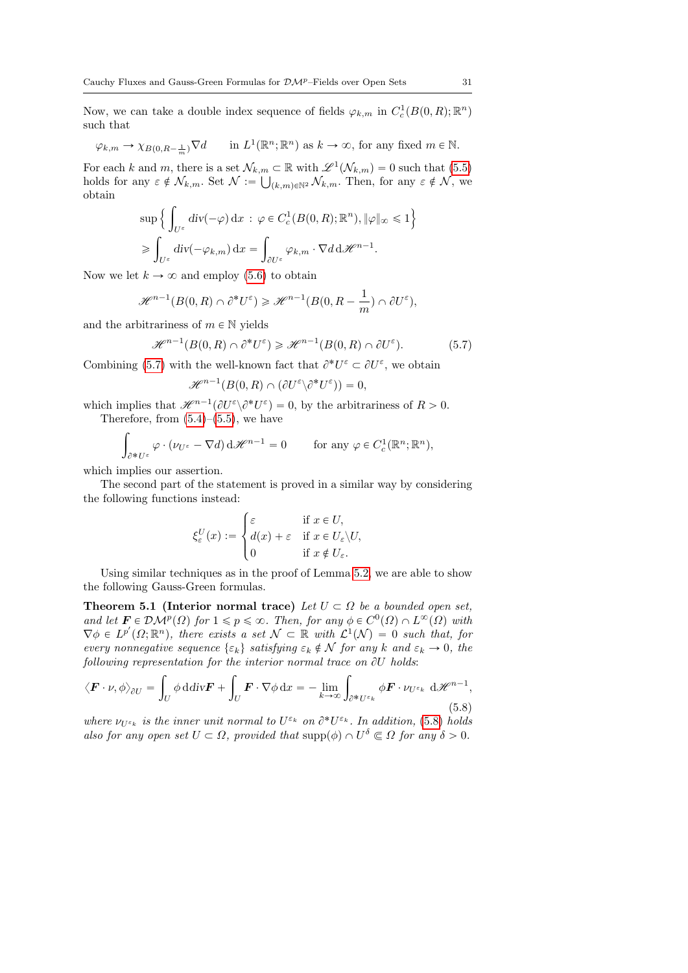Now, we can take a double index sequence of fields  $\varphi_{k,m}$  in  $C_c^1(B(0,R);\mathbb{R}^n)$ such that

$$
\varphi_{k,m} \to \chi_{B(0,R-\frac{1}{m})} \nabla d
$$
 in  $L^1(\mathbb{R}^n; \mathbb{R}^n)$  as  $k \to \infty$ , for any fixed  $m \in \mathbb{N}$ .

For each k and m, there is a set  $\mathcal{N}_{k,m} \subset \mathbb{R}$  with  $\mathscr{L}^1(\mathcal{N}_{k,m}) = 0$  such that  $(5.5)$ holds for any  $\varepsilon \notin \mathcal{N}_{k,m}$ . Set  $\mathcal{N} := \bigcup_{(k,m)\in\mathbb{N}^2} \mathcal{N}_{k,m}$ . Then, for any  $\varepsilon \notin \mathcal{N}$ , we obtain  $\mathbf{r}$ 

$$
\sup \Big\{ \int_{U^{\varepsilon}} \mathrm{div}(-\varphi) \, \mathrm{d}x \, : \, \varphi \in C_c^1(B(0,R); \mathbb{R}^n), \|\varphi\|_{\infty} \leq 1 \Big\}
$$

$$
\geqslant \int_{U^{\varepsilon}} \mathrm{div}(-\varphi_{k,m}) \, \mathrm{d}x = \int_{\partial U^{\varepsilon}} \varphi_{k,m} \cdot \nabla d \, \mathrm{d} \mathscr{H}^{n-1}.
$$

Now we let  $k \to \infty$  and employ [\(5.6\)](#page-29-1) to obtain

$$
\mathscr{H}^{n-1}(B(0,R)\cap \partial^*U^\varepsilon)\geqslant \mathscr{H}^{n-1}(B(0,R-\frac{1}{m})\cap \partial U^\varepsilon),
$$

and the arbitrariness of  $m \in \mathbb{N}$  yields

<span id="page-30-0"></span>
$$
\mathcal{H}^{n-1}(B(0,R)\cap \partial^*U^\varepsilon)\geqslant \mathcal{H}^{n-1}(B(0,R)\cap \partial U^\varepsilon). \tag{5.7}
$$

Combining [\(5.7\)](#page-30-0) with the well-known fact that  $\partial^* U^{\varepsilon} \subset \partial U^{\varepsilon}$ , we obtain

$$
\mathscr{H}^{n-1}(B(0,R)\cap (\partial U^{\varepsilon}\backslash \partial^*U^{\varepsilon}))=0,
$$

which implies that  $\mathscr{H}^{n-1}(\partial U^{\varepsilon}\setminus \partial^* U^{\varepsilon}) = 0$ , by the arbitrariness of  $R > 0$ . Therefore, from  $(5.4)$ – $(5.5)$ , we have

$$
\int_{\partial^* U^\varepsilon} \varphi \cdot (\nu_{U^\varepsilon} - \nabla d) \, d\mathscr{H}^{n-1} = 0 \qquad \text{for any } \varphi \in C^1_c(\mathbb{R}^n; \mathbb{R}^n),
$$

which implies our assertion.

The second part of the statement is proved in a similar way by considering the following functions instead:

$$
\xi_{\varepsilon}^{U}(x) := \begin{cases} \varepsilon & \text{if } x \in U, \\ d(x) + \varepsilon & \text{if } x \in U_{\varepsilon} \setminus U, \\ 0 & \text{if } x \notin U_{\varepsilon}. \end{cases}
$$

Using similar techniques as in the proof of Lemma [5.2,](#page-28-2) we are able to show the following Gauss-Green formulas.

<span id="page-30-2"></span>**Theorem 5.1 (Interior normal trace)** Let  $U \subset \Omega$  be a bounded open set, and let  $\mathbf{F} \in \mathcal{DM}^p(\Omega)$  for  $1 \leq p \leq \infty$ . Then, for any  $\phi \in C^0(\Omega) \cap L^{\infty}(\Omega)$  with  $\nabla \phi \in L^{p'}(\Omega; \mathbb{R}^n)$ , there exists a set  $\mathcal{N} \subset \mathbb{R}$  with  $\mathcal{L}^1(\mathcal{N}) = 0$  such that, for every nonnegative sequence  $\{\varepsilon_k\}$  satisfying  $\varepsilon_k \notin \mathcal{N}$  for any k and  $\varepsilon_k \to 0$ , the following representation for the interior normal trace on  $\partial U$  holds:

<span id="page-30-1"></span>
$$
\langle \boldsymbol{F} \cdot \boldsymbol{\nu}, \phi \rangle_{\partial U} = \int_{U} \phi \, \mathrm{d} \mathrm{d} \mathrm{d} \mathrm{v} \boldsymbol{F} + \int_{U} \boldsymbol{F} \cdot \nabla \phi \, \mathrm{d} x = - \lim_{k \to \infty} \int_{\partial^* U^{\varepsilon_k}} \phi \boldsymbol{F} \cdot \nu_{U^{\varepsilon_k}} \, \mathrm{d} \mathcal{H}^{n-1},\tag{5.8}
$$

where  $\nu_{U^{\varepsilon_k}}$  is the inner unit normal to  $U^{\varepsilon_k}$  on  $\partial^* U^{\varepsilon_k}$ . In addition, [\(5.8\)](#page-30-1) holds also for any open set  $U \subset \Omega$ , provided that  $\text{supp}(\phi) \cap U^{\delta} \subset \Omega$  for any  $\delta > 0$ .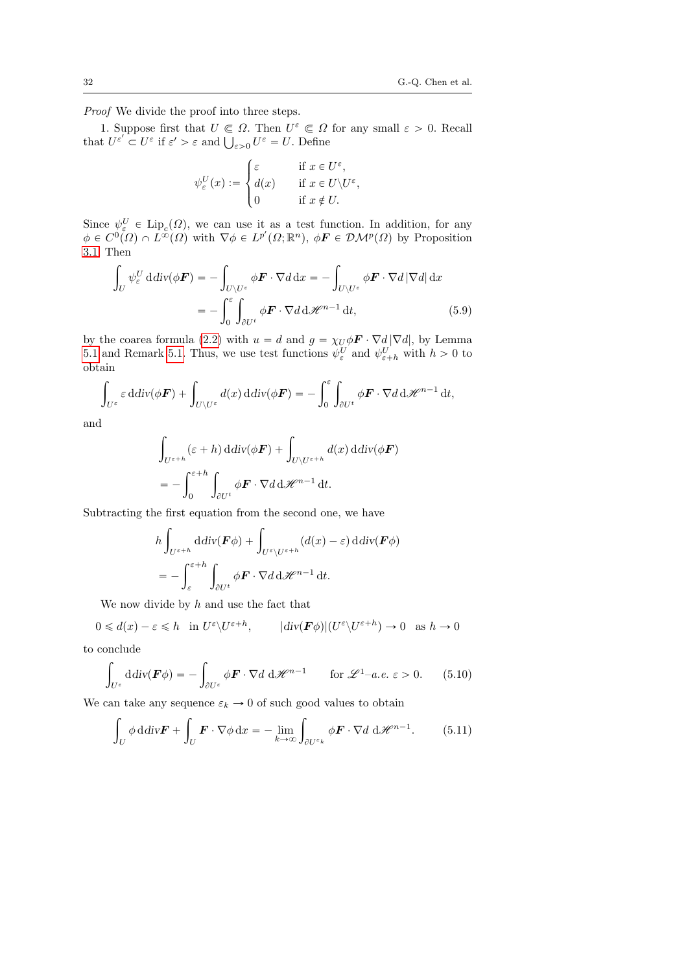Proof We divide the proof into three steps.

1. Suppose first that  $U \n\in \Omega$ . Then  $U^{\varepsilon} \n\in \Omega$  for any small  $\varepsilon > 0$ . Recall 1. Suppose first that  $U \\\in \Omega$ . Then  $U^{\varepsilon} \\in \Omega$ <br>that  $U^{\varepsilon'} \\subset U^{\varepsilon}$  if  $\varepsilon' > \varepsilon$  and  $\bigcup_{\varepsilon > 0} U^{\varepsilon} = U$ . Define  $\ddot{\phantom{a}}$ 

<span id="page-31-0"></span>
$$
\psi_{\varepsilon}^{U}(x) := \begin{cases} \varepsilon & \text{if } x \in U^{\varepsilon}, \\ d(x) & \text{if } x \in U \setminus U^{\varepsilon}, \\ 0 & \text{if } x \notin U. \end{cases}
$$

Since  $\psi_{\varepsilon}^U \in \text{Lip}_c(\Omega)$ , we can use it as a test function. In addition, for any  $\phi \in C^{0}(\Omega) \cap L^{\infty}(\Omega)$  with  $\nabla \phi \in L^{p'}(\Omega;\mathbb{R}^{n}), \ \phi \mathbf{F} \in \mathcal{DM}^{p}(\Omega)$  by Proposition [3.1.](#page-9-3) Then ż

$$
\int_{U} \psi_{\varepsilon}^{U} \operatorname{ddiv}(\phi \mathbf{F}) = -\int_{U \setminus U^{\varepsilon}} \phi \mathbf{F} \cdot \nabla d \, dx = -\int_{U \setminus U^{\varepsilon}} \phi \mathbf{F} \cdot \nabla d |\nabla d| \, dx
$$
\n
$$
= -\int_{0}^{\varepsilon} \int_{\partial U^{t}} \phi \mathbf{F} \cdot \nabla d \, d\mathcal{H}^{n-1} \, dt,\tag{5.9}
$$

by the coarea formula [\(2.2\)](#page-6-1) with  $u = d$  and  $g = \chi_U \phi \mathbf{F} \cdot \nabla d |\nabla d|$ , by Lemma [5.1](#page-27-1) and Remark [5.1.](#page-28-0) Thus, we use test functions  $\psi_{\varepsilon}^{U}$  and  $\psi_{\varepsilon+h}^{U}$  with  $h > 0$  to obtain ż

$$
\int_{U^{\varepsilon}} \varepsilon \, \mathrm{d} \mathrm{d} \mathrm{iv}(\phi \boldsymbol{F}) + \int_{U \setminus U^{\varepsilon}} d(x) \, \mathrm{d} \mathrm{d} \mathrm{iv}(\phi \boldsymbol{F}) = - \int_{0}^{\varepsilon} \int_{\partial U^t} \phi \boldsymbol{F} \cdot \nabla d \, \mathrm{d} \mathscr{H}^{n-1} \, \mathrm{d} t,
$$

and

$$
\int_{U^{\varepsilon+h}} (\varepsilon+h) \, \mathrm{d} \mathrm{d} v(\phi \mathbf{F}) + \int_{U \setminus U^{\varepsilon+h}} d(x) \, \mathrm{d} \mathrm{d} v(\phi \mathbf{F})
$$
\n
$$
= - \int_0^{\varepsilon+h} \int_{\partial U^t} \phi \mathbf{F} \cdot \nabla d \, \mathrm{d} \mathscr{H}^{n-1} \, \mathrm{d} t.
$$

Subtracting the first equation from the second one, we have

$$
h \int_{U^{\varepsilon+h}} \mathrm{d} \mathrm{d} \mathrm{iv}(\mathbf{F} \phi) + \int_{U^{\varepsilon} \setminus U^{\varepsilon+h}} (d(x) - \varepsilon) \, \mathrm{d} \mathrm{d} \mathrm{iv}(\mathbf{F} \phi)
$$
  
= 
$$
- \int_{\varepsilon}^{\varepsilon+h} \int_{\partial U^t} \phi \mathbf{F} \cdot \nabla d \, \mathrm{d} \mathscr{H}^{n-1} \, \mathrm{d} t.
$$

We now divide by  $h$  and use the fact that

 $0 \leq d(x) - \varepsilon \leq h$  in  $U^{\varepsilon} \setminus U^{\varepsilon+h}$ ,  $|div(\mathbf{F}\phi)| (U^{\varepsilon} \setminus U^{\varepsilon+h}) \to 0$  as  $h \to 0$ 

to conclude ż

$$
\int_{U^{\varepsilon}} \mathrm{d} \mathrm{div} (\boldsymbol{F} \phi) = - \int_{\partial U^{\varepsilon}} \phi \boldsymbol{F} \cdot \nabla d \mathrm{d} \mathcal{H}^{n-1} \qquad \text{for } \mathcal{L}^{1}-a.e. \varepsilon > 0. \tag{5.10}
$$

We can take any sequence  $\varepsilon_k \to 0$  of such good values to obtain

$$
\int_{U} \phi \, \mathrm{d} \, \mathrm{div} \mathbf{F} + \int_{U} \mathbf{F} \cdot \nabla \phi \, \mathrm{d}x = - \lim_{k \to \infty} \int_{\partial U^{\varepsilon_k}} \phi \mathbf{F} \cdot \nabla d \, \mathrm{d} \mathcal{H}^{n-1}.
$$
 (5.11)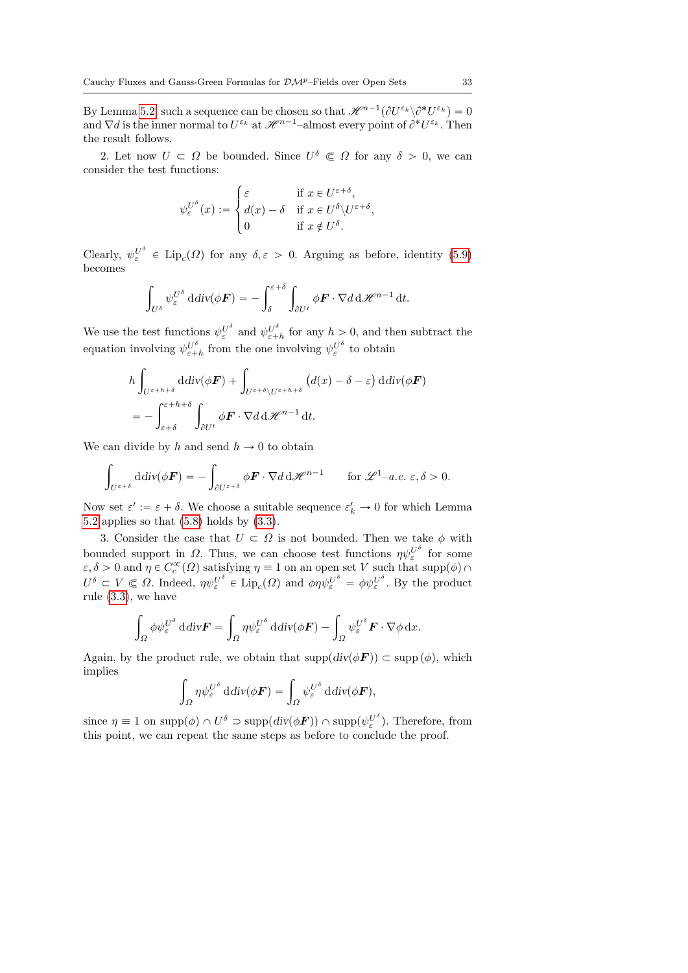By Lemma [5.2,](#page-28-2) such a sequence can be chosen so that  $\mathscr{H}^{n-1}(\partial U^{\varepsilon_k}\setminus \partial^*U^{\varepsilon_k})=0$ and  $\nabla d$  is the inner normal to  $U^{\varepsilon_k}$  at  $\mathscr{H}^{n-1}$ -almost every point of  $\partial^* U^{\varepsilon_k}$ . Then the result follows.

2. Let now  $U \subset \Omega$  be bounded. Since  $U^{\delta} \subset \Omega$  for any  $\delta > 0$ , we can consider the test functions:

$$
\psi_{\varepsilon}^{U^{\delta}}(x) := \begin{cases} \varepsilon & \text{if } x \in U^{\varepsilon + \delta}, \\ d(x) - \delta & \text{if } x \in U^{\delta} \setminus U^{\varepsilon + \delta}, \\ 0 & \text{if } x \notin U^{\delta}. \end{cases}
$$

Clearly,  $\psi_{\varepsilon}^{U^{\delta}} \in \text{Lip}_{c}(\Omega)$  for any  $\delta, \varepsilon > 0$ . Arguing as before, identity [\(5.9\)](#page-31-0) becomes

$$
\int_{U^{\delta}} \psi_{\varepsilon}^{U^{\delta}} \, \mathrm{d} \mathrm{d} \mathrm{v}(\phi \boldsymbol{F}) = -\int_{\delta}^{\varepsilon+\delta} \int_{\partial U^{t}} \phi \boldsymbol{F} \cdot \nabla d \, \mathrm{d} \mathscr{H}^{n-1} \, \mathrm{d} t.
$$

We use the test functions  $\psi_{\varepsilon}^{U^{\delta}}$  and  $\psi_{\varepsilon+h}^{U^{\delta}}$  for any  $h > 0$ , and then subtract the equation involving  $\psi_{\varepsilon+h}^{U^{\delta}}$  from the one involving  $\psi_{\varepsilon}^{U^{\delta}}$  to obtain

$$
h \int_{U^{\varepsilon+h+\delta}} \mathrm{d} \mathrm{d} \mathrm{d} \mathrm{v}(\phi \mathbf{F}) + \int_{U^{\varepsilon+\delta} \setminus U^{\varepsilon+h+\delta}} \left( d(x) - \delta - \varepsilon \right) \mathrm{d} \mathrm{d} \mathrm{v}(\phi \mathbf{F})
$$
  
= 
$$
- \int_{\varepsilon+\delta}^{\varepsilon+h+\delta} \int_{\partial U^t} \phi \mathbf{F} \cdot \nabla d \mathrm{d} \mathcal{H}^{n-1} \mathrm{d} t.
$$

We can divide by h and send  $h \to 0$  to obtain

$$
\int_{U^{\varepsilon+\delta}} \mathrm{d} \mathrm{div}(\phi \mathbf{F}) = -\int_{\partial U^{\varepsilon+\delta}} \phi \mathbf{F} \cdot \nabla d \, \mathrm{d} \mathcal{H}^{n-1} \qquad \text{for } \mathcal{L}^1-a.e. \ \varepsilon, \delta > 0.
$$

Now set  $\varepsilon' := \varepsilon + \delta$ . We choose a suitable sequence  $\varepsilon'_k \to 0$  for which Lemma [5.2](#page-28-2) applies so that [\(5.8\)](#page-30-1) holds by [\(3.3\)](#page-9-2).

3. Consider the case that  $U \subset \Omega$  is not bounded. Then we take  $\phi$  with bounded support in  $\Omega$ . Thus, we can choose test functions  $\eta \psi_{\varepsilon}^{U^{\delta}}$  for some  $\varepsilon, \delta > 0$  and  $\eta \in C_c^{\infty}(\Omega)$  satisfying  $\eta \equiv 1$  on an open set V such that supp $(\phi) \cap$  $U^{\delta} \subset V \subset \Omega$ . Indeed,  $\eta \psi_{\varepsilon}^{U^{\delta}} \in \text{Lip}_{c}(\Omega)$  and  $\phi \eta \psi_{\varepsilon}^{U^{\delta}} = \phi \psi_{\varepsilon}^{U^{\delta}}$ . By the product rule [\(3.3\)](#page-9-2), we have

$$
\int_{\Omega} \phi \psi_{\varepsilon}^{U^{\delta}} \mathrm{d} \mathrm{d} \mathrm{d} \mathrm{v} \mathbf{F} = \int_{\Omega} \eta \psi_{\varepsilon}^{U^{\delta}} \mathrm{d} \mathrm{d} \mathrm{v} (\phi \mathbf{F}) - \int_{\Omega} \psi_{\varepsilon}^{U^{\delta}} \mathbf{F} \cdot \nabla \phi \mathrm{d} x.
$$

Again, by the product rule, we obtain that  $\text{supp}(div(\phi \mathbf{F})) \subset \text{supp}(\phi)$ , which implies

$$
\int_{\Omega} \eta \psi_{\varepsilon}^{U^{\delta}} \operatorname{ddiv}(\phi \boldsymbol{F}) = \int_{\Omega} \psi_{\varepsilon}^{U^{\delta}} \operatorname{ddiv}(\phi \boldsymbol{F}),
$$

since  $\eta \equiv 1$  on  $\text{supp}(\phi) \cap U^{\delta} \supset \text{supp}(div(\phi \mathbf{F})) \cap \text{supp}(\psi_{\varepsilon}^{U^{\delta}})$ . Therefore, from this point, we can repeat the same steps as before to conclude the proof.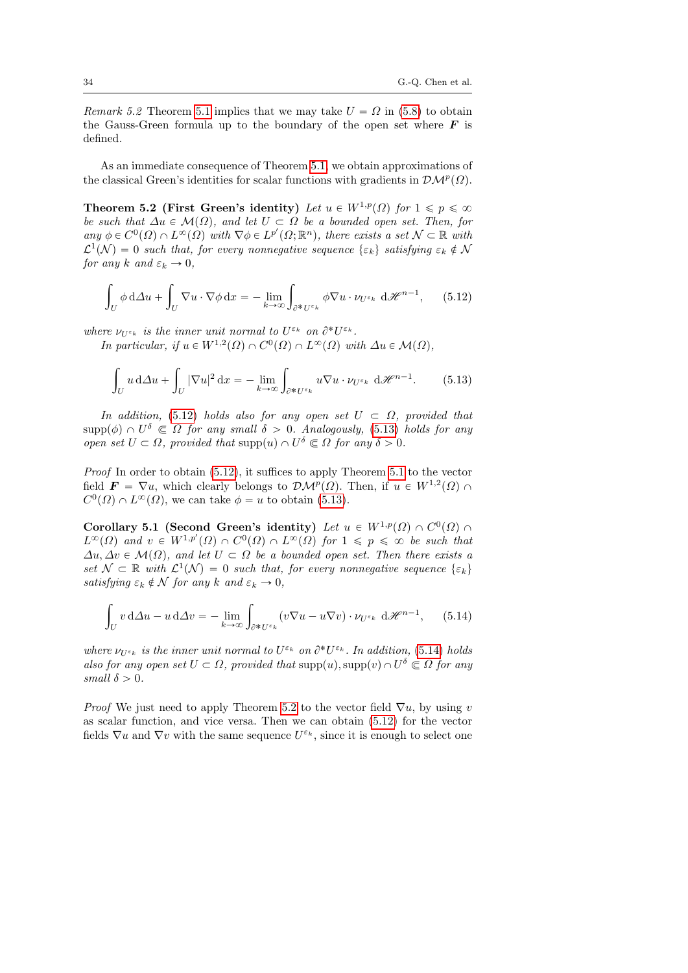*Remark 5.2* Theorem [5.1](#page-30-2) implies that we may take  $U = \Omega$  in [\(5.8\)](#page-30-1) to obtain the Gauss-Green formula up to the boundary of the open set where  $\boldsymbol{F}$  is defined.

As an immediate consequence of Theorem [5.1,](#page-30-2) we obtain approximations of the classical Green's identities for scalar functions with gradients in  $\mathcal{DM}^p(\Omega)$ .

<span id="page-33-3"></span>Theorem 5.2 (First Green's identity) Let  $u \in W^{1,p}(\Omega)$  for  $1 \leqslant p \leqslant \infty$ be such that  $\Delta u \in \mathcal{M}(\Omega)$ , and let  $U \subset \Omega$  be a bounded open set. Then, for any  $\phi \in C^0(\Omega) \cap L^{\infty}(\Omega)$  with  $\nabla \phi \in L^{p'}(\Omega; \mathbb{R}^n)$ , there exists a set  $\mathcal{N} \subset \mathbb{R}$  with  $\mathcal{L}^1(\mathcal{N}) = 0$  such that, for every nonnegative sequence  $\{\varepsilon_k\}$  satisfying  $\varepsilon_k \notin \mathcal{N}$ for any k and  $\varepsilon_k \to 0$ ,

<span id="page-33-0"></span>
$$
\int_{U} \phi \, d\Delta u + \int_{U} \nabla u \cdot \nabla \phi \, dx = - \lim_{k \to \infty} \int_{\partial^* U^{\varepsilon_k}} \phi \nabla u \cdot \nu_{U^{\varepsilon_k}} \, d\mathcal{H}^{n-1}, \qquad (5.12)
$$

where  $\nu_{U^{\varepsilon_k}}$  is the inner unit normal to  $U^{\varepsilon_k}$  on  $\partial^* U^{\varepsilon_k}$ .

In particular, if  $u \in W^{1,2}(\Omega) \cap C^0(\Omega) \cap L^{\infty}(\Omega)$  with  $\Delta u \in \mathcal{M}(\Omega)$ ,

<span id="page-33-1"></span>
$$
\int_{U} u \, d\Delta u + \int_{U} |\nabla u|^{2} \, dx = - \lim_{k \to \infty} \int_{\partial^{*} U^{\varepsilon_{k}}} u \nabla u \cdot \nu_{U^{\varepsilon_{k}}} \, d\mathcal{H}^{n-1}.
$$
 (5.13)

In addition, [\(5.12\)](#page-33-0) holds also for any open set  $U \subset \Omega$ , provided that  $\text{supp}(\phi) \cap U^{\delta} \subset \Omega$  for any small  $\delta > 0$ . Analogously, [\(5.13\)](#page-33-1) holds for any open set  $U \subset \Omega$ , provided that supp $(u) \cap U^{\delta} \subset \Omega$  for any  $\delta > 0$ .

Proof In order to obtain [\(5.12\)](#page-33-0), it suffices to apply Theorem [5.1](#page-30-2) to the vector field  $\mathbf{F} = \nabla u$ , which clearly belongs to  $\mathcal{DM}^p(\Omega)$ . Then, if  $u \in W^{1,2}(\Omega)$  $C^0(\Omega) \cap L^{\infty}(\Omega)$ , we can take  $\phi = u$  to obtain [\(5.13\)](#page-33-1).

Corollary 5.1 (Second Green's identity) Let  $u \in W^{1,p}(\Omega) \cap C^0(\Omega)$  $L^{\infty}(\Omega)$  and  $v \in W^{1,p'}(\Omega) \cap C^{0}(\Omega) \cap L^{\infty}(\Omega)$  for  $1 \leqslant p \leqslant \infty$  be such that  $\Delta u, \Delta v \in \mathcal{M}(\Omega)$ , and let  $U \subset \Omega$  be a bounded open set. Then there exists a set  $\mathcal{N} \subset \mathbb{R}$  with  $\mathcal{L}^1(\mathcal{N}) = 0$  such that, for every nonnegative sequence  $\{\varepsilon_k\}$ satisfying  $\varepsilon_k \notin \mathcal{N}$  for any k and  $\varepsilon_k \to 0$ ,

<span id="page-33-2"></span>
$$
\int_{U} v \, d\Delta u - u \, d\Delta v = - \lim_{k \to \infty} \int_{\partial^* U^{\varepsilon_k}} (v \nabla u - u \nabla v) \cdot \nu_{U^{\varepsilon_k}} \, d\mathcal{H}^{n-1}, \qquad (5.14)
$$

where  $\nu_{U^{\varepsilon_k}}$  is the inner unit normal to  $U^{\varepsilon_k}$  on  $\partial^* U^{\varepsilon_k}$ . In addition, [\(5.14\)](#page-33-2) holds also for any open set  $U \subset \Omega$ , provided that  $\text{supp}(u)$ ,  $\text{supp}(v) \cap U^{\delta} \subset \Omega$  for any small  $\delta > 0$ .

*Proof* We just need to apply Theorem [5.2](#page-33-3) to the vector field  $\nabla u$ , by using v as scalar function, and vice versa. Then we can obtain [\(5.12\)](#page-33-0) for the vector fields  $\nabla u$  and  $\nabla v$  with the same sequence  $U^{\varepsilon_k}$ , since it is enough to select one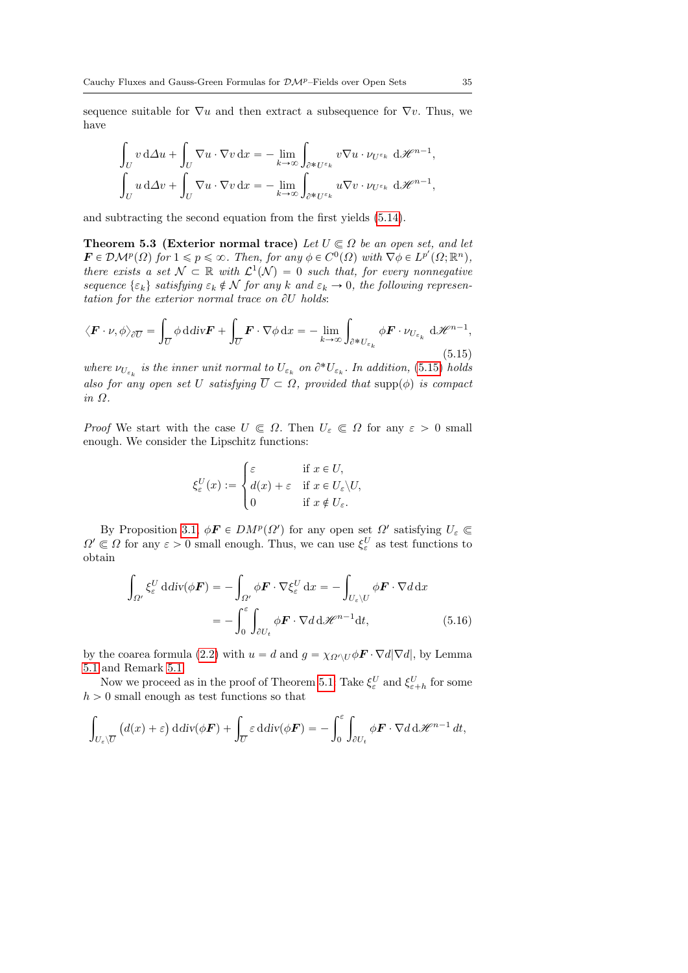sequence suitable for  $\nabla u$  and then extract a subsequence for  $\nabla v$ . Thus, we have

$$
\int_{U} v \, d\Delta u + \int_{U} \nabla u \cdot \nabla v \, dx = -\lim_{k \to \infty} \int_{\partial^* U^{\varepsilon_k}} v \nabla u \cdot \nu_{U^{\varepsilon_k}} \, d\mathcal{H}^{n-1},
$$
\n
$$
\int_{U} u \, d\Delta v + \int_{U} \nabla u \cdot \nabla v \, dx = -\lim_{k \to \infty} \int_{\partial^* U^{\varepsilon_k}} u \nabla v \cdot \nu_{U^{\varepsilon_k}} \, d\mathcal{H}^{n-1},
$$

and subtracting the second equation from the first yields [\(5.14\)](#page-33-2).

<span id="page-34-1"></span>**Theorem 5.3 (Exterior normal trace)** Let  $U \subseteq \Omega$  be an open set, and let  $\mathbf{F} \in \mathcal{DM}^p(\Omega)$  for  $1 \leqslant p \leqslant \infty$ . Then, for any  $\phi \in C^0(\Omega)$  with  $\nabla \phi \in L^{p'}(\Omega; \mathbb{R}^n)$ , there exists a set  $\mathcal{N} \subset \mathbb{R}$  with  $\mathcal{L}^1(\mathcal{N}) = 0$  such that, for every nonnegative sequence  $\{\varepsilon_k\}$  satisfying  $\varepsilon_k \notin \mathcal{N}$  for any k and  $\varepsilon_k \to 0$ , the following representation for the exterior normal trace on  $\partial U$  holds:

<span id="page-34-0"></span>
$$
\langle \boldsymbol{F} \cdot \boldsymbol{\nu}, \phi \rangle_{\partial \overline{U}} = \int_{\overline{U}} \phi \, \mathrm{d} \, \mathrm{div} \boldsymbol{F} + \int_{\overline{U}} \boldsymbol{F} \cdot \nabla \phi \, \mathrm{d} x = - \lim_{k \to \infty} \int_{\partial^* U_{\varepsilon_k}} \phi \boldsymbol{F} \cdot \nu_{U_{\varepsilon_k}} \, \mathrm{d} \mathcal{H}^{n-1},\tag{5.15}
$$

where  $\nu_{U_{\varepsilon_k}}$  is the inner unit normal to  $U_{\varepsilon_k}$  on  $\partial^* U_{\varepsilon_k}$ . In addition, [\(5.15\)](#page-34-0) holds also for any open set U satisfying  $\overline{U} \subset \Omega$ , provided that supp $(\phi)$  is compact in Ω.

*Proof* We start with the case  $U \in \Omega$ . Then  $U_{\varepsilon} \in \Omega$  for any  $\varepsilon > 0$  small enough. We consider the Lipschitz functions:

$$
\xi_{\varepsilon}^{U}(x) := \begin{cases} \varepsilon & \text{if } x \in U, \\ d(x) + \varepsilon & \text{if } x \in U_{\varepsilon} \setminus U, \\ 0 & \text{if } x \notin U_{\varepsilon}. \end{cases}
$$

By Proposition [3.1,](#page-9-3)  $\phi \mathbf{F} \in DM^p(\Omega')$  for any open set  $\Omega'$  satisfying  $U_{\varepsilon} \subset$  $\Omega' \subset \Omega$  for any  $\varepsilon > 0$  small enough. Thus, we can use  $\xi_{\varepsilon}^U$  as test functions to obtain

$$
\int_{\Omega'} \xi_{\varepsilon}^U \, \mathrm{d} \mathrm{div}(\phi \mathbf{F}) = -\int_{\Omega'} \phi \mathbf{F} \cdot \nabla \xi_{\varepsilon}^U \, \mathrm{d}x = -\int_{U_{\varepsilon} \backslash U} \phi \mathbf{F} \cdot \nabla d \, \mathrm{d}x
$$
\n
$$
= -\int_0^{\varepsilon} \int_{\partial U_t} \phi \mathbf{F} \cdot \nabla d \, \mathrm{d}\mathcal{H}^{n-1} \mathrm{d}t,\tag{5.16}
$$

by the coarea formula [\(2.2\)](#page-6-1) with  $u = d$  and  $g = \chi_{\Omega' \setminus U} \phi \mathbf{F} \cdot \nabla d |\nabla d|$ , by Lemma [5.1](#page-27-1) and Remark [5.1.](#page-28-0)

Now we proceed as in the proof of Theorem [5.1:](#page-30-2) Take  $\xi_{\varepsilon}^U$  and  $\xi_{\varepsilon+h}^U$  for some  $h > 0$  small enough as test functions so that

$$
\int_{U_{\varepsilon} \setminus \overline{U}} \left( d(x) + \varepsilon \right) \mathrm{d} \mathrm{div}(\phi \mathbf{F}) + \int_{\overline{U}} \varepsilon \, \mathrm{d} \mathrm{div}(\phi \mathbf{F}) = - \int_0^{\varepsilon} \int_{\partial U_t} \phi \mathbf{F} \cdot \nabla d \mathrm{d} \mathcal{H}^{n-1} dt,
$$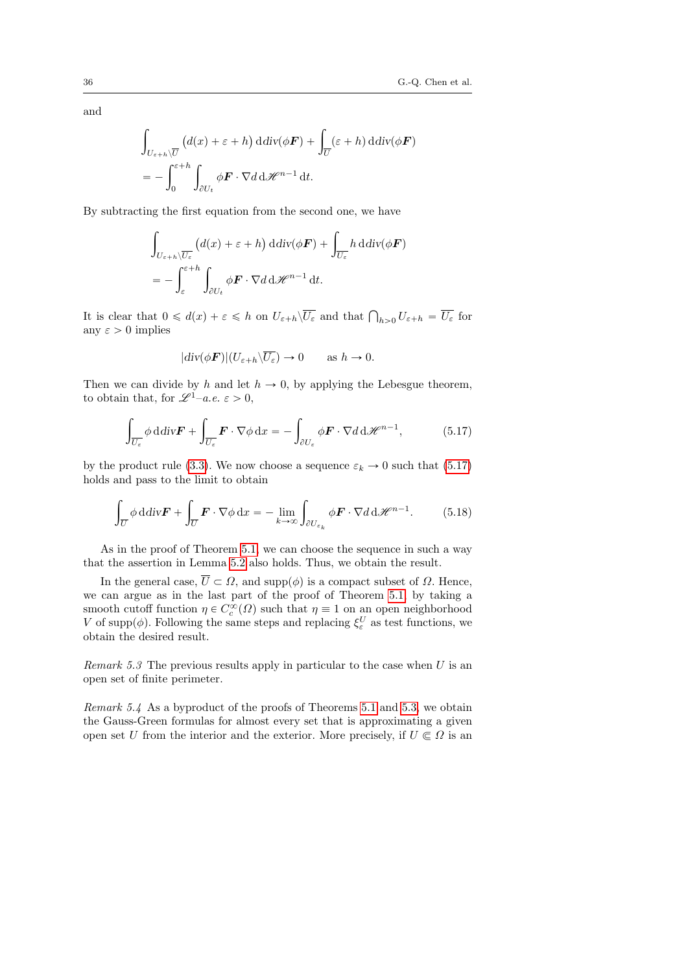and

$$
\int_{U_{\varepsilon+h}\setminus\overline{U}} \left( d(x) + \varepsilon + h \right) \mathrm{d} \mathrm{div}(\phi \mathbf{F}) + \int_{\overline{U}} (\varepsilon + h) \mathrm{d} \mathrm{div}(\phi \mathbf{F})
$$
\n
$$
= - \int_0^{\varepsilon+h} \int_{\partial U_t} \phi \mathbf{F} \cdot \nabla d \mathrm{d} \mathcal{H}^{n-1} \mathrm{d} t.
$$

By subtracting the first equation from the second one, we have

$$
\int_{U_{\varepsilon+h}\setminus\overline{U_{\varepsilon}}} \left( d(x) + \varepsilon + h \right) \mathrm{d} \mathrm{div}(\phi \mathbf{F}) + \int_{\overline{U_{\varepsilon}}} h \, \mathrm{d} \mathrm{div}(\phi \mathbf{F})
$$
\n
$$
= - \int_{\varepsilon}^{\varepsilon+h} \int_{\partial U_t} \phi \mathbf{F} \cdot \nabla d \, \mathrm{d} \mathcal{H}^{n-1} \, \mathrm{d} t.
$$

It is clear that  $0 \leq d(x) + \varepsilon \leq h$  on  $U_{\varepsilon+h} \setminus \overline{U_{\varepsilon}}$  and that  $\bigcap_{h>0} U_{\varepsilon+h} = \overline{U_{\varepsilon}}$  for any  $\varepsilon > 0$  implies

$$
|div(\phi \mathbf{F})|(U_{\varepsilon+h} \backslash \overline{U_{\varepsilon}}) \to 0 \quad \text{as } h \to 0.
$$

Then we can divide by h and let  $h \to 0$ , by applying the Lebesgue theorem, to obtain that, for  $\mathscr{L}^{1}-a.e. \varepsilon > 0$ ,

<span id="page-35-0"></span>
$$
\int_{\overline{U_{\varepsilon}}} \phi \, \mathrm{d} \, \mathrm{div} \mathbf{F} + \int_{\overline{U_{\varepsilon}}} \mathbf{F} \cdot \nabla \phi \, \mathrm{d} x = - \int_{\partial U_{\varepsilon}} \phi \mathbf{F} \cdot \nabla d \, \mathrm{d} \mathcal{H}^{n-1}, \tag{5.17}
$$

by the product rule [\(3.3\)](#page-9-2). We now choose a sequence  $\varepsilon_k \to 0$  such that [\(5.17\)](#page-35-0) holds and pass to the limit to obtain

$$
\int_{\overline{U}} \phi \, \mathrm{d} \, \mathrm{div} \mathbf{F} + \int_{\overline{U}} \mathbf{F} \cdot \nabla \phi \, \mathrm{d}x = - \lim_{k \to \infty} \int_{\partial U_{\varepsilon_k}} \phi \mathbf{F} \cdot \nabla d \, \mathrm{d} \mathcal{H}^{n-1}.
$$
 (5.18)

As in the proof of Theorem [5.1,](#page-30-2) we can choose the sequence in such a way that the assertion in Lemma [5.2](#page-28-2) also holds. Thus, we obtain the result.

In the general case,  $\overline{U} \subset \Omega$ , and supp $(\phi)$  is a compact subset of  $\Omega$ . Hence, we can argue as in the last part of the proof of Theorem [5.1,](#page-30-2) by taking a smooth cutoff function  $\eta \in C_c^{\infty}(\Omega)$  such that  $\eta \equiv 1$  on an open neighborhood V of supp $(\phi)$ . Following the same steps and replacing  $\xi_{\varepsilon}^U$  as test functions, we obtain the desired result.

Remark 5.3 The previous results apply in particular to the case when  $U$  is an open set of finite perimeter.

Remark 5.4 As a byproduct of the proofs of Theorems [5.1](#page-30-2) and [5.3,](#page-34-1) we obtain the Gauss-Green formulas for almost every set that is approximating a given open set U from the interior and the exterior. More precisely, if  $U \subseteq \Omega$  is an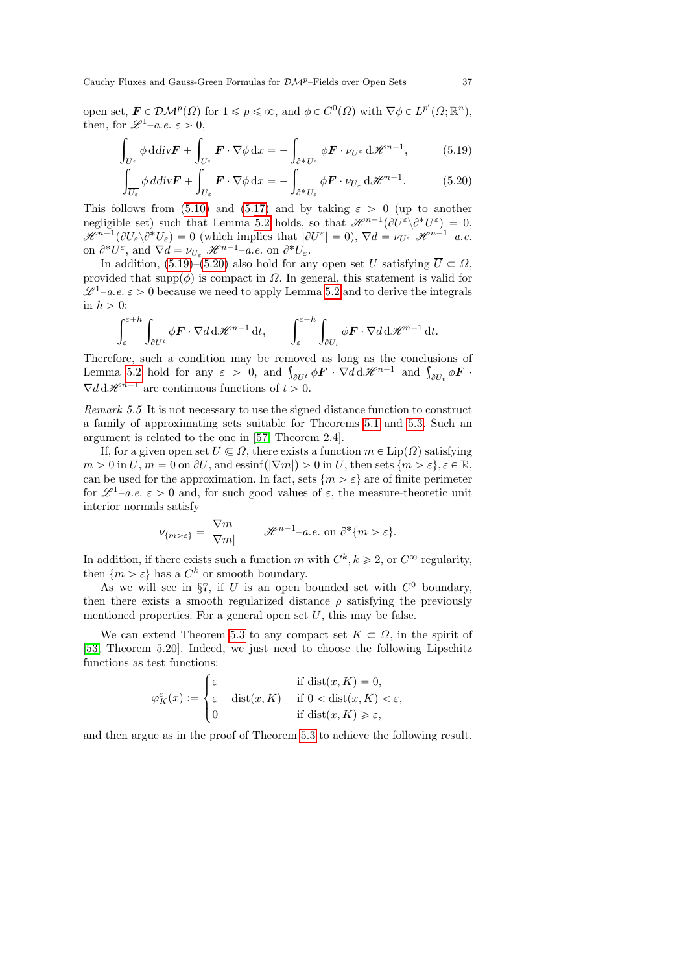open set,  $\mathbf{F} \in \mathcal{DM}^p(\Omega)$  for  $1 \leqslant p \leqslant \infty$ , and  $\phi \in C^0(\Omega)$  with  $\nabla \phi \in L^{p'}(\Omega; \mathbb{R}^n)$ , then, for  $\mathscr{L}^1$ –a.e.  $\varepsilon > 0$ ,

$$
\int_{U^{\varepsilon}} \phi \, \mathrm{d} \, \mathrm{d} \, \mathrm{d} \, \mathrm{d} \, \mathbf{v} \mathbf{F} + \int_{U^{\varepsilon}} \mathbf{F} \cdot \nabla \phi \, \mathrm{d} \, \mathbf{x} = - \int_{\partial^* U^{\varepsilon}} \phi \mathbf{F} \cdot \nu_{U^{\varepsilon}} \, \mathrm{d} \mathcal{H}^{n-1}, \tag{5.19}
$$

<span id="page-36-1"></span><span id="page-36-0"></span>
$$
\int_{U_{\varepsilon}}^{U_{U_{\varepsilon}}} \phi \, d\mathrm{div} \mathbf{F} + \int_{U_{\varepsilon}}^{U_{\varepsilon}} \mathbf{F} \cdot \nabla \phi \, dx = - \int_{\partial^* U_{\varepsilon}}^{\partial^* U_{\varepsilon}} \phi \mathbf{F} \cdot \nu_{U_{\varepsilon}} \, d\mathcal{H}^{n-1}.
$$
 (5.20)

This follows from [\(5.10\)](#page-31-0) and [\(5.17\)](#page-35-0) and by taking  $\varepsilon > 0$  (up to another negligible set) such that Lemma [5.2](#page-28-0) holds, so that  $\mathscr{H}^{n-1}(\partial U^{\varepsilon}\setminus \partial^* U^{\varepsilon}) = 0$ ,  $\mathscr{H}^{n-1}(\partial U_{\varepsilon})\partial^*U_{\varepsilon})=0$  (which implies that  $|\partial U^{\varepsilon}|=0$ ),  $\nabla d=\nu_{U^{\varepsilon}}\mathscr{H}^{n-1}-a.e.$ on  $\partial^* U^{\varepsilon}$ , and  $\nabla d = \nu_{U_{\varepsilon}} \mathcal{H}^{n-1}$ -a.e. on  $\partial^* U_{\varepsilon}$ .

In addition, [\(5.19\)](#page-36-0)–[\(5.20\)](#page-36-1) also hold for any open set U satisfying  $\overline{U} \subset \Omega$ , provided that supp $(\phi)$  is compact in  $\Omega$ . In general, this statement is valid for  $\mathscr{L}^{1}$ –a.e.  $\varepsilon > 0$  because we need to apply Lemma [5.2](#page-28-0) and to derive the integrals in  $h > 0$ :

$$
\int_{\varepsilon}^{\varepsilon+h} \int_{\partial U^t} \phi \mathbf{F} \cdot \nabla d \, d\mathcal{H}^{n-1} \, dt, \qquad \int_{\varepsilon}^{\varepsilon+h} \int_{\partial U_t} \phi \mathbf{F} \cdot \nabla d \, d\mathcal{H}^{n-1} \, dt.
$$

Therefore, such a condition may be removed as long as the conclusions of Therefore, such a condition may be removed as long as the conclusions of Lemma [5.2](#page-28-0) hold for any  $\varepsilon > 0$ , and  $\int_{\partial U_t} \phi \mathbf{F} \cdot \nabla d \mathbf{H} \mathbf{H}^{-1}$  and  $\int_{\partial U_t} \phi \mathbf{F} \cdot \nabla d \mathbf{H}$ .  $\nabla d \, d\mathcal{H}^{n-1}$  are continuous functions of  $t > 0$ .

Remark 5.5 It is not necessary to use the signed distance function to construct a family of approximating sets suitable for Theorems [5.1](#page-30-0) and [5.3.](#page-34-0) Such an argument is related to the one in [\[57,](#page-79-0) Theorem 2.4].

If, for a given open set  $U \nsubseteq \Omega$ , there exists a function  $m \in \text{Lip}(\Omega)$  satisfying  $m > 0$  in  $U, m = 0$  on  $\partial U$ , and essinf $(|\nabla m|) > 0$  in  $U$ , then sets  $\{m > \varepsilon\}, \varepsilon \in \mathbb{R},$ can be used for the approximation. In fact, sets  $\{m > \varepsilon\}$  are of finite perimeter for  $\mathscr{L}^1$ –a.e.  $\varepsilon > 0$  and, for such good values of  $\varepsilon$ , the measure-theoretic unit interior normals satisfy

$$
\nu_{\{m>\varepsilon\}} = \frac{\nabla m}{|\nabla m|} \qquad \mathcal{H}^{n-1} - a.e. \text{ on } \partial^*\{m>\varepsilon\}.
$$

In addition, if there exists such a function m with  $C^k, k \geq 2$ , or  $C^{\infty}$  regularity, then  $\{m > \varepsilon\}$  has a  $C^k$  or smooth boundary.

As we will see in §7, if U is an open bounded set with  $C^0$  boundary, then there exists a smooth regularized distance  $\rho$  satisfying the previously mentioned properties. For a general open set  $U$ , this may be false.

We can extend Theorem [5.3](#page-34-0) to any compact set  $K \subset \Omega$ , in the spirit of [\[53,](#page-79-1) Theorem 5.20]. Indeed, we just need to choose the following Lipschitz functions as test functions:

$$
\varphi_K^{\varepsilon}(x) := \begin{cases} \varepsilon & \text{if } \operatorname{dist}(x, K) = 0, \\ \varepsilon - \operatorname{dist}(x, K) & \text{if } 0 < \operatorname{dist}(x, K) < \varepsilon, \\ 0 & \text{if } \operatorname{dist}(x, K) \geqslant \varepsilon, \end{cases}
$$

<span id="page-36-2"></span>and then argue as in the proof of Theorem [5.3](#page-34-0) to achieve the following result.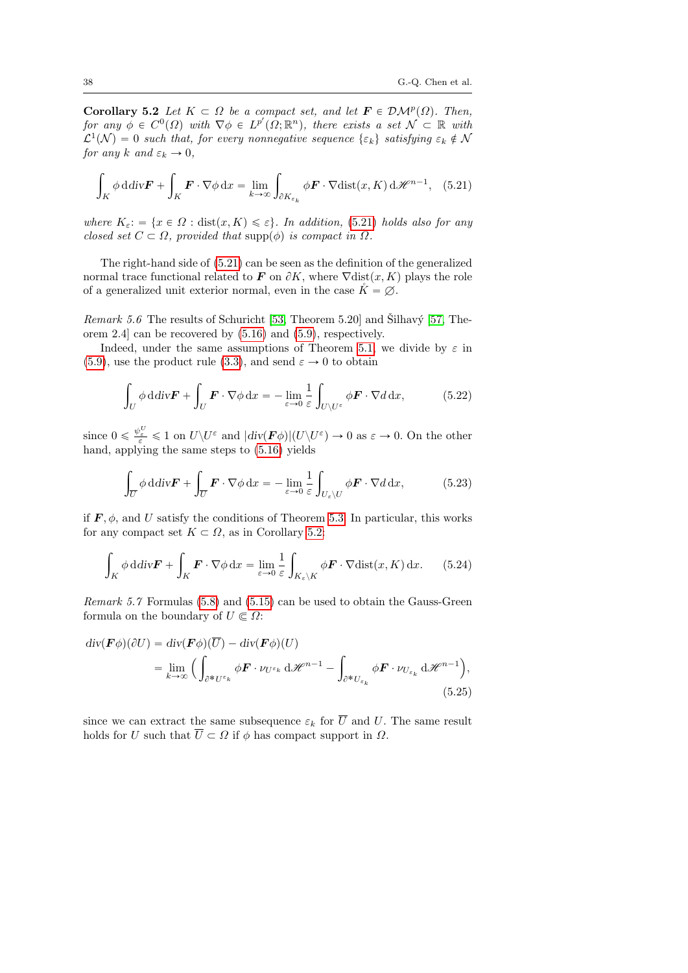**Corollary 5.2** Let  $K \subset \Omega$  be a compact set, and let  $\mathbf{F} \in \mathcal{DM}^p(\Omega)$ . Then, for any  $\phi \in C^0(\Omega)$  with  $\nabla \phi \in L^{p'}(\Omega; \mathbb{R}^n)$ , there exists a set  $\mathcal{N} \subset \mathbb{R}$  with  $\mathcal{L}^1(\mathcal{N}) = 0$  such that, for every nonnegative sequence  $\{\varepsilon_k\}$  satisfying  $\varepsilon_k \notin \mathcal{N}$ for any k and  $\varepsilon_k \to 0$ ,

<span id="page-37-0"></span>
$$
\int_{K} \phi \, \mathrm{d} \, \mathrm{div} \mathbf{F} + \int_{K} \mathbf{F} \cdot \nabla \phi \, \mathrm{d}x = \lim_{k \to \infty} \int_{\partial K_{\varepsilon_k}} \phi \mathbf{F} \cdot \nabla \mathrm{dist}(x, K) \, \mathrm{d} \mathcal{H}^{n-1}, \quad (5.21)
$$

where  $K_{\varepsilon}$ :  $\{x \in \Omega : \text{dist}(x, K) \leq \varepsilon\}$ . In addition, [\(5.21\)](#page-37-0) holds also for any closed set  $C \subset \Omega$ , provided that supp $(\phi)$  is compact in  $\Omega$ .

The right-hand side of [\(5.21\)](#page-37-0) can be seen as the definition of the generalized normal trace functional related to F on  $\partial K$ , where  $\nabla$ dist $(x, K)$  plays the role of a generalized unit exterior normal, even in the case  $\check{K} = \emptyset$ .

<span id="page-37-1"></span>*Remark 5.6* The results of Schuricht [\[53,](#page-79-1) Theorem 5.20] and Silhavý [\[57,](#page-79-0) Theorem 2.4] can be recovered by [\(5.16\)](#page-34-1) and [\(5.9\)](#page-31-1), respectively.

Indeed, under the same assumptions of Theorem [5.1,](#page-30-0) we divide by  $\varepsilon$  in [\(5.9\)](#page-31-1), use the product rule [\(3.3\)](#page-9-0), and send  $\varepsilon \to 0$  to obtain

<span id="page-37-2"></span>
$$
\int_{U} \phi \, \mathrm{d} \, \mathrm{div} \mathbf{F} + \int_{U} \mathbf{F} \cdot \nabla \phi \, \mathrm{d}x = -\lim_{\varepsilon \to 0} \frac{1}{\varepsilon} \int_{U \setminus U^{\varepsilon}} \phi \mathbf{F} \cdot \nabla d \, \mathrm{d}x, \tag{5.22}
$$

since  $0 \leq \frac{\psi_{\varepsilon}^U}{\varepsilon} \leq 1$  on  $U \setminus U^{\varepsilon}$  and  $|div(\mathbf{F}\phi)|(U \setminus U^{\varepsilon}) \to 0$  as  $\varepsilon \to 0$ . On the other hand, applying the same steps to [\(5.16\)](#page-34-1) yields

$$
\int_{\overline{U}} \phi \, \mathrm{d} \, \mathrm{div} \mathbf{F} + \int_{\overline{U}} \mathbf{F} \cdot \nabla \phi \, \mathrm{d}x = -\lim_{\varepsilon \to 0} \frac{1}{\varepsilon} \int_{U_{\varepsilon} \setminus U} \phi \mathbf{F} \cdot \nabla d \, \mathrm{d}x, \tag{5.23}
$$

if  $\mathbf{F}, \phi$ , and U satisfy the conditions of Theorem [5.3.](#page-34-0) In particular, this works for any compact set  $K \subset \Omega$ , as in Corollary [5.2:](#page-36-2)

<span id="page-37-3"></span>
$$
\int_{K} \phi \, \mathrm{d} \, \mathrm{div} \mathbf{F} + \int_{K} \mathbf{F} \cdot \nabla \phi \, \mathrm{d}x = \lim_{\varepsilon \to 0} \frac{1}{\varepsilon} \int_{K_{\varepsilon} \backslash K} \phi \mathbf{F} \cdot \nabla \mathrm{dist}(x, K) \, \mathrm{d}x. \tag{5.24}
$$

Remark 5.7 Formulas [\(5.8\)](#page-30-1) and [\(5.15\)](#page-34-2) can be used to obtain the Gauss-Green formula on the boundary of  $U \subset \Omega$ :

$$
\begin{split} \operatorname{div}(\boldsymbol{F}\phi)(\partial U) &= \operatorname{div}(\boldsymbol{F}\phi)(\overline{U}) - \operatorname{div}(\boldsymbol{F}\phi)(U) \\ &= \lim_{k \to \infty} \Big( \int_{\partial^* U^{\varepsilon_k}} \phi \boldsymbol{F} \cdot \nu_{U^{\varepsilon_k}} \operatorname{d} \mathscr{H}^{n-1} - \int_{\partial^* U_{\varepsilon_k}} \phi \boldsymbol{F} \cdot \nu_{U_{\varepsilon_k}} \operatorname{d} \mathscr{H}^{n-1} \Big), \end{split} \tag{5.25}
$$

since we can extract the same subsequence  $\varepsilon_k$  for  $\overline{U}$  and U. The same result holds for U such that  $\overline{U} \subset \Omega$  if  $\phi$  has compact support in  $\Omega$ .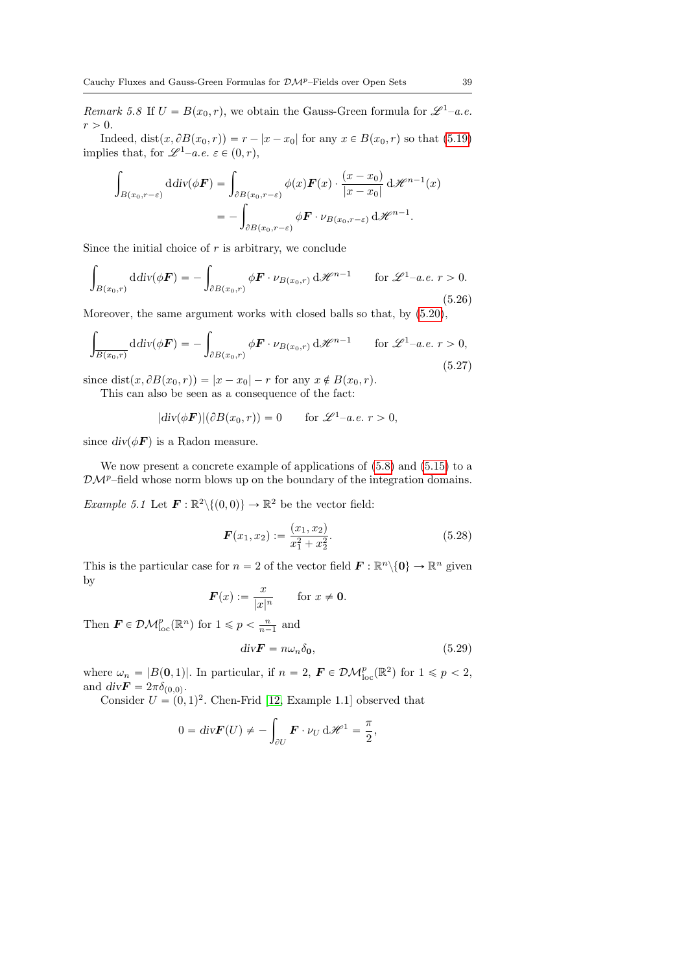Remark 5.8 If  $U = B(x_0, r)$ , we obtain the Gauss-Green formula for  $\mathscr{L}^1$ –a.e.  $r > 0$ .

Indeed,  $dist(x, \partial B(x_0, r)) = r - |x - x_0|$  for any  $x \in B(x_0, r)$  so that [\(5.19\)](#page-36-0) implies that, for  $\mathscr{L}^1$ –a.e.  $\varepsilon \in (0, r)$ ,

$$
\int_{B(x_0,r-\varepsilon)} \mathrm{d} \mathrm{d} \mathrm{d} \mathrm{v}(\phi \mathbf{F}) = \int_{\partial B(x_0,r-\varepsilon)} \phi(x) \mathbf{F}(x) \cdot \frac{(x-x_0)}{|x-x_0|} \, \mathrm{d} \mathcal{H}^{n-1}(x)
$$
\n
$$
= - \int_{\partial B(x_0,r-\varepsilon)} \phi \mathbf{F} \cdot \nu_{B(x_0,r-\varepsilon)} \, \mathrm{d} \mathcal{H}^{n-1}.
$$

Since the initial choice of  $r$  is arbitrary, we conclude

$$
\int_{B(x_0,r)} \mathrm{d} \mathrm{div}(\phi \mathbf{F}) = -\int_{\partial B(x_0,r)} \phi \mathbf{F} \cdot \nu_{B(x_0,r)} \, \mathrm{d} \mathcal{H}^{n-1} \qquad \text{for } \mathcal{L}^1-a.e. \ r > 0.
$$
\n(5.26)

Moreover, the same argument works with closed balls so that, by [\(5.20\)](#page-36-1),

$$
\int_{\overline{B(x_0,r)}} \mathrm{d} \mathrm{div}(\phi \mathbf{F}) = -\int_{\partial B(x_0,r)} \phi \mathbf{F} \cdot \nu_{B(x_0,r)} \, \mathrm{d} \mathcal{H}^{n-1} \qquad \text{for } \mathcal{L}^1-a.e. \ r > 0,
$$
\n(5.27)

since dist $(x, \partial B(x_0, r)) = |x - x_0| - r$  for any  $x \notin B(x_0, r)$ .

This can also be seen as a consequence of the fact:

 $|div(\phi \mathbf{F})|(\partial B(x_0, r)) = 0$  for  $\mathscr{L}^1$ –a.e.  $r > 0$ ,

since  $div(\phi \boldsymbol{F})$  is a Radon measure.

We now present a concrete example of applications of [\(5.8\)](#page-30-1) and [\(5.15\)](#page-34-2) to a  $\mathcal{D}M^p$ –field whose norm blows up on the boundary of the integration domains.

<span id="page-38-0"></span>*Example 5.1* Let  $\mathbf{F} : \mathbb{R}^2 \setminus \{(0,0)\} \to \mathbb{R}^2$  be the vector field:

$$
\boldsymbol{F}(x_1, x_2) := \frac{(x_1, x_2)}{x_1^2 + x_2^2}.
$$
\n(5.28)

This is the particular case for  $n = 2$  of the vector field  $\mathbf{F} : \mathbb{R}^n \setminus \{0\} \to \mathbb{R}^n$  given by

$$
\boldsymbol{F}(x) := \frac{x}{|x|^n} \quad \text{for } x \neq \boldsymbol{0}.
$$

Then  $\mathbf{F} \in \mathcal{DM}_{\text{loc}}^p(\mathbb{R}^n)$  for  $1 \leqslant p < \frac{n}{n-1}$  and

<span id="page-38-1"></span>
$$
div\mathbf{F} = n\omega_n \delta_0,\tag{5.29}
$$

where  $\omega_n = |B(0,1)|$ . In particular, if  $n = 2$ ,  $\mathbf{F} \in \mathcal{DM}_{loc}^p(\mathbb{R}^2)$  for  $1 \leq p < 2$ , and  $div \mathbf{F} = 2\pi \delta_{(0,0)}$ .

Consider  $U = (0, 1)^2$ . Chen-Frid [\[12,](#page-77-0) Example 1.1] observed that

$$
0 = \text{div}\mathbf{F}(U) \neq -\int_{\partial U} \mathbf{F} \cdot \nu_U \, d\mathcal{H}^1 = \frac{\pi}{2},
$$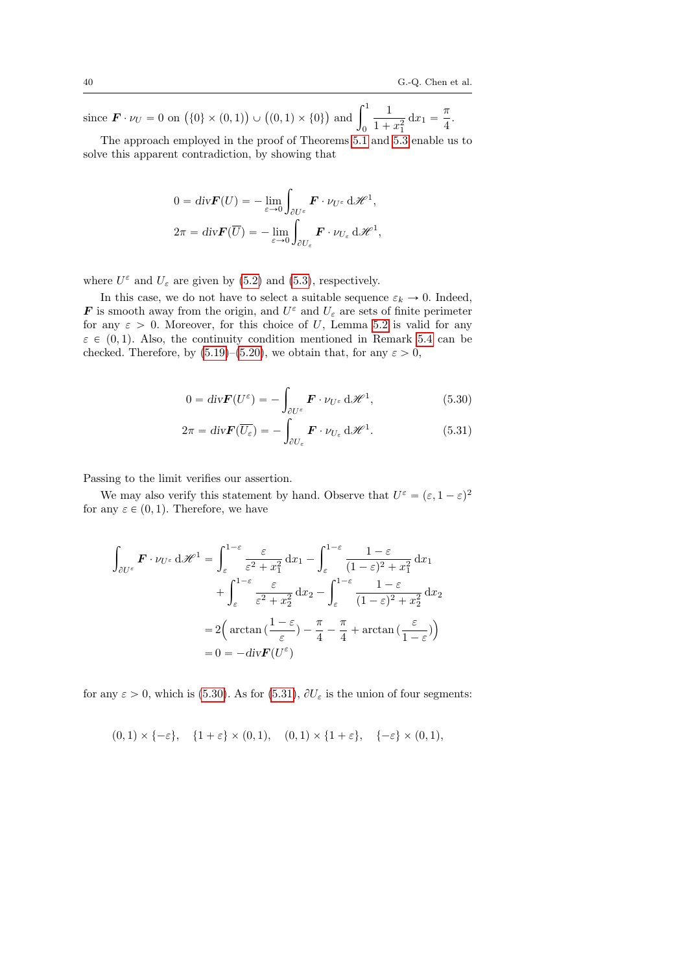since  $\mathbf{F} \cdot \nu_U = 0$  on  $(\{0\} \times (0, 1))$  $\cup$  $(0, 1) \times \{0\}$ ) and  $\int_1^1$  $\theta$ 1  $\frac{1}{1 + x_1^2} dx_1 = \frac{\pi}{4}$  $\frac{1}{4}$ .

The approach employed in the proof of Theorems [5.1](#page-30-0) and [5.3](#page-34-0) enable us to solve this apparent contradiction, by showing that

$$
0 = \text{div}\mathbf{F}(U) = -\lim_{\varepsilon \to 0} \int_{\partial U^{\varepsilon}} \mathbf{F} \cdot \nu_{U^{\varepsilon}} d\mathcal{H}^{1},
$$
  

$$
2\pi = \text{div}\mathbf{F}(\overline{U}) = -\lim_{\varepsilon \to 0} \int_{\partial U_{\varepsilon}} \mathbf{F} \cdot \nu_{U_{\varepsilon}} d\mathcal{H}^{1},
$$

where  $U^{\varepsilon}$  and  $U_{\varepsilon}$  are given by [\(5.2\)](#page-28-1) and [\(5.3\)](#page-28-2), respectively.

In this case, we do not have to select a suitable sequence  $\varepsilon_k \to 0$ . Indeed, **F** is smooth away from the origin, and  $U^{\varepsilon}$  and  $U_{\varepsilon}$  are sets of finite perimeter for any  $\varepsilon > 0$ . Moreover, for this choice of U, Lemma [5.2](#page-28-0) is valid for any  $\varepsilon \in (0, 1)$ . Also, the continuity condition mentioned in Remark [5.4](#page-35-1) can be checked. Therefore, by [\(5.19\)](#page-36-0)–[\(5.20\)](#page-36-1), we obtain that, for any  $\varepsilon > 0$ ,

<span id="page-39-1"></span><span id="page-39-0"></span>
$$
0 = \text{div}\mathbf{F}(U^{\varepsilon}) = -\int_{\partial U^{\varepsilon}} \mathbf{F} \cdot \nu_{U^{\varepsilon}} d\mathscr{H}^{1}, \qquad (5.30)
$$

$$
2\pi = \text{div}\mathbf{F}(\overline{U_{\varepsilon}}) = -\int_{\partial U_{\varepsilon}}^{\partial U_{\varepsilon}} \mathbf{F} \cdot \nu_{U_{\varepsilon}} d\mathscr{H}^{1}.
$$
 (5.31)

Passing to the limit verifies our assertion.

We may also verify this statement by hand. Observe that  $U^{\varepsilon} = (\varepsilon, 1 - \varepsilon)^2$ for any  $\varepsilon \in (0, 1)$ . Therefore, we have

$$
\int_{\partial U^{\varepsilon}} \mathbf{F} \cdot \nu_{U^{\varepsilon}} d\mathcal{H}^{1} = \int_{\varepsilon}^{1-\varepsilon} \frac{\varepsilon}{\varepsilon^{2} + x_{1}^{2}} dx_{1} - \int_{\varepsilon}^{1-\varepsilon} \frac{1-\varepsilon}{(1-\varepsilon)^{2} + x_{1}^{2}} dx_{1}
$$
\n
$$
+ \int_{\varepsilon}^{1-\varepsilon} \frac{\varepsilon}{\varepsilon^{2} + x_{2}^{2}} dx_{2} - \int_{\varepsilon}^{1-\varepsilon} \frac{1-\varepsilon}{(1-\varepsilon)^{2} + x_{2}^{2}} dx_{2}
$$
\n
$$
= 2 \Big( \arctan \big( \frac{1-\varepsilon}{\varepsilon} \big) - \frac{\pi}{4} - \frac{\pi}{4} + \arctan \big( \frac{\varepsilon}{1-\varepsilon} \big) \Big)
$$
\n
$$
= 0 = -div \mathbf{F}(U^{\varepsilon})
$$

for any  $\varepsilon > 0$ , which is [\(5.30\)](#page-39-0). As for [\(5.31\)](#page-39-1),  $\partial U_{\varepsilon}$  is the union of four segments:

$$
(0,1) \times \{-\varepsilon\}, \quad \{1+\varepsilon\} \times (0,1), \quad (0,1) \times \{1+\varepsilon\}, \quad \{-\varepsilon\} \times (0,1),
$$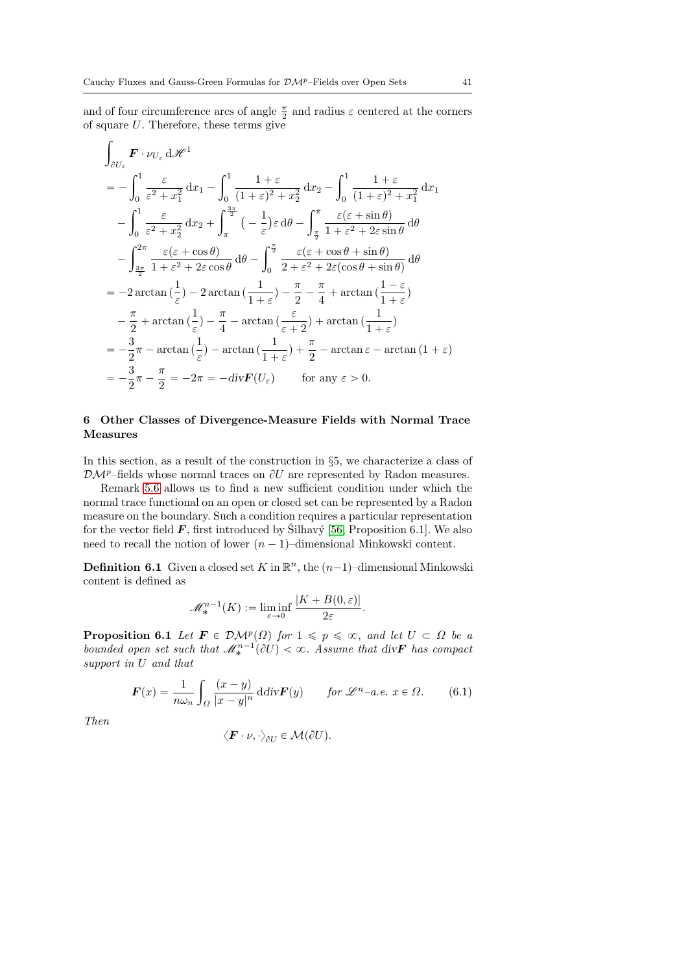and of four circumference arcs of angle  $\frac{\pi}{2}$  and radius  $\varepsilon$  centered at the corners of square U. Therefore, these terms give ż

$$
\int_{\partial U_{\varepsilon}} \mathbf{F} \cdot \nu_{U_{\varepsilon}} d\mathcal{H}^{1}
$$
\n
$$
= -\int_{0}^{1} \frac{\varepsilon}{\varepsilon^{2} + x_{1}^{2}} dx_{1} - \int_{0}^{1} \frac{1 + \varepsilon}{(1 + \varepsilon)^{2} + x_{2}^{2}} dx_{2} - \int_{0}^{1} \frac{1 + \varepsilon}{(1 + \varepsilon)^{2} + x_{1}^{2}} dx_{1}
$$
\n
$$
- \int_{0}^{1} \frac{\varepsilon}{\varepsilon^{2} + x_{2}^{2}} dx_{2} + \int_{\pi}^{\frac{3\pi}{2}} (-\frac{1}{\varepsilon}) \varepsilon d\theta - \int_{\frac{\pi}{2}}^{\pi} \frac{\varepsilon(\varepsilon + \sin \theta)}{1 + \varepsilon^{2} + 2\varepsilon \sin \theta} d\theta
$$
\n
$$
- \int_{\frac{3\pi}{2}}^{2\pi} \frac{\varepsilon(\varepsilon + \cos \theta)}{1 + \varepsilon^{2} + 2\varepsilon \cos \theta} d\theta - \int_{0}^{\frac{\pi}{2}} \frac{\varepsilon(\varepsilon + \cos \theta + \sin \theta)}{2 + \varepsilon^{2} + 2\varepsilon(\cos \theta + \sin \theta)} d\theta
$$
\n
$$
= -2 \arctan(\frac{1}{\varepsilon}) - 2 \arctan(\frac{1}{1 + \varepsilon}) - \frac{\pi}{2} - \frac{\pi}{4} + \arctan(\frac{1 - \varepsilon}{1 + \varepsilon})
$$
\n
$$
- \frac{\pi}{2} + \arctan(\frac{1}{\varepsilon}) - \frac{\pi}{4} - \arctan(\frac{\varepsilon}{\varepsilon + 2}) + \arctan(\frac{1}{1 + \varepsilon})
$$
\n
$$
= -\frac{3}{2}\pi - \arctan(\frac{1}{\varepsilon}) - \arctan(\frac{1}{1 + \varepsilon}) + \frac{\pi}{2} - \arctan(\frac{1}{1 + \varepsilon})
$$
\n
$$
= -\frac{3}{2}\pi - \frac{\pi}{2} = -2\pi = -\text{div}\mathbf{F}(U_{\varepsilon}) \qquad \text{for any } \varepsilon > 0.
$$

## 6 Other Classes of Divergence-Measure Fields with Normal Trace Measures

In this section, as a result of the construction in §5, we characterize a class of  $\mathcal{DM}^p$ –fields whose normal traces on  $\partial U$  are represented by Radon measures.

Remark [5.6](#page-37-1) allows us to find a new sufficient condition under which the normal trace functional on an open or closed set can be represented by a Radon measure on the boundary. Such a condition requires a particular representation for the vector field  $\vec{F}$ , first introduced by Silhavý [\[56,](#page-79-2) Proposition 6.1]. We also need to recall the notion of lower  $(n - 1)$ –dimensional Minkowski content.

**Definition 6.1** Given a closed set K in  $\mathbb{R}^n$ , the  $(n-1)$ -dimensional Minkowski content is defined as

$$
\mathscr{M}_*^{n-1}(K):=\liminf_{\varepsilon\to 0}\frac{|K+B(0,\varepsilon)|}{2\varepsilon}.
$$

<span id="page-40-1"></span>**Proposition 6.1** Let  $\mathbf{F} \in \mathcal{DM}^p(\Omega)$  for  $1 \leq p \leq \infty$ , and let  $U \subset \Omega$  be a bounded open set such that  $\mathcal{M}^{n-1}_*(\partial U) < \infty$ . Assume that div $\mathbf{F}$  has compact support in U and that

<span id="page-40-0"></span>
$$
\boldsymbol{F}(x) = \frac{1}{n\omega_n} \int_{\Omega} \frac{(x-y)}{|x-y|^n} \, \mathrm{d} \mathrm{div} \boldsymbol{F}(y) \qquad \text{for } \mathscr{L}^n \text{--a.e. } x \in \Omega. \tag{6.1}
$$

Then

$$
\langle \boldsymbol{F}\cdot \nu, \cdot \rangle_{\partial U} \in \mathcal{M}(\partial U).
$$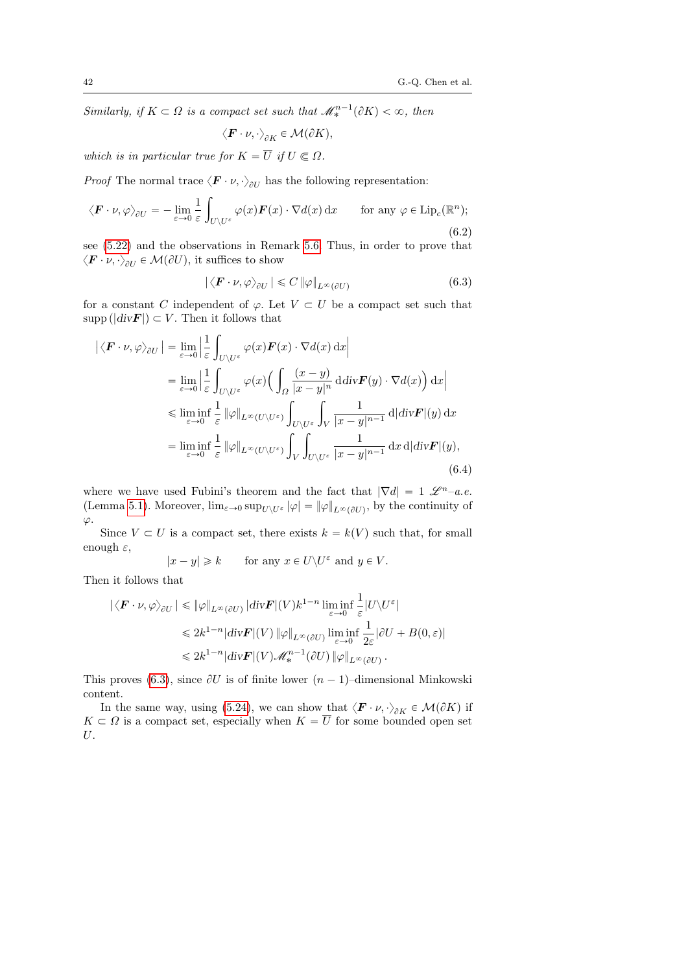Similarly, if  $K \subset \Omega$  is a compact set such that  $\mathcal{M}_*^{n-1}(\partial K) < \infty$ , then

$$
\left\langle \bm{F}\cdot\nu,\cdot\right\rangle _{\partial K}\in\mathcal{M}(\partial K),
$$

which is in particular true for  $K = \overline{U}$  if  $U \subset \Omega$ .

*Proof* The normal trace  $\langle \mathbf{F} \cdot \nu, \cdot \rangle_{\partial U}$  has the following representation:

$$
\langle \boldsymbol{F} \cdot \boldsymbol{\nu}, \varphi \rangle_{\partial U} = -\lim_{\varepsilon \to 0} \frac{1}{\varepsilon} \int_{U \setminus U^{\varepsilon}} \varphi(x) \boldsymbol{F}(x) \cdot \nabla d(x) dx \quad \text{for any } \varphi \in \text{Lip}_{c}(\mathbb{R}^{n});
$$
\n(6.2)

see [\(5.22\)](#page-37-2) and the observations in Remark [5.6.](#page-37-1) Thus, in order to prove that  $\langle \boldsymbol{F} \cdot \nu, \cdot \rangle_{\partial U} \in \mathcal{M}(\partial U),$  it suffices to show

<span id="page-41-0"></span>
$$
|\langle \boldsymbol{F} \cdot \boldsymbol{\nu}, \varphi \rangle_{\partial U}| \leqslant C \|\varphi\|_{L^{\infty}(\partial U)} \tag{6.3}
$$

for a constant C independent of  $\varphi$ . Let  $V \subset U$  be a compact set such that  $\text{supp}(|div F|) \subset V$ . Then it follows that

$$
\left| \langle \mathbf{F} \cdot \nu, \varphi \rangle_{\partial U} \right| = \lim_{\varepsilon \to 0} \left| \frac{1}{\varepsilon} \int_{U \setminus U^{\varepsilon}} \varphi(x) \mathbf{F}(x) \cdot \nabla d(x) dx \right|
$$
  
\n
$$
= \lim_{\varepsilon \to 0} \left| \frac{1}{\varepsilon} \int_{U \setminus U^{\varepsilon}} \varphi(x) \left( \int_{\Omega} \frac{(x - y)}{|x - y|^n} d \mathrm{div} \mathbf{F}(y) \cdot \nabla d(x) \right) dx \right|
$$
  
\n
$$
\leq \liminf_{\varepsilon \to 0} \frac{1}{\varepsilon} \|\varphi\|_{L^{\infty}(U \setminus U^{\varepsilon})} \int_{U \setminus U^{\varepsilon}} \int_{V} \frac{1}{|x - y|^{n - 1}} d| \mathrm{div} \mathbf{F}|(y) dx
$$
  
\n
$$
= \liminf_{\varepsilon \to 0} \frac{1}{\varepsilon} \|\varphi\|_{L^{\infty}(U \setminus U^{\varepsilon})} \int_{V} \int_{U \setminus U^{\varepsilon}} \frac{1}{|x - y|^{n - 1}} dx d| \mathrm{div} \mathbf{F}|(y),
$$
  
\n(6.4)

where we have used Fubini's theorem and the fact that  $|\nabla d| = 1 \mathcal{L}^{n}$ -a.e. (Lemma [5.1\)](#page-27-0). Moreover,  $\lim_{\varepsilon\to 0} \sup_{U\setminus U^{\varepsilon}} |\varphi| = ||\varphi||_{L^{\infty}(\partial U)}$ , by the continuity of  $\varphi$ .

Since  $V \subset U$  is a compact set, there exists  $k = k(V)$  such that, for small enough  $\varepsilon$ ,

$$
|x - y| \geq k \quad \text{for any } x \in U \setminus U^{\varepsilon} \text{ and } y \in V.
$$

Then it follows that

$$
\begin{split} \left| \langle \pmb{F} \cdot \nu, \varphi \rangle_{\partial U} \right| &\leq \|\varphi\|_{L^{\infty}(\partial U)} \left| \mbox{div} \pmb{F} |(V) k^{1-n} \liminf_{\varepsilon \to 0} \frac{1}{\varepsilon} |U \backslash U^{\varepsilon}| \right. \\ &\leqslant 2 k^{1-n} |{\rm div} \pmb{F} |(V) \, \| \varphi \|_{L^{\infty}(\partial U)} \liminf_{\varepsilon \to 0} \frac{1}{2 \varepsilon} | \partial U + B(0, \varepsilon) | \\ &\leqslant 2 k^{1-n} |{\rm div} \pmb{F} |(V) \mathscr{M}_*^{n-1}(\partial U) \, \| \varphi \|_{L^{\infty}(\partial U)} \,. \end{split}
$$

This proves [\(6.3\)](#page-41-0), since  $\partial U$  is of finite lower  $(n - 1)$ –dimensional Minkowski content.

In the same way, using [\(5.24\)](#page-37-3), we can show that  $\langle \mathbf{F} \cdot \nu, \cdot \rangle_{\partial K} \in \mathcal{M}(\partial K)$  if  $K \subset \Omega$  is a compact set, especially when  $K = U$  for some bounded open set U.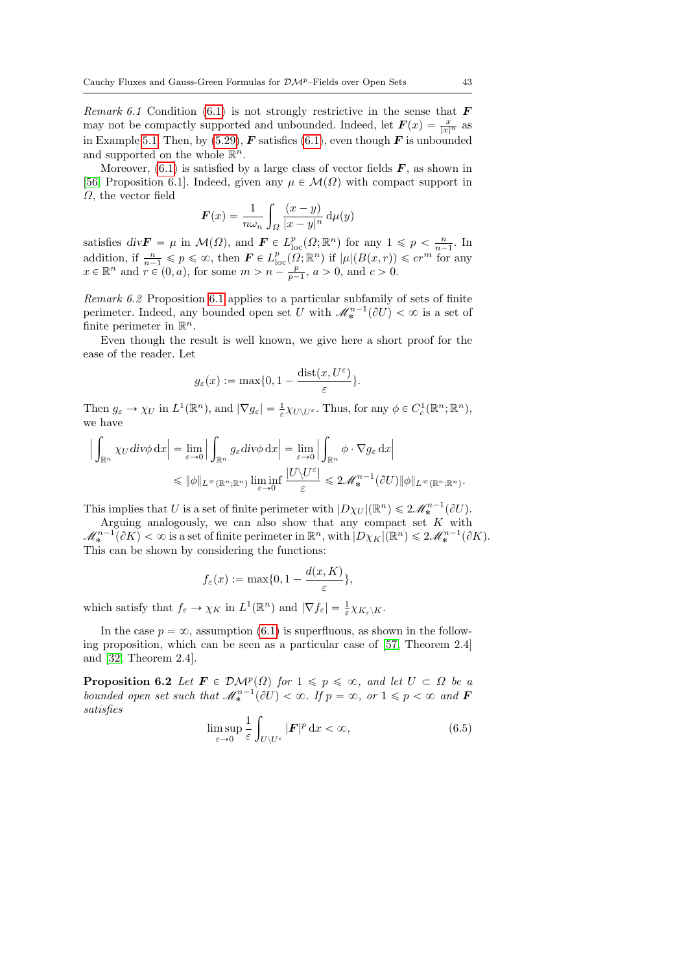Remark 6.1 Condition [\(6.1\)](#page-40-0) is not strongly restrictive in the sense that  $\bm{F}$ may not be compactly supported and unbounded. Indeed, let  $\mathbf{F}(x) = \frac{x}{|x|^n}$  as in Example [5.1.](#page-38-0) Then, by [\(5.29\)](#page-38-1),  $\boldsymbol{F}$  satisfies [\(6.1\)](#page-40-0), even though  $\boldsymbol{F}$  is unbounded and supported on the whole  $\mathbb{R}^n$ .

Moreover,  $(6.1)$  is satisfied by a large class of vector fields  $\bm{F}$ , as shown in [\[56,](#page-79-2) Proposition 6.1]. Indeed, given any  $\mu \in \mathcal{M}(\Omega)$  with compact support in  $\Omega$ , the vector field

$$
\boldsymbol{F}(x) = \frac{1}{n\omega_n} \int_{\Omega} \frac{(x-y)}{|x-y|^n} \, \mathrm{d}\mu(y)
$$

satisfies  $div \mathbf{F} = \mu$  in  $\mathcal{M}(\Omega)$ , and  $\mathbf{F} \in L^p_{loc}(\Omega; \mathbb{R}^n)$  for any  $1 \leq p < \frac{n}{n-1}$ . In addition, if  $\frac{n}{n-1} \leqslant p \leqslant \infty$ , then  $\mathbf{F} \in L_{\text{loc}}^p(\Omega; \mathbb{R}^n)$  if  $|\mu|(B(x,r)) \leqslant c r^m$  for any  $x \in \mathbb{R}^n$  and  $r \in (0, a)$ , for some  $m > n - \frac{p}{p-1}$ ,  $a > 0$ , and  $c > 0$ .

Remark 6.2 Proposition [6.1](#page-40-1) applies to a particular subfamily of sets of finite perimeter. Indeed, any bounded open set U with  $\mathcal{M}_*^{n-1}(\partial U) < \infty$  is a set of finite perimeter in  $\mathbb{R}^n$ .

Even though the result is well known, we give here a short proof for the ease of the reader. Let

$$
g_{\varepsilon}(x) := \max\{0, 1 - \frac{\text{dist}(x, U^{\varepsilon})}{\varepsilon}\}.
$$

Then  $g_{\varepsilon} \to \chi_U$  in  $L^1(\mathbb{R}^n)$ , and  $|\nabla g_{\varepsilon}| = \frac{1}{\varepsilon} \chi_{U \setminus U^{\varepsilon}}$ . Thus, for any  $\phi \in C_c^1(\mathbb{R}^n; \mathbb{R}^n)$ , we have ż

$$
\left| \int_{\mathbb{R}^n} \chi_U \operatorname{div} \phi \, dx \right| = \lim_{\varepsilon \to 0} \left| \int_{\mathbb{R}^n} g_{\varepsilon} \operatorname{div} \phi \, dx \right| = \lim_{\varepsilon \to 0} \left| \int_{\mathbb{R}^n} \phi \cdot \nabla g_{\varepsilon} \, dx \right|
$$
  
\$\leqslant \|\phi\|\_{L^\infty(\mathbb{R}^n; \mathbb{R}^n)}\$~ $\liminf_{\varepsilon \to 0} \frac{|U \setminus U^{\varepsilon}|}{\varepsilon} \leqslant 2\mathscr{M}_*^{n-1}(\partial U) \|\phi\|_{L^\infty(\mathbb{R}^n; \mathbb{R}^n)}.$ 

This implies that U is a set of finite perimeter with  $|D\chi_U|(\mathbb{R}^n) \leq 2\mathscr{M}_*^{n-1}(\partial U)$ .

Arguing analogously, we can also show that any compact set  $K$  with  $\mathscr{M}^{n-1}_*(\partial K)<\infty$  is a set of finite perimeter in  $\mathbb{R}^n$ , with  $|D\chi_K|(\mathbb{R}^n)\leq 2\mathscr{M}^{n-1}_*(\partial K)$ . This can be shown by considering the functions:

$$
f_{\varepsilon}(x) := \max\{0, 1 - \frac{d(x, K)}{\varepsilon}\},\
$$

which satisfy that  $f_{\varepsilon} \to \chi_K$  in  $L^1(\mathbb{R}^n)$  and  $|\nabla f_{\varepsilon}| = \frac{1}{\varepsilon} \chi_{K_{\varepsilon} \setminus K}$ .

In the case  $p = \infty$ , assumption [\(6.1\)](#page-40-0) is superfluous, as shown in the following proposition, which can be seen as a particular case of [\[57,](#page-79-0) Theorem 2.4] and [\[32,](#page-78-0) Theorem 2.4].

<span id="page-42-1"></span>**Proposition 6.2** Let  $\mathbf{F} \in \mathcal{DM}^p(\Omega)$  for  $1 \leq p \leq \infty$ , and let  $U \subset \Omega$  be a bounded open set such that  $\mathcal{M}^{n-1}_{*}(\partial U) < \infty$ . If  $p = \infty$ , or  $1 \leq p < \infty$  and **F** satisfies

<span id="page-42-0"></span>
$$
\limsup_{\varepsilon \to 0} \frac{1}{\varepsilon} \int_{U \setminus U^{\varepsilon}} |F|^p \, \mathrm{d}x < \infty,\tag{6.5}
$$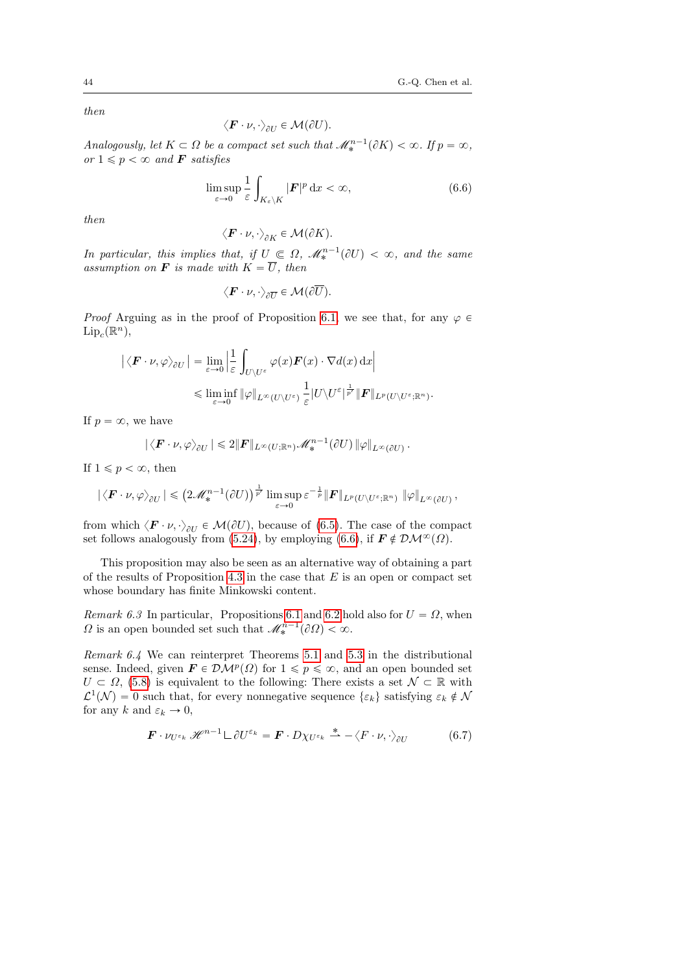then

$$
\langle \boldsymbol{F} \cdot \boldsymbol{\nu}, \cdot \rangle_{\partial U} \in \mathcal{M}(\partial U).
$$

Analogously, let  $K \subset \Omega$  be a compact set such that  $\mathcal{M}_*^{n-1}(\partial K) < \infty$ . If  $p = \infty$ , or  $1 \leqslant p < \infty$  and **F** satisfies

<span id="page-43-0"></span>
$$
\limsup_{\varepsilon \to 0} \frac{1}{\varepsilon} \int_{K_{\varepsilon} \backslash K} |\mathbf{F}|^p \, \mathrm{d}x < \infty,\tag{6.6}
$$

then

$$
\langle \boldsymbol{F}\cdot \nu, \cdot \rangle_{\partial K} \in \mathcal{M}(\partial K).
$$

In particular, this implies that, if  $U \subseteq \Omega$ ,  $\mathcal{M}_*^{n-1}(\partial U) < \infty$ , and the same assumption on **F** is made with  $K = \overline{U}$ , then

$$
\langle \boldsymbol{F}\cdot \nu, \cdot \rangle_{\partial \overline{U}} \in \mathcal{M}(\partial \overline{U}).
$$

*Proof* Arguing as in the proof of Proposition [6.1,](#page-40-1) we see that, for any  $\varphi \in$  $\mathrm{Lip}_c(\mathbb{R}^n)$ ,

$$
\left| \langle \mathbf{F} \cdot \nu, \varphi \rangle_{\partial U} \right| = \lim_{\varepsilon \to 0} \left| \frac{1}{\varepsilon} \int_{U \setminus U^{\varepsilon}} \varphi(x) \mathbf{F}(x) \cdot \nabla d(x) dx \right|
$$
  

$$
\leq \liminf_{\varepsilon \to 0} \|\varphi\|_{L^{\infty}(U \setminus U^{\varepsilon})} \frac{1}{\varepsilon} |U \setminus U^{\varepsilon}|^{\frac{1}{p'}} \| \mathbf{F} \|_{L^{p}(U \setminus U^{\varepsilon}; \mathbb{R}^{n})}.
$$

If  $p = \infty$ , we have

$$
|\langle \boldsymbol{F} \cdot \boldsymbol{\nu}, \varphi \rangle_{\partial U}| \leq 2 \|\boldsymbol{F}\|_{L^{\infty}(U;\mathbb{R}^n)} \mathscr{M}_*^{n-1}(\partial U) \|\varphi\|_{L^{\infty}(\partial U)}.
$$

If  $1 \leqslant p < \infty$ , then

$$
|\langle \boldsymbol{F}\cdot \nu,\varphi\rangle_{\partial U}|\leqslant \left(2\mathscr{M}^{n-1}_*(\partial U)\right)^{\frac{1}{p'}}\limsup_{\varepsilon\to 0}\varepsilon^{-\frac{1}{p}}\|\boldsymbol{F}\|_{L^p(U\setminus U^\varepsilon;\mathbb{R}^n)}\ \|\varphi\|_{L^\infty(\partial U)},
$$

from which  $\langle \mathbf{F} \cdot \nu, \cdot \rangle_{\partial U} \in \mathcal{M}(\partial U)$ , because of [\(6.5\)](#page-42-0). The case of the compact set follows analogously from [\(5.24\)](#page-37-3), by employing [\(6.6\)](#page-43-0), if  $\mathbf{F} \notin \mathcal{DM}^{\infty}(\Omega)$ .

This proposition may also be seen as an alternative way of obtaining a part of the results of Proposition [4.3](#page-19-0) in the case that  $E$  is an open or compact set whose boundary has finite Minkowski content.

Remark 6.3 In particular, Propositions [6.1](#page-40-1) and [6.2](#page-42-1) hold also for  $U = \Omega$ , when  $\Omega$  is an open bounded set such that  $\mathcal{M}_*^{n-1}(\partial\Omega) < \infty$ .

<span id="page-43-1"></span>Remark 6.4 We can reinterpret Theorems [5.1](#page-30-0) and [5.3](#page-34-0) in the distributional sense. Indeed, given  $\mathbf{F} \in \mathcal{DM}^p(\Omega)$  for  $1 \leqslant p \leqslant \infty$ , and an open bounded set  $U \subset \Omega$ , [\(5.8\)](#page-30-1) is equivalent to the following: There exists a set  $\mathcal{N} \subset \mathbb{R}$  with  $\mathcal{L}^1(\mathcal{N}) = 0$  such that, for every nonnegative sequence  $\{\varepsilon_k\}$  satisfying  $\varepsilon_k \notin \mathcal{N}$ for any k and  $\varepsilon_k \to 0$ ,

<span id="page-43-2"></span>
$$
\boldsymbol{F} \cdot \nu_{U^{\varepsilon_k}} \mathscr{H}^{n-1} \mathcal{L} \partial U^{\varepsilon_k} = \boldsymbol{F} \cdot D\chi_{U^{\varepsilon_k}} \stackrel{*}{\rightharpoonup} - \langle F \cdot \nu, \cdot \rangle_{\partial U} \tag{6.7}
$$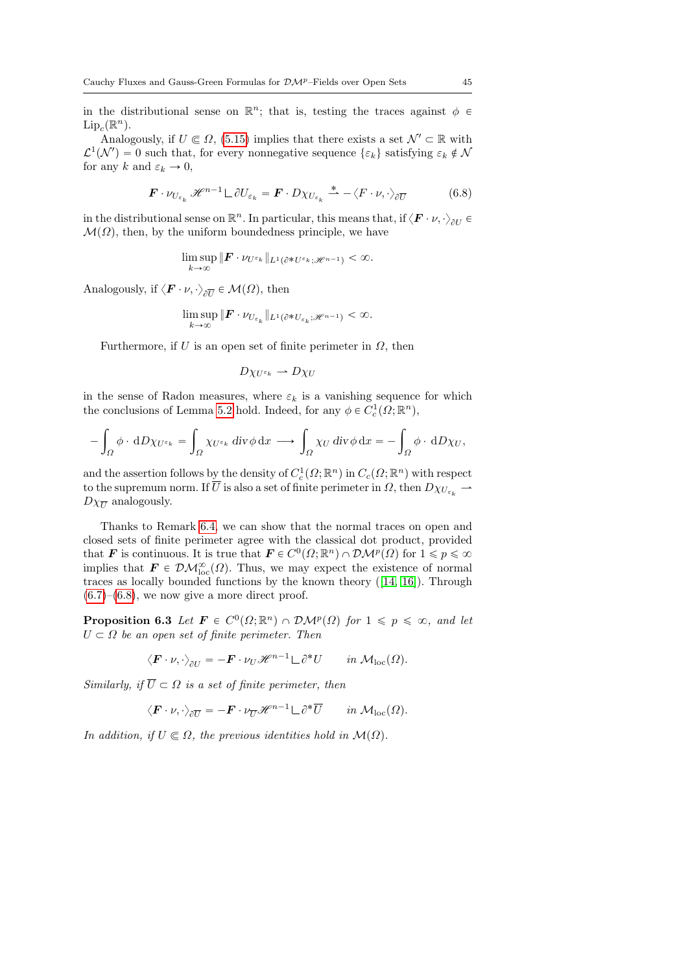in the distributional sense on  $\mathbb{R}^n$ ; that is, testing the traces against  $\phi \in$  $\mathrm{Lip}_c(\mathbb{R}^n)$ .

Analogously, if  $U \in \Omega$ , [\(5.15\)](#page-34-2) implies that there exists a set  $\mathcal{N}' \subset \mathbb{R}$  with  $\mathcal{L}^1(\mathcal{N}') = 0$  such that, for every nonnegative sequence  $\{\varepsilon_k\}$  satisfying  $\varepsilon_k \notin \mathcal{N}$ for any k and  $\varepsilon_k \to 0$ ,

<span id="page-44-0"></span>
$$
\boldsymbol{F} \cdot \nu_{U_{\varepsilon_k}} \mathscr{H}^{n-1} \sqcup \partial U_{\varepsilon_k} = \boldsymbol{F} \cdot D \chi_{U_{\varepsilon_k}} \stackrel{*}{\rightharpoonup} - \langle F \cdot \nu, \cdot \rangle_{\partial \overline{U}} \tag{6.8}
$$

in the distributional sense on  $\mathbb{R}^n$ . In particular, this means that, if  $\langle \mathbf{F} \cdot \nu, \cdot \rangle_{\partial U}$  $\mathcal{M}(\Omega)$ , then, by the uniform boundedness principle, we have

$$
\limsup_{k\to\infty} \| \boldsymbol{F} \cdot \nu_{U^{\varepsilon_k}} \|_{L^1(\partial^* U^{\varepsilon_k}; \mathscr{H}^{n-1})} < \infty.
$$

Analogously, if  $\langle \boldsymbol{F} \cdot \boldsymbol{\nu}, \cdot \rangle_{\partial \overline{U}} \in \mathcal{M}(\Omega)$ , then

$$
\limsup_{k\to\infty} \|F \cdot \nu_{U_{\varepsilon_k}}\|_{L^1(\partial^* U_{\varepsilon_k};\mathscr{H}^{n-1})} < \infty.
$$

Furthermore, if U is an open set of finite perimeter in  $\Omega$ , then

$$
D\chi_{U^{\varepsilon_k}} \rightharpoonup D\chi_U
$$

in the sense of Radon measures, where  $\varepsilon_k$  is a vanishing sequence for which the conclusions of Lemma [5.2](#page-28-0) hold. Indeed, for any  $\phi \in C_c^1(\Omega;\mathbb{R}^n)$ ,

$$
-\int_{\Omega} \phi \cdot dD\chi_{U^{\varepsilon_k}} = \int_{\Omega} \chi_{U^{\varepsilon_k}} \operatorname{div} \phi \, dx \longrightarrow \int_{\Omega} \chi_U \operatorname{div} \phi \, dx = -\int_{\Omega} \phi \cdot dD\chi_U,
$$

and the assertion follows by the density of  $C_c^1(\Omega;\mathbb{R}^n)$  in  $C_c(\Omega;\mathbb{R}^n)$  with respect to the supremum norm. If  $\overline{U}$  is also a set of finite perimeter in  $\Omega$ , then  $D\chi_{U_{\varepsilon}} \to$  $D\chi_{\overline{U}}$  analogously.

Thanks to Remark [6.4,](#page-43-1) we can show that the normal traces on open and closed sets of finite perimeter agree with the classical dot product, provided that **F** is continuous. It is true that  $\mathbf{F} \in C^0(\Omega; \mathbb{R}^n) \cap \mathcal{DM}^p(\Omega)$  for  $1 \leq p \leq \infty$ implies that  $\mathbf{F} \in \mathcal{DM}^{\infty}_{loc}(\Omega)$ . Thus, we may expect the existence of normal traces as locally bounded functions by the known theory ([\[14,](#page-77-1) [16\]](#page-77-2)). Through  $(6.7)$ – $(6.8)$ , we now give a more direct proof.

<span id="page-44-1"></span>**Proposition 6.3** Let  $\mathbf{F} \in C^0(\Omega; \mathbb{R}^n) \cap \mathcal{DM}^p(\Omega)$  for  $1 \leq p \leq \infty$ , and let  $U \subset \Omega$  be an open set of finite perimeter. Then

$$
\langle \boldsymbol{F} \cdot \boldsymbol{\nu}, \cdot \rangle_{\partial U} = -\boldsymbol{F} \cdot \boldsymbol{\nu}_U \mathscr{H}^{n-1} \mathcal{L} \partial^* U \quad in \ \mathcal{M}_{\mathrm{loc}}(\Omega).
$$

Similarly, if  $\overline{U} \subset \Omega$  is a set of finite perimeter, then

$$
\langle \boldsymbol{F} \cdot \boldsymbol{\nu}, \cdot \rangle_{\partial \overline{U}} = -\boldsymbol{F} \cdot \boldsymbol{\nu}_{\overline{U}} \mathscr{H}^{n-1} \mathcal{L} \partial^* \overline{U} \quad in \; \mathcal{M}_{\mathrm{loc}}(\Omega).
$$

In addition, if  $U \subseteq \Omega$ , the previous identities hold in  $\mathcal{M}(\Omega)$ .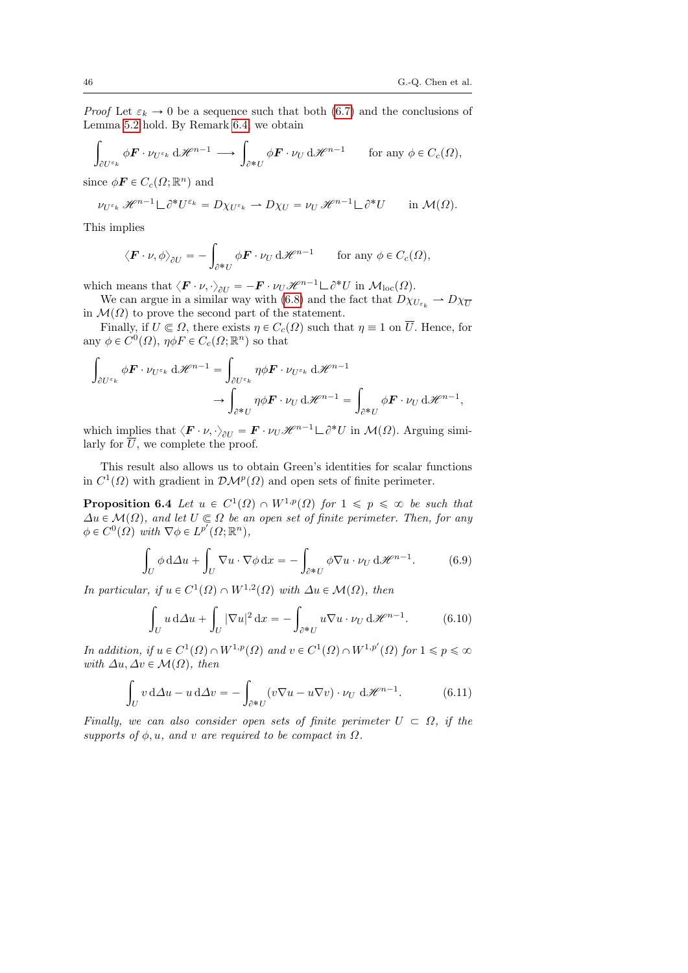*Proof* Let  $\varepsilon_k \to 0$  be a sequence such that both [\(6.7\)](#page-43-2) and the conclusions of Lemma [5.2](#page-28-0) hold. By Remark [6.4,](#page-43-1) we obtain

$$
\int_{\partial U^{\varepsilon_k}} \phi \mathbf{F} \cdot \nu_{U^{\varepsilon_k}} \mathrm{d} \mathscr{H}^{n-1} \longrightarrow \int_{\partial^* U} \phi \mathbf{F} \cdot \nu_U \mathrm{d} \mathscr{H}^{n-1} \quad \text{for any } \phi \in C_c(\Omega),
$$

since  $\phi \mathbf{F} \in C_c(\Omega; \mathbb{R}^n)$  and

$$
\nu_{U^{\varepsilon_k}} \mathscr{H}^{n-1} \mathcal{L} \partial^* U^{\varepsilon_k} = D \chi_{U^{\varepsilon_k}} \rightharpoonup D \chi_U = \nu_U \mathscr{H}^{n-1} \mathcal{L} \partial^* U \qquad \text{in } \mathcal{M}(\Omega).
$$

This implies

$$
\langle \boldsymbol{F} \cdot \boldsymbol{\nu}, \phi \rangle_{\partial U} = -\int_{\partial^* U} \phi \boldsymbol{F} \cdot \boldsymbol{\nu}_U \, d\mathscr{H}^{n-1} \qquad \text{for any } \phi \in C_c(\Omega),
$$

which means that  $\langle \mathbf{F} \cdot \nu, \cdot \rangle_{\partial U} = -\mathbf{F} \cdot \nu_U \mathcal{H}^{n-1} \Box \partial^* U$  in  $\mathcal{M}_{\text{loc}}(\Omega)$ .

We can argue in a similar way with [\(6.8\)](#page-44-0) and the fact that  $D\chi_{U_{\varepsilon}} \to D\chi_{\overline{U}}$ in  $\mathcal{M}(\Omega)$  to prove the second part of the statement.

Finally, if  $U \n\in \Omega$ , there exists  $\eta \in C_c(\Omega)$  such that  $\eta \equiv 1$  on  $\overline{U}$ . Hence, for any  $\phi \in C^0(\Omega)$ ,  $\eta \phi F \in C_c(\Omega; \mathbb{R}^n)$  so that ż

$$
\int_{\partial U^{\varepsilon_k}} \phi \mathbf{F} \cdot \nu_{U^{\varepsilon_k}} d\mathcal{H}^{n-1} = \int_{\partial U^{\varepsilon_k}} \eta \phi \mathbf{F} \cdot \nu_{U^{\varepsilon_k}} d\mathcal{H}^{n-1} \longrightarrow \int_{\partial^* U} \eta \phi \mathbf{F} \cdot \nu_U d\mathcal{H}^{n-1} = \int_{\partial^* U} \phi \mathbf{F} \cdot \nu_U d\mathcal{H}^{n-1},
$$

which implies that  $\langle \boldsymbol{F} \cdot \boldsymbol{\nu}, \cdot \rangle_{\partial U} = \boldsymbol{F} \cdot \boldsymbol{\nu}_U \mathcal{H}^{n-1} \boldsymbol{\Box} \partial^* U$  in  $\mathcal{M}(\Omega)$ . Arguing similarly for  $\overline{U}$ , we complete the proof.

This result also allows us to obtain Green's identities for scalar functions in  $C^1(\Omega)$  with gradient in  $\mathcal{DM}^p(\Omega)$  and open sets of finite perimeter.

**Proposition 6.4** Let  $u \in C^1(\Omega) \cap W^{1,p}(\Omega)$  for  $1 \leq p \leq \infty$  be such that  $\Delta u \in \mathcal{M}(\Omega)$ , and let  $U \subseteq \Omega$  be an open set of finite perimeter. Then, for any  $\phi \in C^0(\Omega)$  with  $\nabla \phi \in L^{p'}(\Omega; \mathbb{R}^n)$ ,

<span id="page-45-0"></span>
$$
\int_{U} \phi \, d\Delta u + \int_{U} \nabla u \cdot \nabla \phi \, dx = - \int_{\partial^* U} \phi \nabla u \cdot \nu_U \, d\mathcal{H}^{n-1}.
$$
 (6.9)

In particular, if  $u \in C^1(\Omega) \cap W^{1,2}(\Omega)$  with  $\Delta u \in \mathcal{M}(\Omega)$ , then ż

$$
\int_{U} u \, d\Delta u + \int_{U} |\nabla u|^{2} \, dx = - \int_{\partial^{*} U} u \nabla u \cdot \nu_{U} \, d\mathcal{H}^{n-1}.
$$
 (6.10)

In addition, if  $u \in C^1(\Omega) \cap W^{1,p}(\Omega)$  and  $v \in C^1(\Omega) \cap W^{1,p'}(\Omega)$  for  $1 \leq p \leq \infty$ with  $\Delta u, \Delta v \in \mathcal{M}(\Omega)$ , then

<span id="page-45-1"></span>
$$
\int_{U} v \, d\Delta u - u \, d\Delta v = -\int_{\partial^* U} (v \nabla u - u \nabla v) \cdot \nu_U \, d\mathcal{H}^{n-1}.
$$
 (6.11)

Finally, we can also consider open sets of finite perimeter  $U \subset \Omega$ , if the supports of  $\phi, u$ , and v are required to be compact in  $\Omega$ .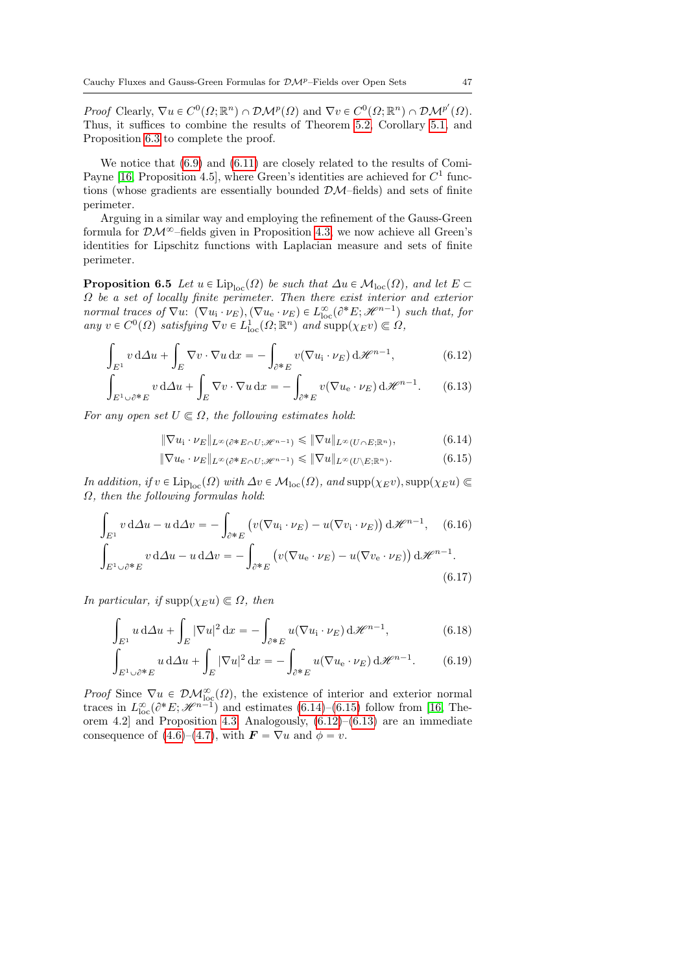Proof Clearly,  $\nabla u \in C^0(\Omega; \mathbb{R}^n) \cap \mathcal{DM}^p(\Omega)$  and  $\nabla v \in C^0(\Omega; \mathbb{R}^n) \cap \mathcal{DM}^{p'}(\Omega)$ . Thus, it suffices to combine the results of Theorem [5.2,](#page-33-0) Corollary [5.1,](#page-33-1) and Proposition [6.3](#page-44-1) to complete the proof.

We notice that  $(6.9)$  and  $(6.11)$  are closely related to the results of Comi-Payne [\[16,](#page-77-2) Proposition 4.5], where Green's identities are achieved for  $C<sup>1</sup>$  functions (whose gradients are essentially bounded  $\mathcal{DM}$ -fields) and sets of finite perimeter.

Arguing in a similar way and employing the refinement of the Gauss-Green formula for  $\mathcal{DM}^{\infty}$ -fields given in Proposition [4.3,](#page-19-0) we now achieve all Green's identities for Lipschitz functions with Laplacian measure and sets of finite perimeter.

**Proposition 6.5** Let  $u \in \text{Lip}_{loc}(\Omega)$  be such that  $\Delta u \in \mathcal{M}_{loc}(\Omega)$ , and let  $E \subset$  $\Omega$  be a set of locally finite perimeter. Then there exist interior and exterior normal traces of  $\nabla u$ :  $(\nabla u_i \cdot \nu_E), (\nabla u_e \cdot \nu_E) \in L^{\infty}_{loc}(\partial^* E; \mathcal{H}^{n-1})$  such that, for any  $v \in C^0(\Omega)$  satisfying  $\nabla v \in L^1_{loc}(\Omega; \mathbb{R}^n)$  and  $\text{supp}(\chi_{E}v) \subseteq \Omega$ ,

$$
\int_{E^1} v \, d\Delta u + \int_E \nabla v \cdot \nabla u \, dx = - \int_{\partial^* E} v (\nabla u_i \cdot \nu_E) \, d\mathcal{H}^{n-1}, \tag{6.12}
$$

$$
\int_{E^1 \cup \partial^* E} v \, d\Delta u + \int_E \nabla v \cdot \nabla u \, dx = - \int_{\partial^* E} v (\nabla u_{\rm e} \cdot \nu_E) \, d\mathcal{H}^{n-1}.
$$
 (6.13)

For any open set  $U \subseteq \Omega$ , the following estimates hold:

<span id="page-46-3"></span><span id="page-46-2"></span><span id="page-46-1"></span><span id="page-46-0"></span>
$$
\|\nabla u_{i} \cdot \nu_{E}\|_{L^{\infty}(\partial^* E \cap U; \mathscr{H}^{n-1})} \leq \|\nabla u\|_{L^{\infty}(U \cap E; \mathbb{R}^n)},\tag{6.14}
$$

<span id="page-46-6"></span><span id="page-46-5"></span><span id="page-46-4"></span>
$$
\|\nabla u_{e} \cdot \nu_{E}\|_{L^{\infty}(\partial^{*} E \cap U; \mathscr{H}^{n-1})} \leq \|\nabla u\|_{L^{\infty}(U \setminus E; \mathbb{R}^{n})}.
$$
\n(6.15)

In addition, if  $v \in \text{Lip}_{loc}(\Omega)$  with  $\Delta v \in \mathcal{M}_{loc}(\Omega)$ , and  $\text{supp}(\chi_E v)$ ,  $\text{supp}(\chi_E u) \in$  $\Omega$ , then the following formulas hold:

$$
\int_{E^1} v \, d\Delta u - u \, d\Delta v = -\int_{\partial^* E} \left( v(\nabla u_i \cdot \nu_E) - u(\nabla v_i \cdot \nu_E) \right) d\mathcal{H}^{n-1}, \quad (6.16)
$$

$$
\int_{E^1 \cup \partial^* E} v \, d\Delta u - u \, d\Delta v = - \int_{\partial^* E} \left( v(\nabla u_{\rm e} \cdot \nu_E) - u(\nabla v_{\rm e} \cdot \nu_E) \right) d\mathcal{H}^{n-1}.
$$
\n(6.17)

In particular, if  $\text{supp}(\chi_E u) \in \Omega$ , then

$$
\int_{E^1} u \, d\Delta u + \int_E |\nabla u|^2 \, dx = -\int_{\partial^* E} u(\nabla u_i \cdot \nu_E) \, d\mathcal{H}^{n-1},\tag{6.18}
$$

<span id="page-46-7"></span>
$$
\int_{E^1 \cup \partial^* E} U \, d\Delta u + \int_E |\nabla u|^2 \, dx = - \int_{\partial^* E} u(\nabla u_e \cdot \nu_E) \, d\mathcal{H}^{n-1}.
$$
 (6.19)

*Proof* Since  $\nabla u \in \mathcal{DM}^{\infty}_{\text{loc}}(\Omega)$ , the existence of interior and exterior normal traces in  $L^{\infty}_{loc}(\partial^*E; \mathcal{H}^{n-1})$  and estimates [\(6.14\)](#page-46-0)–[\(6.15\)](#page-46-1) follow from [\[16,](#page-77-2) The-orem 4.2] and Proposition [4.3.](#page-19-0) Analogously,  $(6.12)$ – $(6.13)$  are an immediate consequence of [\(4.6\)](#page-19-1)–[\(4.7\)](#page-19-2), with  $\mathbf{F} = \nabla u$  and  $\phi = v$ .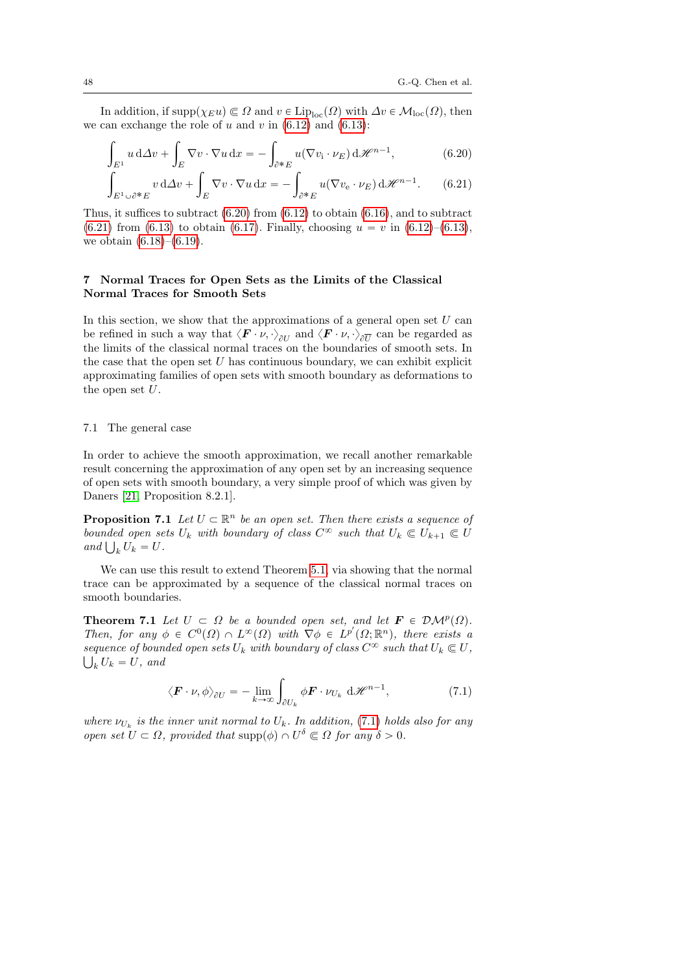In addition, if  $\text{supp}(\chi_E u) \subseteq \Omega$  and  $v \in \text{Lip}_{loc}(\Omega)$  with  $\Delta v \in \mathcal{M}_{loc}(\Omega)$ , then we can exchange the role of u and v in  $(6.12)$  and  $(6.13)$ :

$$
\int_{E^1} u \, d\Delta v + \int_E \nabla v \cdot \nabla u \, dx = - \int_{\partial^* E} u(\nabla v_i \cdot \nu_E) \, d\mathcal{H}^{n-1}, \tag{6.20}
$$

<span id="page-47-1"></span><span id="page-47-0"></span>
$$
\int_{E^1 \cup \partial^* E} v \, d\Delta v + \int_E \nabla v \cdot \nabla u \, dx = - \int_{\partial^* E} u(\nabla v_e \cdot \nu_E) \, d\mathcal{H}^{n-1}.
$$
 (6.21)

Thus, it suffices to subtract  $(6.20)$  from  $(6.12)$  to obtain  $(6.16)$ , and to subtract  $(6.21)$  from  $(6.13)$  to obtain  $(6.17)$ . Finally, choosing  $u = v$  in  $(6.12)$ – $(6.13)$ , we obtain  $(6.18)$ – $(6.19)$ .

# 7 Normal Traces for Open Sets as the Limits of the Classical Normal Traces for Smooth Sets

In this section, we show that the approximations of a general open set  $U$  can be refined in such a way that  $\langle \bm{F} \cdot \nu, \cdot \rangle_{\partial U}$  and  $\langle \bm{F} \cdot \nu, \cdot \rangle_{\partial \overline{U}}$  can be regarded as the limits of the classical normal traces on the boundaries of smooth sets. In the case that the open set  $U$  has continuous boundary, we can exhibit explicit approximating families of open sets with smooth boundary as deformations to the open set  $U$ .

#### 7.1 The general case

In order to achieve the smooth approximation, we recall another remarkable result concerning the approximation of any open set by an increasing sequence of open sets with smooth boundary, a very simple proof of which was given by Daners [\[21,](#page-77-3) Proposition 8.2.1].

<span id="page-47-3"></span>**Proposition 7.1** Let  $U \subset \mathbb{R}^n$  be an open set. Then there exists a sequence of bounded open sets  $U_k$  with boundary of class  $C^{\infty}$  such that  $U_k \subseteq U_{k+1} \subseteq U$ bounded open se<br>and  $\bigcup_k U_k = U$ .

We can use this result to extend Theorem [5.1,](#page-30-0) via showing that the normal trace can be approximated by a sequence of the classical normal traces on smooth boundaries.

<span id="page-47-4"></span>**Theorem 7.1** Let  $U \subset \Omega$  be a bounded open set, and let  $\mathbf{F} \in \mathcal{DM}^p(\Omega)$ . Then, for any  $\phi \in C^0(\Omega) \cap L^{\infty}(\Omega)$  with  $\nabla \phi \in L^{p'}(\Omega; \mathbb{R}^n)$ , there exists a sequence of bounded open sets  $U_k$  with boundary of class  $C^{\infty}$  such that  $U_k \subset U$ ,  $\bigcup_k U_k = U$ , and

<span id="page-47-2"></span>
$$
\langle \boldsymbol{F} \cdot \boldsymbol{\nu}, \phi \rangle_{\partial U} = -\lim_{k \to \infty} \int_{\partial U_k} \phi \boldsymbol{F} \cdot \boldsymbol{\nu}_{U_k} \, d\mathcal{H}^{n-1}, \tag{7.1}
$$

where  $\nu_{U_k}$  is the inner unit normal to  $U_k$ . In addition, [\(7.1\)](#page-47-2) holds also for any open set  $U \subset \Omega$ , provided that  $\text{supp}(\phi) \cap U^{\delta} \subset \Omega$  for any  $\delta > 0$ .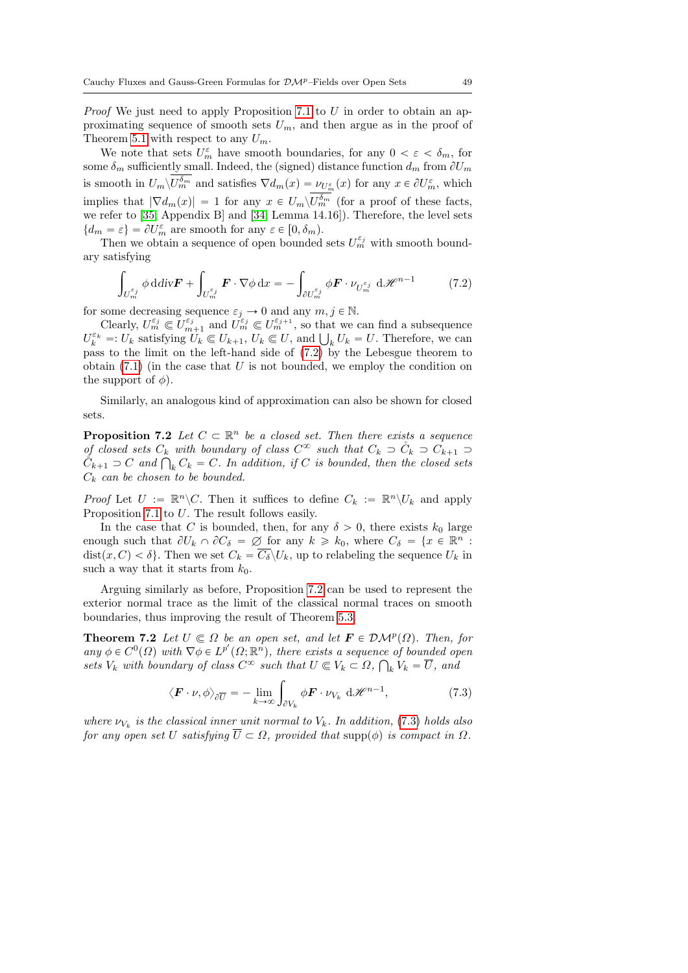*Proof* We just need to apply Proposition [7.1](#page-47-3) to  $U$  in order to obtain an approximating sequence of smooth sets  $U_m$ , and then argue as in the proof of Theorem [5.1](#page-30-0) with respect to any  $U_m$ .

We note that sets  $U_m^{\varepsilon}$  have smooth boundaries, for any  $0 < \varepsilon < \delta_m$ , for some  $\delta_m$  sufficiently small. Indeed, the (signed) distance function  $d_m$  from  $\partial U_m$ is smooth in  $U_m \backslash U_m^{\delta_m}$  and satisfies  $\nabla d_m(x) = \nu_{U_m^{\varepsilon}}(x)$  for any  $x \in \partial U_m^{\varepsilon}$ , which implies that  $|\nabla d_m(x)| = 1$  for any  $x \in U_m \backslash U_m^{\delta_m}$  (for a proof of these facts, we refer to [\[35,](#page-78-1) Appendix B] and [\[34,](#page-78-2) Lemma 14.16]). Therefore, the level sets  $\{d_m = \varepsilon\} = \partial U_m^{\varepsilon}$  are smooth for any  $\varepsilon \in [0, \delta_m)$ .

Then we obtain a sequence of open bounded sets  $U_m^{\varepsilon_j}$  with smooth boundary satisfying ż

<span id="page-48-0"></span>
$$
\int_{U_m^{\varepsilon_j}} \phi \, \mathrm{d} \, \mathrm{div} \mathbf{F} + \int_{U_m^{\varepsilon_j}} \mathbf{F} \cdot \nabla \phi \, \mathrm{d}x = - \int_{\partial U_m^{\varepsilon_j}} \phi \mathbf{F} \cdot \nu_{U_m^{\varepsilon_j}} \, \mathrm{d} \mathcal{H}^{n-1} \tag{7.2}
$$

for some decreasing sequence  $\varepsilon_j \to 0$  and any  $m, j \in \mathbb{N}$ .

Clearly,  $U_m^{\varepsilon_j} \in U_{m+1}^{\varepsilon_j}$  and  $U_m^{\varepsilon_j} \in U_m^{\varepsilon_{j+1}}$ , so that we can find a subsequence Clearly,  $U_m^{\varepsilon} \subseteq U_{m+1}^{\varepsilon}$  and  $U_m^{\varepsilon} \subseteq U_{m}^{\varepsilon}$ , so that we can find a subsequence  $U_k^{\varepsilon_k} =: U_k$  satisfying  $U_k \subseteq U_{k+1}$ ,  $U_k \subseteq U$ , and  $\bigcup_k U_k = U$ . Therefore, we can pass to the limit on the left-hand side of [\(7.2\)](#page-48-0) by the Lebesgue theorem to obtain  $(7.1)$  (in the case that U is not bounded, we employ the condition on the support of  $\phi$ ).

Similarly, an analogous kind of approximation can also be shown for closed sets.

<span id="page-48-1"></span>**Proposition 7.2** Let  $C \subset \mathbb{R}^n$  be a closed set. Then there exists a sequence of closed sets  $C_k$  with boundary of class  $C^{\infty}$  such that  $C_k \supset C_k \supset C_{k+1} \supset$ of closed sets  $C_k$  with boundary of class  $C^{\infty}$  such that  $C_k \supset C_k \supset C_{k+1} \supset C_k$ <br> $C_{k+1} \supset C$  and  $\bigcap_k C_k = C$ . In addition, if C is bounded, then the closed sets  $C_k$  can be chosen to be bounded.

*Proof* Let  $U := \mathbb{R}^n \backslash C$ . Then it suffices to define  $C_k := \mathbb{R}^n \backslash U_k$  and apply Proposition [7.1](#page-47-3) to U. The result follows easily.

In the case that C is bounded, then, for any  $\delta > 0$ , there exists  $k_0$  large enough such that  $\partial U_k \cap \partial C_\delta = \emptyset$  for any  $k \geq k_0$ , where  $C_\delta = \{x \in \mathbb{R}^n :$ dist $(x, C) < \delta$ . Then we set  $C_k = \overline{C_{\delta}} \setminus U_k$ , up to relabeling the sequence  $U_k$  in such a way that it starts from  $k_0$ .

Arguing similarly as before, Proposition [7.2](#page-48-1) can be used to represent the exterior normal trace as the limit of the classical normal traces on smooth boundaries, thus improving the result of Theorem [5.3.](#page-34-0)

<span id="page-48-3"></span>**Theorem 7.2** Let  $U \subseteq \Omega$  be an open set, and let  $\mathbf{F} \in \mathcal{DM}^p(\Omega)$ . Then, for any  $\phi \in C^0(\Omega)$  with  $\nabla \phi \in L^{p'}(\Omega; \mathbb{R}^n)$ , there exists a sequence of bounded open sets  $V_k$  with boundary of class  $C^{\infty}$  such that  $U \subseteq V_k \subset \Omega$ ,  $\bigcap_k V_k = \overline{U}$ , and

<span id="page-48-2"></span>
$$
\langle \boldsymbol{F} \cdot \boldsymbol{\nu}, \phi \rangle_{\partial \overline{U}} = - \lim_{k \to \infty} \int_{\partial V_k} \phi \boldsymbol{F} \cdot \boldsymbol{\nu}_{V_k} d\mathscr{H}^{n-1}, \tag{7.3}
$$

where  $\nu_{V_k}$  is the classical inner unit normal to  $V_k$ . In addition, [\(7.3\)](#page-48-2) holds also for any open set U satisfying  $\overline{U} \subset \Omega$ , provided that supp $(\phi)$  is compact in  $\Omega$ .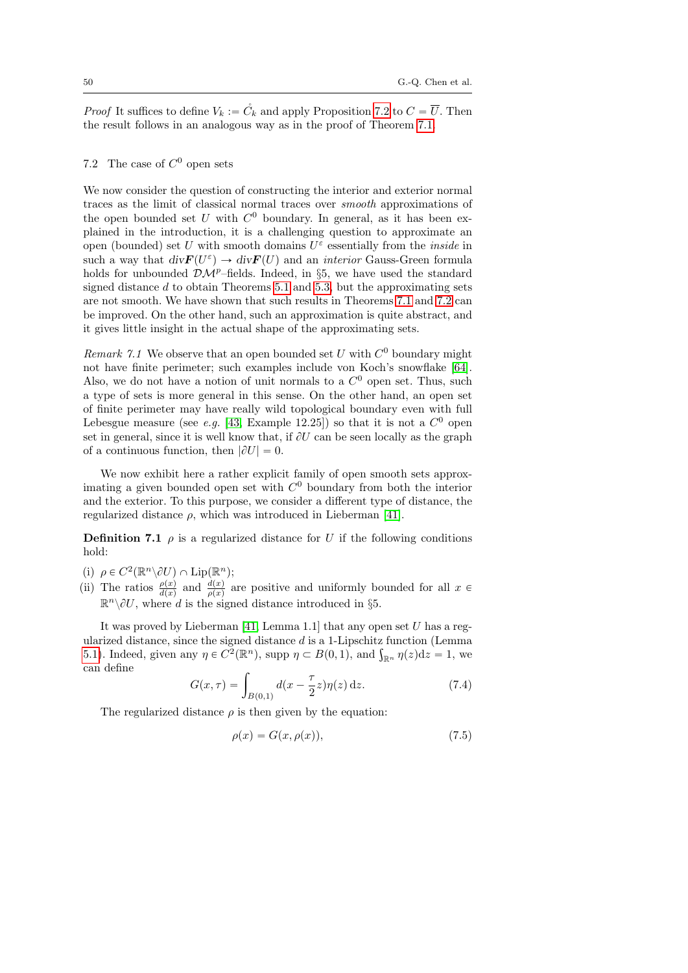*Proof* It suffices to define  $V_k := \mathring{C}_k$  and apply Proposition [7.2](#page-48-1) to  $C = \overline{U}$ . Then the result follows in an analogous way as in the proof of Theorem [7.1.](#page-47-4)

# 7.2 The case of  $C^0$  open sets

We now consider the question of constructing the interior and exterior normal traces as the limit of classical normal traces over smooth approximations of the open bounded set  $U$  with  $C^0$  boundary. In general, as it has been explained in the introduction, it is a challenging question to approximate an open (bounded) set U with smooth domains  $U^{\varepsilon}$  essentially from the *inside* in such a way that  $div \mathbf{F}(U^{\varepsilon}) \to div \mathbf{F}(U)$  and an *interior* Gauss-Green formula holds for unbounded  $\mathcal{D}\mathcal{M}^p$ –fields. Indeed, in §5, we have used the standard signed distance  $d$  to obtain Theorems [5.1](#page-30-0) and [5.3,](#page-34-0) but the approximating sets are not smooth. We have shown that such results in Theorems [7.1](#page-47-4) and [7.2](#page-48-3) can be improved. On the other hand, such an approximation is quite abstract, and it gives little insight in the actual shape of the approximating sets.

<span id="page-49-1"></span>Remark 7.1 We observe that an open bounded set  $U$  with  $C^0$  boundary might not have finite perimeter; such examples include von Koch's snowflake [\[64\]](#page-80-0). Also, we do not have a notion of unit normals to a  $C<sup>0</sup>$  open set. Thus, such a type of sets is more general in this sense. On the other hand, an open set of finite perimeter may have really wild topological boundary even with full Lebesgue measure (see *e.g.* [\[43,](#page-78-3) Example 12.25]) so that it is not a  $C^0$  open set in general, since it is well know that, if  $\partial U$  can be seen locally as the graph of a continuous function, then  $|\partial U| = 0$ .

We now exhibit here a rather explicit family of open smooth sets approximating a given bounded open set with  $C^0$  boundary from both the interior and the exterior. To this purpose, we consider a different type of distance, the regularized distance  $\rho$ , which was introduced in Lieberman [\[41\]](#page-78-4).

**Definition 7.1**  $\rho$  is a regularized distance for U if the following conditions hold:

- (i)  $\rho \in C^2(\mathbb{R}^n \backslash \partial U) \cap \text{Lip}(\mathbb{R}^n);$
- (ii) The ratios  $\frac{\rho(x)}{d(x)}$  and  $\frac{d(x)}{\rho(x)}$  are positive and uniformly bounded for all  $x \in$  $\mathbb{R}^n \setminus \partial U$ , where d is the signed distance introduced in §5.

It was proved by Lieberman [\[41,](#page-78-4) Lemma 1.1] that any open set  $U$  has a regularized distance, since the signed distance  $d$  is a 1-Lipschitz function (Lemma ularized distance, since the signed distance d is a 1-Lipschitz function (Lemma [5.1\)](#page-27-0). Indeed, given any  $\eta \in C^2(\mathbb{R}^n)$ , supp  $\eta \subset B(0,1)$ , and  $\int_{\mathbb{R}^n} \eta(z) dz = 1$ , we can define

<span id="page-49-0"></span>
$$
G(x,\tau) = \int_{B(0,1)} d(x - \frac{\tau}{2}z)\eta(z) dz.
$$
 (7.4)

The regularized distance  $\rho$  is then given by the equation:

<span id="page-49-2"></span>
$$
\rho(x) = G(x, \rho(x)),\tag{7.5}
$$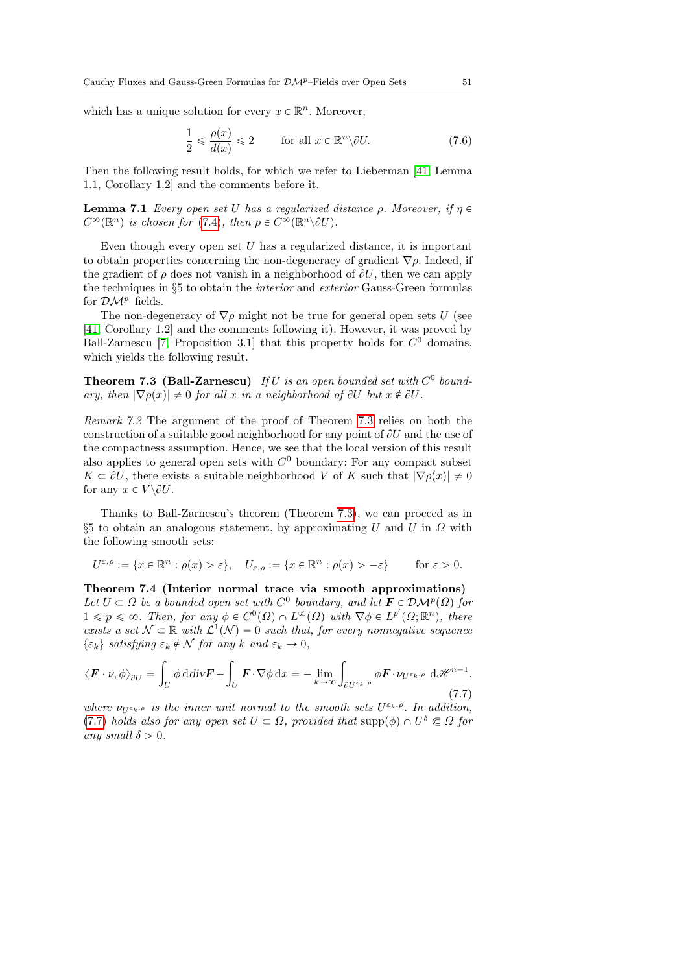which has a unique solution for every  $x \in \mathbb{R}^n$ . Moreover,

$$
\frac{1}{2} \leq \frac{\rho(x)}{d(x)} \leq 2 \qquad \text{for all } x \in \mathbb{R}^n \setminus \partial U. \tag{7.6}
$$

Then the following result holds, for which we refer to Lieberman [\[41,](#page-78-4) Lemma 1.1, Corollary 1.2] and the comments before it.

**Lemma 7.1** Every open set U has a regularized distance  $\rho$ . Moreover, if  $\eta \in$  $C^{\infty}(\mathbb{R}^n)$  is chosen for [\(7.4\)](#page-49-0), then  $\rho \in C^{\infty}(\mathbb{R}^n \backslash \partial U)$ .

Even though every open set  $U$  has a regularized distance, it is important to obtain properties concerning the non-degeneracy of gradient  $\nabla \rho$ . Indeed, if the gradient of  $\rho$  does not vanish in a neighborhood of  $\partial U$ , then we can apply the techniques in §5 to obtain the interior and exterior Gauss-Green formulas for  $\mathcal{DM}^{p}$ –fields.

The non-degeneracy of  $\nabla \rho$  might not be true for general open sets U (see [\[41,](#page-78-4) Corollary 1.2] and the comments following it). However, it was proved by Ball-Zarnescu [\[7,](#page-76-0) Proposition 3.1] that this property holds for  $C^0$  domains, which yields the following result.

<span id="page-50-0"></span>**Theorem 7.3 (Ball-Zarnescu)** If U is an open bounded set with  $C^0$  boundary, then  $|\nabla \rho(x)| \neq 0$  for all x in a neighborhood of  $\partial U$  but  $x \notin \partial U$ .

<span id="page-50-2"></span>Remark 7.2 The argument of the proof of Theorem [7.3](#page-50-0) relies on both the construction of a suitable good neighborhood for any point of  $\partial U$  and the use of the compactness assumption. Hence, we see that the local version of this result also applies to general open sets with  $C^0$  boundary: For any compact subset  $K \subset \partial U$ , there exists a suitable neighborhood V of K such that  $|\nabla \rho(x)| \neq 0$ for any  $x \in V \backslash \partial U$ .

Thanks to Ball-Zarnescu's theorem (Theorem [7.3\)](#page-50-0), we can proceed as in §5 to obtain an analogous statement, by approximating U and  $\overline{U}$  in  $\Omega$  with the following smooth sets:

$$
U^{\varepsilon,\rho} := \{ x \in \mathbb{R}^n : \rho(x) > \varepsilon \}, \quad U_{\varepsilon,\rho} := \{ x \in \mathbb{R}^n : \rho(x) > -\varepsilon \} \quad \text{for } \varepsilon > 0.
$$

<span id="page-50-3"></span>Theorem 7.4 (Interior normal trace via smooth approximations) Let  $U \subset \Omega$  be a bounded open set with  $C^0$  boundary, and let  $\mathbf{F} \in \mathcal{DM}^p(\Omega)$  for  $1 \leqslant p \leqslant \infty$ . Then, for any  $\phi \in C^0(\Omega) \cap L^{\infty}(\Omega)$  with  $\nabla \phi \in L^{p'}(\Omega; \mathbb{R}^n)$ , there exists a set  $\mathcal{N} \subset \mathbb{R}$  with  $\mathcal{L}^1(\mathcal{N}) = 0$  such that, for every nonnegative sequence  $\{\varepsilon_k\}$  satisfying  $\varepsilon_k \notin \mathcal{N}$  for any k and  $\varepsilon_k \to 0$ ,

<span id="page-50-1"></span>
$$
\langle \boldsymbol{F} \cdot \boldsymbol{\nu}, \phi \rangle_{\partial U} = \int_{U} \phi \, \mathrm{d} \mathrm{div} \boldsymbol{F} + \int_{U} \boldsymbol{F} \cdot \nabla \phi \, \mathrm{d}x = - \lim_{k \to \infty} \int_{\partial U^{\varepsilon_{k}, \rho}} \phi \boldsymbol{F} \cdot \nu_{U^{\varepsilon_{k}, \rho}} \, \mathrm{d} \mathcal{H}^{n-1},\tag{7.7}
$$

where  $\nu_{U^{\epsilon_k,\rho}}$  is the inner unit normal to the smooth sets  $U^{\epsilon_k,\rho}$ . In addition, [\(7.7\)](#page-50-1) holds also for any open set  $U \subset \Omega$ , provided that  $\text{supp}(\phi) \cap U^{\delta} \subset \Omega$  for any small  $\delta > 0$ .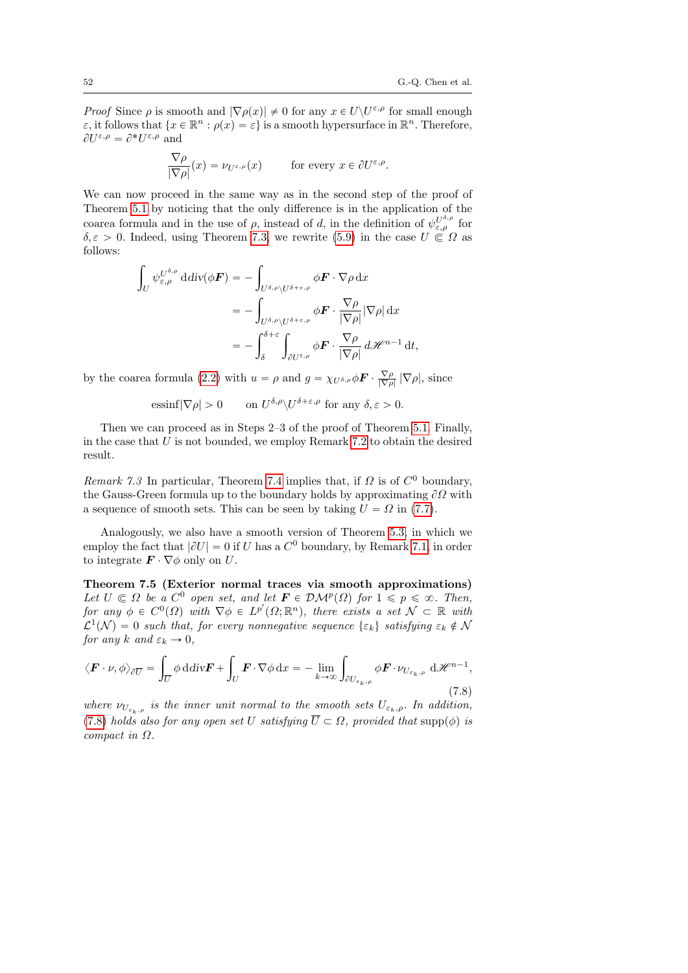*Proof* Since  $\rho$  is smooth and  $|\nabla \rho(x)| \neq 0$  for any  $x \in U \setminus U^{\varepsilon,\rho}$  for small enough  $\varepsilon$ , it follows that  $\{x \in \mathbb{R}^n : \rho(x) = \varepsilon\}$  is a smooth hypersurface in  $\mathbb{R}^n$ . Therefore,  $\partial U^{\varepsilon,\rho} = \partial^* U^{\varepsilon,\rho}$  and

$$
\frac{\nabla \rho}{|\nabla \rho|}(x) = \nu_{U^{\varepsilon,\rho}}(x) \quad \text{for every } x \in \partial U^{\varepsilon,\rho}.
$$

We can now proceed in the same way as in the second step of the proof of Theorem [5.1](#page-30-0) by noticing that the only difference is in the application of the coarea formula and in the use of  $\rho$ , instead of d, in the definition of  $\psi_{\varepsilon,\rho}^{U^{\delta,\rho}}$  for  $\delta, \varepsilon > 0$ . Indeed, using Theorem [7.3,](#page-50-0) we rewrite [\(5.9\)](#page-31-1) in the case  $U \subseteq \Omega$  as follows: za za politika za politika za politika za politika za politika za politika za politika za politika za politika<br>Za politika za politika za politika za politika za politika za politika za politika za politika za politika za

$$
\int_{U} \psi_{\varepsilon,\rho}^{U^{\delta,\rho}} \, \mathrm{d} \mathrm{d} \mathrm{iv}(\phi \mathbf{F}) = -\int_{U^{\delta,\rho}\setminus U^{\delta+\varepsilon,\rho}} \phi \mathbf{F} \cdot \nabla \rho \, \mathrm{d} x
$$
\n
$$
= -\int_{U^{\delta,\rho}\setminus U^{\delta+\varepsilon,\rho}} \phi \mathbf{F} \cdot \frac{\nabla \rho}{|\nabla \rho|} |\nabla \rho| \, \mathrm{d} x
$$
\n
$$
= -\int_{\delta}^{\delta+\varepsilon} \int_{\partial U^{t,\rho}} \phi \mathbf{F} \cdot \frac{\nabla \rho}{|\nabla \rho|} \, \mathrm{d} \mathcal{H}^{n-1} \, \mathrm{d} t,
$$

by the coarea formula [\(2.2\)](#page-6-0) with  $u = \rho$  and  $g = \chi_{U^{\delta,\rho}} \phi \mathbf{F} \cdot \frac{\nabla \rho}{|\nabla \rho|} |\nabla \rho|$ , since

$$
\text{essinf} |\nabla \rho| > 0 \qquad \text{on } U^{\delta,\rho} \backslash U^{\delta+\varepsilon,\rho} \text{ for any } \delta, \varepsilon > 0.
$$

Then we can proceed as in Steps 2–3 of the proof of Theorem [5.1.](#page-30-0) Finally, in the case that  $U$  is not bounded, we employ Remark [7.2](#page-50-2) to obtain the desired result.

Remark 7.3 In particular, Theorem [7.4](#page-50-3) implies that, if  $\Omega$  is of  $C^0$  boundary, the Gauss-Green formula up to the boundary holds by approximating  $\partial\Omega$  with a sequence of smooth sets. This can be seen by taking  $U = \Omega$  in [\(7.7\)](#page-50-1).

Analogously, we also have a smooth version of Theorem [5.3,](#page-34-0) in which we employ the fact that  $|\partial U| = 0$  if U has a  $C^0$  boundary, by Remark [7.1,](#page-49-1) in order to integrate  $\mathbf{F} \cdot \nabla \phi$  only on U.

Theorem 7.5 (Exterior normal traces via smooth approximations) Let  $U \subset \Omega$  be a  $C^0$  open set, and let  $\mathbf{F} \in \mathcal{DM}^p(\Omega)$  for  $1 \leqslant p \leqslant \infty$ . Then, for any  $\phi \in C^0(\Omega)$  with  $\nabla \phi \in L^{p'}(\Omega; \mathbb{R}^n)$ , there exists a set  $\mathcal{N} \subset \mathbb{R}$  with  $\mathcal{L}^1(\mathcal{N}) = 0$  such that, for every nonnegative sequence  $\{\varepsilon_k\}$  satisfying  $\varepsilon_k \notin \mathcal{N}$ for any k and  $\varepsilon_k \to 0$ ,

<span id="page-51-0"></span>
$$
\langle \boldsymbol{F} \cdot \boldsymbol{\nu}, \phi \rangle_{\partial \overline{U}} = \int_{\overline{U}} \phi \, \mathrm{d} \mathrm{div} \boldsymbol{F} + \int_{U} \boldsymbol{F} \cdot \nabla \phi \, \mathrm{d}x = - \lim_{k \to \infty} \int_{\partial U_{\varepsilon_k, \rho}} \phi \boldsymbol{F} \cdot \nu_{U_{\varepsilon_k, \rho}} \, \mathrm{d} \mathcal{H}^{n-1},\tag{7.8}
$$

where  $\nu_{U_{\varepsilon_k,\rho}}$  is the inner unit normal to the smooth sets  $U_{\varepsilon_k,\rho}$ . In addition, [\(7.8\)](#page-51-0) holds also for any open set U satisfying  $\overline{U} \subset \Omega$ , provided that supp $(\phi)$  is compact in  $\Omega$ .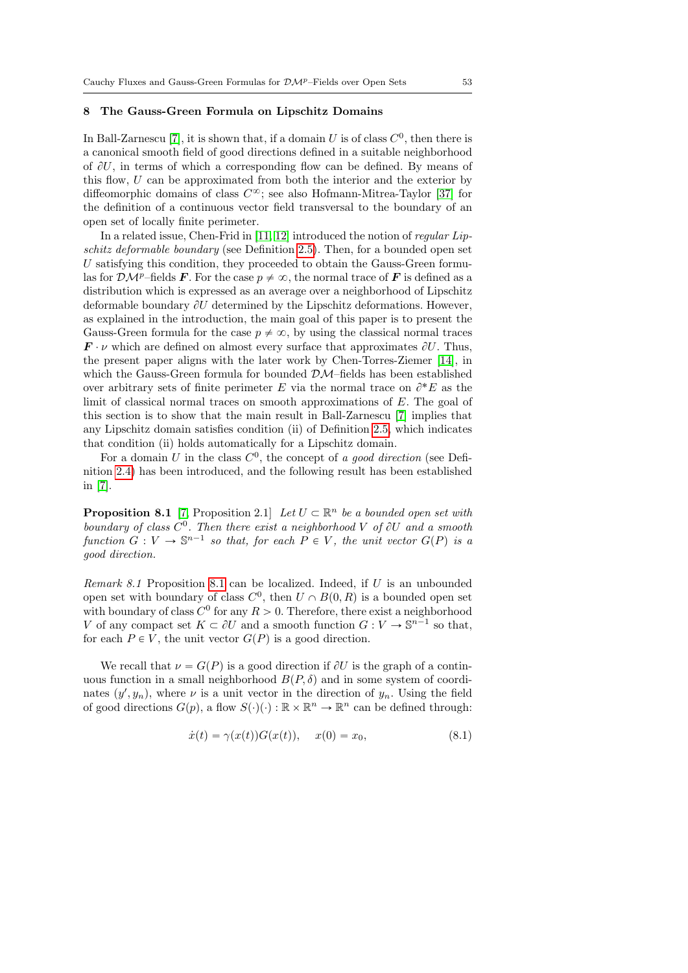## 8 The Gauss-Green Formula on Lipschitz Domains

In Ball-Zarnescu [\[7\]](#page-76-0), it is shown that, if a domain U is of class  $C^0$ , then there is a canonical smooth field of good directions defined in a suitable neighborhood of  $\partial U$ , in terms of which a corresponding flow can be defined. By means of this flow, U can be approximated from both the interior and the exterior by diffeomorphic domains of class  $C^{\infty}$ ; see also Hofmann-Mitrea-Taylor [\[37\]](#page-78-5) for the definition of a continuous vector field transversal to the boundary of an open set of locally finite perimeter.

In a related issue, Chen-Frid in [\[11,](#page-76-1) [12\]](#page-77-0) introduced the notion of regular Lipschitz deformable boundary (see Definition [2.5\)](#page-8-0). Then, for a bounded open set  $U$  satisfying this condition, they proceeded to obtain the Gauss-Green formulas for  $\mathcal{DM}^p$ –fields **F**. For the case  $p \neq \infty$ , the normal trace of **F** is defined as a distribution which is expressed as an average over a neighborhood of Lipschitz deformable boundary  $\partial U$  determined by the Lipschitz deformations. However, as explained in the introduction, the main goal of this paper is to present the Gauss-Green formula for the case  $p \neq \infty$ , by using the classical normal traces  $\mathbf{F} \cdot \nu$  which are defined on almost every surface that approximates  $\partial U$ . Thus, the present paper aligns with the later work by Chen-Torres-Ziemer [\[14\]](#page-77-1), in which the Gauss-Green formula for bounded  $\mathcal{DM}$ -fields has been established over arbitrary sets of finite perimeter  $E$  via the normal trace on  $\partial^* E$  as the limit of classical normal traces on smooth approximations of E. The goal of this section is to show that the main result in Ball-Zarnescu [\[7\]](#page-76-0) implies that any Lipschitz domain satisfies condition (ii) of Definition [2.5,](#page-8-0) which indicates that condition (ii) holds automatically for a Lipschitz domain.

For a domain U in the class  $C^0$ , the concept of a good direction (see Definition [2.4\)](#page-8-1) has been introduced, and the following result has been established in [\[7\]](#page-76-0).

<span id="page-52-0"></span>**Proposition 8.1** [\[7,](#page-76-0) Proposition 2.1] Let  $U \subset \mathbb{R}^n$  be a bounded open set with boundary of class  $C^0$ . Then there exist a neighborhood V of  $\partial U$  and a smooth function  $G: V \to \mathbb{S}^{n-1}$  so that, for each  $P \in V$ , the unit vector  $G(P)$  is a good direction.

Remark 8.1 Proposition [8.1](#page-52-0) can be localized. Indeed, if U is an unbounded open set with boundary of class  $C^0$ , then  $U \cap B(0, R)$  is a bounded open set with boundary of class  $C^0$  for any  $R > 0$ . Therefore, there exist a neighborhood V of any compact set  $K \subset \partial U$  and a smooth function  $G: V \to \mathbb{S}^{n-1}$  so that, for each  $P \in V$ , the unit vector  $G(P)$  is a good direction.

We recall that  $\nu = G(P)$  is a good direction if  $\partial U$  is the graph of a continuous function in a small neighborhood  $B(P, \delta)$  and in some system of coordinates  $(y', y_n)$ , where  $\nu$  is a unit vector in the direction of  $y_n$ . Using the field of good directions  $G(p)$ , a flow  $S(\cdot)(\cdot) : \mathbb{R} \times \mathbb{R}^n \to \mathbb{R}^n$  can be defined through:

<span id="page-52-1"></span>
$$
\dot{x}(t) = \gamma(x(t))G(x(t)), \quad x(0) = x_0,\tag{8.1}
$$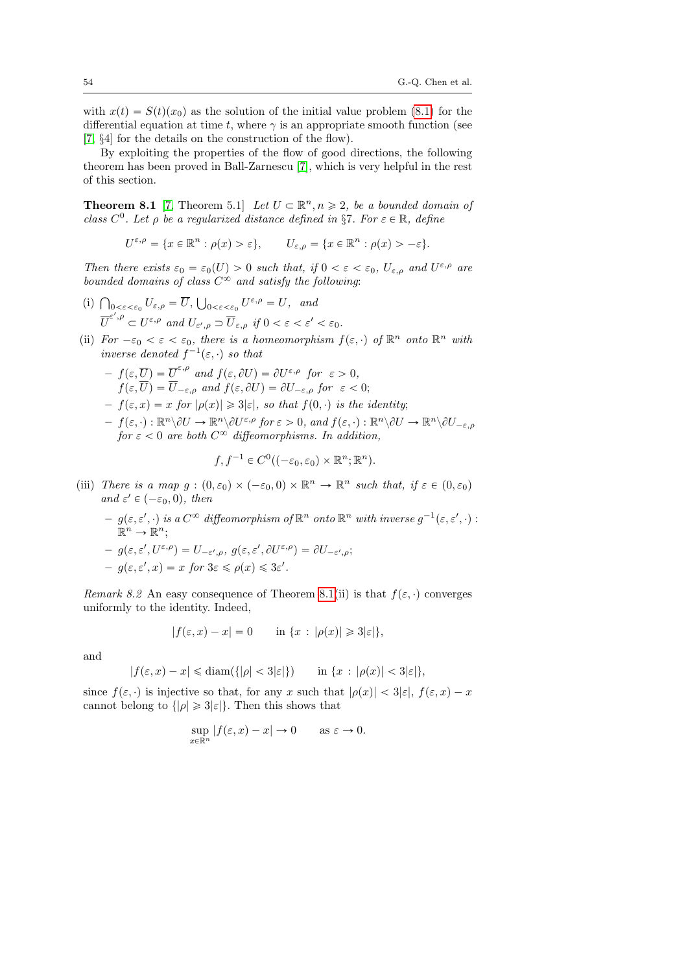with  $x(t) = S(t)(x_0)$  as the solution of the initial value problem [\(8.1\)](#page-52-1) for the differential equation at time t, where  $\gamma$  is an appropriate smooth function (see [\[7,](#page-76-0) §4] for the details on the construction of the flow).

By exploiting the properties of the flow of good directions, the following theorem has been proved in Ball-Zarnescu [\[7\]](#page-76-0), which is very helpful in the rest of this section.

<span id="page-53-0"></span>**Theorem 8.1** [\[7,](#page-76-0) Theorem 5.1] Let  $U \subset \mathbb{R}^n, n \geq 2$ , be a bounded domain of class  $C^0$ . Let  $\rho$  be a regularized distance defined in §7. For  $\varepsilon \in \mathbb{R}$ , define

$$
U^{\varepsilon,\rho} = \{x \in \mathbb{R}^n : \rho(x) > \varepsilon\}, \qquad U_{\varepsilon,\rho} = \{x \in \mathbb{R}^n : \rho(x) > -\varepsilon\}.
$$

Then there exists  $\varepsilon_0 = \varepsilon_0(U) > 0$  such that, if  $0 < \varepsilon < \varepsilon_0$ ,  $U_{\varepsilon,\rho}$  and  $U^{\varepsilon,\rho}$  are bounded domains of class  $C^{\infty}$  and satisfy the following:

- (i)  $\bigcap_{0 \leq \varepsilon \leq \varepsilon_0} U_{\varepsilon,\rho} = \overline{U}, \bigcup_{0 \leq \varepsilon \leq \varepsilon_0} U^{\varepsilon,\rho} = U, \text{ and}$  $\overline{U}^{\varepsilon', \rho} \subset U^{\varepsilon, \rho}$  and  $U_{\varepsilon', \rho} \supset \overline{U}_{\varepsilon, \rho}$  if  $0 < \varepsilon < \varepsilon' < \varepsilon_0$ .
- (ii) For  $-\varepsilon_0 < \varepsilon < \varepsilon_0$ , there is a homeomorphism  $f(\varepsilon, \cdot)$  of  $\mathbb{R}^n$  onto  $\mathbb{R}^n$  with inverse denoted  $f^{-1}(\varepsilon, \cdot)$  so that

$$
- f(\varepsilon, \overline{U}) = \overline{U}^{\varepsilon,\rho} \text{ and } f(\varepsilon, \partial U) = \partial U^{\varepsilon,\rho} \text{ for } \varepsilon > 0,
$$
  
\n
$$
f(\varepsilon, \overline{U}) = \overline{U}_{-\varepsilon,\rho} \text{ and } f(\varepsilon, \partial U) = \partial U_{-\varepsilon,\rho} \text{ for } \varepsilon < 0;
$$
  
\n
$$
- f(\varepsilon, x) = x \text{ for } |\rho(x)| \ge 3|\varepsilon|, \text{ so that } f(0, \cdot) \text{ is the identity};
$$
  
\n
$$
- f(\varepsilon, \cdot) : \mathbb{R}^n \setminus \partial U \to \mathbb{R}^n \setminus \partial U^{\varepsilon,\rho} \text{ for } \varepsilon > 0, \text{ and } f(\varepsilon, \cdot) : \mathbb{R}^n \setminus \partial U \to \mathbb{R}^n \setminus \partial U_{-\varepsilon,\rho}
$$
  
\nfor  $\varepsilon < 0$  are both  $C^\infty$  differentiable functions. In addition,

$$
f, f^{-1} \in C^0((-\varepsilon_0, \varepsilon_0) \times \mathbb{R}^n; \mathbb{R}^n).
$$

- (iii) There is a map  $g:(0,\varepsilon_0)\times (-\varepsilon_0, 0)\times \mathbb{R}^n \to \mathbb{R}^n$  such that, if  $\varepsilon \in (0,\varepsilon_0)$ and  $\varepsilon' \in (-\varepsilon_0, 0)$ , then
	- $-g(\varepsilon,\varepsilon',\cdot)$  is a  $C^\infty$  diffeomorphism of  $\mathbb{R}^n$  onto  $\mathbb{R}^n$  with inverse  $g^{-1}(\varepsilon,\varepsilon',\cdot):$  $\mathbb{R}^n \to \mathbb{R}^n;$

$$
- g(\varepsilon, \varepsilon', U^{\varepsilon, \rho}) = U_{-\varepsilon', \rho}, g(\varepsilon, \varepsilon', \partial U^{\varepsilon, \rho}) = \partial U_{-\varepsilon', \rho};
$$
  

$$
- g(\varepsilon, \varepsilon', x) = x \text{ for } 3\varepsilon \le \rho(x) \le 3\varepsilon'.
$$

Remark 8.2 An easy consequence of Theorem [8.1\(](#page-53-0)ii) is that  $f(\varepsilon, \cdot)$  converges uniformly to the identity. Indeed,

$$
|f(\varepsilon, x) - x| = 0 \quad \text{in } \{x : |\rho(x)| \geq 3|\varepsilon|\},
$$

and

$$
|f(\varepsilon, x) - x| \leq \operatorname{diam}(\{|\rho| < 3|\varepsilon|\}) \qquad \text{in } \{x : |\rho(x)| < 3|\varepsilon|\},
$$

since  $f(\varepsilon, \cdot)$  is injective so that, for any x such that  $|\rho(x)| < 3|\varepsilon|$ ,  $f(\varepsilon, x) - x$ cannot belong to  $\{|\rho| \geq 3|\varepsilon|\}$ . Then this shows that

$$
\sup_{x \in \mathbb{R}^n} |f(\varepsilon, x) - x| \to 0 \quad \text{as } \varepsilon \to 0.
$$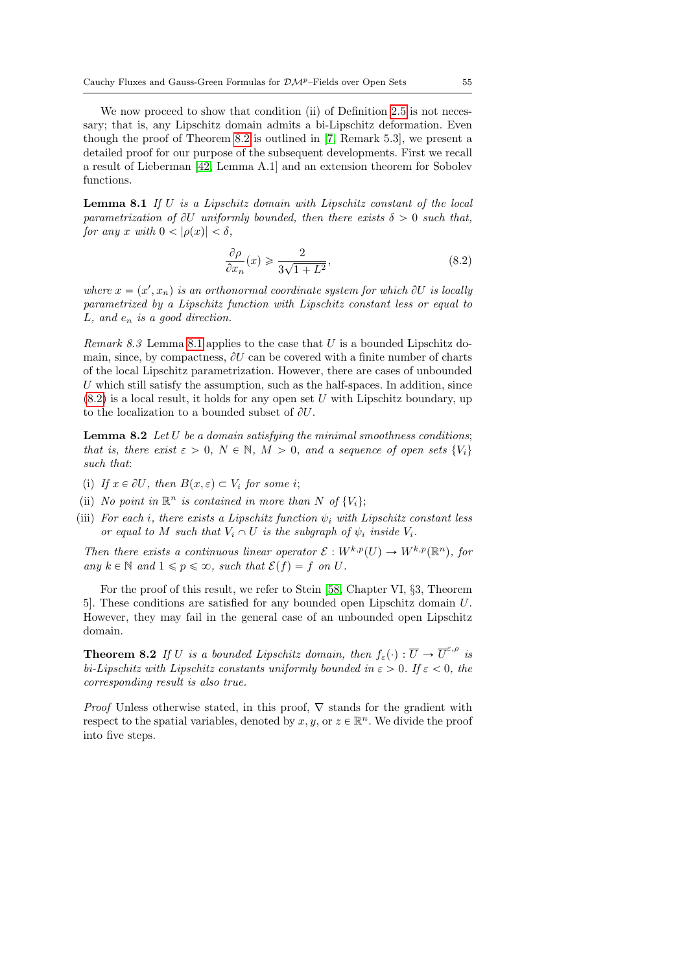We now proceed to show that condition (ii) of Definition [2.5](#page-8-0) is not necessary; that is, any Lipschitz domain admits a bi-Lipschitz deformation. Even though the proof of Theorem [8.2](#page-54-0) is outlined in [\[7,](#page-76-0) Remark 5.3], we present a detailed proof for our purpose of the subsequent developments. First we recall a result of Lieberman [\[42,](#page-78-6) Lemma A.1] and an extension theorem for Sobolev functions.

<span id="page-54-1"></span>Lemma 8.1 If U is a Lipschitz domain with Lipschitz constant of the local parametrization of  $\partial U$  uniformly bounded, then there exists  $\delta > 0$  such that, for any x with  $0 < |\rho(x)| < \delta$ ,

<span id="page-54-2"></span>
$$
\frac{\partial \rho}{\partial x_n}(x) \geqslant \frac{2}{3\sqrt{1+L^2}},\tag{8.2}
$$

where  $x = (x', x_n)$  is an orthonormal coordinate system for which  $\partial U$  is locally parametrized by a Lipschitz function with Lipschitz constant less or equal to  $L$ , and  $e_n$  is a good direction.

*Remark 8.3* Lemma [8.1](#page-54-1) applies to the case that U is a bounded Lipschitz domain, since, by compactness,  $\partial U$  can be covered with a finite number of charts of the local Lipschitz parametrization. However, there are cases of unbounded U which still satisfy the assumption, such as the half-spaces. In addition, since  $(8.2)$  is a local result, it holds for any open set U with Lipschitz boundary, up to the localization to a bounded subset of  $\partial U$ .

<span id="page-54-3"></span>**Lemma 8.2** Let  $U$  be a domain satisfying the minimal smoothness conditions; that is, there exist  $\varepsilon > 0$ ,  $N \in \mathbb{N}$ ,  $M > 0$ , and a sequence of open sets  $\{V_i\}$ such that:

- (i) If  $x \in \partial U$ , then  $B(x, \varepsilon) \subset V_i$  for some i;
- (ii) No point in  $\mathbb{R}^n$  is contained in more than N of  $\{V_i\};$
- (iii) For each i, there exists a Lipschitz function  $\psi_i$  with Lipschitz constant less or equal to M such that  $V_i \cap U$  is the subgraph of  $\psi_i$  inside  $V_i$ .

Then there exists a continuous linear operator  $\mathcal{E}: W^{k,p}(U) \to W^{k,p}(\mathbb{R}^n)$ , for any  $k \in \mathbb{N}$  and  $1 \leqslant p \leqslant \infty$ , such that  $\mathcal{E}(f) = f$  on U.

For the proof of this result, we refer to Stein [\[58,](#page-79-3) Chapter VI, §3, Theorem 5]. These conditions are satisfied for any bounded open Lipschitz domain U. However, they may fail in the general case of an unbounded open Lipschitz domain.

<span id="page-54-0"></span>**Theorem 8.2** If U is a bounded Lipschitz domain, then  $f_{\varepsilon}(\cdot) : \overline{U} \to \overline{U}^{\varepsilon,\rho}$  is bi-Lipschitz with Lipschitz constants uniformly bounded in  $\varepsilon > 0$ . If  $\varepsilon < 0$ , the corresponding result is also true.

*Proof* Unless otherwise stated, in this proof,  $\nabla$  stands for the gradient with respect to the spatial variables, denoted by  $x, y$ , or  $z \in \mathbb{R}^n$ . We divide the proof into five steps.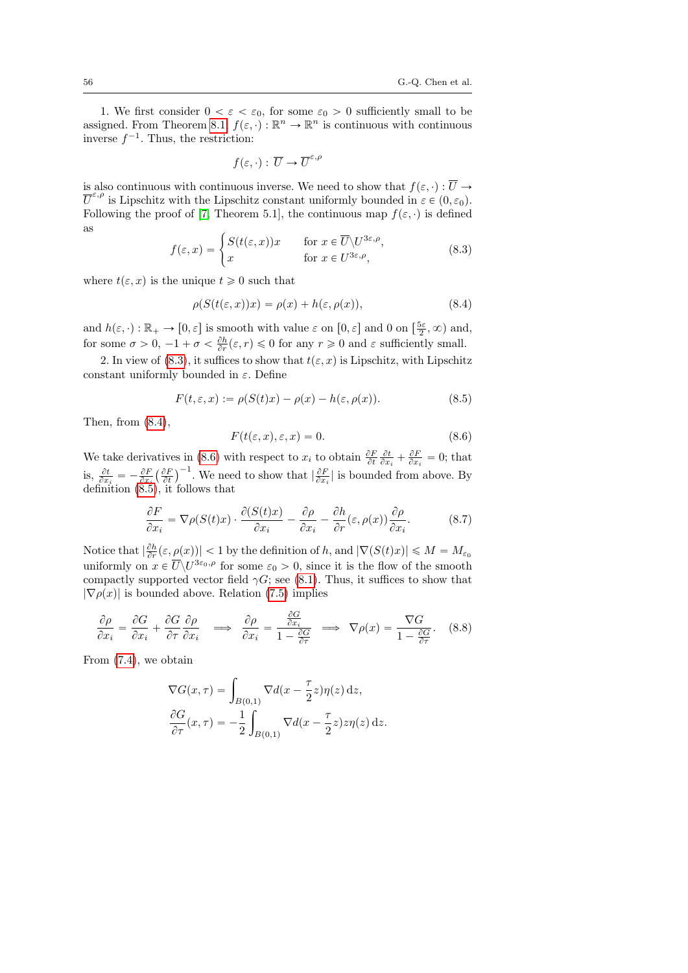1. We first consider  $0 < \varepsilon < \varepsilon_0$ , for some  $\varepsilon_0 > 0$  sufficiently small to be assigned. From Theorem [8.1,](#page-53-0)  $f(\varepsilon, \cdot) : \mathbb{R}^n \to \mathbb{R}^n$  is continuous with continuous inverse  $f^{-1}$ . Thus, the restriction:

$$
f(\varepsilon, \cdot): \, \overline{U} \to \overline{U}^{\varepsilon,\rho}
$$

is also continuous with continuous inverse. We need to show that  $f(\varepsilon, \cdot) : \overline{U} \to$  $\overline{U}^{\varepsilon,\rho}$  is Lipschitz with the Lipschitz constant uniformly bounded in  $\varepsilon \in (0,\varepsilon_0)$ . Following the proof of [\[7,](#page-76-0) Theorem 5.1], the continuous map  $f(\varepsilon, \cdot)$  is defined as

<span id="page-55-0"></span>
$$
f(\varepsilon, x) = \begin{cases} S(t(\varepsilon, x))x & \text{for } x \in \overline{U} \setminus U^{3\varepsilon, \rho}, \\ x & \text{for } x \in U^{3\varepsilon, \rho}, \end{cases}
$$
(8.3)

where  $t(\varepsilon, x)$  is the unique  $t \geq 0$  such that

<span id="page-55-1"></span>
$$
\rho(S(t(\varepsilon, x))x) = \rho(x) + h(\varepsilon, \rho(x)),\tag{8.4}
$$

and  $h(\varepsilon, \cdot) : \mathbb{R}_+ \to [0, \varepsilon]$  is smooth with value  $\varepsilon$  on  $[0, \varepsilon]$  and 0 on  $[\frac{5\varepsilon}{2}, \infty)$  and, for some  $\sigma > 0$ ,  $-1 + \sigma < \frac{\partial h}{\partial r}(\varepsilon, r) \leq 0$  for any  $r \geq 0$  and  $\varepsilon$  sufficiently small.

2. In view of [\(8.3\)](#page-55-0), it suffices to show that  $t(\varepsilon, x)$  is Lipschitz, with Lipschitz constant uniformly bounded in  $\varepsilon$ . Define

<span id="page-55-3"></span>
$$
F(t, \varepsilon, x) := \rho(S(t)x) - \rho(x) - h(\varepsilon, \rho(x)). \tag{8.5}
$$

Then, from  $(8.4)$ ,

<span id="page-55-2"></span>
$$
F(t(\varepsilon, x), \varepsilon, x) = 0. \tag{8.6}
$$

We take derivatives in [\(8.6\)](#page-55-2) with respect to  $x_i$  to obtain  $\frac{\partial F}{\partial t} \frac{\partial t}{\partial x_i} + \frac{\partial F}{\partial x_i} = 0$ ; that is,  $\frac{\partial t}{\partial x_i} = -\frac{\partial F}{\partial x_i} \left( \frac{\partial F}{\partial t} \right)$  $\int_{0}^{\infty}$ . We need to show that  $\left|\frac{\partial F}{\partial x_i}\right|$  is bounded from above. By definition [\(8.5\)](#page-55-3), it follows that

<span id="page-55-4"></span>
$$
\frac{\partial F}{\partial x_i} = \nabla \rho(S(t)x) \cdot \frac{\partial (S(t)x)}{\partial x_i} - \frac{\partial \rho}{\partial x_i} - \frac{\partial h}{\partial r}(\varepsilon, \rho(x)) \frac{\partial \rho}{\partial x_i}.\tag{8.7}
$$

Notice that  $|\frac{\partial h}{\partial r}(\varepsilon,\underline{\rho}(x))| < 1$  by the definition of h, and  $|\nabla(S(t)x)| \leqslant M = M_{\varepsilon_0}$ uniformly on  $x \in \overline{U} \backslash U^{3\varepsilon_0,\rho}$  for some  $\varepsilon_0 > 0$ , since it is the flow of the smooth compactly supported vector field  $\gamma G$ ; see [\(8.1\)](#page-52-1). Thus, it suffices to show that  $|\nabla \rho(x)|$  is bounded above. Relation [\(7.5\)](#page-49-2) implies

$$
\frac{\partial \rho}{\partial x_i} = \frac{\partial G}{\partial x_i} + \frac{\partial G}{\partial \tau} \frac{\partial \rho}{\partial x_i} \implies \frac{\partial \rho}{\partial x_i} = \frac{\frac{\partial G}{\partial x_i}}{1 - \frac{\partial G}{\partial \tau}} \implies \nabla \rho(x) = \frac{\nabla G}{1 - \frac{\partial G}{\partial \tau}}.
$$
(8.8)

From [\(7.4\)](#page-49-0), we obtain

$$
\nabla G(x,\tau) = \int_{B(0,1)} \nabla d(x - \frac{\tau}{2}z)\eta(z) dz,
$$
  

$$
\frac{\partial G}{\partial \tau}(x,\tau) = -\frac{1}{2} \int_{B(0,1)} \nabla d(x - \frac{\tau}{2}z) z \eta(z) dz.
$$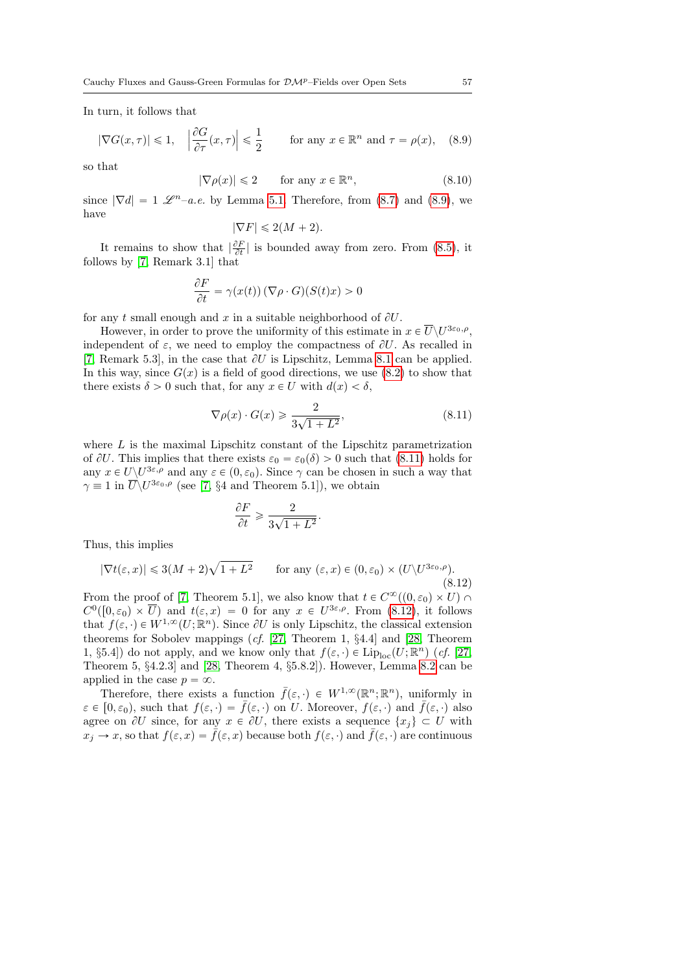In turn, it follows that

<span id="page-56-0"></span>
$$
|\nabla G(x,\tau)| \le 1, \quad \left|\frac{\partial G}{\partial \tau}(x,\tau)\right| \le \frac{1}{2} \qquad \text{for any } x \in \mathbb{R}^n \text{ and } \tau = \rho(x), \quad (8.9)
$$

so that

$$
|\nabla \rho(x)| \leq 2 \qquad \text{for any } x \in \mathbb{R}^n,
$$
\n(8.10)

since  $|\nabla d| = 1 \mathscr{L}^{n}$ –a.e. by Lemma [5.1.](#page-27-0) Therefore, from [\(8.7\)](#page-55-4) and [\(8.9\)](#page-56-0), we have

$$
|\nabla F| \leq 2(M+2).
$$

It remains to show that  $\left|\frac{\partial F}{\partial t}\right|$  is bounded away from zero. From [\(8.5\)](#page-55-3), it follows by [\[7,](#page-76-0) Remark 3.1] that

$$
\frac{\partial F}{\partial t} = \gamma(x(t)) \left( \nabla \rho \cdot G \right) (S(t)x) > 0
$$

for any t small enough and x in a suitable neighborhood of  $\partial U$ .

However, in order to prove the uniformity of this estimate in  $x \in \overline{U} \backslash U^{3\varepsilon_0,\rho}$ , independent of  $\varepsilon$ , we need to employ the compactness of  $\partial U$ . As recalled in [\[7,](#page-76-0) Remark 5.3], in the case that  $\partial U$  is Lipschitz, Lemma [8.1](#page-54-1) can be applied. In this way, since  $G(x)$  is a field of good directions, we use [\(8.2\)](#page-54-2) to show that there exists  $\delta > 0$  such that, for any  $x \in U$  with  $d(x) < \delta$ ,

<span id="page-56-1"></span>
$$
\nabla \rho(x) \cdot G(x) \geq \frac{2}{3\sqrt{1+L^2}},\tag{8.11}
$$

where  $L$  is the maximal Lipschitz constant of the Lipschitz parametrization of  $\partial U$ . This implies that there exists  $\varepsilon_0 = \varepsilon_0(\delta) > 0$  such that [\(8.11\)](#page-56-1) holds for any  $x \in U \backslash U^{3\varepsilon,\rho}$  and any  $\varepsilon \in (0,\varepsilon_0)$ . Since  $\gamma$  can be chosen in such a way that  $\gamma \equiv 1$  in  $\overline{U}\backslash U^{3\varepsilon_0,\rho}$  (see [\[7,](#page-76-0) §4 and Theorem 5.1]), we obtain

$$
\frac{\partial F}{\partial t} \geqslant \frac{2}{3\sqrt{1+L^2}}.
$$

Thus, this implies

<span id="page-56-2"></span>
$$
|\nabla t(\varepsilon, x)| \leq 3(M+2)\sqrt{1+L^2} \qquad \text{for any } (\varepsilon, x) \in (0, \varepsilon_0) \times (U\backslash U^{3\varepsilon_0, \rho}).
$$
\n(8.12)

From the proof of [\[7,](#page-76-0) Theorem 5.1], we also know that  $t \in C^{\infty}((0, \varepsilon_0) \times U)$  $C^0([0, \varepsilon_0) \times \overline{U})$  and  $t(\varepsilon, x) = 0$  for any  $x \in U^{3\varepsilon, \rho}$ . From [\(8.12\)](#page-56-2), it follows that  $f(\varepsilon, \cdot) \in W^{1,\infty}(U; \mathbb{R}^n)$ . Since  $\partial U$  is only Lipschitz, the classical extension theorems for Sobolev mappings (cf. [\[27,](#page-77-4) Theorem 1, §4.4] and [\[28,](#page-78-7) Theorem 1, §5.4]) do not apply, and we know only that  $f(\varepsilon, \cdot) \in \text{Lip}_{\text{loc}}(U; \mathbb{R}^n)$  (*cf.* [\[27,](#page-77-4) Theorem 5, §4.2.3] and [\[28,](#page-78-7) Theorem 4, §5.8.2]). However, Lemma [8.2](#page-54-3) can be applied in the case  $p = \infty$ .

Therefore, there exists a function  $\bar{f}(\varepsilon, \cdot) \in W^{1,\infty}(\mathbb{R}^n;\mathbb{R}^n)$ , uniformly in  $\varepsilon \in [0, \varepsilon_0)$ , such that  $f(\varepsilon, \cdot) = \bar{f}(\varepsilon, \cdot)$  on U. Moreover,  $f(\varepsilon, \cdot)$  and  $\bar{f}(\varepsilon, \cdot)$  also agree on  $\partial U$  since, for any  $x \in \partial U$ , there exists a sequence  $\{x_i\} \subset U$  with  $x_i \to x$ , so that  $f(\varepsilon, x) = f(\varepsilon, x)$  because both  $f(\varepsilon, \cdot)$  and  $f(\varepsilon, \cdot)$  are continuous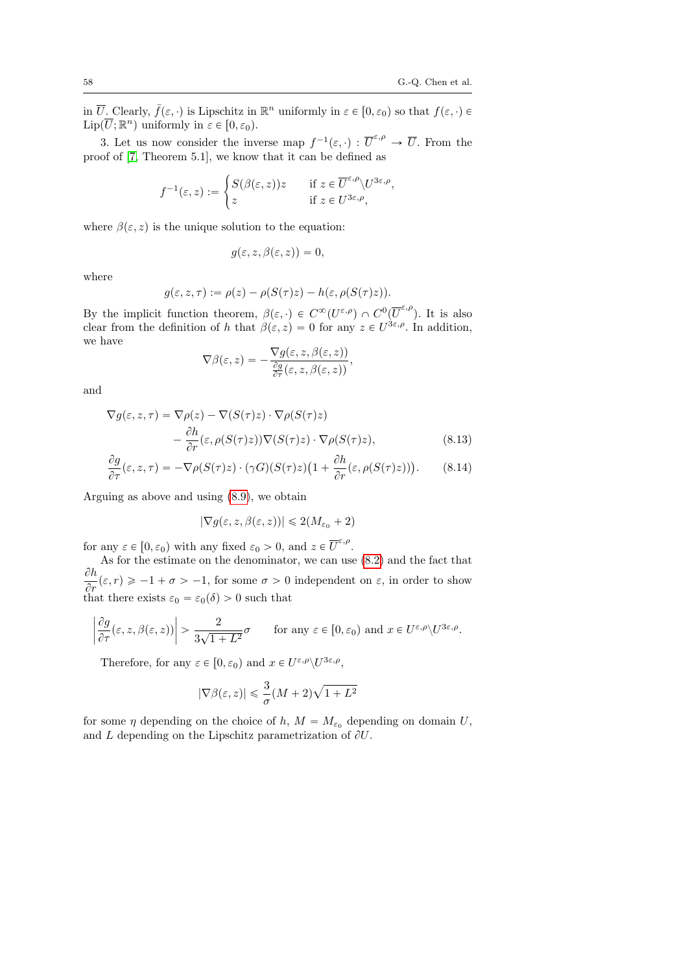,

in  $\overline{U}$ . Clearly,  $\overline{f}(\varepsilon, \cdot)$  is Lipschitz in  $\mathbb{R}^n$  uniformly in  $\varepsilon \in [0, \varepsilon_0)$  so that  $f(\varepsilon, \cdot) \in$  $\text{Lip}(\overline{U};\mathbb{R}^n)$  uniformly in  $\varepsilon \in [0, \varepsilon_0)$ .

3. Let us now consider the inverse map  $f^{-1}(\varepsilon, \cdot) : \overline{U}^{\varepsilon,\rho} \to \overline{U}$ . From the proof of [\[7,](#page-76-0) Theorem 5.1], we know that it can be defined as

$$
f^{-1}(\varepsilon, z) := \begin{cases} S(\beta(\varepsilon, z))z & \text{if } z \in \overline{U}^{\varepsilon, \rho} \setminus U^{3\varepsilon, \rho} \\ z & \text{if } z \in U^{3\varepsilon, \rho}, \end{cases}
$$

where  $\beta(\varepsilon, z)$  is the unique solution to the equation:

$$
g(\varepsilon,z,\beta(\varepsilon,z))=0,
$$

where

$$
g(\varepsilon, z, \tau) := \rho(z) - \rho(S(\tau)z) - h(\varepsilon, \rho(S(\tau)z)).
$$

By the implicit function theorem,  $\beta(\varepsilon, \cdot) \in C^{\infty}(U^{\varepsilon,\rho}) \cap C^{0}(\overline{U}^{\varepsilon,\rho}).$  It is also clear from the definition of h that  $\beta(\varepsilon, z) = 0$  for any  $z \in U^{3\varepsilon, \rho}$ . In addition, we have

$$
\nabla \beta(\varepsilon, z) = -\frac{\nabla g(\varepsilon, z, \beta(\varepsilon, z))}{\frac{\partial g}{\partial \tau}(\varepsilon, z, \beta(\varepsilon, z))},
$$

and

$$
\nabla g(\varepsilon, z, \tau) = \nabla \rho(z) - \nabla (S(\tau)z) \cdot \nabla \rho(S(\tau)z)
$$

$$
- \frac{\partial h}{\partial r}(\varepsilon, \rho(S(\tau)z)) \nabla (S(\tau)z) \cdot \nabla \rho(S(\tau)z), \tag{8.13}
$$

$$
\frac{\partial g}{\partial \tau}(\varepsilon, z, \tau) = -\nabla \rho(S(\tau)z) \cdot (\gamma G)(S(\tau)z) \left(1 + \frac{\partial h}{\partial r}(\varepsilon, \rho(S(\tau)z))\right). \tag{8.14}
$$

Arguing as above and using [\(8.9\)](#page-56-0), we obtain

$$
|\nabla g(\varepsilon,z,\beta(\varepsilon,z))| \leq 2(M_{\varepsilon_0}+2)
$$

for any  $\varepsilon \in [0, \varepsilon_0)$  with any fixed  $\varepsilon_0 > 0$ , and  $z \in \overline{U}^{\varepsilon, \rho}$ .

As for the estimate on the denominator, we can use [\(8.2\)](#page-54-2) and the fact that  $\partial h$  $\frac{\partial u}{\partial r}(\varepsilon, r) \geq -1 + \sigma > -1$ , for some  $\sigma > 0$  independent on  $\varepsilon$ , in order to show that there exists  $\varepsilon_0 = \varepsilon_0(\delta) > 0$  such that

$$
\left|\frac{\partial g}{\partial \tau}(\varepsilon, z, \beta(\varepsilon, z))\right| > \frac{2}{3\sqrt{1+L^2}}\sigma \quad \text{for any } \varepsilon \in [0, \varepsilon_0) \text{ and } x \in U^{\varepsilon, \rho} \setminus U^{3\varepsilon, \rho}.
$$

Therefore, for any  $\varepsilon \in [0, \varepsilon_0)$  and  $x \in U^{\varepsilon,\rho} \setminus U^{3\varepsilon,\rho}$ ,

$$
|\nabla\beta(\varepsilon,z)|\leqslant\frac{3}{\sigma}(M+2)\sqrt{1+L^2}
$$

for some  $\eta$  depending on the choice of h,  $M = M_{\varepsilon_0}$  depending on domain U, and L depending on the Lipschitz parametrization of  $\partial U$ .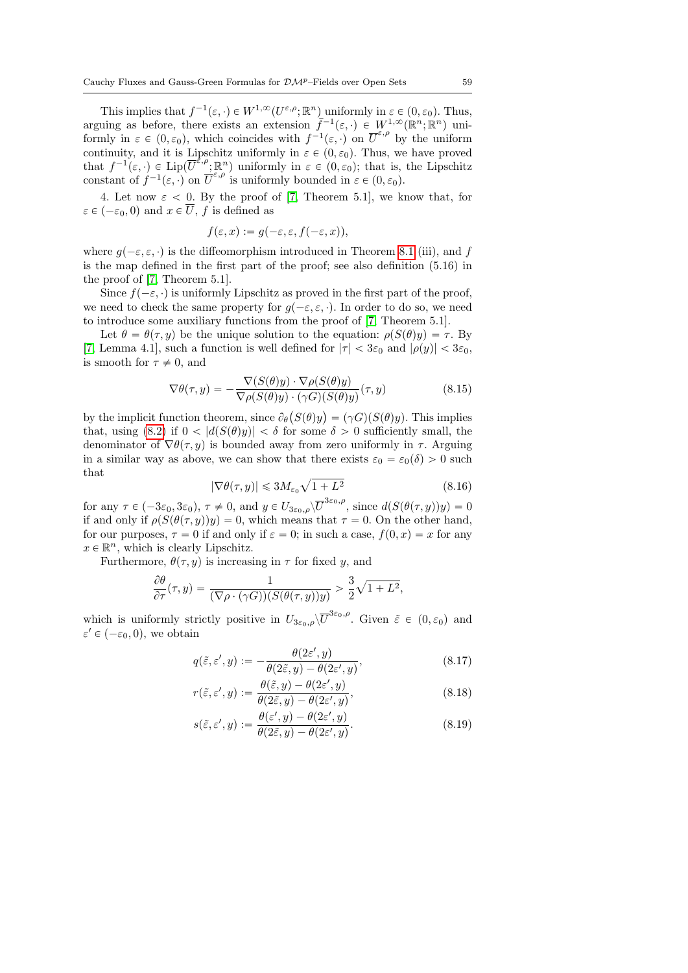This implies that  $f^{-1}(\varepsilon, \cdot) \in W^{1,\infty}(U^{\varepsilon,\rho}; \mathbb{R}^n)$  uniformly in  $\varepsilon \in (0, \varepsilon_0)$ . Thus, arguing as before, there exists an extension  $\tilde{f}^{-1}(\varepsilon, \cdot) \in W^{1,\infty}(\mathbb{R}^n; \mathbb{R}^n)$  uniformly in  $\varepsilon \in (0,\varepsilon_0)$ , which coincides with  $f^{-1}(\varepsilon, \cdot)$  on  $\overline{U}^{\varepsilon,\rho}$  by the uniform continuity, and it is Lipschitz uniformly in  $\varepsilon \in (0, \varepsilon_0)$ . Thus, we have proved that  $f^{-1}(\varepsilon, \cdot) \in \text{Lip}(\overline{U}^{\varepsilon,\rho}; \mathbb{R}^n)$  uniformly in  $\varepsilon \in (0, \varepsilon_0)$ ; that is, the Lipschitz constant of  $f^{-1}(\varepsilon, \cdot)$  on  $\overline{U}^{\varepsilon,\rho}$  is uniformly bounded in  $\varepsilon \in (0, \varepsilon_0)$ .

4. Let now  $\varepsilon$  < 0. By the proof of [\[7,](#page-76-0) Theorem 5.1], we know that, for  $\varepsilon \in (-\varepsilon_0, 0)$  and  $x \in \overline{U}$ , f is defined as

$$
f(\varepsilon, x) := g(-\varepsilon, \varepsilon, f(-\varepsilon, x)),
$$

where  $g(-\varepsilon, \varepsilon, \cdot)$  is the diffeomorphism introduced in Theorem [8.1](#page-53-0) (iii), and f is the map defined in the first part of the proof; see also definition (5.16) in the proof of [\[7,](#page-76-0) Theorem 5.1].

Since  $f(-\varepsilon, \cdot)$  is uniformly Lipschitz as proved in the first part of the proof, we need to check the same property for  $g(-\varepsilon, \varepsilon, \cdot)$ . In order to do so, we need to introduce some auxiliary functions from the proof of [\[7,](#page-76-0) Theorem 5.1].

Let  $\theta = \theta(\tau, y)$  be the unique solution to the equation:  $\rho(S(\theta)y) = \tau$ . By [\[7,](#page-76-0) Lemma 4.1], such a function is well defined for  $|\tau| < 3\varepsilon_0$  and  $|\rho(y)| < 3\varepsilon_0$ , is smooth for  $\tau \neq 0$ , and

$$
\nabla \theta(\tau, y) = -\frac{\nabla (S(\theta)y) \cdot \nabla \rho(S(\theta)y)}{\nabla \rho(S(\theta)y) \cdot (\gamma G)(S(\theta)y)}(\tau, y)
$$
(8.15)

by the implicit function theorem, since  $\partial_{\theta} (S(\theta)y) = (\gamma G)(S(\theta)y)$ . This implies that, using [\(8.2\)](#page-54-2) if  $0 < |d(S(\theta)y)| < \delta$  for some  $\delta > 0$  sufficiently small, the denominator of  $\nabla \theta(\tau, y)$  is bounded away from zero uniformly in  $\tau$ . Arguing in a similar way as above, we can show that there exists  $\varepsilon_0 = \varepsilon_0(\delta) > 0$  such that

<span id="page-58-0"></span>
$$
|\nabla \theta(\tau, y)| \le 3M_{\varepsilon_0} \sqrt{1 + L^2}
$$
\n(8.16)

for any  $\tau \in (-3\varepsilon_0, 3\varepsilon_0)$ ,  $\tau \neq 0$ , and  $y \in U_{3\varepsilon_0,\rho}\setminus \overline{U}^{3\varepsilon_0,\rho}$ , since  $d(S(\theta(\tau,y))y) = 0$ if and only if  $\rho(S(\theta(\tau, y))y) = 0$ , which means that  $\tau = 0$ . On the other hand, for our purposes,  $\tau = 0$  if and only if  $\varepsilon = 0$ ; in such a case,  $f(0, x) = x$  for any  $x \in \mathbb{R}^n$ , which is clearly Lipschitz.

Furthermore,  $\theta(\tau, y)$  is increasing in  $\tau$  for fixed y, and

$$
\frac{\partial \theta}{\partial \tau}(\tau, y) = \frac{1}{(\nabla \rho \cdot (\gamma G))(S(\theta(\tau, y))y)} > \frac{3}{2}\sqrt{1 + L^2},
$$

which is uniformly strictly positive in  $U_{3\varepsilon_0,\rho}\backslash\overline{U}^{3\varepsilon_0,\rho}$ . Given  $\tilde{\varepsilon} \in (0,\varepsilon_0)$  and  $\varepsilon' \in (-\varepsilon_0, 0)$ , we obtain

$$
q(\tilde{\varepsilon}, \varepsilon', y) := -\frac{\theta(2\varepsilon', y)}{\theta(2\tilde{\varepsilon}, y) - \theta(2\varepsilon', y)},
$$
\n(8.17)

$$
r(\tilde{\varepsilon}, \varepsilon', y) := \frac{\theta(\tilde{\varepsilon}, y) - \theta(2\varepsilon', y)}{\theta(2\tilde{\varepsilon}, y) - \theta(2\varepsilon', y)},
$$
\n(8.18)

$$
s(\tilde{\varepsilon}, \varepsilon', y) := \frac{\theta(\varepsilon', y) - \theta(2\varepsilon', y)}{\theta(2\tilde{\varepsilon}, y) - \theta(2\varepsilon', y)}.
$$
\n(8.19)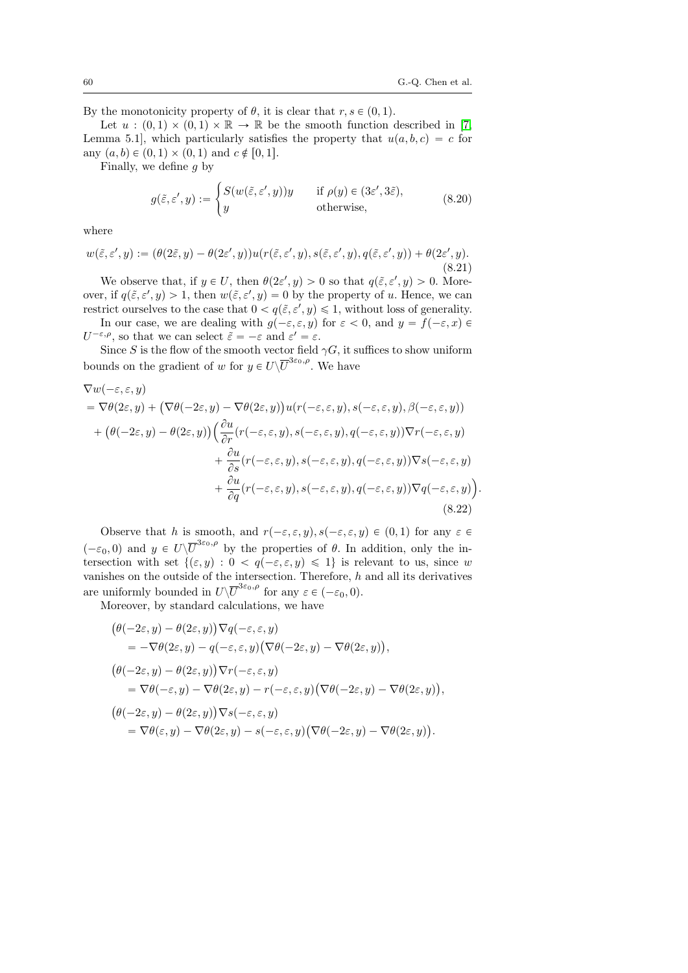By the monotonicity property of  $\theta$ , it is clear that  $r, s \in (0, 1)$ .

Let  $u : (0, 1) \times (0, 1) \times \mathbb{R} \to \mathbb{R}$  be the smooth function described in [\[7,](#page-76-0) Lemma 5.1, which particularly satisfies the property that  $u(a, b, c) = c$  for any  $(a, b) \in (0, 1) \times (0, 1)$  and  $c \notin [0, 1]$ .

Finally, we define g by

<span id="page-59-0"></span>
$$
g(\tilde{\varepsilon}, \varepsilon', y) := \begin{cases} S(w(\tilde{\varepsilon}, \varepsilon', y))y & \text{if } \rho(y) \in (3\varepsilon', 3\tilde{\varepsilon}), \\ y & \text{otherwise,} \end{cases}
$$
(8.20)

where

$$
w(\tilde{\varepsilon}, \varepsilon', y) := (\theta(2\tilde{\varepsilon}, y) - \theta(2\varepsilon', y))u(r(\tilde{\varepsilon}, \varepsilon', y), s(\tilde{\varepsilon}, \varepsilon', y), q(\tilde{\varepsilon}, \varepsilon', y)) + \theta(2\varepsilon', y).
$$
\n(8.21)

We observe that, if  $y \in U$ , then  $\theta(2\varepsilon', y) > 0$  so that  $q(\tilde{\varepsilon}, \varepsilon', y) > 0$ . Moreover, if  $q(\tilde{\varepsilon}, \varepsilon', y) > 1$ , then  $w(\tilde{\varepsilon}, \varepsilon', y) = 0$  by the property of u. Hence, we can restrict ourselves to the case that  $0 < q(\tilde{\varepsilon}, \varepsilon', y) \leq 1$ , without loss of generality.

In our case, we are dealing with  $g(-\varepsilon, \varepsilon, y)$  for  $\varepsilon < 0$ , and  $y = f(-\varepsilon, x) \in$  $U^{-\varepsilon,\rho}$ , so that we can select  $\tilde{\varepsilon} = -\varepsilon$  and  $\varepsilon' = \varepsilon$ .

Since S is the flow of the smooth vector field  $\gamma G$ , it suffices to show uniform bounds on the gradient of w for  $y \in U\backslash \overline{U}^{3\varepsilon_0,\rho}$ . We have

$$
\nabla w(-\varepsilon, \varepsilon, y)
$$
\n
$$
= \nabla \theta(2\varepsilon, y) + (\nabla \theta(-2\varepsilon, y) - \nabla \theta(2\varepsilon, y))u(r(-\varepsilon, \varepsilon, y), s(-\varepsilon, \varepsilon, y), \beta(-\varepsilon, \varepsilon, y))
$$
\n
$$
+ (\theta(-2\varepsilon, y) - \theta(2\varepsilon, y)) \left(\frac{\partial u}{\partial r}(r(-\varepsilon, \varepsilon, y), s(-\varepsilon, \varepsilon, y), q(-\varepsilon, \varepsilon, y)) \nabla r(-\varepsilon, \varepsilon, y) + \frac{\partial u}{\partial s}(r(-\varepsilon, \varepsilon, y), s(-\varepsilon, \varepsilon, y), q(-\varepsilon, \varepsilon, y)) \nabla s(-\varepsilon, \varepsilon, y) + \frac{\partial u}{\partial q}(r(-\varepsilon, \varepsilon, y), s(-\varepsilon, \varepsilon, y), q(-\varepsilon, \varepsilon, y)) \nabla q(-\varepsilon, \varepsilon, y)).
$$
\n(8.22)

Observe that h is smooth, and  $r(-\varepsilon, \varepsilon, y), s(-\varepsilon, \varepsilon, y) \in (0, 1)$  for any  $\varepsilon \in$  $(-\varepsilon_0, 0)$  and  $y \in U\backslash \overline{U}^{3\varepsilon_0,\rho}$  by the properties of  $\theta$ . In addition, only the intersection with set  $\{(\varepsilon, y): 0 < q(-\varepsilon, \varepsilon, y) \leq 1\}$  is relevant to us, since w vanishes on the outside of the intersection. Therefore,  $h$  and all its derivatives are uniformly bounded in  $U\backslash \overline{U}^{3\varepsilon_0,\rho}$  for any  $\varepsilon \in (-\varepsilon_0,0)$ .

Moreover, by standard calculations, we have °™™™™™™™™™™™™™™

$$
\begin{aligned}\n&\big(\theta(-2\varepsilon,y)-\theta(2\varepsilon,y)\big)\nabla q(-\varepsilon,\varepsilon,y) \\
&=-\nabla\theta(2\varepsilon,y)-q(-\varepsilon,\varepsilon,y)\big(\nabla\theta(-2\varepsilon,y)-\nabla\theta(2\varepsilon,y)\big), \\
&\big(\theta(-2\varepsilon,y)-\theta(2\varepsilon,y)\big)\nabla r(-\varepsilon,\varepsilon,y) \\
&=\nabla\theta(-\varepsilon,y)-\nabla\theta(2\varepsilon,y)-r(-\varepsilon,\varepsilon,y)\big(\nabla\theta(-2\varepsilon,y)-\nabla\theta(2\varepsilon,y)\big), \\
&\big(\theta(-2\varepsilon,y)-\theta(2\varepsilon,y)\big)\nabla s(-\varepsilon,\varepsilon,y)\big) \\
&=\nabla\theta(\varepsilon,y)-\nabla\theta(2\varepsilon,y)-s(-\varepsilon,\varepsilon,y)\big(\nabla\theta(-2\varepsilon,y)-\nabla\theta(2\varepsilon,y)\big).\n\end{aligned}
$$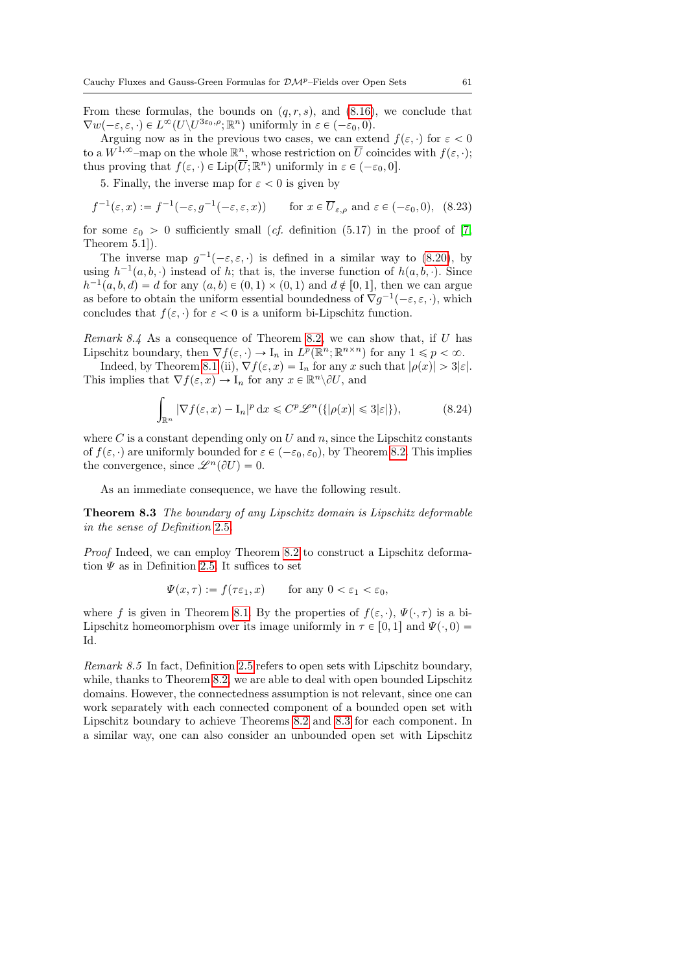From these formulas, the bounds on  $(q, r, s)$ , and  $(8.16)$ , we conclude that  $\nabla w(-\varepsilon, \varepsilon, \cdot) \in L^{\infty}(U \setminus U^{3\varepsilon_0, \rho}; \mathbb{R}^n)$  uniformly in  $\varepsilon \in (-\varepsilon_0, 0)$ .

Arguing now as in the previous two cases, we can extend  $f(\varepsilon, \cdot)$  for  $\varepsilon < 0$ to a  $W^{1,\infty}$ -map on the whole  $\mathbb{R}^n$ , whose restriction on  $\overline{U}$  coincides with  $f(\varepsilon, \cdot)$ ; thus proving that  $f(\varepsilon, \cdot) \in \text{Lip}(\overline{U}; \mathbb{R}^n)$  uniformly in  $\varepsilon \in (-\varepsilon_0, 0]$ .

5. Finally, the inverse map for  $\varepsilon < 0$  is given by

$$
f^{-1}(\varepsilon, x) := f^{-1}(-\varepsilon, g^{-1}(-\varepsilon, \varepsilon, x)) \qquad \text{for } x \in \overline{U}_{\varepsilon, \rho} \text{ and } \varepsilon \in (-\varepsilon_0, 0), \tag{8.23}
$$

for some  $\varepsilon_0 > 0$  sufficiently small (*cf.* definition (5.17) in the proof of [\[7,](#page-76-0) Theorem 5.1]).

The inverse map  $g^{-1}(-\varepsilon,\varepsilon,\cdot)$  is defined in a similar way to [\(8.20\)](#page-59-0), by using  $h^{-1}(a, b, \cdot)$  instead of h; that is, the inverse function of  $h(a, b, \cdot)$ . Since  $h^{-1}(a, b, d) = d$  for any  $(a, b) \in (0, 1) \times (0, 1)$  and  $d \notin [0, 1]$ , then we can argue as before to obtain the uniform essential boundedness of  $\nabla g^{-1}(-\varepsilon, \varepsilon, \cdot)$ , which concludes that  $f(\varepsilon, \cdot)$  for  $\varepsilon < 0$  is a uniform bi-Lipschitz function.

*Remark 8.4* As a consequence of Theorem [8.2,](#page-54-0) we can show that, if  $U$  has Lipschitz boundary, then  $\nabla f(\varepsilon, \cdot) \to I_n$  in  $L^p(\mathbb{R}^n; \mathbb{R}^{n \times n})$  for any  $1 \leq p < \infty$ .

Indeed, by Theorem [8.1](#page-53-0) (ii),  $\nabla f(\varepsilon, x) = I_n$  for any x such that  $|\rho(x)| > 3|\varepsilon|$ . This implies that  $\nabla f(\varepsilon, x) \to I_n$  for any  $x \in \mathbb{R}^n \setminus \partial U$ , and

$$
\int_{\mathbb{R}^n} |\nabla f(\varepsilon, x) - \mathcal{I}_n|^p \, \mathrm{d}x \le C^p \mathcal{L}^n(\{|\rho(x)| \le 3|\varepsilon|\}),\tag{8.24}
$$

where C is a constant depending only on U and n, since the Lipschitz constants of  $f(\varepsilon, \cdot)$  are uniformly bounded for  $\varepsilon \in (-\varepsilon_0, \varepsilon_0)$ , by Theorem [8.2.](#page-54-0) This implies the convergence, since  $\mathscr{L}^n(\partial U) = 0$ .

As an immediate consequence, we have the following result.

<span id="page-60-0"></span>Theorem 8.3 The boundary of any Lipschitz domain is Lipschitz deformable in the sense of Definition [2.5](#page-8-0).

Proof Indeed, we can employ Theorem [8.2](#page-54-0) to construct a Lipschitz deformation  $\Psi$  as in Definition [2.5.](#page-8-0) It suffices to set

$$
\Psi(x,\tau) := f(\tau \varepsilon_1, x) \qquad \text{for any } 0 < \varepsilon_1 < \varepsilon_0,
$$

where f is given in Theorem [8.1.](#page-53-0) By the properties of  $f(\varepsilon, \cdot), \Psi(\cdot, \tau)$  is a bi-Lipschitz homeomorphism over its image uniformly in  $\tau \in [0, 1]$  and  $\Psi(\cdot, 0) =$ Id.

Remark 8.5 In fact, Definition [2.5](#page-8-0) refers to open sets with Lipschitz boundary, while, thanks to Theorem [8.2,](#page-54-0) we are able to deal with open bounded Lipschitz domains. However, the connectedness assumption is not relevant, since one can work separately with each connected component of a bounded open set with Lipschitz boundary to achieve Theorems [8.2](#page-54-0) and [8.3](#page-60-0) for each component. In a similar way, one can also consider an unbounded open set with Lipschitz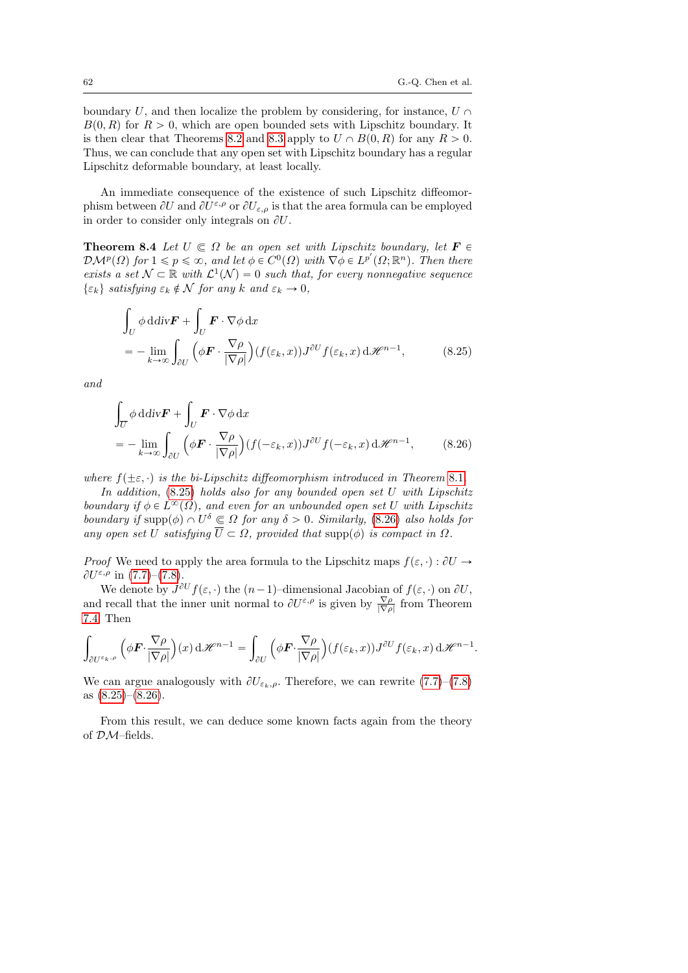boundary U, and then localize the problem by considering, for instance,  $U \cap$  $B(0, R)$  for  $R > 0$ , which are open bounded sets with Lipschitz boundary. It is then clear that Theorems [8.2](#page-54-0) and [8.3](#page-60-0) apply to  $U \cap B(0, R)$  for any  $R > 0$ . Thus, we can conclude that any open set with Lipschitz boundary has a regular Lipschitz deformable boundary, at least locally.

An immediate consequence of the existence of such Lipschitz diffeomorphism between  $\partial U$  and  $\partial U^{\varepsilon,\rho}$  or  $\partial U_{\varepsilon,\rho}$  is that the area formula can be employed in order to consider only integrals on  $\partial U$ .

<span id="page-61-2"></span>**Theorem 8.4** Let  $U \subseteq \Omega$  be an open set with Lipschitz boundary, let  $\mathbf{F} \in \Omega$  $\mathcal{DM}^p(\Omega)$  for  $1 \leqslant p \leqslant \infty$ , and let  $\phi \in C^0(\Omega)$  with  $\nabla \phi \in L^{p'}(\Omega; \mathbb{R}^n)$ . Then there exists a set  $\mathcal{N} \subset \mathbb{R}$  with  $\mathcal{L}^1(\mathcal{N}) = 0$  such that, for every nonnegative sequence  $\{\varepsilon_k\}$  satisfying  $\varepsilon_k \notin \mathcal{N}$  for any k and  $\varepsilon_k \to 0$ ,

<span id="page-61-0"></span>
$$
\int_{U} \phi \, \mathrm{d} \, \mathrm{d} \, \mathrm{v} \mathbf{F} + \int_{U} \mathbf{F} \cdot \nabla \phi \, \mathrm{d} \, x
$$
\n
$$
= - \lim_{k \to \infty} \int_{\partial U} \left( \phi \mathbf{F} \cdot \frac{\nabla \rho}{|\nabla \rho|} \right) (f(\varepsilon_k, x)) J^{\partial U} f(\varepsilon_k, x) \, \mathrm{d} \mathcal{H}^{n-1}, \tag{8.25}
$$

and

<span id="page-61-1"></span>
$$
\int_{\overline{U}} \phi \, \mathrm{d} \, \mathrm{d} \, \mathrm{iv} \mathbf{F} + \int_{U} \mathbf{F} \cdot \nabla \phi \, \mathrm{d} x
$$
\n
$$
= - \lim_{k \to \infty} \int_{\partial U} \left( \phi \mathbf{F} \cdot \frac{\nabla \rho}{|\nabla \rho|} \right) (f(-\varepsilon_k, x)) J^{\partial U} f(-\varepsilon_k, x) \, \mathrm{d} \mathcal{H}^{n-1}, \tag{8.26}
$$

where  $f(\pm \varepsilon, \cdot)$  is the bi-Lipschitz diffeomorphism introduced in Theorem [8.1](#page-53-0).

In addition, [\(8.25\)](#page-61-0) holds also for any bounded open set U with Lipschitz boundary if  $\phi \in L^{\infty}(\Omega)$ , and even for an unbounded open set U with Lipschitz boundary if supp $(\phi) \cap U^{\delta} \subseteq \Omega$  for any  $\delta > 0$ . Similarly, [\(8.26\)](#page-61-1) also holds for any open set U satisfying  $\overline{U} \subset \Omega$ , provided that supp $(\phi)$  is compact in  $\Omega$ .

*Proof* We need to apply the area formula to the Lipschitz maps  $f(\varepsilon, \cdot) : \partial U \to$  $\partial U^{\varepsilon,\rho}$  in [\(7.7\)](#page-50-1)–[\(7.8\)](#page-51-0).

We denote by  $J^{\partial U} f(\varepsilon, \cdot)$  the  $(n-1)$ -dimensional Jacobian of  $f(\varepsilon, \cdot)$  on  $\partial U$ , and recall that the inner unit normal to  $\partial U^{\varepsilon,\rho}$  is given by  $\frac{\nabla \rho}{|\nabla \rho|}$  from Theorem [7.4.](#page-50-3) Then

$$
\int_{\partial U^{\varepsilon_k,\rho}} \left( \phi \mathbf{F} \cdot \frac{\nabla \rho}{|\nabla \rho|} \right) (x) \, \mathrm{d} \mathscr{H}^{n-1} = \int_{\partial U} \left( \phi \mathbf{F} \cdot \frac{\nabla \rho}{|\nabla \rho|} \right) (f(\varepsilon_k, x)) J^{\partial U} f(\varepsilon_k, x) \, \mathrm{d} \mathscr{H}^{n-1}.
$$

We can argue analogously with  $\partial U_{\varepsilon_k,\rho}$ . Therefore, we can rewrite [\(7.7\)](#page-50-1)–[\(7.8\)](#page-51-0) as  $(8.25)-(8.26)$  $(8.25)-(8.26)$  $(8.25)-(8.26)$ .

<span id="page-61-3"></span>From this result, we can deduce some known facts again from the theory of DM–fields.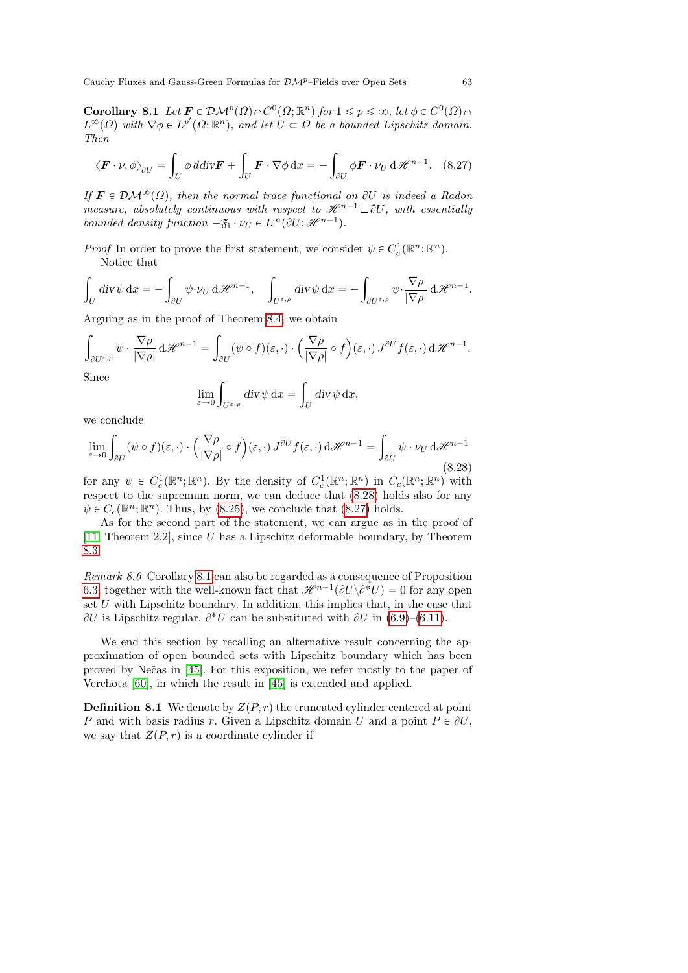**Corollary 8.1** Let  $F \in \mathcal{DM}^p(\Omega) \cap C^0(\Omega; \mathbb{R}^n)$  for  $1 \leq p \leq \infty$ , let  $\phi \in C^0(\Omega) \cap C^0(\Omega)$  $L^{\infty}(\Omega)$  with  $\nabla \phi \in L^{p'}(\Omega; \mathbb{R}^n)$ , and let  $U \subset \Omega$  be a bounded Lipschitz domain. Then

<span id="page-62-1"></span>
$$
\langle \boldsymbol{F} \cdot \boldsymbol{\nu}, \phi \rangle_{\partial U} = \int_{U} \phi \, d\mathrm{div} \boldsymbol{F} + \int_{U} \boldsymbol{F} \cdot \nabla \phi \, dx = - \int_{\partial U} \phi \boldsymbol{F} \cdot \boldsymbol{\nu}_{U} \, d\mathcal{H}^{n-1}.
$$
 (8.27)

If  $\mathbf{F} \in \mathcal{DM}^{\infty}(\Omega)$ , then the normal trace functional on  $\partial U$  is indeed a Radon measure, absolutely continuous with respect to  $\mathcal{H}^{n-1} \square \partial U$ , with essentially bounded density function  $-\mathfrak{F}_i \cdot \nu_U \in L^{\infty}(\partial U; \mathcal{H}^{n-1}).$ 

*Proof* In order to prove the first statement, we consider  $\psi \in C_c^1(\mathbb{R}^n;\mathbb{R}^n)$ . Notice that

$$
\int_{U} \operatorname{div} \psi \, dx = - \int_{\partial U} \psi \cdot \nu_{U} \, d\mathscr{H}^{n-1}, \quad \int_{U^{\varepsilon,\rho}} \operatorname{div} \psi \, dx = - \int_{\partial U^{\varepsilon,\rho}} \psi \cdot \frac{\nabla \rho}{|\nabla \rho|} \, d\mathscr{H}^{n-1}.
$$

Arguing as in the proof of Theorem [8.4,](#page-61-2) we obtain

$$
\int_{\partial U^{\varepsilon,\rho}} \psi \cdot \frac{\nabla \rho}{|\nabla \rho|} d\mathscr{H}^{n-1} = \int_{\partial U} (\psi \circ f)(\varepsilon,\cdot) \cdot \left(\frac{\nabla \rho}{|\nabla \rho|} \circ f\right)(\varepsilon,\cdot) J^{\partial U} f(\varepsilon,\cdot) d\mathscr{H}^{n-1}.
$$

Since

$$
\lim_{\varepsilon \to 0} \int_{U^{\varepsilon,\rho}} \mathrm{div} \, \psi \, \mathrm{d}x = \int_U \mathrm{div} \, \psi \, \mathrm{d}x,
$$

we conclude

<span id="page-62-0"></span>
$$
\lim_{\varepsilon \to 0} \int_{\partial U} (\psi \circ f)(\varepsilon, \cdot) \cdot \left( \frac{\nabla \rho}{|\nabla \rho|} \circ f \right)(\varepsilon, \cdot) J^{\partial U} f(\varepsilon, \cdot) d\mathcal{H}^{n-1} = \int_{\partial U} \psi \cdot \nu_U d\mathcal{H}^{n-1}
$$
\n(8.28)

for any  $\psi \in C_c^1(\mathbb{R}^n;\mathbb{R}^n)$ . By the density of  $C_c^1(\mathbb{R}^n;\mathbb{R}^n)$  in  $C_c(\mathbb{R}^n;\mathbb{R}^n)$  with respect to the supremum norm, we can deduce that  $(8.28)$  holds also for any  $\psi \in C_c(\mathbb{R}^n;\mathbb{R}^n)$ . Thus, by [\(8.25\)](#page-61-0), we conclude that [\(8.27\)](#page-62-1) holds.

As for the second part of the statement, we can argue as in the proof of [\[11,](#page-76-1) Theorem 2.2], since U has a Lipschitz deformable boundary, by Theorem [8.3.](#page-60-0)

Remark 8.6 Corollary [8.1](#page-61-3) can also be regarded as a consequence of Proposition [6.3,](#page-44-1) together with the well-known fact that  $\mathscr{H}^{n-1}(\partial U \backslash \partial^* U) = 0$  for any open set  $U$  with Lipschitz boundary. In addition, this implies that, in the case that  $\partial U$  is Lipschitz regular,  $\partial^* U$  can be substituted with  $\partial U$  in [\(6.9\)](#page-45-0)–[\(6.11\)](#page-45-1).

We end this section by recalling an alternative result concerning the approximation of open bounded sets with Lipschitz boundary which has been proved by Neˇcas in [\[45\]](#page-79-4). For this exposition, we refer mostly to the paper of Verchota [\[60\]](#page-80-1), in which the result in [\[45\]](#page-79-4) is extended and applied.

**Definition 8.1** We denote by  $Z(P, r)$  the truncated cylinder centered at point P and with basis radius r. Given a Lipschitz domain U and a point  $P \in \partial U$ , we say that  $Z(P,r)$  is a coordinate cylinder if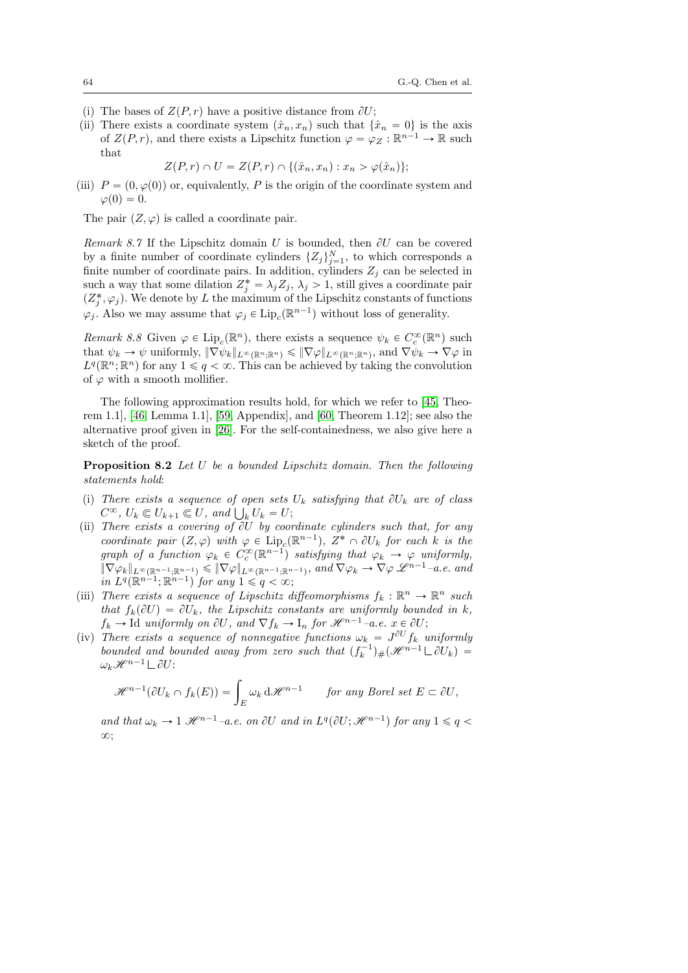- (i) The bases of  $Z(P,r)$  have a positive distance from  $\partial U$ ;
- (ii) There exists a coordinate system  $(\hat{x}_n, x_n)$  such that  $\{\hat{x}_n = 0\}$  is the axis of  $Z(P, r)$ , and there exists a Lipschitz function  $\varphi = \varphi_Z : \mathbb{R}^{n-1} \to \mathbb{R}$  such that

$$
Z(P,r) \cap U = Z(P,r) \cap \{(\hat{x}_n, x_n) : x_n > \varphi(\hat{x}_n)\};
$$

(iii)  $P = (0, \varphi(0))$  or, equivalently, P is the origin of the coordinate system and  $\varphi(0) = 0.$ 

The pair  $(Z, \varphi)$  is called a coordinate pair.

Remark 8.7 If the Lipschitz domain U is bounded, then  $\partial U$  can be covered by a finite number of coordinate cylinders  $\{Z_j\}_{j=1}^N$ , to which corresponds a finite number of coordinate pairs. In addition, cylinders  $Z_j$  can be selected in such a way that some dilation  $Z_j^* = \lambda_j Z_j$ ,  $\lambda_j > 1$ , still gives a coordinate pair  $(Z_j^*, \varphi_j)$ . We denote by L the maximum of the Lipschitz constants of functions  $\varphi_j$ . Also we may assume that  $\varphi_j \in \text{Lip}_c(\mathbb{R}^{n-1})$  without loss of generality.

Remark 8.8 Given  $\varphi \in \text{Lip}_c(\mathbb{R}^n)$ , there exists a sequence  $\psi_k \in C_c^{\infty}(\mathbb{R}^n)$  such that  $\psi_k \to \psi$  uniformly,  $\|\nabla \psi_k\|_{L^{\infty}(\mathbb{R}^n;\mathbb{R}^n)} \leq \|\nabla \varphi\|_{L^{\infty}(\mathbb{R}^n;\mathbb{R}^n)}$ , and  $\nabla \psi_k \to \nabla \varphi$  in  $L^q(\mathbb{R}^n;\mathbb{R}^n)$  for any  $1 \leq q < \infty$ . This can be achieved by taking the convolution of  $\varphi$  with a smooth mollifier.

The following approximation results hold, for which we refer to [\[45,](#page-79-4) Theorem 1.1], [\[46,](#page-79-5) Lemma 1.1], [\[59,](#page-79-6) Appendix], and [\[60,](#page-80-1) Theorem 1.12]; see also the alternative proof given in [\[26\]](#page-77-5). For the self-containedness, we also give here a sketch of the proof.

<span id="page-63-0"></span>Proposition 8.2 Let U be a bounded Lipschitz domain. Then the following statements hold:

- (i) There exists a sequence of open sets  $U_k$  satisfying that  $\partial U_k$  are of class There exists a sequence of open sets<br> $C^{\infty}$ ,  $U_k \subseteq U_{k+1} \subseteq U$ , and  $\bigcup_k U_k = U$ ;
- (ii) There exists a covering of  $\partial U$  by coordinate cylinders such that, for any coordinate pair  $(Z, \varphi)$  with  $\varphi \in \text{Lip}_c(\mathbb{R}^{n-1}), Z^* \cap \partial U_k$  for each k is the graph of a function  $\varphi_k \in C_c^{\infty}(\mathbb{R}^{n-1})$  satisfying that  $\varphi_k \to \varphi$  uniformly,  $\|\nabla \varphi_k\|_{L^{\infty}(\mathbb{R}^{n-1};\mathbb{R}^{n-1})} \leqslant \|\nabla \varphi\|_{L^{\infty}(\mathbb{R}^{n-1};\mathbb{R}^{n-1})}, \text{ and } \nabla \varphi_k \to \nabla \varphi \mathscr{L}^{n-1}-a.e. \text{ and }$ in  $L^q(\mathbb{R}^{n-1}; \mathbb{R}^{n-1})$  for any  $1 \leqslant q < \infty$ ;
- (iii) There exists a sequence of Lipschitz diffeomorphisms  $f_k : \mathbb{R}^n \to \mathbb{R}^n$  such that  $f_k(\partial U) = \partial U_k$ , the Lipschitz constants are uniformly bounded in k,  $f_k \to \text{Id}$  uniformly on  $\partial U$ , and  $\nabla f_k \to I_n$  for  $\mathcal{H}^{n-1}-a.e.$   $x \in \partial U$ ;
- (iv) There exists a sequence of nonnegative functions  $\omega_k = J^{\partial U} f_k$  uniformly bounded and bounded away from zero such that  $(f_k^{-1})_{\#}(\mathscr{H}^{n-1}\square \partial U_k)$  =  $\omega_k\mathscr{H}^{n-1}\mathcal{L}\partial U$ :

$$
\mathscr{H}^{n-1}(\partial U_k \cap f_k(E)) = \int_E \omega_k \, d\mathscr{H}^{n-1} \qquad \text{for any Borel set } E \subset \partial U,
$$

and that  $\omega_k \to 1 \mathcal{H}^{n-1}$ -a.e. on  $\partial U$  and in  $L^q(\partial U; \mathcal{H}^{n-1})$  for any  $1 \leq q <$  $\infty$ :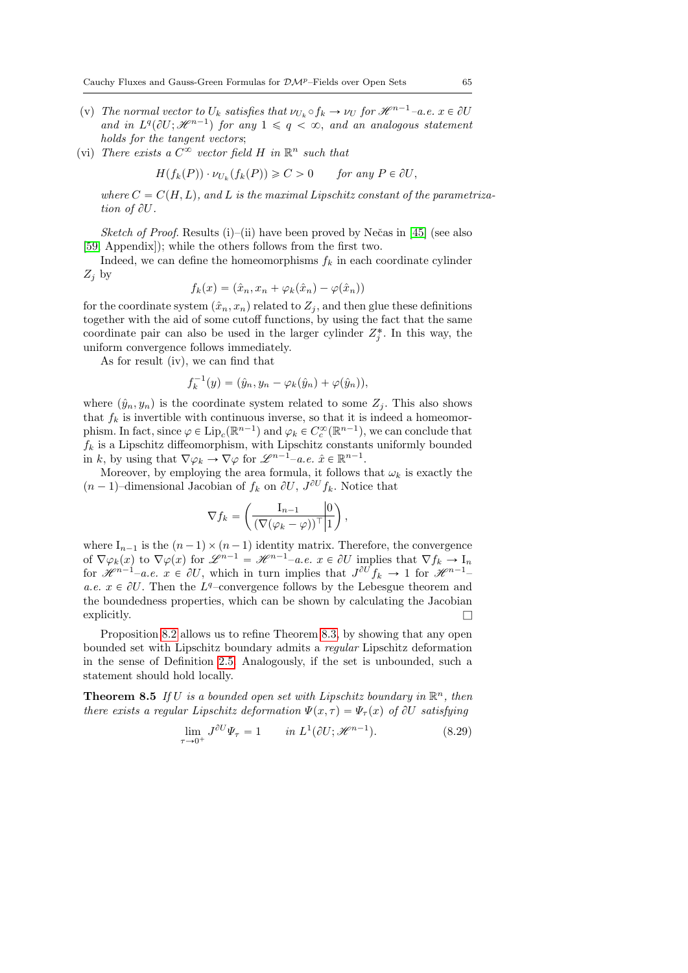- (v) The normal vector to  $U_k$  satisfies that  $\nu_{U_k} \circ f_k \to \nu_U$  for  $\mathcal{H}^{n-1}-a.e.$   $x \in \partial U$ and in  $L^q(\partial U; \mathcal{H}^{n-1})$  for any  $1 \leq q < \infty$ , and an analogous statement holds for the tangent vectors:
- (vi) There exists a  $C^{\infty}$  vector field H in  $\mathbb{R}^n$  such that

$$
H(f_k(P)) \cdot \nu_{U_k}(f_k(P)) \geqslant C > 0 \qquad \text{for any } P \in \partial U,
$$

where  $C = C(H, L)$ , and L is the maximal Lipschitz constant of the parametrization of  $\partial U$ .

Sketch of Proof. Results (i)–(ii) have been proved by Nečas in [\[45\]](#page-79-4) (see also [\[59,](#page-79-6) Appendix]); while the others follows from the first two.

Indeed, we can define the homeomorphisms  $f_k$  in each coordinate cylinder  $Z_i$  by

$$
f_k(x) = (\hat{x}_n, x_n + \varphi_k(\hat{x}_n) - \varphi(\hat{x}_n))
$$

for the coordinate system  $(\hat{x}_n, x_n)$  related to  $Z_j$ , and then glue these definitions together with the aid of some cutoff functions, by using the fact that the same coordinate pair can also be used in the larger cylinder  $Z_j^*$ . In this way, the uniform convergence follows immediately.

As for result (iv), we can find that

$$
f_k^{-1}(y) = (\hat{y}_n, y_n - \varphi_k(\hat{y}_n) + \varphi(\hat{y}_n)),
$$

where  $(\hat{y}_n, y_n)$  is the coordinate system related to some  $Z_i$ . This also shows that  $f_k$  is invertible with continuous inverse, so that it is indeed a homeomorphism. In fact, since  $\varphi \in \text{Lip}_c(\mathbb{R}^{n-1})$  and  $\varphi_k \in C_c^{\infty}(\mathbb{R}^{n-1})$ , we can conclude that  $f_k$  is a Lipschitz diffeomorphism, with Lipschitz constants uniformly bounded in k, by using that  $\nabla \varphi_k \to \nabla \varphi$  for  $\mathscr{L}^{n-1}$ –a.e.  $\hat{x} \in \mathbb{R}^{n-1}$ .

Moreover, by employing the area formula, it follows that  $\omega_k$  is exactly the  $(n-1)$ -dimensional Jacobian of  $f_k$  on  $\partial U$ ,  $J^{\partial U} f_k$ . Notice that

$$
\nabla f_k = \left( \frac{\mathrm{I}_{n-1}}{(\nabla (\varphi_k - \varphi))^\top \, | \, 1} \right),
$$

where  $I_{n-1}$  is the  $(n-1) \times (n-1)$  identity matrix. Therefore, the convergence of  $\nabla \varphi_k(x)$  to  $\nabla \varphi(x)$  for  $\mathscr{L}^{n-1} = \mathscr{H}^{n-1}$ –a.e.  $x \in \partial U$  implies that  $\nabla f_k \to I_n$ for  $\mathscr{H}^{n-1}-a.e.$   $x \in \partial U$ , which in turn implies that  $J^{\partial U} f_k \to 1$  for  $\mathscr{H}^{n-1}$ a.e.  $x \in \partial U$ . Then the L<sup>q</sup>-convergence follows by the Lebesgue theorem and the boundedness properties, which can be shown by calculating the Jacobian explicitly.  $\Box$ 

Proposition [8.2](#page-63-0) allows us to refine Theorem [8.3,](#page-60-0) by showing that any open bounded set with Lipschitz boundary admits a regular Lipschitz deformation in the sense of Definition [2.5.](#page-8-0) Analogously, if the set is unbounded, such a statement should hold locally.

<span id="page-64-1"></span>**Theorem 8.5** If U is a bounded open set with Lipschitz boundary in  $\mathbb{R}^n$ , then there exists a regular Lipschitz deformation  $\Psi(x, \tau) = \Psi_{\tau}(x)$  of  $\partial U$  satisfying

<span id="page-64-0"></span>
$$
\lim_{\tau \to 0^+} J^{\partial U} \Psi_{\tau} = 1 \qquad in \ L^1(\partial U; \mathcal{H}^{n-1}). \tag{8.29}
$$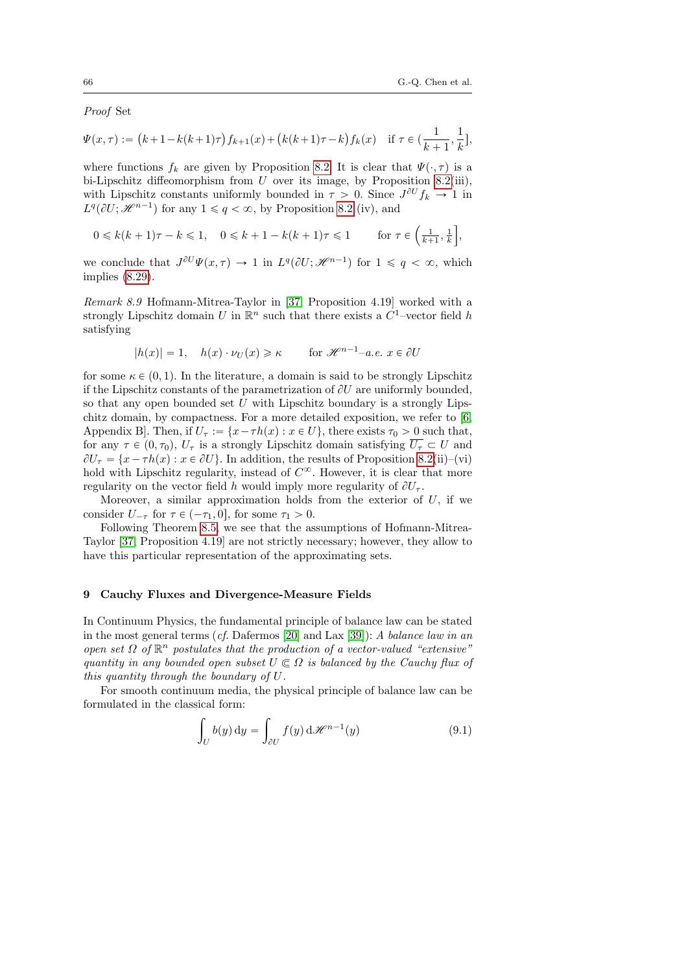Proof Set

$$
\Psi(x,\tau) := (k+1-k(k+1)\tau) f_{k+1}(x) + (k(k+1)\tau - k) f_k(x) \quad \text{if } \tau \in (\frac{1}{k+1},\frac{1}{k}],
$$

where functions  $f_k$  are given by Proposition [8.2.](#page-63-0) It is clear that  $\Psi(\cdot, \tau)$  is a bi-Lipschitz diffeomorphism from  $U$  over its image, by Proposition [8.2\(](#page-63-0)iii), with Lipschitz constants uniformly bounded in  $\tau > 0$ . Since  $J^{\partial U} f_k \to 1$  in  $L^q(\partial U; \mathcal{H}^{n-1})$  for any  $1 \leq q < \infty$ , by Proposition [8.2](#page-63-0) (iv), and

$$
0 \le k(k+1)\tau - k \le 1, \quad 0 \le k+1-k(k+1)\tau \le 1 \quad \text{for } \tau \in \left(\frac{1}{k+1}, \frac{1}{k}\right],
$$

we conclude that  $J^{\partial U}\Psi(x,\tau) \to 1$  in  $L^q(\partial U;\mathcal{H}^{n-1})$  for  $1 \leq q < \infty$ , which implies [\(8.29\)](#page-64-0).

Remark 8.9 Hofmann-Mitrea-Taylor in [\[37,](#page-78-5) Proposition 4.19] worked with a strongly Lipschitz domain U in  $\mathbb{R}^n$  such that there exists a  $C^1$ -vector field h satisfying

$$
|h(x)| = 1, \quad h(x) \cdot \nu_U(x) \ge \kappa \qquad \text{for } \mathcal{H}^{n-1} \text{--a.e. } x \in \partial U
$$

for some  $\kappa \in (0, 1)$ . In the literature, a domain is said to be strongly Lipschitz if the Lipschitz constants of the parametrization of  $\partial U$  are uniformly bounded, so that any open bounded set  $U$  with Lipschitz boundary is a strongly Lipschitz domain, by compactness. For a more detailed exposition, we refer to [\[6,](#page-76-2) Appendix B. Then, if  $U_\tau := \{x - \tau h(x) : x \in U\}$ , there exists  $\tau_0 > 0$  such that, for any  $\tau \in (0, \tau_0)$ ,  $U_{\tau}$  is a strongly Lipschitz domain satisfying  $\overline{U_{\tau}} \subset U$  and  $\partial U_{\tau} = \{x - \tau h(x) : x \in \partial U\}$ . In addition, the results of Proposition [8.2\(](#page-63-0)ii)–(vi) hold with Lipschitz regularity, instead of  $C^{\infty}$ . However, it is clear that more regularity on the vector field h would imply more regularity of  $\partial U_{\tau}$ .

Moreover, a similar approximation holds from the exterior of  $U$ , if we consider  $U_{-\tau}$  for  $\tau \in (-\tau_1, 0]$ , for some  $\tau_1 > 0$ .

Following Theorem [8.5,](#page-64-1) we see that the assumptions of Hofmann-Mitrea-Taylor [\[37,](#page-78-5) Proposition 4.19] are not strictly necessary; however, they allow to have this particular representation of the approximating sets.

#### 9 Cauchy Fluxes and Divergence-Measure Fields

In Continuum Physics, the fundamental principle of balance law can be stated in the most general terms (cf. Dafermos [\[20\]](#page-77-6) and Lax [\[39\]](#page-78-8)): A balance law in an open set  $\Omega$  of  $\mathbb{R}^n$  postulates that the production of a vector-valued "extensive" quantity in any bounded open subset  $U \subseteq \Omega$  is balanced by the Cauchy flux of this quantity through the boundary of U.

For smooth continuum media, the physical principle of balance law can be formulated in the classical form:

<span id="page-65-0"></span>
$$
\int_{U} b(y) dy = \int_{\partial U} f(y) d\mathscr{H}^{n-1}(y)
$$
\n(9.1)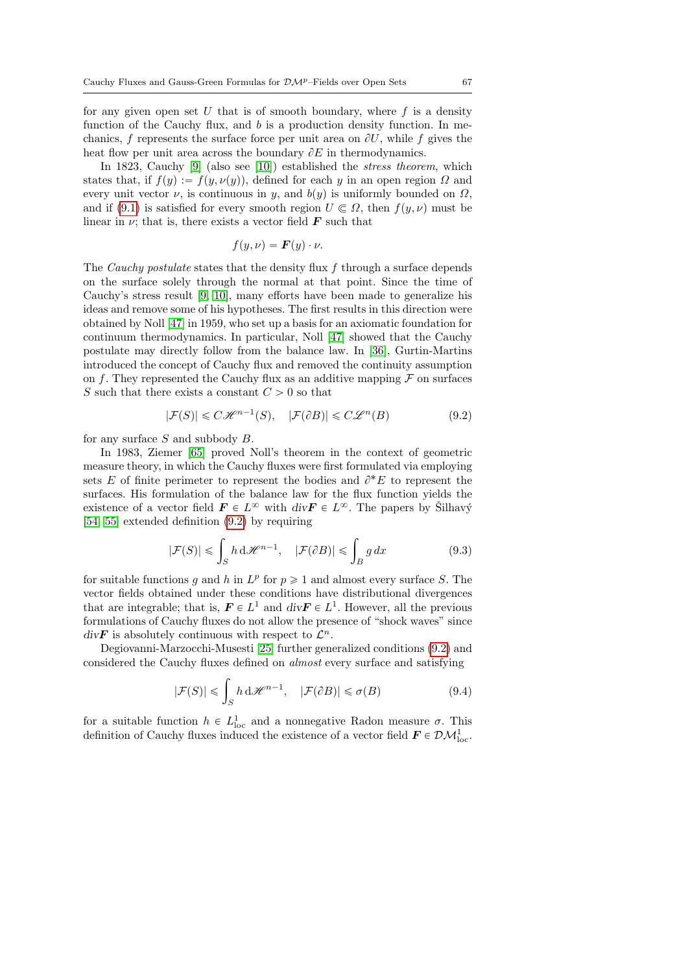for any given open set  $U$  that is of smooth boundary, where  $f$  is a density function of the Cauchy flux, and  $b$  is a production density function. In mechanics, f represents the surface force per unit area on  $\partial U$ , while f gives the heat flow per unit area across the boundary  $\partial E$  in thermodynamics.

In 1823, Cauchy [\[9\]](#page-76-3) (also see [\[10\]](#page-76-4)) established the stress theorem, which states that, if  $f(y) := f(y, \nu(y))$ , defined for each y in an open region  $\Omega$  and every unit vector  $\nu$ , is continuous in y, and  $b(y)$  is uniformly bounded on  $\Omega$ , and if [\(9.1\)](#page-65-0) is satisfied for every smooth region  $U \n\subseteq \Omega$ , then  $f(y, \nu)$  must be linear in  $\nu$ ; that is, there exists a vector field  $\boldsymbol{F}$  such that

$$
f(y,\nu) = \boldsymbol{F}(y) \cdot \nu.
$$

The *Cauchy postulate* states that the density flux  $f$  through a surface depends on the surface solely through the normal at that point. Since the time of Cauchy's stress result [\[9,](#page-76-3) [10\]](#page-76-4), many efforts have been made to generalize his ideas and remove some of his hypotheses. The first results in this direction were obtained by Noll [\[47\]](#page-79-7) in 1959, who set up a basis for an axiomatic foundation for continuum thermodynamics. In particular, Noll [\[47\]](#page-79-7) showed that the Cauchy postulate may directly follow from the balance law. In [\[36\]](#page-78-9), Gurtin-Martins introduced the concept of Cauchy flux and removed the continuity assumption on f. They represented the Cauchy flux as an additive mapping  $\mathcal F$  on surfaces S such that there exists a constant  $C > 0$  so that

<span id="page-66-0"></span>
$$
|\mathcal{F}(S)| \leqslant C\mathcal{H}^{n-1}(S), \quad |\mathcal{F}(\partial B)| \leqslant C\mathcal{L}^n(B) \tag{9.2}
$$

for any surface  $S$  and subbody  $B$ .

In 1983, Ziemer [\[65\]](#page-80-2) proved Noll's theorem in the context of geometric measure theory, in which the Cauchy fluxes were first formulated via employing sets E of finite perimeter to represent the bodies and  $\partial^* E$  to represent the surfaces. His formulation of the balance law for the flux function yields the existence of a vector field  $\mathbf{F} \in L^{\infty}$  with  $div \mathbf{F} \in L^{\infty}$ . The papers by Silhavý [\[54,](#page-79-8) [55\]](#page-79-9) extended definition [\(9.2\)](#page-66-0) by requiring

<span id="page-66-1"></span>
$$
|\mathcal{F}(S)| \leq \int_{S} h \, \mathrm{d}\mathcal{H}^{n-1}, \quad |\mathcal{F}(\partial B)| \leq \int_{B} g \, dx \tag{9.3}
$$

for suitable functions g and h in  $L^p$  for  $p \geq 1$  and almost every surface S. The vector fields obtained under these conditions have distributional divergences that are integrable; that is,  $\mathbf{F} \in L^1$  and  $div \mathbf{F} \in L^1$ . However, all the previous formulations of Cauchy fluxes do not allow the presence of "shock waves" since  $div\mathbf{F}$  is absolutely continuous with respect to  $\mathcal{L}^n$ .

Degiovanni-Marzocchi-Musesti [\[25\]](#page-77-7) further generalized conditions [\(9.2\)](#page-66-0) and considered the Cauchy fluxes defined on almost every surface and satisfying

$$
|\mathcal{F}(S)| \leq \int_{S} h \, \mathrm{d}\mathcal{H}^{n-1}, \quad |\mathcal{F}(\partial B)| \leq \sigma(B) \tag{9.4}
$$

for a suitable function  $h \in L^1_{loc}$  and a nonnegative Radon measure  $\sigma$ . This definition of Cauchy fluxes induced the existence of a vector field  $\mathbf{F} \in \mathcal{DM}^1_{\text{loc}}$ .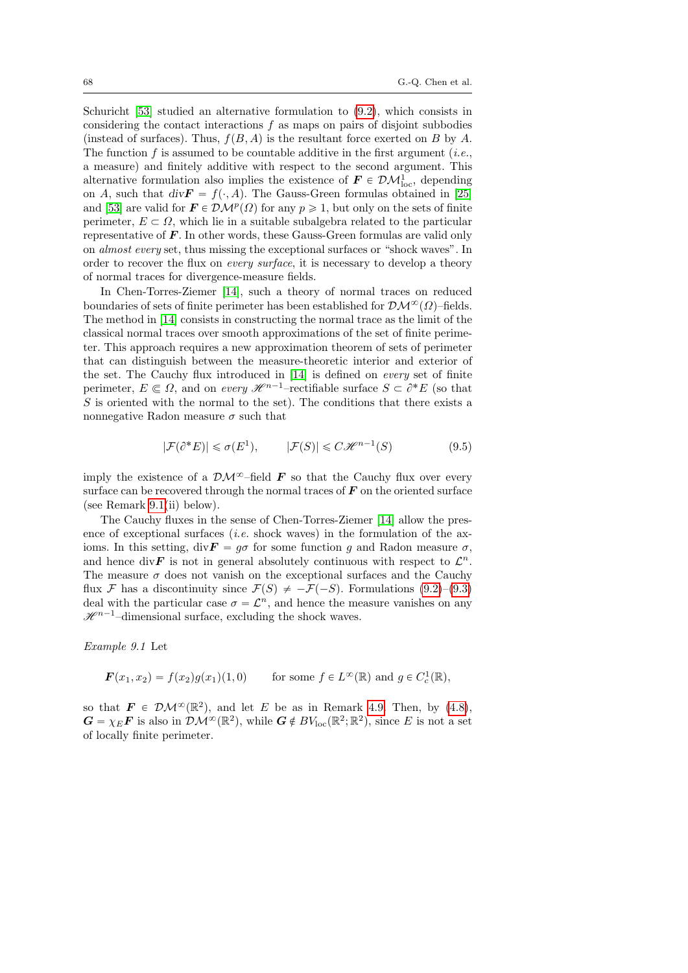Schuricht [\[53\]](#page-79-1) studied an alternative formulation to [\(9.2\)](#page-66-0), which consists in considering the contact interactions  $f$  as maps on pairs of disjoint subbodies (instead of surfaces). Thus,  $f(B, A)$  is the resultant force exerted on B by A. The function f is assumed to be countable additive in the first argument (*i.e.*, a measure) and finitely additive with respect to the second argument. This alternative formulation also implies the existence of  $\mathbf{F} \in \mathcal{DM}_{\text{loc}}^1$ , depending on A, such that  $div \mathbf{F} = f(\cdot, A)$ . The Gauss-Green formulas obtained in [\[25\]](#page-77-7) and [\[53\]](#page-79-1) are valid for  $\mathbf{F} \in \mathcal{DM}^p(\Omega)$  for any  $p \geq 1$ , but only on the sets of finite perimeter,  $E \subset \Omega$ , which lie in a suitable subalgebra related to the particular representative of  $\boldsymbol{F}$ . In other words, these Gauss-Green formulas are valid only on almost every set, thus missing the exceptional surfaces or "shock waves". In order to recover the flux on *every surface*, it is necessary to develop a theory of normal traces for divergence-measure fields.

In Chen-Torres-Ziemer [\[14\]](#page-77-1), such a theory of normal traces on reduced boundaries of sets of finite perimeter has been established for  $\mathcal{DM}^{\infty}(\Omega)$ –fields. The method in [\[14\]](#page-77-1) consists in constructing the normal trace as the limit of the classical normal traces over smooth approximations of the set of finite perimeter. This approach requires a new approximation theorem of sets of perimeter that can distinguish between the measure-theoretic interior and exterior of the set. The Cauchy flux introduced in [\[14\]](#page-77-1) is defined on every set of finite perimeter,  $E \in \Omega$ , and on every  $\mathscr{H}^{n-1}$ –rectifiable surface  $S \subset \partial^* E$  (so that  $S$  is oriented with the normal to the set). The conditions that there exists a nonnegative Radon measure  $\sigma$  such that

<span id="page-67-0"></span>
$$
|\mathcal{F}(\partial^* E)| \leq \sigma(E^1), \qquad |\mathcal{F}(S)| \leq C \mathcal{H}^{n-1}(S) \tag{9.5}
$$

imply the existence of a  $\mathcal{D}M^{\infty}$ -field **F** so that the Cauchy flux over every surface can be recovered through the normal traces of  $\bm{F}$  on the oriented surface (see Remark [9.1\(](#page-75-0)ii) below).

The Cauchy fluxes in the sense of Chen-Torres-Ziemer [\[14\]](#page-77-1) allow the presence of exceptional surfaces *(i.e.* shock waves) in the formulation of the axioms. In this setting,  $div\mathbf{F} = q\sigma$  for some function q and Radon measure  $\sigma$ , and hence div F is not in general absolutely continuous with respect to  $\mathcal{L}^n$ . The measure  $\sigma$  does not vanish on the exceptional surfaces and the Cauchy flux F has a discontinuity since  $\mathcal{F}(S) \neq -\mathcal{F}(-S)$ . Formulations [\(9.2\)](#page-66-0)–[\(9.3\)](#page-66-1) deal with the particular case  $\sigma = \mathcal{L}^n$ , and hence the measure vanishes on any  $\mathscr{H}^{n-1}$ -dimensional surface, excluding the shock waves.

Example 9.1 Let

$$
\boldsymbol{F}(x_1, x_2) = f(x_2)g(x_1)(1, 0) \quad \text{for some } f \in L^{\infty}(\mathbb{R}) \text{ and } g \in C_c^1(\mathbb{R}),
$$

so that  $\mathbf{F} \in \mathcal{DM}^{\infty}(\mathbb{R}^2)$ , and let E be as in Remark [4.9.](#page-22-0) Then, by [\(4.8\)](#page-24-0),  $G = \chi_E \mathbf{F}$  is also in  $\mathcal{DM}^{\infty}(\mathbb{R}^2)$ , while  $G \notin BV_{\text{loc}}(\mathbb{R}^2; \mathbb{R}^2)$ , since E is not a set of locally finite perimeter.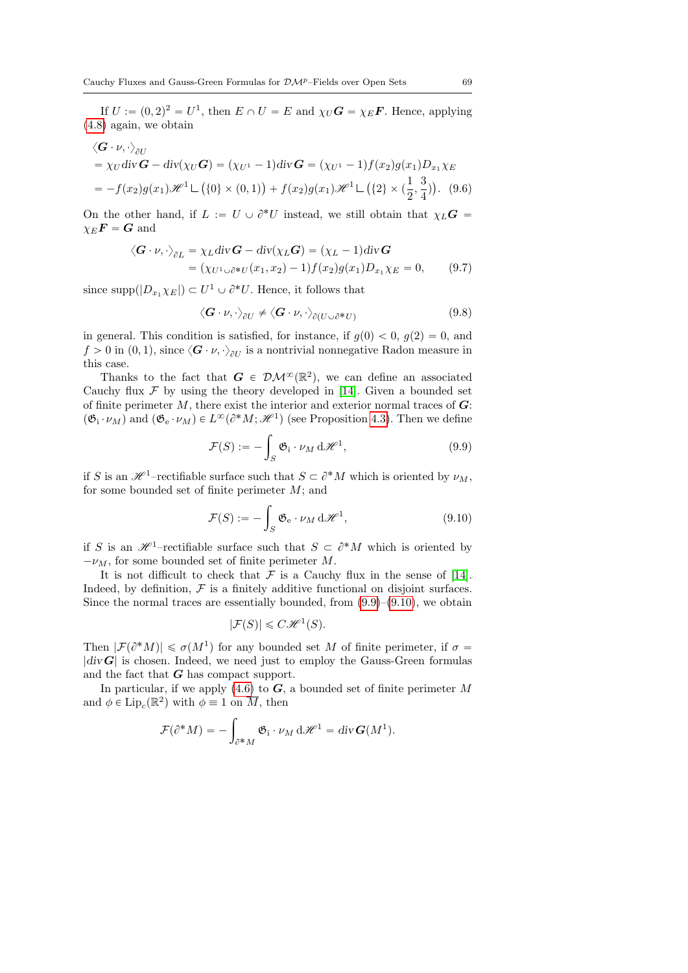If  $U := (0, 2)^2 = U^1$ , then  $E \cap U = E$  and  $\chi_U \mathbf{G} = \chi_E \mathbf{F}$ . Hence, applying [\(4.8\)](#page-24-0) again, we obtain

$$
\langle \mathbf{G} \cdot v, \cdot \rangle_{\partial U} = \chi_U \operatorname{div} \mathbf{G} - \operatorname{div}(\chi_U \mathbf{G}) = (\chi_{U^1} - 1) \operatorname{div} \mathbf{G} = (\chi_{U^1} - 1) f(x_2) g(x_1) D_{x_1} \chi_E = -f(x_2) g(x_1) \mathcal{H}^1 \sqcup (\{0\} \times (0, 1)) + f(x_2) g(x_1) \mathcal{H}^1 \sqcup (\{2\} \times (\frac{1}{2}, \frac{3}{4}))
$$
. (9.6)

On the other hand, if  $L := U \cup \partial^* U$  instead, we still obtain that  $\chi_L G =$  $\chi_E \mathbf{F} = \mathbf{G}$  and

$$
\langle \mathbf{G} \cdot \nu, \cdot \rangle_{\partial L} = \chi_L \operatorname{div} \mathbf{G} - \operatorname{div}(\chi_L \mathbf{G}) = (\chi_L - 1) \operatorname{div} \mathbf{G}
$$
  
= (\chi\_{U^1 \cup \partial^\* U}(x\_1, x\_2) - 1) f(x\_2) g(x\_1) D\_{x\_1} \chi\_E = 0, (9.7)

since supp $(|D_{x_1}\chi_E|) \subset U^1 \cup \partial^* U$ . Hence, it follows that

<span id="page-68-4"></span><span id="page-68-3"></span><span id="page-68-2"></span>
$$
\langle \mathbf{G} \cdot \nu, \cdot \rangle_{\partial U} \neq \langle \mathbf{G} \cdot \nu, \cdot \rangle_{\partial (U \cup \partial^* U)} \tag{9.8}
$$

in general. This condition is satisfied, for instance, if  $g(0) < 0$ ,  $g(2) = 0$ , and  $f > 0$  in  $(0, 1)$ , since  $\langle G \cdot \nu, \cdot \rangle_{\partial U}$  is a nontrivial nonnegative Radon measure in this case.

Thanks to the fact that  $G \in \mathcal{DM}^{\infty}(\mathbb{R}^2)$ , we can define an associated Cauchy flux  $\mathcal F$  by using the theory developed in [\[14\]](#page-77-1). Given a bounded set of finite perimeter  $M$ , there exist the interior and exterior normal traces of  $\boldsymbol{G}$ :  $(\mathfrak{G}_{i} \cdot \nu_M)$  and  $(\mathfrak{G}_{e} \cdot \nu_M) \in L^{\infty}(\partial^* M; \mathcal{H}^1)$  (see Proposition [4.3\)](#page-19-0). Then we define

<span id="page-68-0"></span>
$$
\mathcal{F}(S) := -\int_{S} \mathfrak{G}_{i} \cdot \nu_{M} d\mathscr{H}^{1}, \qquad (9.9)
$$

if S is an  $\mathscr{H}^1$ -rectifiable surface such that  $S \subset \partial^*M$  which is oriented by  $\nu_M$ , for some bounded set of finite perimeter  $M$ ; and

<span id="page-68-1"></span>
$$
\mathcal{F}(S) := -\int_{S} \mathfrak{G}_{e} \cdot \nu_{M} d\mathscr{H}^{1}, \qquad (9.10)
$$

if S is an  $\mathscr{H}^1$ -rectifiable surface such that  $S \subset \partial^*M$  which is oriented by  $-\nu_M$ , for some bounded set of finite perimeter M.

It is not difficult to check that  $\mathcal F$  is a Cauchy flux in the sense of [\[14\]](#page-77-1). Indeed, by definition,  $\mathcal F$  is a finitely additive functional on disjoint surfaces. Since the normal traces are essentially bounded, from  $(9.9)$ – $(9.10)$ , we obtain

$$
|\mathcal{F}(S)| \leq C \mathcal{H}^1(S).
$$

Then  $|\mathcal{F}(\partial^*M)| \leq \sigma(M^1)$  for any bounded set M of finite perimeter, if  $\sigma =$  $|div G|$  is chosen. Indeed, we need just to employ the Gauss-Green formulas and the fact that  $G$  has compact support.

In particular, if we apply [\(4.6\)](#page-19-1) to  $G$ , a bounded set of finite perimeter M and  $\phi \in \text{Lip}_c(\mathbb{R}^2)$  with  $\phi \equiv 1$  on  $\overline{M}$ , then

$$
\mathcal{F}(\partial^* M) = -\int_{\partial^* M} \mathfrak{G}_i \cdot \nu_M \, d\mathscr{H}^1 = \operatorname{div} \boldsymbol{G}(M^1).
$$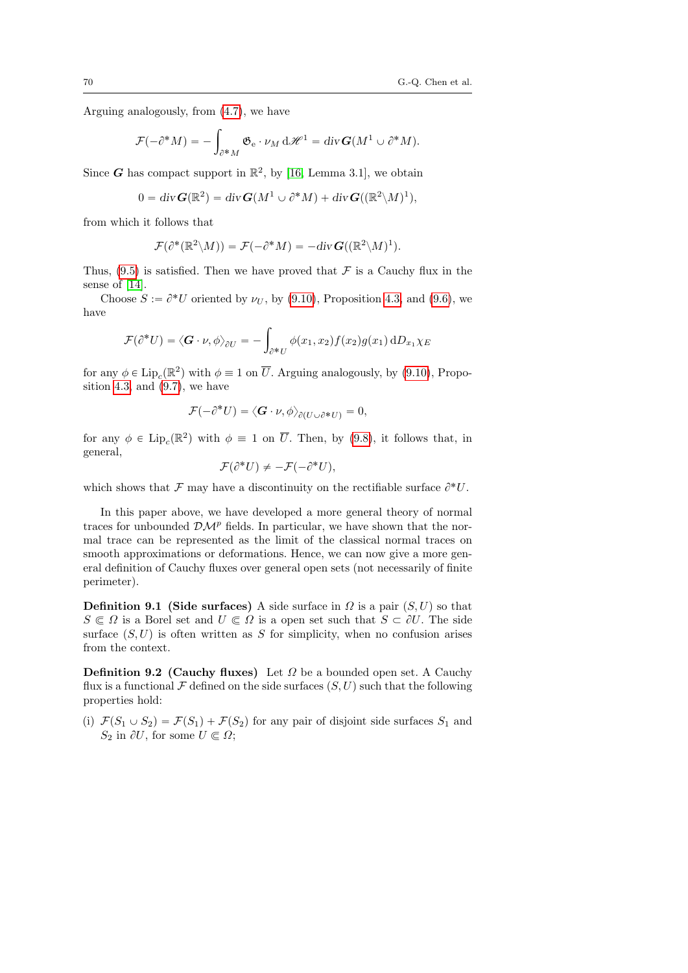Arguing analogously, from [\(4.7\)](#page-19-2), we have

$$
\mathcal{F}(-\partial^* M) = -\int_{\partial^* M} \mathfrak{G}_{\mathrm{e}} \cdot \nu_M \,\mathrm{d}\mathscr{H}^1 = \mathrm{div}\, \mathbf{G}(M^1 \cup \partial^* M).
$$

Since G has compact support in  $\mathbb{R}^2$ , by [\[16,](#page-77-2) Lemma 3.1], we obtain

$$
0 = \operatorname{div} \bm{G}(\mathbb{R}^2) = \operatorname{div} \bm{G}(M^1 \cup \partial^* M) + \operatorname{div} \bm{G}((\mathbb{R}^2 \backslash M)^1),
$$

from which it follows that

$$
\mathcal{F}(\partial^*(\mathbb{R}^2 \setminus M)) = \mathcal{F}(-\partial^* M) = -div \mathbf{G}((\mathbb{R}^2 \setminus M)^1).
$$

Thus,  $(9.5)$  is satisfied. Then we have proved that  $\mathcal F$  is a Cauchy flux in the sense of [\[14\]](#page-77-1).

Choose  $S := \partial^* U$  oriented by  $\nu_U$ , by [\(9.10\)](#page-68-1), Proposition [4.3,](#page-19-0) and [\(9.6\)](#page-68-2), we have

$$
\mathcal{F}(\partial^*U) = \langle \mathbf{G} \cdot \nu, \phi \rangle_{\partial U} = -\int_{\partial^*U} \phi(x_1, x_2) f(x_2) g(x_1) dD_{x_1} \chi_E
$$

for any  $\phi \in \text{Lip}_c(\mathbb{R}^2)$  with  $\phi \equiv 1$  on  $\overline{U}$ . Arguing analogously, by [\(9.10\)](#page-68-1), Propo-sition [4.3,](#page-19-0) and  $(9.7)$ , we have

$$
\mathcal{F}(-\partial^*U)=\langle \mathbf{G}\cdot\boldsymbol{\nu},\boldsymbol{\phi}\rangle_{\partial(U\cup\partial^*U)}=0,
$$

for any  $\phi \in \text{Lip}_c(\mathbb{R}^2)$  with  $\phi \equiv 1$  on  $\overline{U}$ . Then, by [\(9.8\)](#page-68-4), it follows that, in general,

$$
\mathcal{F}(\partial^*U) \neq -\mathcal{F}(-\partial^*U),
$$

which shows that  $\mathcal F$  may have a discontinuity on the rectifiable surface  $\partial^* U$ .

In this paper above, we have developed a more general theory of normal traces for unbounded  $\mathcal{DM}^p$  fields. In particular, we have shown that the normal trace can be represented as the limit of the classical normal traces on smooth approximations or deformations. Hence, we can now give a more general definition of Cauchy fluxes over general open sets (not necessarily of finite perimeter).

**Definition 9.1 (Side surfaces)** A side surface in  $\Omega$  is a pair  $(S, U)$  so that  $S \subseteq \Omega$  is a Borel set and  $U \subseteq \Omega$  is a open set such that  $S \subset \partial U$ . The side surface  $(S, U)$  is often written as S for simplicity, when no confusion arises from the context.

<span id="page-69-0"></span>**Definition 9.2 (Cauchy fluxes)** Let  $\Omega$  be a bounded open set. A Cauchy flux is a functional  $\mathcal F$  defined on the side surfaces  $(S, U)$  such that the following properties hold:

(i)  $\mathcal{F}(S_1 \cup S_2) = \mathcal{F}(S_1) + \mathcal{F}(S_2)$  for any pair of disjoint side surfaces  $S_1$  and  $S_2$  in  $\partial U$ , for some  $U \n\in \Omega$ ;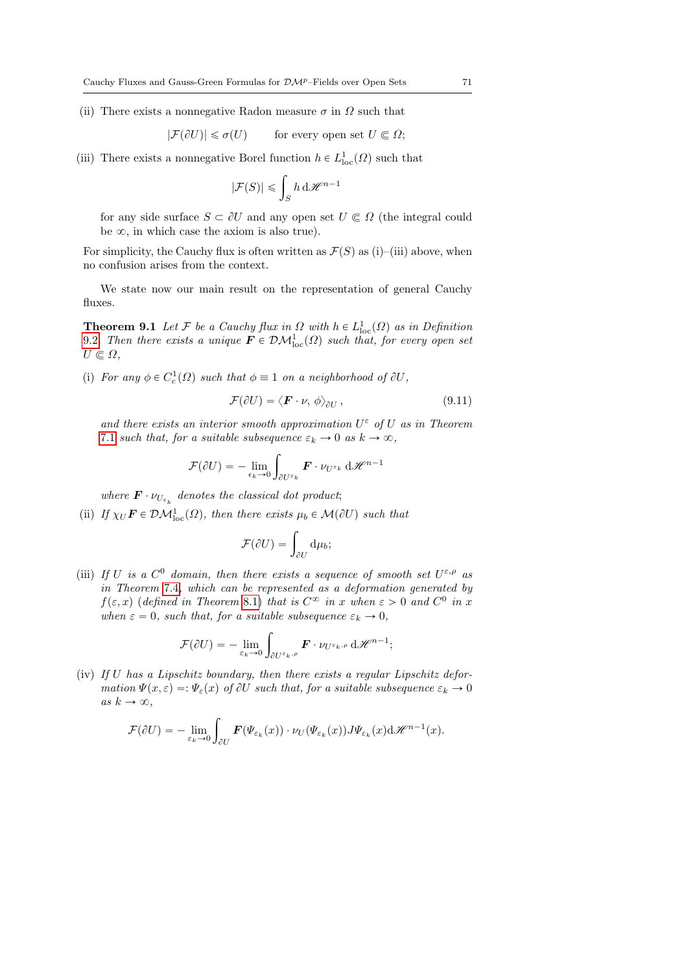(ii) There exists a nonnegative Radon measure  $\sigma$  in  $\Omega$  such that

$$
|\mathcal{F}(\partial U)| \leq \sigma(U) \qquad \text{for every open set } U \subset \Omega;
$$

(iii) There exists a nonnegative Borel function  $h \in L^1_{loc}(\Omega)$  such that

$$
|\mathcal{F}(S)| \leqslant \int_S h \,\mathrm{d}\mathscr{H}^{n-1}
$$

for any side surface  $S \subset \partial U$  and any open set  $U \subset \Omega$  (the integral could be  $\infty$ , in which case the axiom is also true).

For simplicity, the Cauchy flux is often written as  $\mathcal{F}(S)$  as (i)–(iii) above, when no confusion arises from the context.

We state now our main result on the representation of general Cauchy fluxes.

**Theorem 9.1** Let F be a Cauchy flux in  $\Omega$  with  $h \in L^1_{loc}(\Omega)$  as in Definition [9.2](#page-69-0). Then there exists a unique  $\mathbf{F} \in \mathcal{DM}_{\text{loc}}^1(\Omega)$  such that, for every open set  $U \in \Omega$ .

(i) For any  $\phi \in C_c^1(\Omega)$  such that  $\phi \equiv 1$  on a neighborhood of  $\partial U$ ,

$$
\mathcal{F}(\partial U) = \langle \boldsymbol{F} \cdot \boldsymbol{\nu}, \phi \rangle_{\partial U}, \qquad (9.11)
$$

and there exists an interior smooth approximation  $U^{\varepsilon}$  of U as in Theorem [7.1](#page-47-4) such that, for a suitable subsequence  $\varepsilon_k \to 0$  as  $k \to \infty$ , ż

$$
\mathcal{F}(\partial U) = -\lim_{\epsilon_k \to 0} \int_{\partial U^{\epsilon_k}} \mathbf{F} \cdot \nu_{U^{\epsilon_k}} \, d\mathcal{H}^{n-1}
$$

where  $\mathbf{F} \cdot \nu_{U_{\varepsilon_k}}$  denotes the classical dot product;

(ii) If  $\chi_U \mathbf{F} \in \mathcal{DM}_{loc}^1(\Omega)$ , then there exists  $\mu_b \in \mathcal{M}(\partial U)$  such that

$$
\mathcal{F}(\partial U) = \int_{\partial U} \mathrm{d}\mu_b;
$$

(iii) If U is a  $C^0$  domain, then there exists a sequence of smooth set  $U^{\varepsilon,\rho}$  as in Theorem [7.4](#page-50-3), which can be represented as a deformation generated by  $f(\varepsilon, x)$  (defined in Theorem [8.1\)](#page-53-0) that is  $C^{\infty}$  in x when  $\varepsilon > 0$  and  $C^0$  in x when  $\varepsilon = 0$ , such that, for a suitable subsequence  $\varepsilon_k \to 0$ ,

$$
\mathcal{F}(\partial U) = -\lim_{\varepsilon_k \to 0} \int_{\partial U^{\varepsilon_k, \rho}} \mathbf{F} \cdot \nu_{U^{\varepsilon_k, \rho}} \, d\mathscr{H}^{n-1};
$$

(iv) If U has a Lipschitz boundary, then there exists a regular Lipschitz deformation  $\Psi(x, \varepsilon) =: \Psi_{\varepsilon}(x)$  of  $\partial U$  such that, for a suitable subsequence  $\varepsilon_k \to 0$ as  $k \to \infty$ ,

$$
\mathcal{F}(\partial U) = -\lim_{\varepsilon_k \to 0} \int_{\partial U} \boldsymbol{F}(\boldsymbol{\Psi}_{\varepsilon_k}(x)) \cdot \nu_U(\boldsymbol{\Psi}_{\varepsilon_k}(x)) J \boldsymbol{\Psi}_{\varepsilon_k}(x) d\mathscr{H}^{n-1}(x).
$$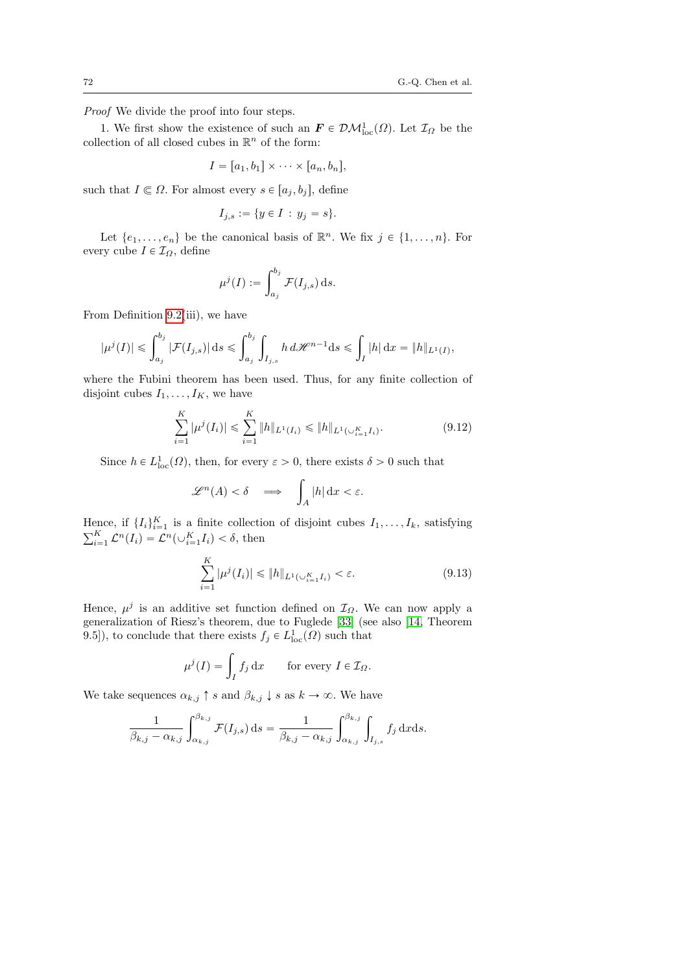Proof We divide the proof into four steps.

1. We first show the existence of such an  $\mathbf{F} \in \mathcal{DM}^1_{loc}(\Omega)$ . Let  $\mathcal{I}_{\Omega}$  be the collection of all closed cubes in  $\mathbb{R}^n$  of the form:

$$
I = [a_1, b_1] \times \cdots \times [a_n, b_n],
$$

such that  $I \subseteq \Omega$ . For almost every  $s \in [a_j, b_j]$ , define

$$
I_{j,s} := \{ y \in I \, : \, y_j = s \}.
$$

Let  $\{e_1, \ldots, e_n\}$  be the canonical basis of  $\mathbb{R}^n$ . We fix  $j \in \{1, \ldots, n\}$ . For every cube  $I \in \mathcal{I}_{\Omega}$ , define

$$
\mu^j(I) := \int_{a_j}^{b_j} \mathcal{F}(I_{j,s}) \, \mathrm{d} s.
$$

From Definition [9.2\(](#page-69-0)iii), we have

$$
|\mu^j(I)|\leqslant \int_{a_j}^{b_j} |\mathcal{F}(I_{j,s})|\,\mathrm{d} s \leqslant \int_{a_j}^{b_j} \int_{I_{j,s}} h\, d\mathscr{H}^{n-1}\mathrm{d} s \leqslant \int_I |h| \,\mathrm{d} x = \|h\|_{L^1(I)},
$$

where the Fubini theorem has been used. Thus, for any finite collection of disjoint cubes  $I_1, \ldots, I_K$ , we have

$$
\sum_{i=1}^{K} |\mu^{j}(I_i)| \leq \sum_{i=1}^{K} \|h\|_{L^{1}(I_i)} \leq \|h\|_{L^{1}(\cup_{i=1}^{K} I_i)}.
$$
\n(9.12)

Since  $h \in L^1_{loc}(\Omega)$ , then, for every  $\varepsilon > 0$ , there exists  $\delta > 0$  such that

$$
\mathscr{L}^n(A) < \delta \quad \Longrightarrow \quad \int_A |h| \, \mathrm{d} x < \varepsilon.
$$

Hence, if  $\{I_i\}_{i=1}^K$  is a finite collection of disjoint cubes  $I_1, \ldots, I_k$ , satisfying  $\sum_{i=1}^K c^n(I) - C^n(I \cup K I) \leq \delta$ , then  $_{i=1}^{K} \mathcal{L}^{n}(I_{i}) = \mathcal{L}^{n}(\cup_{i=1}^{K} I_{i}) < \delta$ , then

$$
\sum_{i=1}^{K} |\mu^{j}(I_i)| \leq \|h\|_{L^{1}(\cup_{i=1}^{K} I_i)} < \varepsilon. \tag{9.13}
$$

Hence,  $\mu^{j}$  is an additive set function defined on  $\mathcal{I}_{\Omega}$ . We can now apply a generalization of Riesz's theorem, due to Fuglede [\[33\]](#page-78-10) (see also [\[14,](#page-77-1) Theorem 9.5]), to conclude that there exists  $f_j \in L^1_{loc}(\Omega)$  such that

$$
\mu^{j}(I) = \int_{I} f_{j} dx \quad \text{for every } I \in \mathcal{I}_{\Omega}.
$$

We take sequences  $\alpha_{k,j} \uparrow s$  and  $\beta_{k,j} \downarrow s$  as  $k \to \infty$ . We have

$$
\frac{1}{\beta_{k,j} - \alpha_{k,j}} \int_{\alpha_{k,j}}^{\beta_{k,j}} \mathcal{F}(I_{j,s}) ds = \frac{1}{\beta_{k,j} - \alpha_{k,j}} \int_{\alpha_{k,j}}^{\beta_{k,j}} \int_{I_{j,s}} f_j ds ds.
$$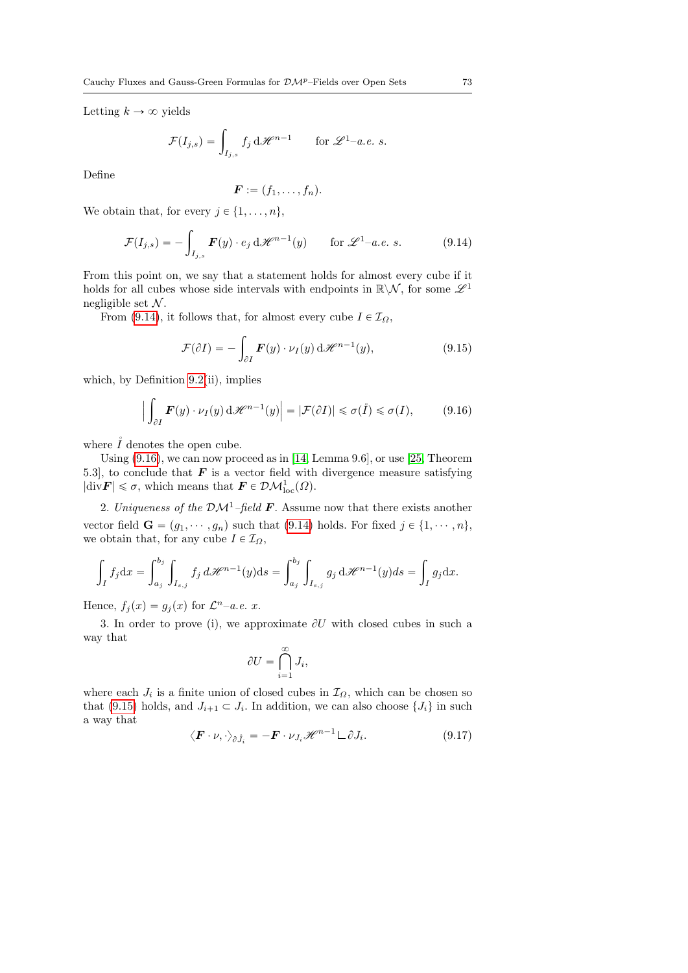Letting  $k \to \infty$  yields

$$
\mathcal{F}(I_{j,s}) = \int_{I_{j,s}} f_j \, d\mathcal{H}^{n-1} \quad \text{for } \mathcal{L}^{1-a.e. s.
$$

Define

$$
\boldsymbol{F} := (f_1,\ldots,f_n).
$$

We obtain that, for every  $j \in \{1, \ldots, n\}$ ,

<span id="page-72-0"></span>
$$
\mathcal{F}(I_{j,s}) = -\int_{I_{j,s}} \mathbf{F}(y) \cdot e_j \, d\mathcal{H}^{n-1}(y) \quad \text{for } \mathcal{L}^1-a.e. \ s.
$$
 (9.14)

From this point on, we say that a statement holds for almost every cube if it holds for all cubes whose side intervals with endpoints in  $\mathbb{R}\backslash\mathcal{N},$  for some  $\mathscr{L}^1$ negligible set  $\mathcal N$ .

From [\(9.14\)](#page-72-0), it follows that, for almost every cube  $I \in \mathcal{I}_{\Omega}$ ,

<span id="page-72-2"></span>
$$
\mathcal{F}(\partial I) = -\int_{\partial I} \boldsymbol{F}(y) \cdot \nu_I(y) \,d\mathscr{H}^{n-1}(y), \qquad (9.15)
$$

which, by Definition [9.2\(](#page-69-0)ii), implies

<span id="page-72-1"></span>
$$
\left| \int_{\partial I} \boldsymbol{F}(y) \cdot \nu_I(y) \, \mathrm{d} \mathscr{H}^{n-1}(y) \right| = |\mathcal{F}(\partial I)| \leq \sigma(\mathring{I}) \leq \sigma(I), \tag{9.16}
$$

where  $\tilde{I}$  denotes the open cube.

Using [\(9.16\)](#page-72-1), we can now proceed as in [\[14,](#page-77-0) Lemma 9.6], or use [\[25,](#page-77-1) Theorem 5.3], to conclude that  $\boldsymbol{F}$  is a vector field with divergence measure satisfying  $|\text{div}\mathbf{F}| \leq \sigma$ , which means that  $\mathbf{F} \in \mathcal{DM}_{\text{loc}}^1(\Omega)$ .

2. Uniqueness of the  $\mathcal{DM}^1$ -field **F**. Assume now that there exists another vector field  $\mathbf{G} = (g_1, \dots, g_n)$  such that [\(9.14\)](#page-72-0) holds. For fixed  $j \in \{1, \dots, n\}$ , we obtain that, for any cube  $I \in \mathcal{I}_{\Omega}$ ,

$$
\int_{I} f_{j} dx = \int_{a_{j}}^{b_{j}} \int_{I_{s,j}} f_{j} d\mathcal{H}^{n-1}(y) ds = \int_{a_{j}}^{b_{j}} \int_{I_{s,j}} g_{j} d\mathcal{H}^{n-1}(y) ds = \int_{I} g_{j} dx.
$$

Hence,  $f_j(x) = g_j(x)$  for  $\mathcal{L}^{n}$ -a.e. x.

3. In order to prove (i), we approximate  $\partial U$  with closed cubes in such a way that

$$
\partial U = \bigcap_{i=1}^{\infty} J_i,
$$

where each  $J_i$  is a finite union of closed cubes in  $\mathcal{I}_{\Omega}$ , which can be chosen so that [\(9.15\)](#page-72-2) holds, and  $J_{i+1} \subset J_i$ . In addition, we can also choose  $\{J_i\}$  in such a way that

<span id="page-72-3"></span>
$$
\langle \boldsymbol{F} \cdot \boldsymbol{\nu}, \cdot \rangle_{\partial \mathring{J}_i} = -\boldsymbol{F} \cdot \boldsymbol{\nu}_{J_i} \mathscr{H}^{n-1} \mathcal{L} \partial J_i. \tag{9.17}
$$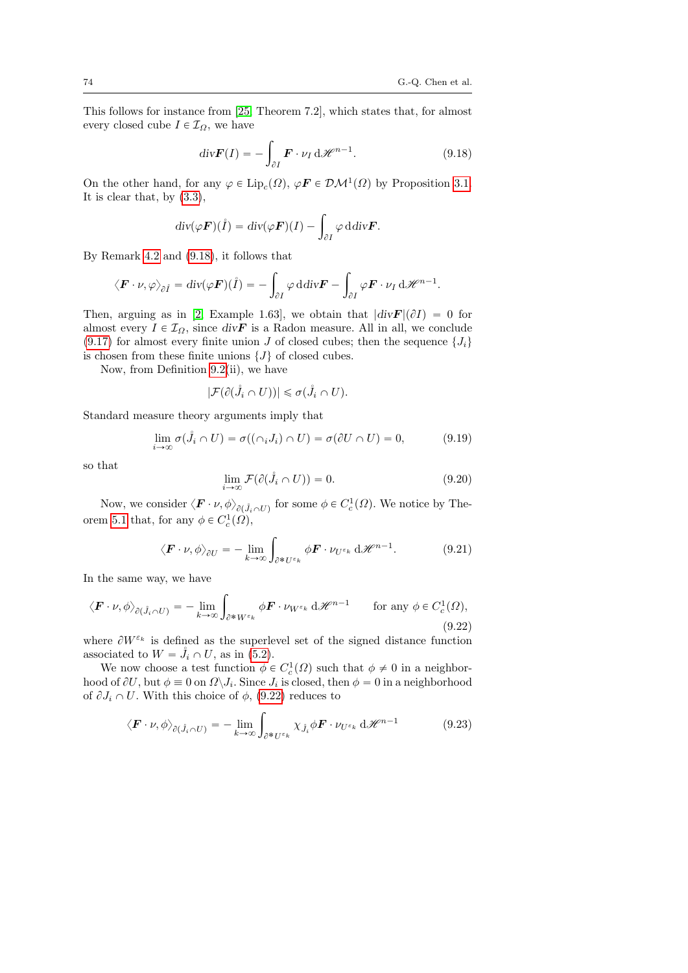This follows for instance from [\[25,](#page-77-1) Theorem 7.2], which states that, for almost every closed cube  $I \in \mathcal{I}_{\Omega}$ , we have

<span id="page-73-0"></span>
$$
\operatorname{div} \mathbf{F}(I) = -\int_{\partial I} \mathbf{F} \cdot \nu_I \, d\mathcal{H}^{n-1}.
$$
 (9.18)

On the other hand, for any  $\varphi \in \text{Lip}_c(\Omega)$ ,  $\varphi \mathbf{F} \in \mathcal{DM}^1(\Omega)$  by Proposition [3.1.](#page-9-0) It is clear that, by [\(3.3\)](#page-9-1),

$$
\operatorname{div}(\varphi \boldsymbol{F})(\mathring{I}) = \operatorname{div}(\varphi \boldsymbol{F})(I) - \int_{\partial I} \varphi \operatorname{ddiv} \boldsymbol{F}.
$$

By Remark [4.2](#page-16-0) and [\(9.18\)](#page-73-0), it follows that

$$
\langle \boldsymbol{F} \cdot \boldsymbol{\nu}, \varphi \rangle_{\partial \hat{I}} = \text{div}(\varphi \boldsymbol{F})(\hat{I}) = -\int_{\partial I} \varphi \, \text{d} \text{div} \boldsymbol{F} - \int_{\partial I} \varphi \boldsymbol{F} \cdot \boldsymbol{\nu}_I \, \text{d} \mathcal{H}^{n-1}.
$$

Then, arguing as in [\[2,](#page-76-0) Example 1.63], we obtain that  $|div F|(\partial I) = 0$  for almost every  $I \in \mathcal{I}_{\Omega}$ , since div $\mathbf{F}$  is a Radon measure. All in all, we conclude  $(9.17)$  for almost every finite union J of closed cubes; then the sequence  $\{J_i\}$ is chosen from these finite unions  $\{J\}$  of closed cubes.

Now, from Definition [9.2\(](#page-69-0)ii), we have

$$
|\mathcal{F}(\partial(\mathring{J}_i \cap U))| \leq \sigma(\mathring{J}_i \cap U).
$$

Standard measure theory arguments imply that

$$
\lim_{i \to \infty} \sigma(\mathring{J}_i \cap U) = \sigma((\cap_i J_i) \cap U) = \sigma(\partial U \cap U) = 0,
$$
\n(9.19)

so that

<span id="page-73-3"></span>
$$
\lim_{i \to \infty} \mathcal{F}(\partial(\mathring{J}_i \cap U)) = 0. \tag{9.20}
$$

Now, we consider  $\langle \boldsymbol{F} \cdot \nu, \phi \rangle_{\partial(\hat{J}_i \cap U)}$  for some  $\phi \in C_c^1(\Omega)$ . We notice by The-orem [5.1](#page-30-0) that, for any  $\phi \in C_c^1(\Omega)$ ,

<span id="page-73-2"></span>
$$
\langle \boldsymbol{F} \cdot \boldsymbol{\nu}, \phi \rangle_{\partial U} = - \lim_{k \to \infty} \int_{\partial^* U^{\varepsilon_k}} \phi \boldsymbol{F} \cdot \nu_{U^{\varepsilon_k}} \, d\mathscr{H}^{n-1}.
$$
 (9.21)

In the same way, we have

<span id="page-73-1"></span>
$$
\langle \boldsymbol{F} \cdot \boldsymbol{\nu}, \phi \rangle_{\partial(\mathring{J}_i \cap U)} = -\lim_{k \to \infty} \int_{\partial^* W^{\varepsilon_k}} \phi \boldsymbol{F} \cdot \boldsymbol{\nu}_{W^{\varepsilon_k}} d\mathcal{H}^{n-1} \qquad \text{for any } \phi \in C_c^1(\Omega),
$$
\n(9.22)

where  $\partial W^{\varepsilon_k}$  is defined as the superlevel set of the signed distance function associated to  $W = J_i \cap U$ , as in [\(5.2\)](#page-28-0).

We now choose a test function  $\phi \in C_c^1(\Omega)$  such that  $\phi \neq 0$  in a neighborhood of  $\partial U$ , but  $\phi \equiv 0$  on  $\Omega \backslash J_i$ . Since  $J_i$  is closed, then  $\phi = 0$  in a neighborhood of  $\partial J_i \cap U$ . With this choice of  $\phi$ , [\(9.22\)](#page-73-1) reduces to

$$
\langle \boldsymbol{F} \cdot \boldsymbol{\nu}, \phi \rangle_{\partial(\mathring{J}_i \cap U)} = - \lim_{k \to \infty} \int_{\partial^* U^{\varepsilon_k}} \chi_{\mathring{J}_i} \phi \boldsymbol{F} \cdot \boldsymbol{\nu}_{U^{\varepsilon_k}} d\mathscr{H}^{n-1}
$$
(9.23)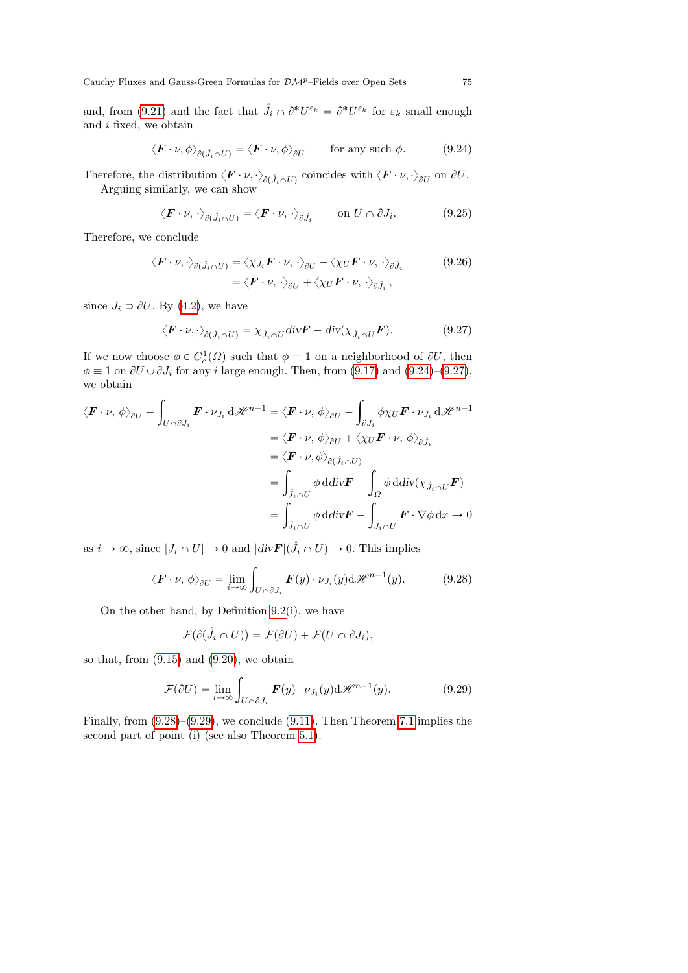and, from [\(9.21\)](#page-73-2) and the fact that  $\mathring{J}_i \cap \partial^* U^{\varepsilon_k} = \partial^* U^{\varepsilon_k}$  for  $\varepsilon_k$  small enough and i fixed, we obtain

<span id="page-74-0"></span>
$$
\langle \boldsymbol{F} \cdot \boldsymbol{\nu}, \phi \rangle_{\partial(\hat{J}_i \cap U)} = \langle \boldsymbol{F} \cdot \boldsymbol{\nu}, \phi \rangle_{\partial U} \quad \text{for any such } \phi. \quad (9.24)
$$

Therefore, the distribution  $\langle \mathbf{F} \cdot \nu, \cdot \rangle_{\partial(\mathring{J}_i \cap U)}$  coincides with  $\langle \mathbf{F} \cdot \nu, \cdot \rangle_{\partial U}$  on  $\partial U$ . Arguing similarly, we can show

$$
\langle \boldsymbol{F} \cdot \boldsymbol{\nu}, \cdot \rangle_{\partial(\hat{J}_i \cap U)} = \langle \boldsymbol{F} \cdot \boldsymbol{\nu}, \cdot \rangle_{\partial \hat{J}_i} \qquad \text{on } U \cap \partial J_i. \tag{9.25}
$$

Therefore, we conclude

$$
\langle \boldsymbol{F} \cdot \boldsymbol{\nu}, \cdot \rangle_{\partial(\mathring{J}_i \cap U)} = \langle \chi_{J_i} \boldsymbol{F} \cdot \boldsymbol{\nu}, \cdot \rangle_{\partial U} + \langle \chi_U \boldsymbol{F} \cdot \boldsymbol{\nu}, \cdot \rangle_{\partial \mathring{J}_i} \qquad (9.26)
$$

$$
= \langle \boldsymbol{F} \cdot \boldsymbol{\nu}, \cdot \rangle_{\partial U} + \langle \chi_U \boldsymbol{F} \cdot \boldsymbol{\nu}, \cdot \rangle_{\partial \mathring{J}_i},
$$

since  $J_i \supset \partial U$ . By [\(4.2\)](#page-17-0), we have

<span id="page-74-1"></span>
$$
\langle \boldsymbol{F} \cdot \boldsymbol{\nu}, \cdot \rangle_{\partial(\hat{J}_i \cap U)} = \chi_{\hat{J}_i \cap U} \operatorname{div} \boldsymbol{F} - \operatorname{div}(\chi_{\hat{J}_i \cap U} \boldsymbol{F}). \tag{9.27}
$$

If we now choose  $\phi \in C_c^1(\Omega)$  such that  $\phi \equiv 1$  on a neighborhood of  $\partial U$ , then  $\phi \equiv 1$  on  $\partial U \cup \partial J_i$  for any i large enough. Then, from [\(9.17\)](#page-72-3) and [\(9.24\)](#page-74-0)–[\(9.27\)](#page-74-1), we obtain za za politika za politika za politika za politika za politika za politika za politika za politika za politika<br>Za politika za politika za politika za politika za politika za politika za politika za politika za politika za

$$
\langle \boldsymbol{F} \cdot \boldsymbol{\nu}, \phi \rangle_{\partial U} - \int_{U \cap \partial J_i} \boldsymbol{F} \cdot \nu_{J_i} d\mathcal{H}^{n-1} = \langle \boldsymbol{F} \cdot \boldsymbol{\nu}, \phi \rangle_{\partial U} - \int_{\partial J_i} \phi \chi_U \boldsymbol{F} \cdot \nu_{J_i} d\mathcal{H}^{n-1}
$$

$$
= \langle \boldsymbol{F} \cdot \boldsymbol{\nu}, \phi \rangle_{\partial U} + \langle \chi_U \boldsymbol{F} \cdot \boldsymbol{\nu}, \phi \rangle_{\partial \hat{J}_i}
$$

$$
= \langle \boldsymbol{F} \cdot \boldsymbol{\nu}, \phi \rangle_{\partial (\hat{J}_i \cap U)}
$$

$$
= \int_{\hat{J}_i \cap U} \phi d\text{div} \boldsymbol{F} - \int_{\Omega} \phi d\text{div} (\chi_{\hat{J}_i \cap U} \boldsymbol{F})
$$

$$
= \int_{\hat{J}_i \cap U} \phi d\text{div} \boldsymbol{F} + \int_{J_i \cap U} \boldsymbol{F} \cdot \nabla \phi d\mathbf{x} \to 0
$$

as  $i \to \infty$ , since  $|J_i \cap U| \to 0$  and  $|div \mathbf{F}|(\mathring{J}_i \cap U) \to 0$ . This implies

<span id="page-74-2"></span>
$$
\langle \boldsymbol{F} \cdot \boldsymbol{\nu}, \phi \rangle_{\partial U} = \lim_{i \to \infty} \int_{U \cap \partial J_i} \boldsymbol{F}(y) \cdot \boldsymbol{\nu}_{J_i}(y) \mathrm{d} \mathscr{H}^{n-1}(y). \tag{9.28}
$$

On the other hand, by Definition [9.2\(](#page-69-0)i), we have

$$
\mathcal{F}(\partial(\mathring{J}_i \cap U)) = \mathcal{F}(\partial U) + \mathcal{F}(U \cap \partial J_i),
$$

so that, from  $(9.15)$  and  $(9.20)$ , we obtain

<span id="page-74-3"></span>
$$
\mathcal{F}(\partial U) = \lim_{i \to \infty} \int_{U \cap \partial J_i} \boldsymbol{F}(y) \cdot \nu_{J_i}(y) \mathrm{d} \mathcal{H}^{n-1}(y). \tag{9.29}
$$

Finally, from  $(9.28)$ – $(9.29)$ , we conclude  $(9.11)$ . Then Theorem [7.1](#page-47-0) implies the second part of point (i) (see also Theorem [5.1\)](#page-30-0).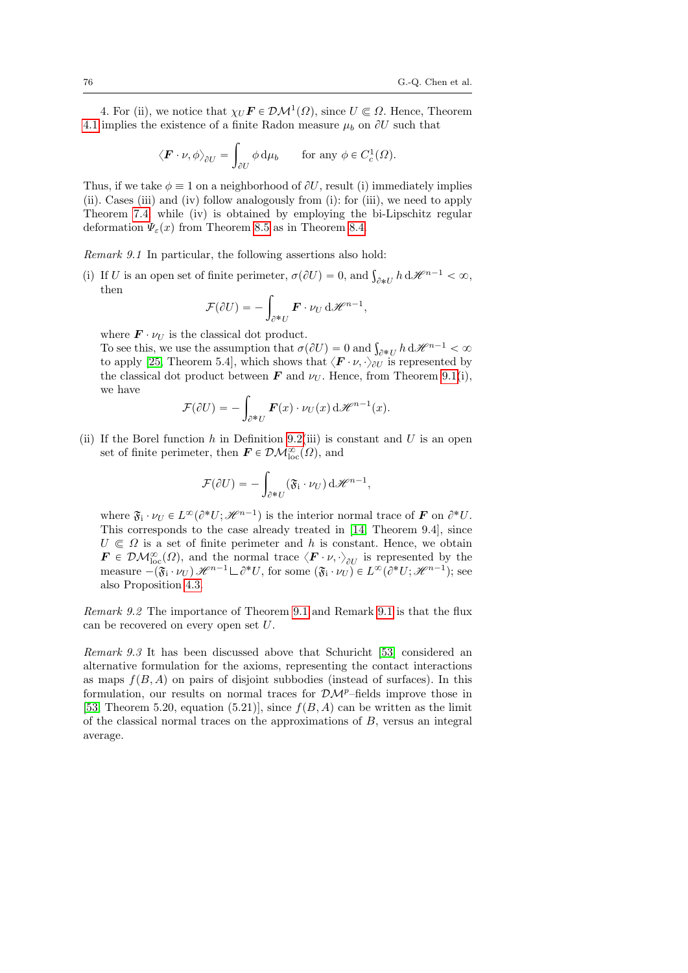4. For (ii), we notice that  $\chi_U \mathbf{F} \in \mathcal{DM}^1(\Omega)$ , since  $U \subseteq \Omega$ . Hence, Theorem [4.1](#page-17-1) implies the existence of a finite Radon measure  $\mu_b$  on  $\partial U$  such that

$$
\langle \boldsymbol{F} \cdot \boldsymbol{\nu}, \phi \rangle_{\partial U} = \int_{\partial U} \phi \, \mathrm{d}\mu_b \qquad \text{for any } \phi \in C_c^1(\Omega).
$$

Thus, if we take  $\phi \equiv 1$  on a neighborhood of  $\partial U$ , result (i) immediately implies (ii). Cases (iii) and (iv) follow analogously from (i): for (iii), we need to apply Theorem [7.4;](#page-50-0) while (iv) is obtained by employing the bi-Lipschitz regular deformation  $\Psi_{\varepsilon}(x)$  from Theorem [8.5](#page-64-0) as in Theorem [8.4.](#page-61-0)

<span id="page-75-0"></span>Remark 9.1 In particular, the following assertions also hold:

(i) If U is an open set of finite perimeter,  $\sigma(\partial U) = 0$ , and  $\int_{\partial *U} h \, d\mathcal{H}^{n-1} < \infty$ , then

$$
\mathcal{F}(\partial U) = -\int_{\partial^* U} \mathbf{F} \cdot \nu_U \, d\mathcal{H}^{n-1},
$$

where  $\mathbf{F} \cdot \nu_U$  is the classical dot product.

where  $\mathbf{F} \cdot \nu_U$  is the classical dot product.<br>To see this, we use the assumption that  $\sigma(\partial U) = 0$  and  $\int_{\partial^* U} h \, d\mathcal{H}^{n-1} < \infty$ to apply [\[25,](#page-77-1) Theorem 5.4], which shows that  $\langle \mathbf{F} \cdot \nu, \cdot \rangle_{\partial U}$  is represented by the classical dot product between **F** and  $\nu_U$ . Hence, from Theorem [9.1\(](#page-70-1)i), we have

$$
\mathcal{F}(\partial U) = -\int_{\partial^* U} \boldsymbol{F}(x) \cdot \nu_U(x) \, d\mathcal{H}^{n-1}(x).
$$

(ii) If the Borel function h in Definition [9.2\(](#page-69-0)iii) is constant and U is an open set of finite perimeter, then  $\mathbf{F} \in \mathcal{DM}^{\infty}_{loc}(\Omega)$ , and

$$
\mathcal{F}(\partial U) = -\int_{\partial^* U} (\mathfrak{F}_i \cdot \nu_U) \, d\mathscr{H}^{n-1},
$$

where  $\mathfrak{F}_i \cdot \nu_U \in L^{\infty}(\partial^* U; \mathcal{H}^{n-1})$  is the interior normal trace of  $\mathbf{F}$  on  $\partial^* U$ . This corresponds to the case already treated in [\[14,](#page-77-0) Theorem 9.4], since  $U \n\in \Omega$  is a set of finite perimeter and h is constant. Hence, we obtain  $\mathbf{F} \in \mathcal{DM}_{\text{loc}}^{\infty}(\Omega)$ , and the normal trace  $\langle \mathbf{F} \cdot \nu, \cdot \rangle_{\partial U}$  is represented by the measure  $-(\mathfrak{F}_i \cdot \nu_U) \mathcal{H}^{n-1} \Box \partial^* U$ , for some  $(\mathfrak{F}_i \cdot \nu_U) \in L^{\infty}(\partial^* U; \mathcal{H}^{n-1})$ ; see also Proposition [4.3.](#page-19-0)

Remark 9.2 The importance of Theorem [9.1](#page-70-1) and Remark [9.1](#page-75-0) is that the flux can be recovered on every open set U.

Remark 9.3 It has been discussed above that Schuricht [\[53\]](#page-79-0) considered an alternative formulation for the axioms, representing the contact interactions as maps  $f(B, A)$  on pairs of disjoint subbodies (instead of surfaces). In this formulation, our results on normal traces for  $\mathcal{DM}^p$ –fields improve those in [\[53,](#page-79-0) Theorem 5.20, equation (5.21)], since  $f(B, A)$  can be written as the limit of the classical normal traces on the approximations of  $B$ , versus an integral average.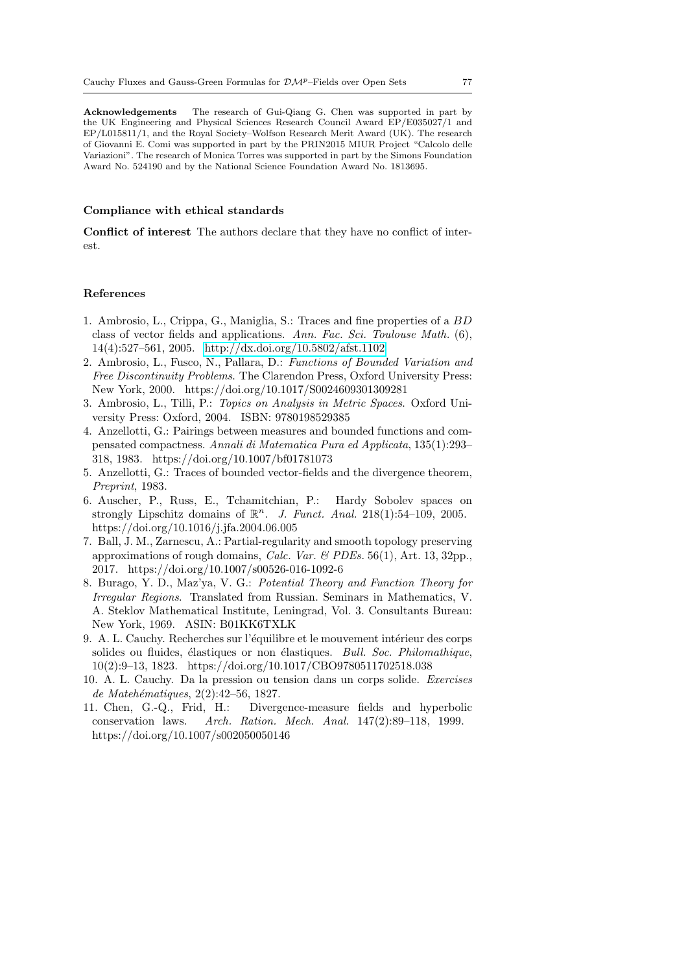Acknowledgements The research of Gui-Qiang G. Chen was supported in part by the UK Engineering and Physical Sciences Research Council Award EP/E035027/1 and EP/L015811/1, and the Royal Society–Wolfson Research Merit Award (UK). The research of Giovanni E. Comi was supported in part by the PRIN2015 MIUR Project "Calcolo delle Variazioni". The research of Monica Torres was supported in part by the Simons Foundation Award No. 524190 and by the National Science Foundation Award No. 1813695.

## Compliance with ethical standards

Conflict of interest The authors declare that they have no conflict of interest.

## References

- 1. Ambrosio, L., Crippa, G., Maniglia, S.: Traces and fine properties of a BD class of vector fields and applications. Ann. Fac. Sci. Toulouse Math. (6), 14(4):527–561, 2005.<http://dx.doi.org/10.5802/afst.1102>
- <span id="page-76-0"></span>2. Ambrosio, L., Fusco, N., Pallara, D.: Functions of Bounded Variation and Free Discontinuity Problems. The Clarendon Press, Oxford University Press: New York, 2000. https://doi.org/10.1017/S0024609301309281
- 3. Ambrosio, L., Tilli, P.: Topics on Analysis in Metric Spaces. Oxford University Press: Oxford, 2004. ISBN: 9780198529385
- 4. Anzellotti, G.: Pairings between measures and bounded functions and compensated compactness. Annali di Matematica Pura ed Applicata, 135(1):293– 318, 1983. https://doi.org/10.1007/bf01781073
- 5. Anzellotti, G.: Traces of bounded vector-fields and the divergence theorem, Preprint, 1983.
- 6. Auscher, P., Russ, E., Tchamitchian, P.: Hardy Sobolev spaces on strongly Lipschitz domains of  $\mathbb{R}^n$ . J. Funct. Anal. 218(1):54-109, 2005. https://doi.org/10.1016/j.jfa.2004.06.005
- 7. Ball, J. M., Zarnescu, A.: Partial-regularity and smooth topology preserving approximations of rough domains, Calc. Var. & PDEs. 56(1), Art. 13, 32pp., 2017. https://doi.org/10.1007/s00526-016-1092-6
- 8. Burago, Y. D., Maz'ya, V. G.: Potential Theory and Function Theory for Irregular Regions. Translated from Russian. Seminars in Mathematics, V. A. Steklov Mathematical Institute, Leningrad, Vol. 3. Consultants Bureau: New York, 1969. ASIN: B01KK6TXLK
- 9. A. L. Cauchy. Recherches sur l'équilibre et le mouvement intérieur des corps solides ou fluides, élastiques or non élastiques. Bull. Soc. Philomathique, 10(2):9–13, 1823. https://doi.org/10.1017/CBO9780511702518.038
- 10. A. L. Cauchy. Da la pression ou tension dans un corps solide. Exercises de Matehématiques, 2(2):42-56, 1827.
- 11. Chen, G.-Q., Frid, H.: Divergence-measure fields and hyperbolic conservation laws. Arch. Ration. Mech. Anal. 147(2):89–118, 1999. https://doi.org/10.1007/s002050050146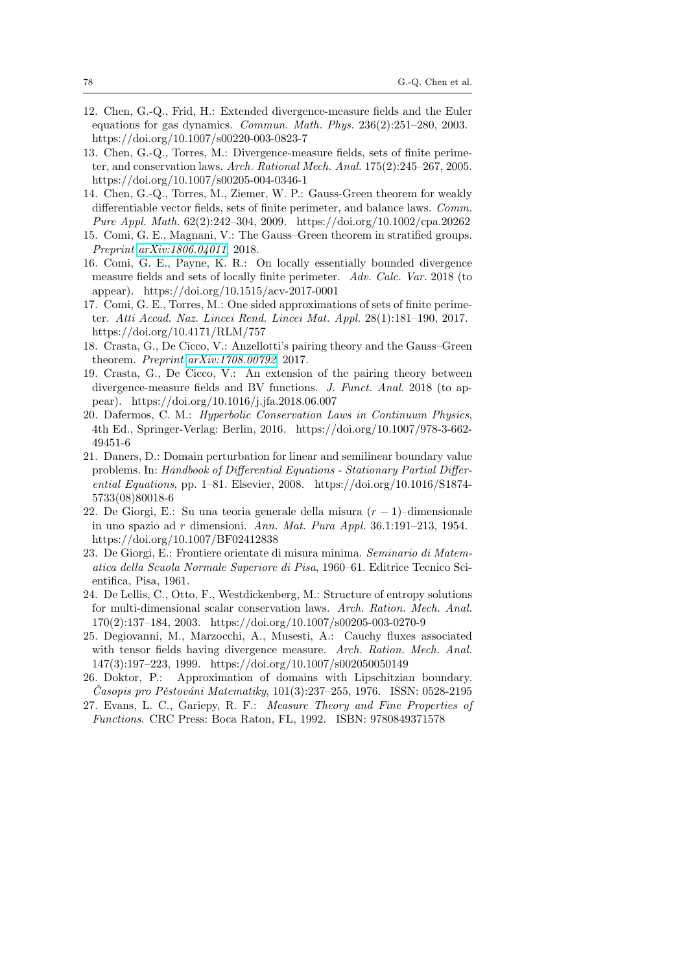- 12. Chen, G.-Q., Frid, H.: Extended divergence-measure fields and the Euler equations for gas dynamics. *Commun. Math. Phys.*  $236(2):251-280$ , 2003. https://doi.org/10.1007/s00220-003-0823-7
- 13. Chen, G.-Q., Torres, M.: Divergence-measure fields, sets of finite perimeter, and conservation laws. Arch. Rational Mech. Anal. 175(2):245–267, 2005. https://doi.org/10.1007/s00205-004-0346-1
- <span id="page-77-0"></span>14. Chen, G.-Q., Torres, M., Ziemer, W. P.: Gauss-Green theorem for weakly differentiable vector fields, sets of finite perimeter, and balance laws. Comm. Pure Appl. Math. 62(2):242–304, 2009. https://doi.org/10.1002/cpa.20262
- 15. Comi, G. E., Magnani, V.: The Gauss–Green theorem in stratified groups. Preprint [arXiv:1806.04011](http://arxiv.org/abs/1806.04011), 2018.
- 16. Comi, G. E., Payne, K. R.: On locally essentially bounded divergence measure fields and sets of locally finite perimeter. Adv. Calc. Var. 2018 (to appear). https://doi.org/10.1515/acv-2017-0001
- 17. Comi, G. E., Torres, M.: One sided approximations of sets of finite perimeter. Atti Accad. Naz. Lincei Rend. Lincei Mat. Appl. 28(1):181–190, 2017. https://doi.org/10.4171/RLM/757
- 18. Crasta, G., De Cicco, V.: Anzellotti's pairing theory and the Gauss–Green theorem. Preprint [arXiv:1708.00792](http://arxiv.org/abs/1708.00792), 2017.
- 19. Crasta, G., De Cicco, V.: An extension of the pairing theory between divergence-measure fields and BV functions. J. Funct. Anal. 2018 (to appear). https://doi.org/10.1016/j.jfa.2018.06.007
- 20. Dafermos, C. M.: Hyperbolic Conservation Laws in Continuum Physics, 4th Ed., Springer-Verlag: Berlin, 2016. https://doi.org/10.1007/978-3-662- 49451-6
- 21. Daners, D.: Domain perturbation for linear and semilinear boundary value problems. In: Handbook of Differential Equations - Stationary Partial Differential Equations, pp. 1–81. Elsevier, 2008. https://doi.org/10.1016/S1874-5733(08)80018-6
- 22. De Giorgi, E.: Su una teoria generale della misura  $(r 1)$ –dimensionale in uno spazio ad r dimensioni. Ann. Mat. Pura Appl. 36.1:191–213, 1954. https://doi.org/10.1007/BF02412838
- 23. De Giorgi, E.: Frontiere orientate di misura minima. Seminario di Matematica della Scuola Normale Superiore di Pisa, 1960–61. Editrice Tecnico Scientifica, Pisa, 1961.
- 24. De Lellis, C., Otto, F., Westdickenberg, M.: Structure of entropy solutions for multi-dimensional scalar conservation laws. Arch. Ration. Mech. Anal. 170(2):137–184, 2003. https://doi.org/10.1007/s00205-003-0270-9
- <span id="page-77-1"></span>25. Degiovanni, M., Marzocchi, A., Musesti, A.: Cauchy fluxes associated with tensor fields having divergence measure. Arch. Ration. Mech. Anal. 147(3):197–223, 1999. https://doi.org/10.1007/s002050050149
- 26. Doktor, P.: Approximation of domains with Lipschitzian boundary.  $\check{C}$ asopis pro Pěstováni Matematiky, 101(3):237–255, 1976. ISSN: 0528-2195
- 27. Evans, L. C., Gariepy, R. F.: Measure Theory and Fine Properties of Functions. CRC Press: Boca Raton, FL, 1992. ISBN: 9780849371578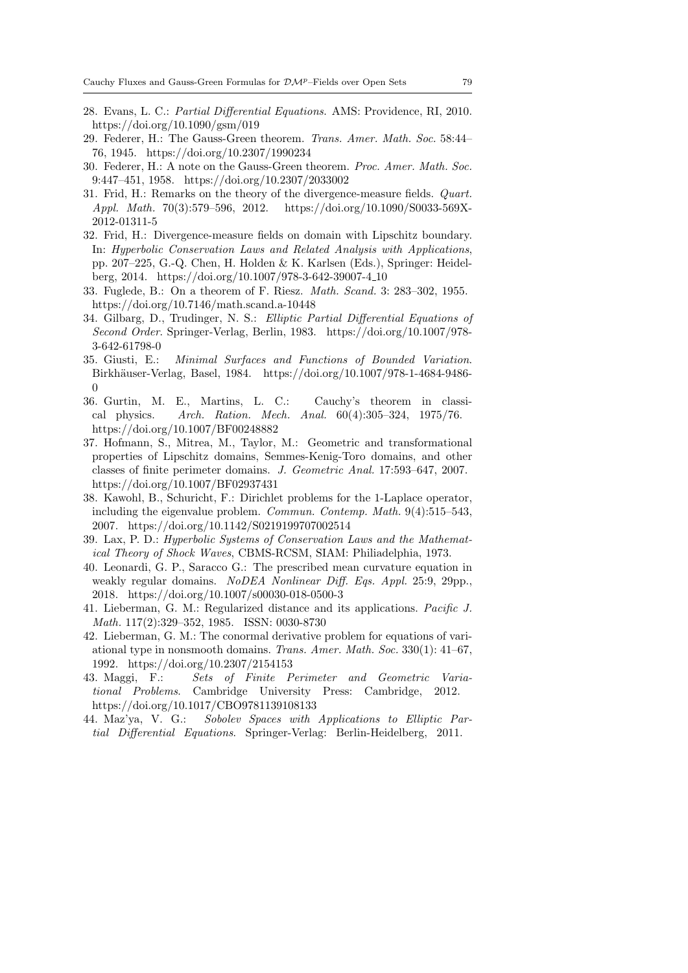- 28. Evans, L. C.: Partial Differential Equations. AMS: Providence, RI, 2010. https://doi.org/10.1090/gsm/019
- 29. Federer, H.: The Gauss-Green theorem. Trans. Amer. Math. Soc. 58:44– 76, 1945. https://doi.org/10.2307/1990234
- 30. Federer, H.: A note on the Gauss-Green theorem. Proc. Amer. Math. Soc. 9:447–451, 1958. https://doi.org/10.2307/2033002
- 31. Frid, H.: Remarks on the theory of the divergence-measure fields. Quart. Appl. Math. 70(3):579–596, 2012. https://doi.org/10.1090/S0033-569X-2012-01311-5
- 32. Frid, H.: Divergence-measure fields on domain with Lipschitz boundary. In: Hyperbolic Conservation Laws and Related Analysis with Applications, pp. 207–225, G.-Q. Chen, H. Holden & K. Karlsen (Eds.), Springer: Heidelberg, 2014. https://doi.org/10.1007/978-3-642-39007-4 10
- 33. Fuglede, B.: On a theorem of F. Riesz. Math. Scand. 3: 283–302, 1955. https://doi.org/10.7146/math.scand.a-10448
- 34. Gilbarg, D., Trudinger, N. S.: Elliptic Partial Differential Equations of Second Order. Springer-Verlag, Berlin, 1983. https://doi.org/10.1007/978- 3-642-61798-0
- 35. Giusti, E.: Minimal Surfaces and Functions of Bounded Variation. Birkh¨auser-Verlag, Basel, 1984. https://doi.org/10.1007/978-1-4684-9486-  $\boldsymbol{0}$
- 36. Gurtin, M. E., Martins, L. C.: Cauchy's theorem in classical physics. Arch. Ration. Mech. Anal.  $60(4):305-324$ ,  $1975/76$ . https://doi.org/10.1007/BF00248882
- 37. Hofmann, S., Mitrea, M., Taylor, M.: Geometric and transformational properties of Lipschitz domains, Semmes-Kenig-Toro domains, and other classes of finite perimeter domains. J. Geometric Anal. 17:593–647, 2007. https://doi.org/10.1007/BF02937431
- 38. Kawohl, B., Schuricht, F.: Dirichlet problems for the 1-Laplace operator, including the eigenvalue problem. Commun. Contemp. Math. 9(4):515–543, 2007. https://doi.org/10.1142/S0219199707002514
- 39. Lax, P. D.: Hyperbolic Systems of Conservation Laws and the Mathematical Theory of Shock Waves, CBMS-RCSM, SIAM: Philiadelphia, 1973.
- 40. Leonardi, G. P., Saracco G.: The prescribed mean curvature equation in weakly regular domains. NoDEA Nonlinear Diff. Eqs. Appl. 25:9, 29pp., 2018. https://doi.org/10.1007/s00030-018-0500-3
- 41. Lieberman, G. M.: Regularized distance and its applications. Pacific J. Math. 117(2):329–352, 1985. ISSN: 0030-8730
- 42. Lieberman, G. M.: The conormal derivative problem for equations of variational type in nonsmooth domains. Trans. Amer. Math. Soc. 330(1): 41–67, 1992. https://doi.org/10.2307/2154153
- 43. Maggi, F.: Sets of Finite Perimeter and Geometric Variational Problems. Cambridge University Press: Cambridge, 2012. https://doi.org/10.1017/CBO9781139108133
- 44. Maz'ya, V. G.: Sobolev Spaces with Applications to Elliptic Partial Differential Equations. Springer-Verlag: Berlin-Heidelberg, 2011.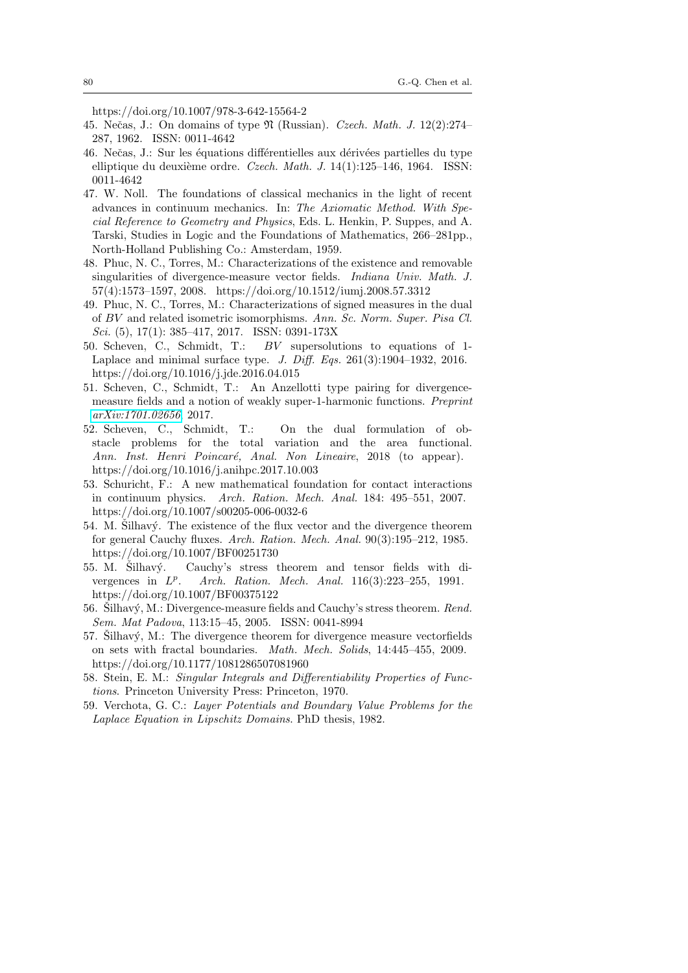https://doi.org/10.1007/978-3-642-15564-2

- 45. Nečas, J.: On domains of type  $\mathfrak N$  (Russian). Czech. Math. J. 12(2):274– 287, 1962. ISSN: 0011-4642
- 46. Nečas, J.: Sur les équations différentielles aux dérivées partielles du type elliptique du deuxième ordre. Czech. Math. J.  $14(1):125-146$ , 1964. ISSN: 0011-4642
- 47. W. Noll. The foundations of classical mechanics in the light of recent advances in continuum mechanics. In: The Axiomatic Method. With Special Reference to Geometry and Physics, Eds. L. Henkin, P. Suppes, and A. Tarski, Studies in Logic and the Foundations of Mathematics, 266–281pp., North-Holland Publishing Co.: Amsterdam, 1959.
- 48. Phuc, N. C., Torres, M.: Characterizations of the existence and removable singularities of divergence-measure vector fields. Indiana Univ. Math. J. 57(4):1573–1597, 2008. https://doi.org/10.1512/iumj.2008.57.3312
- 49. Phuc, N. C., Torres, M.: Characterizations of signed measures in the dual of BV and related isometric isomorphisms. Ann. Sc. Norm. Super. Pisa Cl. Sci. (5), 17(1): 385–417, 2017. ISSN: 0391-173X
- 50. Scheven, C., Schmidt, T.: BV supersolutions to equations of 1- Laplace and minimal surface type. J. Diff. Eqs. 261(3):1904–1932, 2016. https://doi.org/10.1016/j.jde.2016.04.015
- 51. Scheven, C., Schmidt, T.: An Anzellotti type pairing for divergencemeasure fields and a notion of weakly super-1-harmonic functions. Preprint [arXiv:1701.02656](http://arxiv.org/abs/1701.02656), 2017.
- 52. Scheven, C., Schmidt, T.: On the dual formulation of obstacle problems for the total variation and the area functional. Ann. Inst. Henri Poincaré, Anal. Non Lineaire, 2018 (to appear). https://doi.org/10.1016/j.anihpc.2017.10.003
- <span id="page-79-0"></span>53. Schuricht, F.: A new mathematical foundation for contact interactions in continuum physics. Arch. Ration. Mech. Anal. 184: 495–551, 2007. https://doi.org/10.1007/s00205-006-0032-6
- $54.$  M. Silhavý. The existence of the flux vector and the divergence theorem for general Cauchy fluxes. Arch. Ration. Mech. Anal. 90(3):195–212, 1985. https://doi.org/10.1007/BF00251730
- $55.$  M. Silhavý. Cauchy's stress theorem and tensor fields with divergences in  $L^p$ . Arch. Ration. Mech. Anal. 116(3):223–255, 1991. https://doi.org/10.1007/BF00375122
- 56. Silhavý, M.: Divergence-measure fields and Cauchy's stress theorem.  $Rend$ . Sem. Mat Padova, 113:15–45, 2005. ISSN: 0041-8994
- $57.$  Silhavý, M.: The divergence theorem for divergence measure vectorfields on sets with fractal boundaries. Math. Mech. Solids, 14:445–455, 2009. https://doi.org/10.1177/1081286507081960
- 58. Stein, E. M.: Singular Integrals and Differentiability Properties of Functions. Princeton University Press: Princeton, 1970.
- 59. Verchota, G. C.: Layer Potentials and Boundary Value Problems for the Laplace Equation in Lipschitz Domains. PhD thesis, 1982.